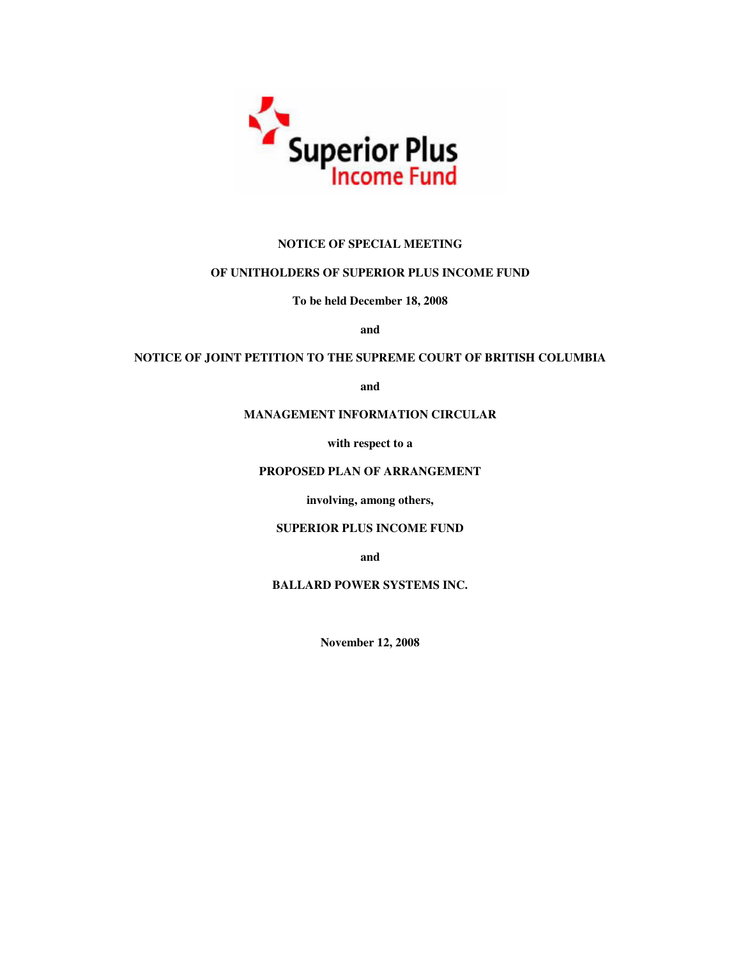

# **NOTICE OF SPECIAL MEETING**

# **OF UNITHOLDERS OF SUPERIOR PLUS INCOME FUND**

**To be held December 18, 2008**

**and**

# **NOTICE OF JOINT PETITION TO THE SUPREME COURT OF BRITISH COLUMBIA**

**and**

# **MANAGEMENT INFORMATION CIRCULAR**

**with respect to a**

# **PROPOSED PLAN OF ARRANGEMENT**

**involving, among others,**

# **SUPERIOR PLUS INCOME FUND**

**and**

**BALLARD POWER SYSTEMS INC.**

**November 12, 2008**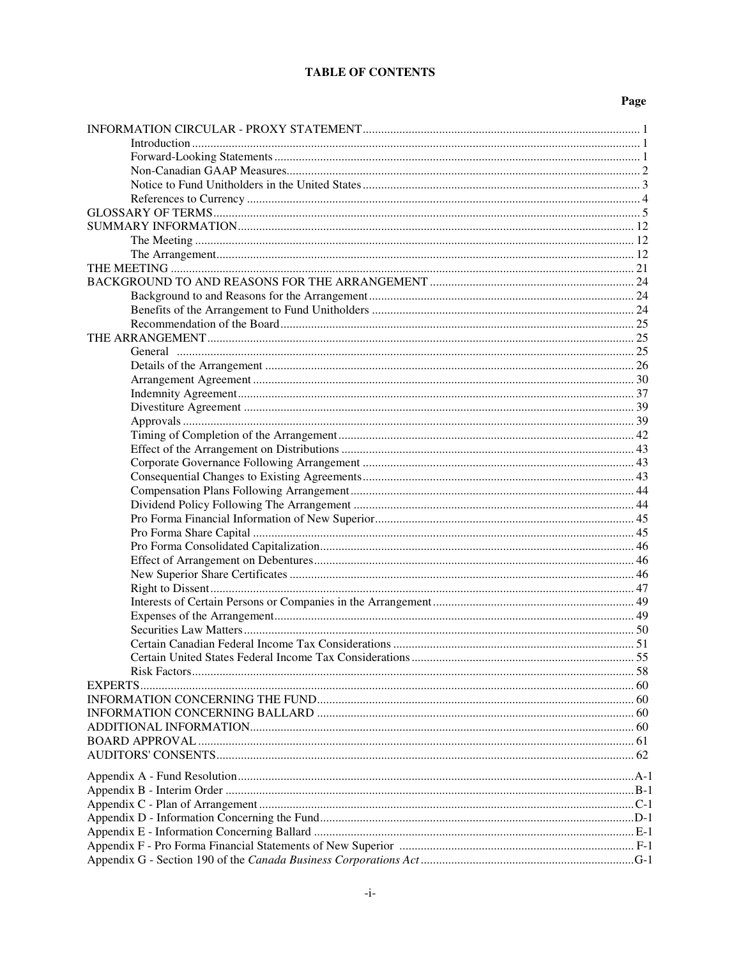# **TABLE OF CONTENTS**

# Page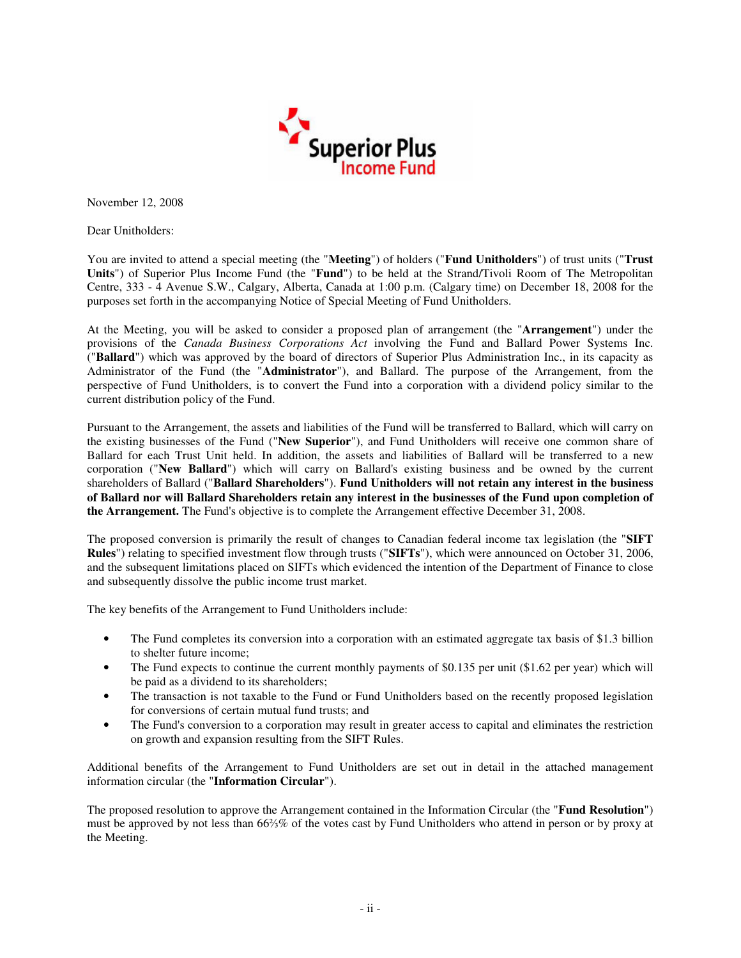

November 12, 2008

Dear Unitholders:

You are invited to attend a special meeting (the "**Meeting**") of holders ("**Fund Unitholders**") of trust units ("**Trust Units**") of Superior Plus Income Fund (the "**Fund**") to be held at the Strand/Tivoli Room of The Metropolitan Centre, 333 - 4 Avenue S.W., Calgary, Alberta, Canada at 1:00 p.m. (Calgary time) on December 18, 2008 for the purposes set forth in the accompanying Notice of Special Meeting of Fund Unitholders.

At the Meeting, you will be asked to consider a proposed plan of arrangement (the "**Arrangement**") under the provisions of the *Canada Business Corporations Act* involving the Fund and Ballard Power Systems Inc. ("**Ballard**") which was approved by the board of directors of Superior Plus Administration Inc., in its capacity as Administrator of the Fund (the "**Administrator**"), and Ballard. The purpose of the Arrangement, from the perspective of Fund Unitholders, is to convert the Fund into a corporation with a dividend policy similar to the current distribution policy of the Fund.

Pursuant to the Arrangement, the assets and liabilities of the Fund will be transferred to Ballard, which will carry on the existing businesses of the Fund ("**New Superior**"), and Fund Unitholders will receive one common share of Ballard for each Trust Unit held. In addition, the assets and liabilities of Ballard will be transferred to a new corporation ("**New Ballard**") which will carry on Ballard's existing business and be owned by the current shareholders of Ballard ("**Ballard Shareholders**"). **Fund Unitholders will not retain any interest in the business** of Ballard nor will Ballard Shareholders retain any interest in the businesses of the Fund upon completion of **the Arrangement.** The Fund's objective is to complete the Arrangement effective December 31, 2008.

The proposed conversion is primarily the result of changes to Canadian federal income tax legislation (the "**SIFT Rules**") relating to specified investment flow through trusts ("**SIFTs**"), which were announced on October 31, 2006, and the subsequent limitations placed on SIFTs which evidenced the intention of the Department of Finance to close and subsequently dissolve the public income trust market.

The key benefits of the Arrangement to Fund Unitholders include:

- The Fund completes its conversion into a corporation with an estimated aggregate tax basis of \$1.3 billion to shelter future income;
- The Fund expects to continue the current monthly payments of \$0.135 per unit (\$1.62 per year) which will be paid as a dividend to its shareholders;
- The transaction is not taxable to the Fund or Fund Unitholders based on the recently proposed legislation for conversions of certain mutual fund trusts; and
- The Fund's conversion to a corporation may result in greater access to capital and eliminates the restriction on growth and expansion resulting from the SIFT Rules.

Additional benefits of the Arrangement to Fund Unitholders are set out in detail in the attached management information circular (the "**Information Circular**").

The proposed resolution to approve the Arrangement contained in the Information Circular (the "**Fund Resolution**") must be approved by not less than 66% of the votes cast by Fund Unitholders who attend in person or by proxy at the Meeting.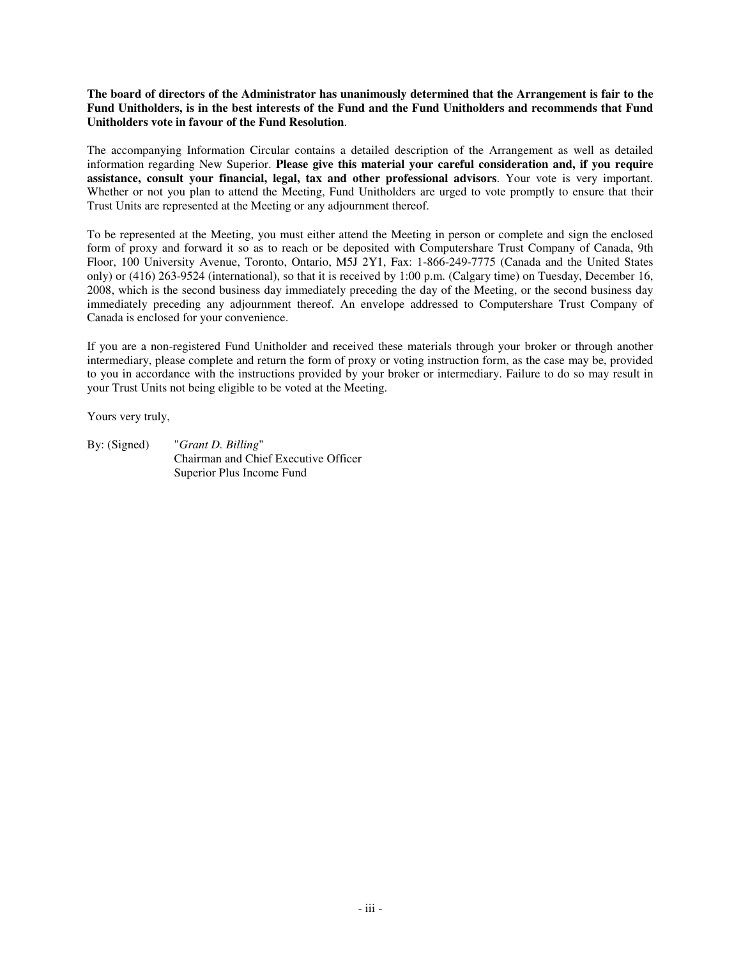The board of directors of the Administrator has unanimously determined that the Arrangement is fair to the Fund Unitholders, is in the best interests of the Fund and the Fund Unitholders and recommends that Fund **Unitholders vote in favour of the Fund Resolution**.

The accompanying Information Circular contains a detailed description of the Arrangement as well as detailed information regarding New Superior. **Please give this material your careful consideration and, if you require assistance, consult your financial, legal, tax and other professional advisors**. Your vote is very important. Whether or not you plan to attend the Meeting, Fund Unitholders are urged to vote promptly to ensure that their Trust Units are represented at the Meeting or any adjournment thereof.

To be represented at the Meeting, you must either attend the Meeting in person or complete and sign the enclosed form of proxy and forward it so as to reach or be deposited with Computershare Trust Company of Canada, 9th Floor, 100 University Avenue, Toronto, Ontario, M5J 2Y1, Fax: 1-866-249-7775 (Canada and the United States only) or (416) 263-9524 (international), so that it is received by 1:00 p.m. (Calgary time) on Tuesday, December 16, 2008, which is the second business day immediately preceding the day of the Meeting, or the second business day immediately preceding any adjournment thereof. An envelope addressed to Computershare Trust Company of Canada is enclosed for your convenience.

If you are a non-registered Fund Unitholder and received these materials through your broker or through another intermediary, please complete and return the form of proxy or voting instruction form, as the case may be, provided to you in accordance with the instructions provided by your broker or intermediary. Failure to do so may result in your Trust Units not being eligible to be voted at the Meeting.

Yours very truly,

By: (Signed) "*Grant D. Billing*" Chairman and Chief Executive Officer Superior Plus Income Fund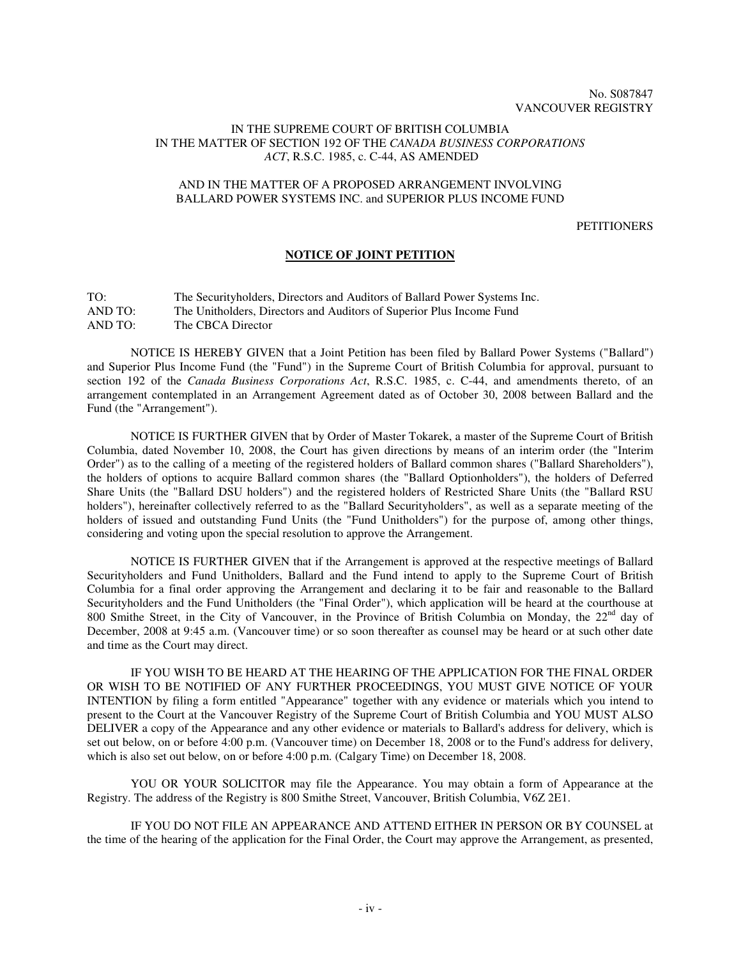### IN THE SUPREME COURT OF BRITISH COLUMBIA IN THE MATTER OF SECTION 192 OF THE *CANADA BUSINESS CORPORATIONS ACT*, R.S.C. 1985, c. C-44, AS AMENDED

### AND IN THE MATTER OF A PROPOSED ARRANGEMENT INVOLVING BALLARD POWER SYSTEMS INC. and SUPERIOR PLUS INCOME FUND

### **PETITIONERS**

# **NOTICE OF JOINT PETITION**

| TO:     | The Security holders, Directors and Auditors of Ballard Power Systems Inc. |
|---------|----------------------------------------------------------------------------|
| AND TO: | The Unitholders, Directors and Auditors of Superior Plus Income Fund       |
| AND TO: | The CBCA Director                                                          |

NOTICE IS HEREBY GIVEN that a Joint Petition has been filed by Ballard Power Systems ("Ballard") and Superior Plus Income Fund (the "Fund") in the Supreme Court of British Columbia for approval, pursuant to section 192 of the *Canada Business Corporations Act*, R.S.C. 1985, c. C-44, and amendments thereto, of an arrangement contemplated in an Arrangement Agreement dated as of October 30, 2008 between Ballard and the Fund (the "Arrangement").

NOTICE IS FURTHER GIVEN that by Order of Master Tokarek, a master of the Supreme Court of British Columbia, dated November 10, 2008, the Court has given directions by means of an interim order (the "Interim Order") as to the calling of a meeting of the registered holders of Ballard common shares ("Ballard Shareholders"), the holders of options to acquire Ballard common shares (the "Ballard Optionholders"), the holders of Deferred Share Units (the "Ballard DSU holders") and the registered holders of Restricted Share Units (the "Ballard RSU holders"), hereinafter collectively referred to as the "Ballard Securityholders", as well as a separate meeting of the holders of issued and outstanding Fund Units (the "Fund Unitholders") for the purpose of, among other things, considering and voting upon the special resolution to approve the Arrangement.

NOTICE IS FURTHER GIVEN that if the Arrangement is approved at the respective meetings of Ballard Securityholders and Fund Unitholders, Ballard and the Fund intend to apply to the Supreme Court of British Columbia for a final order approving the Arrangement and declaring it to be fair and reasonable to the Ballard Securityholders and the Fund Unitholders (the "Final Order"), which application will be heard at the courthouse at 800 Smithe Street, in the City of Vancouver, in the Province of British Columbia on Monday, the 22<sup>nd</sup> day of December, 2008 at 9:45 a.m. (Vancouver time) or so soon thereafter as counsel may be heard or at such other date and time as the Court may direct.

IF YOU WISH TO BE HEARD AT THE HEARING OF THE APPLICATION FOR THE FINAL ORDER OR WISH TO BE NOTIFIED OF ANY FURTHER PROCEEDINGS, YOU MUST GIVE NOTICE OF YOUR INTENTION by filing a form entitled "Appearance" together with any evidence or materials which you intend to present to the Court at the Vancouver Registry of the Supreme Court of British Columbia and YOU MUST ALSO DELIVER a copy of the Appearance and any other evidence or materials to Ballard's address for delivery, which is set out below, on or before 4:00 p.m. (Vancouver time) on December 18, 2008 or to the Fund's address for delivery, which is also set out below, on or before 4:00 p.m. (Calgary Time) on December 18, 2008.

YOU OR YOUR SOLICITOR may file the Appearance. You may obtain a form of Appearance at the Registry. The address of the Registry is 800 Smithe Street, Vancouver, British Columbia, V6Z 2E1.

IF YOU DO NOT FILE AN APPEARANCE AND ATTEND EITHER IN PERSON OR BY COUNSEL at the time of the hearing of the application for the Final Order, the Court may approve the Arrangement, as presented,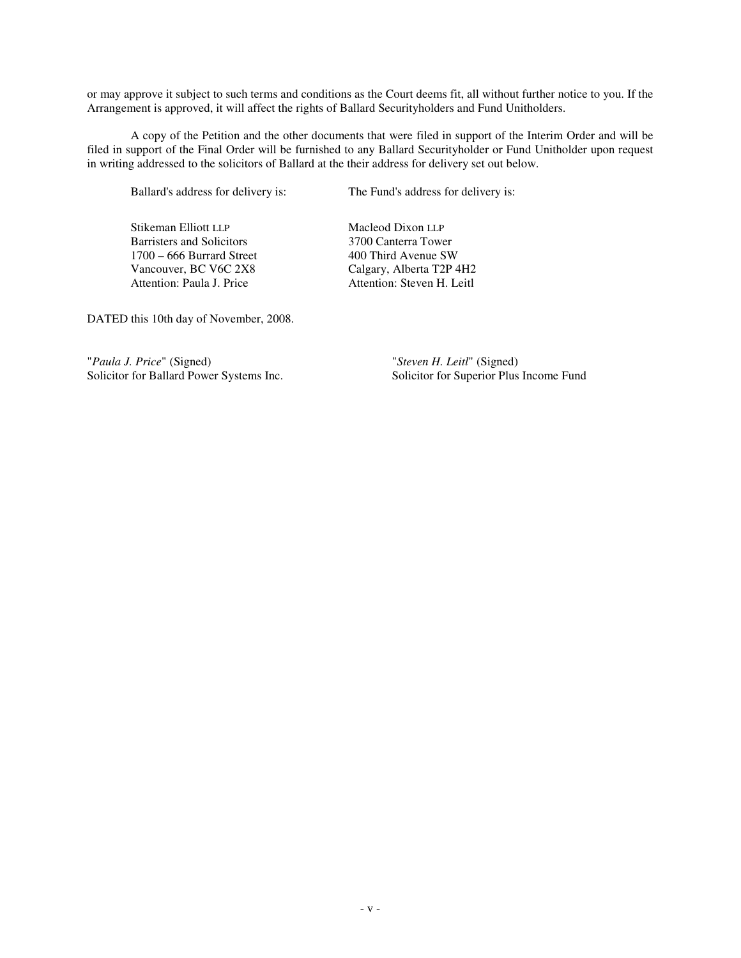or may approve it subject to such terms and conditions as the Court deems fit, all without further notice to you. If the Arrangement is approved, it will affect the rights of Ballard Securityholders and Fund Unitholders.

A copy of the Petition and the other documents that were filed in support of the Interim Order and will be filed in support of the Final Order will be furnished to any Ballard Securityholder or Fund Unitholder upon request in writing addressed to the solicitors of Ballard at the their address for delivery set out below.

Ballard's address for delivery is: The Fund's address for delivery is:

Stikeman Elliott LLP<br>
Barristers and Solicitors<br>
2700 Canterra Tower Barristers and Solicitors 1700 – 666 Burrard Street 400 Third Avenue SW<br>
Vancouver, BC V6C 2X8 Calgary, Alberta T2P 4 Attention: Paula J. Price Attention: Steven H. Leitl

Calgary, Alberta T2P 4H2

DATED this 10th day of November, 2008.

"*Paula J. Price*" (Signed) "*Steven H. Leitl*" (Signed) Solicitor for Ballard Power Systems Inc. Solicitor for Superior Plus Income Fund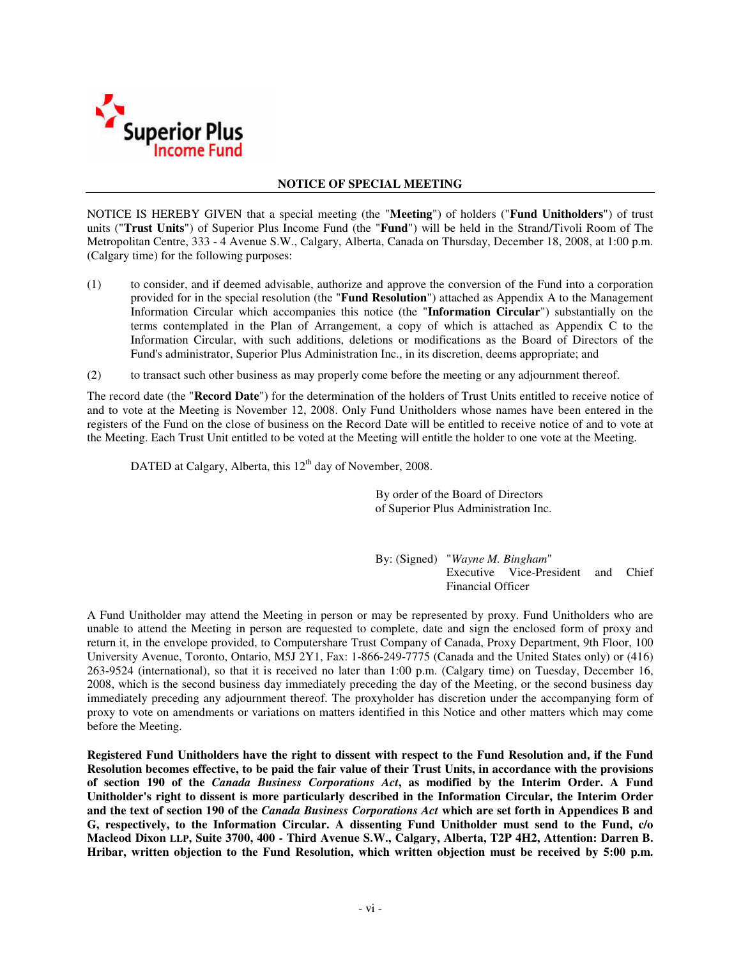

### **NOTICE OF SPECIAL MEETING**

NOTICE IS HEREBY GIVEN that a special meeting (the "**Meeting**") of holders ("**Fund Unitholders**") of trust units ("**Trust Units**") of Superior Plus Income Fund (the "**Fund**") will be held in the Strand/Tivoli Room of The Metropolitan Centre, 333 - 4 Avenue S.W., Calgary, Alberta, Canada on Thursday, December 18, 2008, at 1:00 p.m. (Calgary time) for the following purposes:

- (1) to consider, and if deemed advisable, authorize and approve the conversion of the Fund into a corporation provided for in the special resolution (the "**Fund Resolution**") attached as Appendix A to the Management Information Circular which accompanies this notice (the "**Information Circular**") substantially on the terms contemplated in the Plan of Arrangement, a copy of which is attached as Appendix C to the Information Circular, with such additions, deletions or modifications as the Board of Directors of the Fund's administrator, Superior Plus Administration Inc., in its discretion, deems appropriate; and
- (2) to transact such other business as may properly come before the meeting or any adjournment thereof.

The record date (the "**Record Date**") for the determination of the holders of Trust Units entitled to receive notice of and to vote at the Meeting is November 12, 2008. Only Fund Unitholders whose names have been entered in the registers of the Fund on the close of business on the Record Date will be entitled to receive notice of and to vote at the Meeting. Each Trust Unit entitled to be voted at the Meeting will entitle the holder to one vote at the Meeting.

DATED at Calgary, Alberta, this 12<sup>th</sup> day of November, 2008.

By order of the Board of Directors of Superior Plus Administration Inc.

By: (Signed) "*Wayne M. Bingham*" Executive Vice-President and Chief Financial Officer

A Fund Unitholder may attend the Meeting in person or may be represented by proxy. Fund Unitholders who are unable to attend the Meeting in person are requested to complete, date and sign the enclosed form of proxy and return it, in the envelope provided, to Computershare Trust Company of Canada, Proxy Department, 9th Floor, 100 University Avenue, Toronto, Ontario, M5J 2Y1, Fax: 1-866-249-7775 (Canada and the United States only) or (416) 263-9524 (international), so that it is received no later than 1:00 p.m. (Calgary time) on Tuesday, December 16, 2008, which is the second business day immediately preceding the day of the Meeting, or the second business day immediately preceding any adjournment thereof. The proxyholder has discretion under the accompanying form of proxy to vote on amendments or variations on matters identified in this Notice and other matters which may come before the Meeting.

Registered Fund Unitholders have the right to dissent with respect to the Fund Resolution and, if the Fund Resolution becomes effective, to be paid the fair value of their Trust Units, in accordance with the provisions **of section 190 of the** *Canada Business Corporations Act***, as modified by the Interim Order. A Fund Unitholder's right to dissent is more particularly described in the Information Circular, the Interim Order** and the text of section 190 of the *Canada Business Corporations Act* which are set forth in Appendices B and **G, respectively, to the Information Circular. A dissenting Fund Unitholder must send to the Fund, c/o** Macleod Dixon LLP, Suite 3700, 400 - Third Avenue S.W., Calgary, Alberta, T2P 4H2, Attention: Darren B. **Hribar, written objection to the Fund Resolution, which written objection must be received by 5:00 p.m.**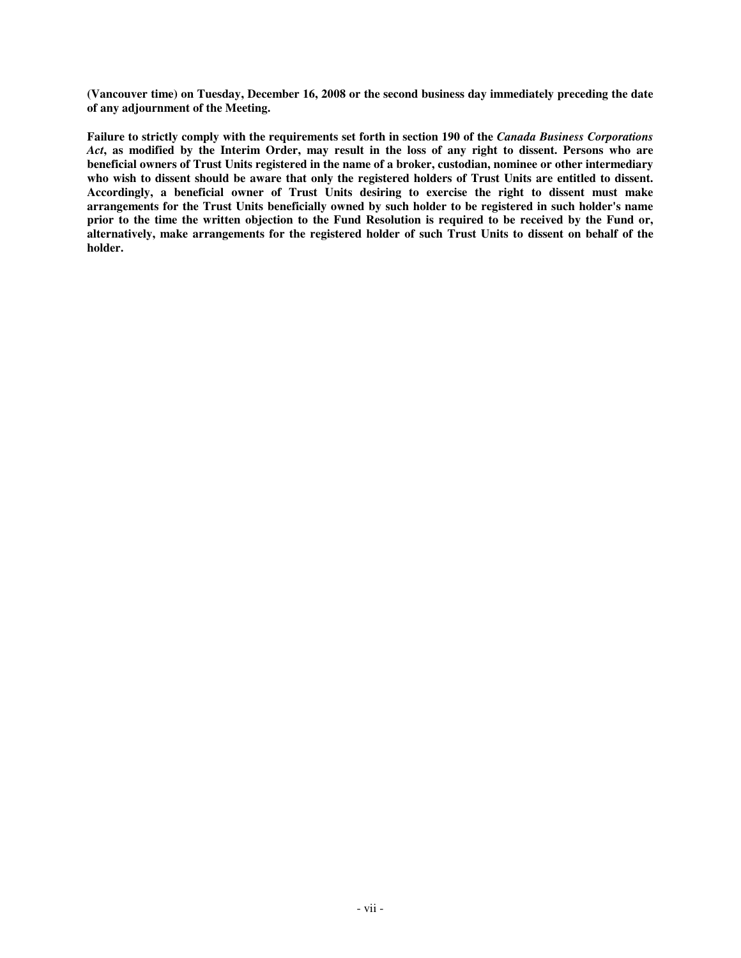**(Vancouver time) on Tuesday, December 16, 2008 or the second business day immediately preceding the date of any adjournment of the Meeting.**

Failure to strictly comply with the requirements set forth in section 190 of the Canada Business Corporations Act, as modified by the Interim Order, may result in the loss of any right to dissent. Persons who are beneficial owners of Trust Units registered in the name of a broker, custodian, nominee or other intermediary who wish to dissent should be aware that only the registered holders of Trust Units are entitled to dissent. **Accordingly, a beneficial owner of Trust Units desiring to exercise the right to dissent must make arrangements for the Trust Units beneficially owned by such holder to be registered in such holder's name** prior to the time the written objection to the Fund Resolution is required to be received by the Fund or, alternatively, make arrangements for the registered holder of such Trust Units to dissent on behalf of the **holder.**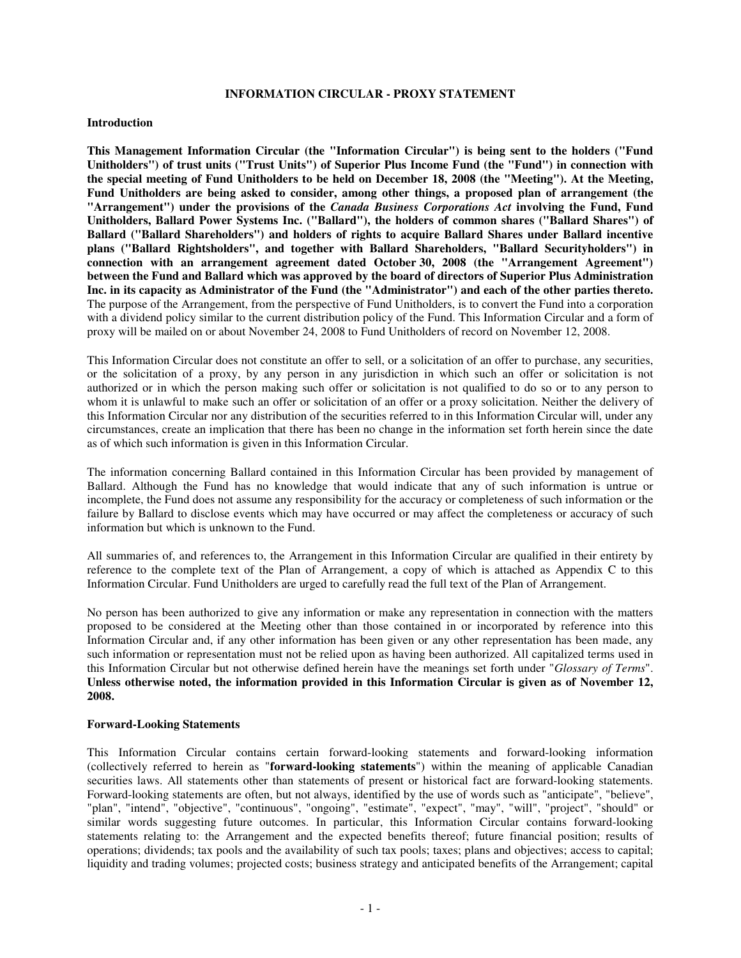### **INFORMATION CIRCULAR - PROXY STATEMENT**

#### **Introduction**

**This Management Information Circular (the "Information Circular") is being sent to the holders ("Fund Unitholders") of trust units ("Trust Units") of Superior Plus Income Fund (the "Fund") in connection with** the special meeting of Fund Unitholders to be held on December 18, 2008 (the "Meeting"). At the Meeting, **Fund Unitholders are being asked to consider, among other things, a proposed plan of arrangement (the "Arrangement") under the provisions of the** *Canada Business Corporations Act* **involving the Fund, Fund Unitholders, Ballard Power Systems Inc. ("Ballard"), the holders of common shares ("Ballard Shares") of Ballard ("Ballard Shareholders") and holders of rights to acquire Ballard Shares under Ballard incentive plans ("Ballard Rightsholders", and together with Ballard Shareholders, "Ballard Securityholders") in connection with an arrangement agreement dated October 30, 2008 (the "Arrangement Agreement") between the Fund and Ballard which was approved by the board of directors of Superior Plus Administration** Inc. in its capacity as Administrator of the Fund (the "Administrator") and each of the other parties thereto. The purpose of the Arrangement, from the perspective of Fund Unitholders, is to convert the Fund into a corporation with a dividend policy similar to the current distribution policy of the Fund. This Information Circular and a form of proxy will be mailed on or about November 24, 2008 to Fund Unitholders of record on November 12, 2008.

This Information Circular does not constitute an offer to sell, or a solicitation of an offer to purchase, any securities, or the solicitation of a proxy, by any person in any jurisdiction in which such an offer or solicitation is not authorized or in which the person making such offer or solicitation is not qualified to do so or to any person to whom it is unlawful to make such an offer or solicitation of an offer or a proxy solicitation. Neither the delivery of this Information Circular nor any distribution of the securities referred to in this Information Circular will, under any circumstances, create an implication that there has been no change in the information set forth herein since the date as of which such information is given in this Information Circular.

The information concerning Ballard contained in this Information Circular has been provided by management of Ballard. Although the Fund has no knowledge that would indicate that any of such information is untrue or incomplete, the Fund does not assume any responsibility for the accuracy or completeness of such information or the failure by Ballard to disclose events which may have occurred or may affect the completeness or accuracy of such information but which is unknown to the Fund.

All summaries of, and references to, the Arrangement in this Information Circular are qualified in their entirety by reference to the complete text of the Plan of Arrangement, a copy of which is attached as Appendix C to this Information Circular. Fund Unitholders are urged to carefully read the full text of the Plan of Arrangement.

No person has been authorized to give any information or make any representation in connection with the matters proposed to be considered at the Meeting other than those contained in or incorporated by reference into this Information Circular and, if any other information has been given or any other representation has been made, any such information or representation must not be relied upon as having been authorized. All capitalized terms used in this Information Circular but not otherwise defined herein have the meanings set forth under "*Glossary of Terms*". **Unless otherwise noted, the information provided in this Information Circular is given as of November 12, 2008.**

### **Forward-Looking Statements**

This Information Circular contains certain forward-looking statements and forward-looking information (collectively referred to herein as "**forward-looking statements**") within the meaning of applicable Canadian securities laws. All statements other than statements of present or historical fact are forward-looking statements. Forward-looking statements are often, but not always, identified by the use of words such as "anticipate", "believe", "plan", "intend", "objective", "continuous", "ongoing", "estimate", "expect", "may", "will", "project", "should" or similar words suggesting future outcomes. In particular, this Information Circular contains forward-looking statements relating to: the Arrangement and the expected benefits thereof; future financial position; results of operations; dividends; tax pools and the availability of such tax pools; taxes; plans and objectives; access to capital; liquidity and trading volumes; projected costs; business strategy and anticipated benefits of the Arrangement; capital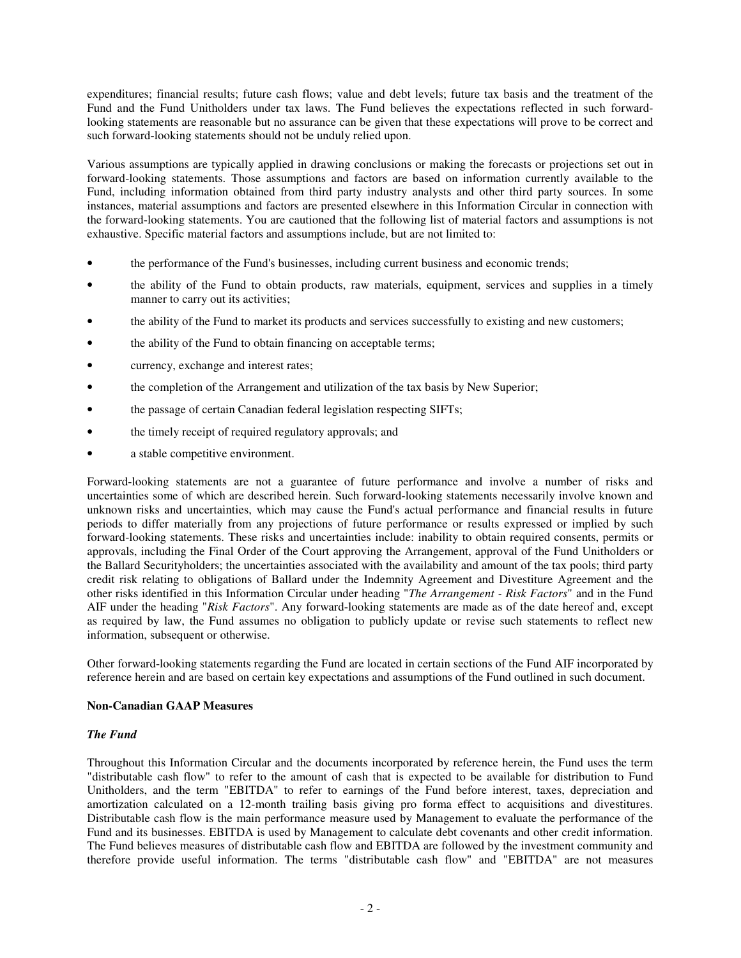expenditures; financial results; future cash flows; value and debt levels; future tax basis and the treatment of the Fund and the Fund Unitholders under tax laws. The Fund believes the expectations reflected in such forwardlooking statements are reasonable but no assurance can be given that these expectations will prove to be correct and such forward-looking statements should not be unduly relied upon.

Various assumptions are typically applied in drawing conclusions or making the forecasts or projections set out in forward-looking statements. Those assumptions and factors are based on information currently available to the Fund, including information obtained from third party industry analysts and other third party sources. In some instances, material assumptions and factors are presented elsewhere in this Information Circular in connection with the forward-looking statements. You are cautioned that the following list of material factors and assumptions is not exhaustive. Specific material factors and assumptions include, but are not limited to:

- the performance of the Fund's businesses, including current business and economic trends;
- the ability of the Fund to obtain products, raw materials, equipment, services and supplies in a timely manner to carry out its activities;
- the ability of the Fund to market its products and services successfully to existing and new customers;
- the ability of the Fund to obtain financing on acceptable terms;
- currency, exchange and interest rates;
- the completion of the Arrangement and utilization of the tax basis by New Superior;
- the passage of certain Canadian federal legislation respecting SIFTs;
- the timely receipt of required regulatory approvals; and
- a stable competitive environment.

Forward-looking statements are not a guarantee of future performance and involve a number of risks and uncertainties some of which are described herein. Such forward-looking statements necessarily involve known and unknown risks and uncertainties, which may cause the Fund's actual performance and financial results in future periods to differ materially from any projections of future performance or results expressed or implied by such forward-looking statements. These risks and uncertainties include: inability to obtain required consents, permits or approvals, including the Final Order of the Court approving the Arrangement, approval of the Fund Unitholders or the Ballard Securityholders; the uncertainties associated with the availability and amount of the tax pools; third party credit risk relating to obligations of Ballard under the Indemnity Agreement and Divestiture Agreement and the other risks identified in this Information Circular under heading "*The Arrangement - Risk Factors*" and in the Fund AIF under the heading "*Risk Factors*". Any forward-looking statements are made as of the date hereof and, except as required by law, the Fund assumes no obligation to publicly update or revise such statements to reflect new information, subsequent or otherwise.

Other forward-looking statements regarding the Fund are located in certain sections of the Fund AIF incorporated by reference herein and are based on certain key expectations and assumptions of the Fund outlined in such document.

### **Non-Canadian GAAP Measures**

### *The Fund*

Throughout this Information Circular and the documents incorporated by reference herein, the Fund uses the term "distributable cash flow" to refer to the amount of cash that is expected to be available for distribution to Fund Unitholders, and the term "EBITDA" to refer to earnings of the Fund before interest, taxes, depreciation and amortization calculated on a 12-month trailing basis giving pro forma effect to acquisitions and divestitures. Distributable cash flow is the main performance measure used by Management to evaluate the performance of the Fund and its businesses. EBITDA is used by Management to calculate debt covenants and other credit information. The Fund believes measures of distributable cash flow and EBITDA are followed by the investment community and therefore provide useful information. The terms "distributable cash flow" and "EBITDA" are not measures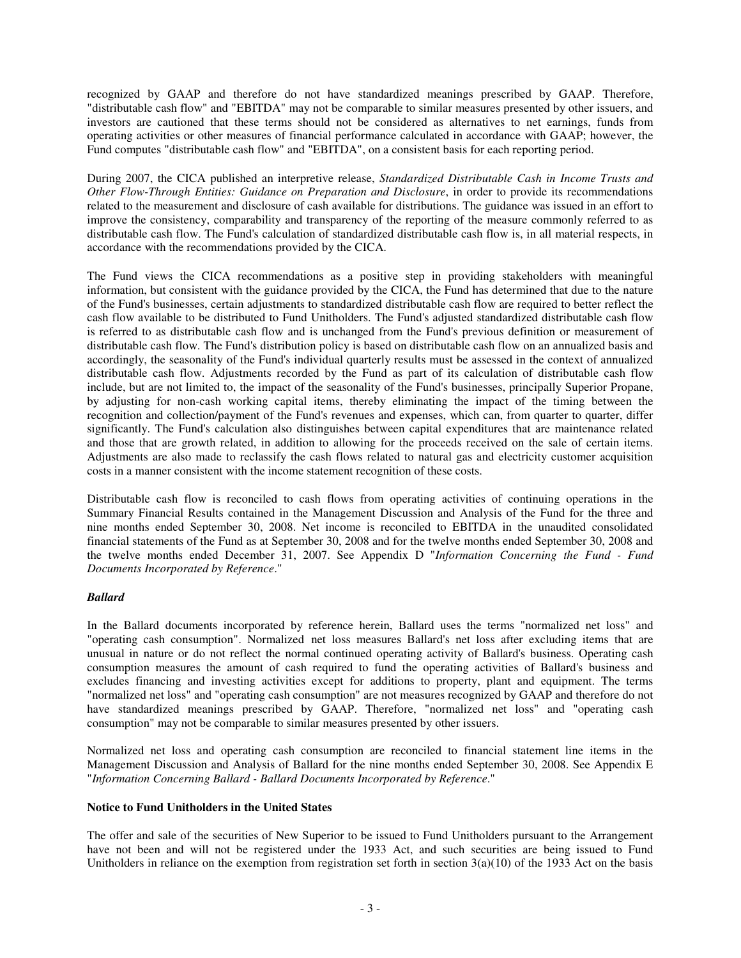recognized by GAAP and therefore do not have standardized meanings prescribed by GAAP. Therefore, "distributable cash flow" and "EBITDA" may not be comparable to similar measures presented by other issuers, and investors are cautioned that these terms should not be considered as alternatives to net earnings, funds from operating activities or other measures of financial performance calculated in accordance with GAAP; however, the Fund computes "distributable cash flow" and "EBITDA", on a consistent basis for each reporting period.

During 2007, the CICA published an interpretive release, *Standardized Distributable Cash in Income Trusts and Other Flow-Through Entities: Guidance on Preparation and Disclosure*, in order to provide its recommendations related to the measurement and disclosure of cash available for distributions. The guidance was issued in an effort to improve the consistency, comparability and transparency of the reporting of the measure commonly referred to as distributable cash flow. The Fund's calculation of standardized distributable cash flow is, in all material respects, in accordance with the recommendations provided by the CICA.

The Fund views the CICA recommendations as a positive step in providing stakeholders with meaningful information, but consistent with the guidance provided by the CICA, the Fund has determined that due to the nature of the Fund's businesses, certain adjustments to standardized distributable cash flow are required to better reflect the cash flow available to be distributed to Fund Unitholders. The Fund's adjusted standardized distributable cash flow is referred to as distributable cash flow and is unchanged from the Fund's previous definition or measurement of distributable cash flow. The Fund's distribution policy is based on distributable cash flow on an annualized basis and accordingly, the seasonality of the Fund's individual quarterly results must be assessed in the context of annualized distributable cash flow. Adjustments recorded by the Fund as part of its calculation of distributable cash flow include, but are not limited to, the impact of the seasonality of the Fund's businesses, principally Superior Propane, by adjusting for non-cash working capital items, thereby eliminating the impact of the timing between the recognition and collection/payment of the Fund's revenues and expenses, which can, from quarter to quarter, differ significantly. The Fund's calculation also distinguishes between capital expenditures that are maintenance related and those that are growth related, in addition to allowing for the proceeds received on the sale of certain items. Adjustments are also made to reclassify the cash flows related to natural gas and electricity customer acquisition costs in a manner consistent with the income statement recognition of these costs.

Distributable cash flow is reconciled to cash flows from operating activities of continuing operations in the Summary Financial Results contained in the Management Discussion and Analysis of the Fund for the three and nine months ended September 30, 2008. Net income is reconciled to EBITDA in the unaudited consolidated financial statements of the Fund as at September 30, 2008 and for the twelve months ended September 30, 2008 and the twelve months ended December 31, 2007. See Appendix D "*Information Concerning the Fund - Fund Documents Incorporated by Reference*."

# *Ballard*

In the Ballard documents incorporated by reference herein, Ballard uses the terms "normalized net loss" and "operating cash consumption". Normalized net loss measures Ballard's net loss after excluding items that are unusual in nature or do not reflect the normal continued operating activity of Ballard's business. Operating cash consumption measures the amount of cash required to fund the operating activities of Ballard's business and excludes financing and investing activities except for additions to property, plant and equipment. The terms "normalized net loss" and "operating cash consumption" are not measures recognized by GAAP and therefore do not have standardized meanings prescribed by GAAP. Therefore, "normalized net loss" and "operating cash consumption" may not be comparable to similar measures presented by other issuers.

Normalized net loss and operating cash consumption are reconciled to financial statement line items in the Management Discussion and Analysis of Ballard for the nine months ended September 30, 2008. See Appendix E "*Information Concerning Ballard - Ballard Documents Incorporated by Reference*."

### **Notice to Fund Unitholders in the United States**

The offer and sale of the securities of New Superior to be issued to Fund Unitholders pursuant to the Arrangement have not been and will not be registered under the 1933 Act, and such securities are being issued to Fund Unitholders in reliance on the exemption from registration set forth in section  $3(a)(10)$  of the 1933 Act on the basis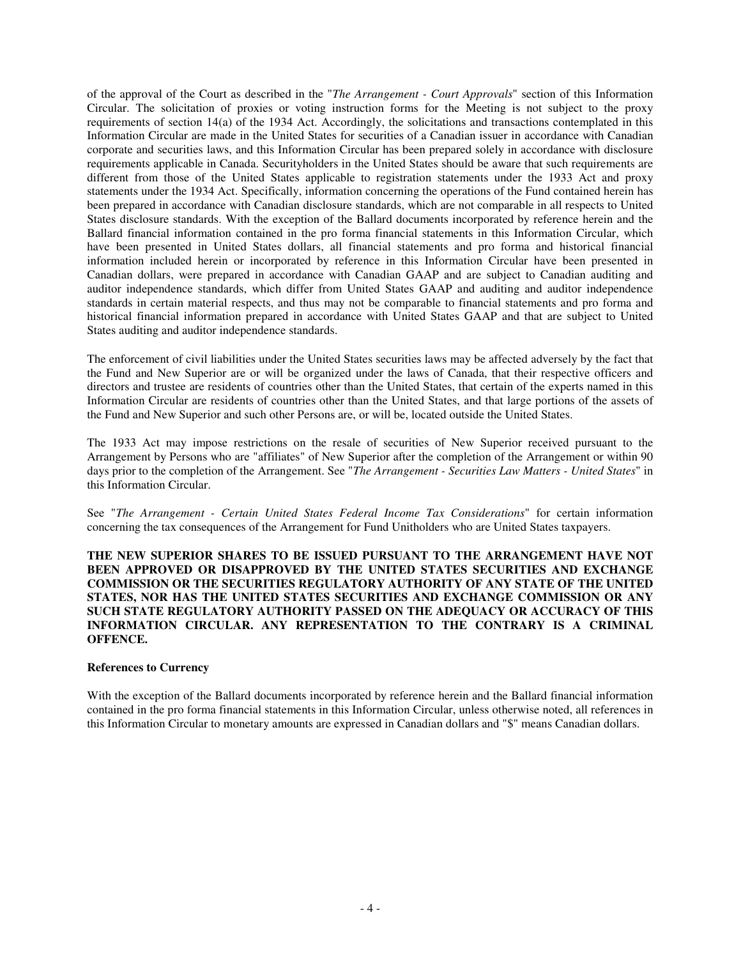of the approval of the Court as described in the "*The Arrangement - Court Approvals*" section of this Information Circular. The solicitation of proxies or voting instruction forms for the Meeting is not subject to the proxy requirements of section 14(a) of the 1934 Act. Accordingly, the solicitations and transactions contemplated in this Information Circular are made in the United States for securities of a Canadian issuer in accordance with Canadian corporate and securities laws, and this Information Circular has been prepared solely in accordance with disclosure requirements applicable in Canada. Securityholders in the United States should be aware that such requirements are different from those of the United States applicable to registration statements under the 1933 Act and proxy statements under the 1934 Act. Specifically, information concerning the operations of the Fund contained herein has been prepared in accordance with Canadian disclosure standards, which are not comparable in all respects to United States disclosure standards. With the exception of the Ballard documents incorporated by reference herein and the Ballard financial information contained in the pro forma financial statements in this Information Circular, which have been presented in United States dollars, all financial statements and pro forma and historical financial information included herein or incorporated by reference in this Information Circular have been presented in Canadian dollars, were prepared in accordance with Canadian GAAP and are subject to Canadian auditing and auditor independence standards, which differ from United States GAAP and auditing and auditor independence standards in certain material respects, and thus may not be comparable to financial statements and pro forma and historical financial information prepared in accordance with United States GAAP and that are subject to United States auditing and auditor independence standards.

The enforcement of civil liabilities under the United States securities laws may be affected adversely by the fact that the Fund and New Superior are or will be organized under the laws of Canada, that their respective officers and directors and trustee are residents of countries other than the United States, that certain of the experts named in this Information Circular are residents of countries other than the United States, and that large portions of the assets of the Fund and New Superior and such other Persons are, or will be, located outside the United States.

The 1933 Act may impose restrictions on the resale of securities of New Superior received pursuant to the Arrangement by Persons who are "affiliates" of New Superior after the completion of the Arrangement or within 90 days prior to the completion of the Arrangement. See "*The Arrangement - Securities Law Matters - United States*" in this Information Circular.

See "*The Arrangement - Certain United States Federal Income Tax Considerations*" for certain information concerning the tax consequences of the Arrangement for Fund Unitholders who are United States taxpayers.

**THE NEW SUPERIOR SHARES TO BE ISSUED PURSUANT TO THE ARRANGEMENT HAVE NOT BEEN APPROVED OR DISAPPROVED BY THE UNITED STATES SECURITIES AND EXCHANGE COMMISSION OR THE SECURITIES REGULATORY AUTHORITY OF ANY STATE OF THE UNITED STATES, NOR HAS THE UNITED STATES SECURITIES AND EXCHANGE COMMISSION OR ANY SUCH STATE REGULATORY AUTHORITY PASSED ON THE ADEQUACY OR ACCURACY OF THIS INFORMATION CIRCULAR. ANY REPRESENTATION TO THE CONTRARY IS A CRIMINAL OFFENCE.**

### **References to Currency**

With the exception of the Ballard documents incorporated by reference herein and the Ballard financial information contained in the pro forma financial statements in this Information Circular, unless otherwise noted, all references in this Information Circular to monetary amounts are expressed in Canadian dollars and "\$" means Canadian dollars.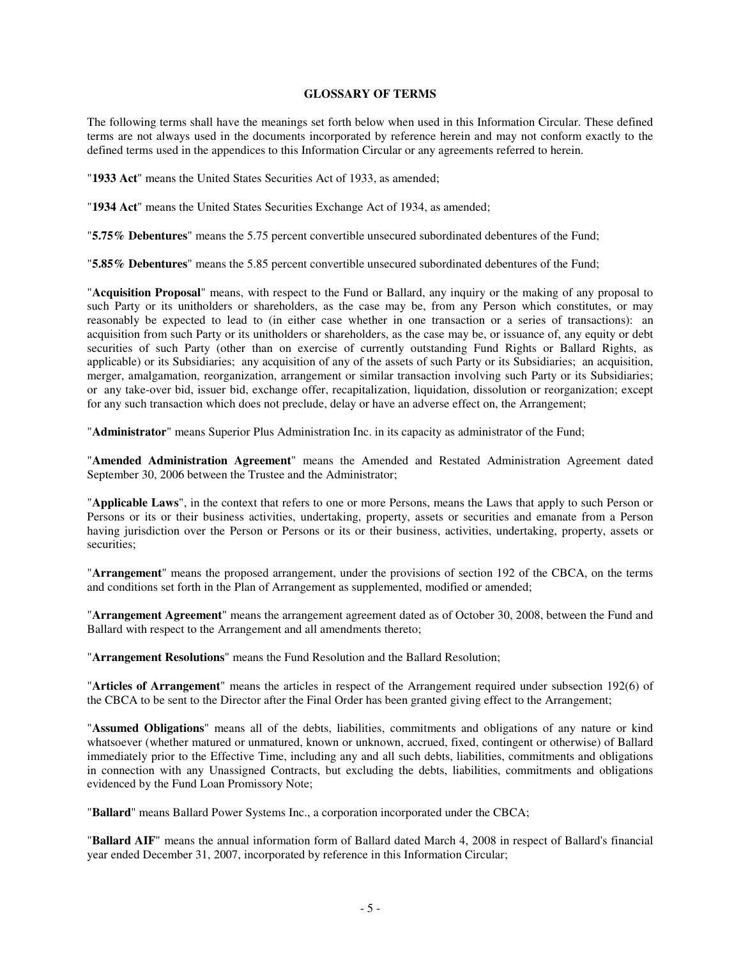### **GLOSSARY OF TERMS**

The following terms shall have the meanings set forth below when used in this Information Circular. These defined terms are not always used in the documents incorporated by reference herein and may not conform exactly to the defined terms used in the appendices to this Information Circular or any agreements referred to herein.

"**1933 Act**" means the United States Securities Act of 1933, as amended;

"**1934 Act**" means the United States Securities Exchange Act of 1934, as amended;

"**5.75% Debentures**" means the 5.75 percent convertible unsecured subordinated debentures of the Fund;

"**5.85% Debentures**" means the 5.85 percent convertible unsecured subordinated debentures of the Fund;

"**Acquisition Proposal**" means, with respect to the Fund or Ballard, any inquiry or the making of any proposal to such Party or its unitholders or shareholders, as the case may be, from any Person which constitutes, or may reasonably be expected to lead to (in either case whether in one transaction or a series of transactions): an acquisition from such Party or its unitholders or shareholders, as the case may be, or issuance of, any equity or debt securities of such Party (other than on exercise of currently outstanding Fund Rights or Ballard Rights, as applicable) or its Subsidiaries; any acquisition of any of the assets of such Party or its Subsidiaries; an acquisition, merger, amalgamation, reorganization, arrangement or similar transaction involving such Party or its Subsidiaries; or any take-over bid, issuer bid, exchange offer, recapitalization, liquidation, dissolution or reorganization; except for any such transaction which does not preclude, delay or have an adverse effect on, the Arrangement;

"**Administrator**" means Superior Plus Administration Inc. in its capacity as administrator of the Fund;

"**Amended Administration Agreement**" means the Amended and Restated Administration Agreement dated September 30, 2006 between the Trustee and the Administrator;

"**Applicable Laws**", in the context that refers to one or more Persons, means the Laws that apply to such Person or Persons or its or their business activities, undertaking, property, assets or securities and emanate from a Person having jurisdiction over the Person or Persons or its or their business, activities, undertaking, property, assets or securities;

"**Arrangement**" means the proposed arrangement, under the provisions of section 192 of the CBCA, on the terms and conditions set forth in the Plan of Arrangement as supplemented, modified or amended;

"**Arrangement Agreement**" means the arrangement agreement dated as of October 30, 2008, between the Fund and Ballard with respect to the Arrangement and all amendments thereto;

"**Arrangement Resolutions**" means the Fund Resolution and the Ballard Resolution;

"**Articles of Arrangement**" means the articles in respect of the Arrangement required under subsection 192(6) of the CBCA to be sent to the Director after the Final Order has been granted giving effect to the Arrangement;

"**Assumed Obligations**" means all of the debts, liabilities, commitments and obligations of any nature or kind whatsoever (whether matured or unmatured, known or unknown, accrued, fixed, contingent or otherwise) of Ballard immediately prior to the Effective Time, including any and all such debts, liabilities, commitments and obligations in connection with any Unassigned Contracts, but excluding the debts, liabilities, commitments and obligations evidenced by the Fund Loan Promissory Note;

"**Ballard**" means Ballard Power Systems Inc., a corporation incorporated under the CBCA;

"**Ballard AIF**" means the annual information form of Ballard dated March 4, 2008 in respect of Ballard's financial year ended December 31, 2007, incorporated by reference in this Information Circular;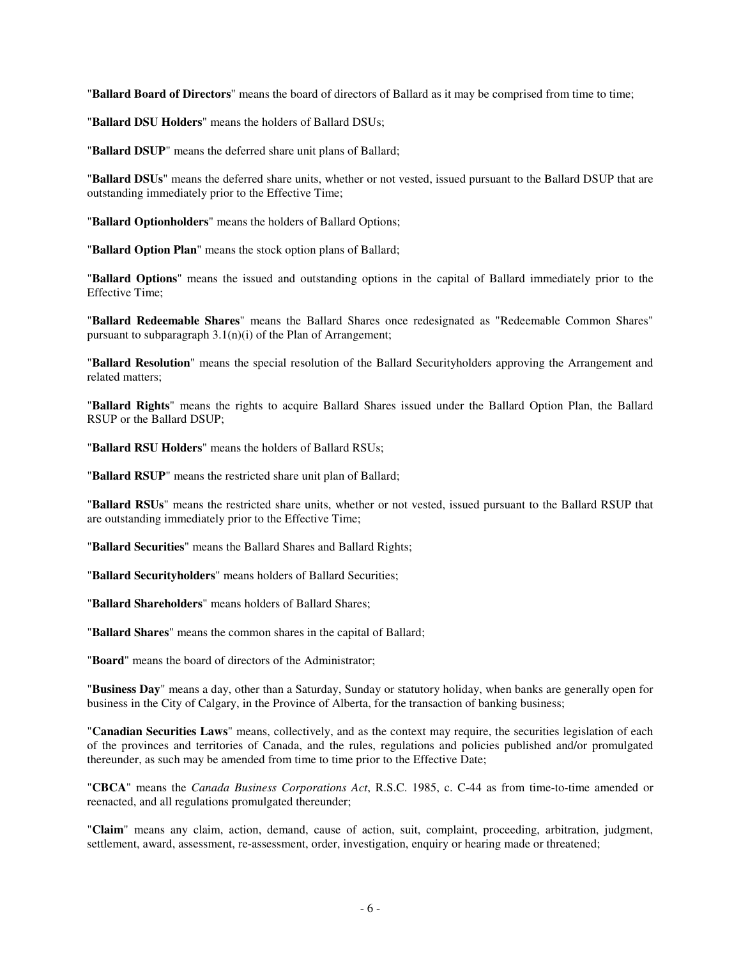"**Ballard Board of Directors**" means the board of directors of Ballard as it may be comprised from time to time;

"**Ballard DSU Holders**" means the holders of Ballard DSUs;

"**Ballard DSUP**" means the deferred share unit plans of Ballard;

"**Ballard DSUs**" means the deferred share units, whether or not vested, issued pursuant to the Ballard DSUP that are outstanding immediately prior to the Effective Time;

"**Ballard Optionholders**" means the holders of Ballard Options;

"**Ballard Option Plan**" means the stock option plans of Ballard;

"**Ballard Options**" means the issued and outstanding options in the capital of Ballard immediately prior to the Effective Time;

"**Ballard Redeemable Shares**" means the Ballard Shares once redesignated as "Redeemable Common Shares" pursuant to subparagraph  $3.1(n)(i)$  of the Plan of Arrangement;

"**Ballard Resolution**" means the special resolution of the Ballard Securityholders approving the Arrangement and related matters;

"**Ballard Rights**" means the rights to acquire Ballard Shares issued under the Ballard Option Plan, the Ballard RSUP or the Ballard DSUP;

"**Ballard RSU Holders**" means the holders of Ballard RSUs;

"**Ballard RSUP**" means the restricted share unit plan of Ballard;

"**Ballard RSUs**" means the restricted share units, whether or not vested, issued pursuant to the Ballard RSUP that are outstanding immediately prior to the Effective Time;

"**Ballard Securities**" means the Ballard Shares and Ballard Rights;

"**Ballard Securityholders**" means holders of Ballard Securities;

"**Ballard Shareholders**" means holders of Ballard Shares;

"**Ballard Shares**" means the common shares in the capital of Ballard;

"**Board**" means the board of directors of the Administrator;

"**Business Day**" means a day, other than a Saturday, Sunday or statutory holiday, when banks are generally open for business in the City of Calgary, in the Province of Alberta, for the transaction of banking business;

"**Canadian Securities Laws**" means, collectively, and as the context may require, the securities legislation of each of the provinces and territories of Canada, and the rules, regulations and policies published and/or promulgated thereunder, as such may be amended from time to time prior to the Effective Date;

"**CBCA**" means the *Canada Business Corporations Act*, R.S.C. 1985, c. C-44 as from time-to-time amended or reenacted, and all regulations promulgated thereunder;

"**Claim**" means any claim, action, demand, cause of action, suit, complaint, proceeding, arbitration, judgment, settlement, award, assessment, re-assessment, order, investigation, enquiry or hearing made or threatened;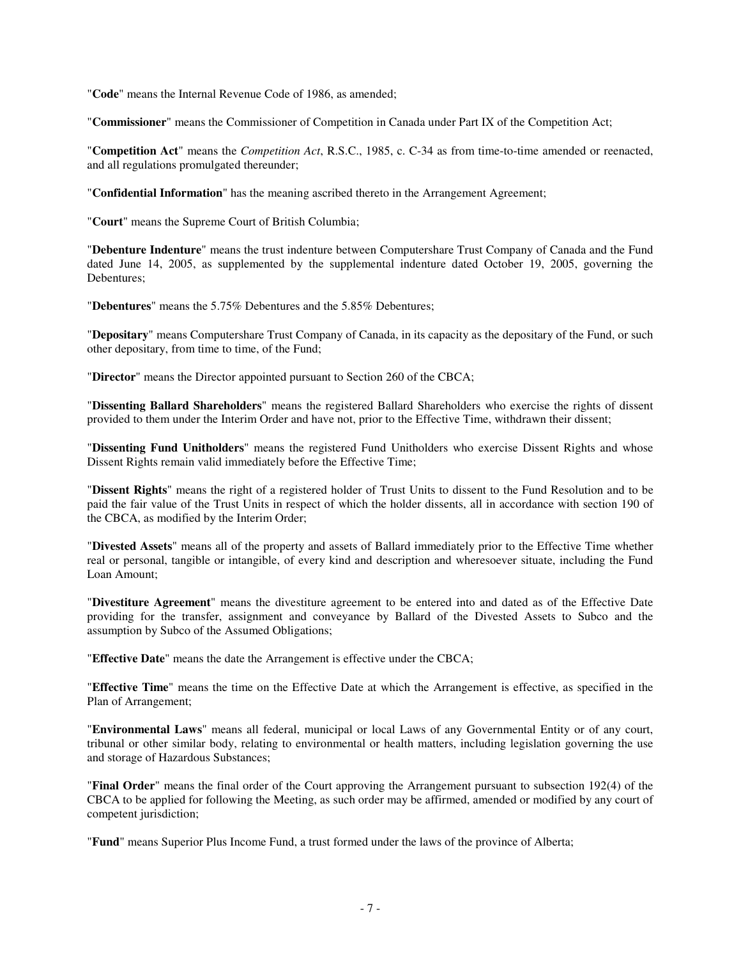"**Code**" means the Internal Revenue Code of 1986, as amended;

"**Commissioner**" means the Commissioner of Competition in Canada under Part IX of the Competition Act;

"**Competition Act**" means the *Competition Act*, R.S.C., 1985, c. C-34 as from time-to-time amended or reenacted, and all regulations promulgated thereunder;

"**Confidential Information**" has the meaning ascribed thereto in the Arrangement Agreement;

"**Court**" means the Supreme Court of British Columbia;

"**Debenture Indenture**" means the trust indenture between Computershare Trust Company of Canada and the Fund dated June 14, 2005, as supplemented by the supplemental indenture dated October 19, 2005, governing the Debentures;

"**Debentures**" means the 5.75% Debentures and the 5.85% Debentures;

"**Depositary**" means Computershare Trust Company of Canada, in its capacity as the depositary of the Fund, or such other depositary, from time to time, of the Fund;

"**Director**" means the Director appointed pursuant to Section 260 of the CBCA;

"**Dissenting Ballard Shareholders**" means the registered Ballard Shareholders who exercise the rights of dissent provided to them under the Interim Order and have not, prior to the Effective Time, withdrawn their dissent;

"**Dissenting Fund Unitholders**" means the registered Fund Unitholders who exercise Dissent Rights and whose Dissent Rights remain valid immediately before the Effective Time;

"**Dissent Rights**" means the right of a registered holder of Trust Units to dissent to the Fund Resolution and to be paid the fair value of the Trust Units in respect of which the holder dissents, all in accordance with section 190 of the CBCA, as modified by the Interim Order;

"**Divested Assets**" means all of the property and assets of Ballard immediately prior to the Effective Time whether real or personal, tangible or intangible, of every kind and description and wheresoever situate, including the Fund Loan Amount;

"**Divestiture Agreement**" means the divestiture agreement to be entered into and dated as of the Effective Date providing for the transfer, assignment and conveyance by Ballard of the Divested Assets to Subco and the assumption by Subco of the Assumed Obligations;

"**Effective Date**" means the date the Arrangement is effective under the CBCA;

"**Effective Time**" means the time on the Effective Date at which the Arrangement is effective, as specified in the Plan of Arrangement;

"**Environmental Laws**" means all federal, municipal or local Laws of any Governmental Entity or of any court, tribunal or other similar body, relating to environmental or health matters, including legislation governing the use and storage of Hazardous Substances;

"**Final Order**" means the final order of the Court approving the Arrangement pursuant to subsection 192(4) of the CBCA to be applied for following the Meeting, as such order may be affirmed, amended or modified by any court of competent jurisdiction;

"**Fund**" means Superior Plus Income Fund, a trust formed under the laws of the province of Alberta;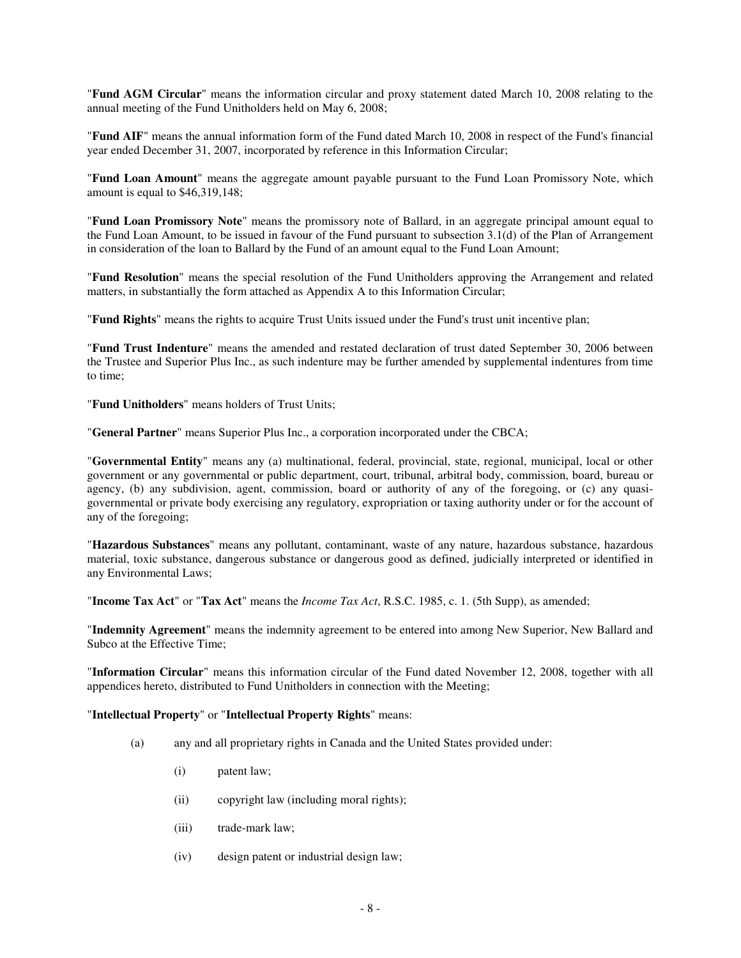"**Fund AGM Circular**" means the information circular and proxy statement dated March 10, 2008 relating to the annual meeting of the Fund Unitholders held on May 6, 2008;

"**Fund AIF**" means the annual information form of the Fund dated March 10, 2008 in respect of the Fund's financial year ended December 31, 2007, incorporated by reference in this Information Circular;

"**Fund Loan Amount**" means the aggregate amount payable pursuant to the Fund Loan Promissory Note, which amount is equal to \$46,319,148;

"**Fund Loan Promissory Note**" means the promissory note of Ballard, in an aggregate principal amount equal to the Fund Loan Amount, to be issued in favour of the Fund pursuant to subsection 3.1(d) of the Plan of Arrangement in consideration of the loan to Ballard by the Fund of an amount equal to the Fund Loan Amount;

"**Fund Resolution**" means the special resolution of the Fund Unitholders approving the Arrangement and related matters, in substantially the form attached as Appendix A to this Information Circular;

"**Fund Rights**" means the rights to acquire Trust Units issued under the Fund's trust unit incentive plan;

"**Fund Trust Indenture**" means the amended and restated declaration of trust dated September 30, 2006 between the Trustee and Superior Plus Inc., as such indenture may be further amended by supplemental indentures from time to time;

"**Fund Unitholders**" means holders of Trust Units;

"**General Partner**" means Superior Plus Inc., a corporation incorporated under the CBCA;

"**Governmental Entity**" means any (a) multinational, federal, provincial, state, regional, municipal, local or other government or any governmental or public department, court, tribunal, arbitral body, commission, board, bureau or agency, (b) any subdivision, agent, commission, board or authority of any of the foregoing, or (c) any quasigovernmental or private body exercising any regulatory, expropriation or taxing authority under or for the account of any of the foregoing;

"**Hazardous Substances**" means any pollutant, contaminant, waste of any nature, hazardous substance, hazardous material, toxic substance, dangerous substance or dangerous good as defined, judicially interpreted or identified in any Environmental Laws;

"**Income Tax Act**" or "**Tax Act**" means the *Income Tax Act*, R.S.C. 1985, c. 1. (5th Supp), as amended;

"**Indemnity Agreement**" means the indemnity agreement to be entered into among New Superior, New Ballard and Subco at the Effective Time;

"**Information Circular**" means this information circular of the Fund dated November 12, 2008, together with all appendices hereto, distributed to Fund Unitholders in connection with the Meeting;

### "**Intellectual Property**" or "**Intellectual Property Rights**" means:

- (a) any and all proprietary rights in Canada and the United States provided under:
	- (i) patent law;
	- (ii) copyright law (including moral rights);
	- (iii) trade-mark law;
	- (iv) design patent or industrial design law;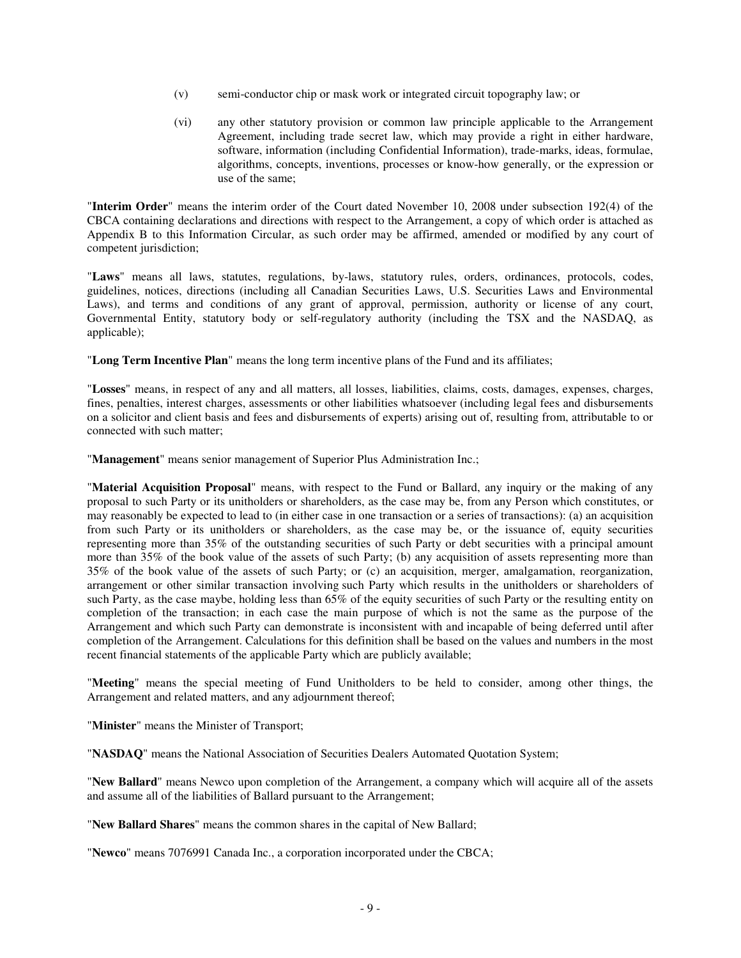- (v) semi-conductor chip or mask work or integrated circuit topography law; or
- (vi) any other statutory provision or common law principle applicable to the Arrangement Agreement, including trade secret law, which may provide a right in either hardware, software, information (including Confidential Information), trade-marks, ideas, formulae, algorithms, concepts, inventions, processes or know-how generally, or the expression or use of the same;

"**Interim Order**" means the interim order of the Court dated November 10, 2008 under subsection 192(4) of the CBCA containing declarations and directions with respect to the Arrangement, a copy of which order is attached as Appendix B to this Information Circular, as such order may be affirmed, amended or modified by any court of competent jurisdiction;

"**Laws**" means all laws, statutes, regulations, by-laws, statutory rules, orders, ordinances, protocols, codes, guidelines, notices, directions (including all Canadian Securities Laws, U.S. Securities Laws and Environmental Laws), and terms and conditions of any grant of approval, permission, authority or license of any court, Governmental Entity, statutory body or self-regulatory authority (including the TSX and the NASDAQ, as applicable);

"**Long Term Incentive Plan**" means the long term incentive plans of the Fund and its affiliates;

"**Losses**" means, in respect of any and all matters, all losses, liabilities, claims, costs, damages, expenses, charges, fines, penalties, interest charges, assessments or other liabilities whatsoever (including legal fees and disbursements on a solicitor and client basis and fees and disbursements of experts) arising out of, resulting from, attributable to or connected with such matter;

"**Management**" means senior management of Superior Plus Administration Inc.;

"**Material Acquisition Proposal**" means, with respect to the Fund or Ballard, any inquiry or the making of any proposal to such Party or its unitholders or shareholders, as the case may be, from any Person which constitutes, or may reasonably be expected to lead to (in either case in one transaction or a series of transactions): (a) an acquisition from such Party or its unitholders or shareholders, as the case may be, or the issuance of, equity securities representing more than 35% of the outstanding securities of such Party or debt securities with a principal amount more than 35% of the book value of the assets of such Party; (b) any acquisition of assets representing more than 35% of the book value of the assets of such Party; or (c) an acquisition, merger, amalgamation, reorganization, arrangement or other similar transaction involving such Party which results in the unitholders or shareholders of such Party, as the case maybe, holding less than 65% of the equity securities of such Party or the resulting entity on completion of the transaction; in each case the main purpose of which is not the same as the purpose of the Arrangement and which such Party can demonstrate is inconsistent with and incapable of being deferred until after completion of the Arrangement. Calculations for this definition shall be based on the values and numbers in the most recent financial statements of the applicable Party which are publicly available;

"**Meeting**" means the special meeting of Fund Unitholders to be held to consider, among other things, the Arrangement and related matters, and any adjournment thereof;

"**Minister**" means the Minister of Transport;

"**NASDAQ**" means the National Association of Securities Dealers Automated Quotation System;

"**New Ballard**" means Newco upon completion of the Arrangement, a company which will acquire all of the assets and assume all of the liabilities of Ballard pursuant to the Arrangement;

"**New Ballard Shares**" means the common shares in the capital of New Ballard;

"**Newco**" means 7076991 Canada Inc., a corporation incorporated under the CBCA;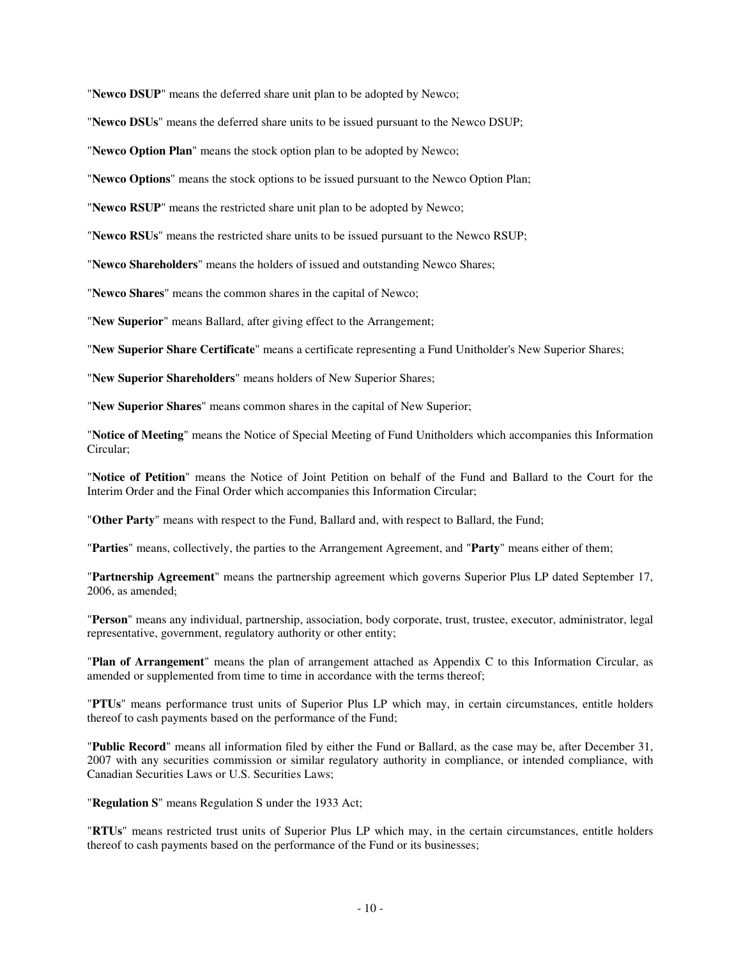"**Newco DSUP**" means the deferred share unit plan to be adopted by Newco;

"**Newco DSUs**" means the deferred share units to be issued pursuant to the Newco DSUP;

"**Newco Option Plan**" means the stock option plan to be adopted by Newco;

"**Newco Options**" means the stock options to be issued pursuant to the Newco Option Plan;

"**Newco RSUP**" means the restricted share unit plan to be adopted by Newco;

"**Newco RSUs**" means the restricted share units to be issued pursuant to the Newco RSUP;

"**Newco Shareholders**" means the holders of issued and outstanding Newco Shares;

"**Newco Shares**" means the common shares in the capital of Newco;

"**New Superior**" means Ballard, after giving effect to the Arrangement;

"**New Superior Share Certificate**" means a certificate representing a Fund Unitholder's New Superior Shares;

"**New Superior Shareholders**" means holders of New Superior Shares;

"**New Superior Shares**" means common shares in the capital of New Superior;

"**Notice of Meeting**" means the Notice of Special Meeting of Fund Unitholders which accompanies this Information Circular;

"**Notice of Petition**" means the Notice of Joint Petition on behalf of the Fund and Ballard to the Court for the Interim Order and the Final Order which accompanies this Information Circular;

"**Other Party**" means with respect to the Fund, Ballard and, with respect to Ballard, the Fund;

"**Parties**" means, collectively, the parties to the Arrangement Agreement, and "**Party**" means either of them;

"**Partnership Agreement**" means the partnership agreement which governs Superior Plus LP dated September 17,  $2006$ , as amended;

"**Person**" means any individual, partnership, association, body corporate, trust, trustee, executor, administrator, legal representative, government, regulatory authority or other entity;

"**Plan of Arrangement**" means the plan of arrangement attached as Appendix C to this Information Circular, as amended or supplemented from time to time in accordance with the terms thereof;

"**PTUs**" means performance trust units of Superior Plus LP which may, in certain circumstances, entitle holders thereof to cash payments based on the performance of the Fund;

"**Public Record**" means all information filed by either the Fund or Ballard, as the case may be, after December 31, 2007 with any securities commission or similar regulatory authority in compliance, or intended compliance, with Canadian Securities Laws or U.S. Securities Laws;

"**Regulation S**" means Regulation S under the 1933 Act;

"**RTUs**" means restricted trust units of Superior Plus LP which may, in the certain circumstances, entitle holders thereof to cash payments based on the performance of the Fund or its businesses;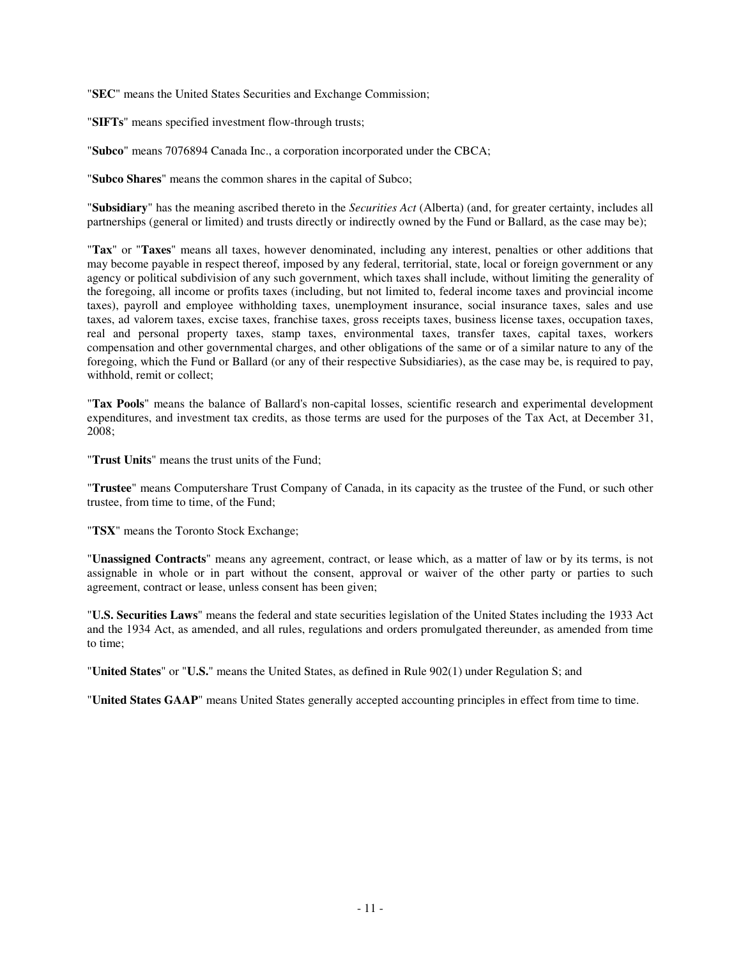"**SEC**" means the United States Securities and Exchange Commission;

"**SIFTs**" means specified investment flow-through trusts;

"**Subco**" means 7076894 Canada Inc., a corporation incorporated under the CBCA;

"**Subco Shares**" means the common shares in the capital of Subco;

"**Subsidiary**" has the meaning ascribed thereto in the *Securities Act* (Alberta) (and, for greater certainty, includes all partnerships (general or limited) and trusts directly or indirectly owned by the Fund or Ballard, as the case may be);

"**Tax**" or "**Taxes**" means all taxes, however denominated, including any interest, penalties or other additions that may become payable in respect thereof, imposed by any federal, territorial, state, local or foreign government or any agency or political subdivision of any such government, which taxes shall include, without limiting the generality of the foregoing, all income or profits taxes (including, but not limited to, federal income taxes and provincial income taxes), payroll and employee withholding taxes, unemployment insurance, social insurance taxes, sales and use taxes, ad valorem taxes, excise taxes, franchise taxes, gross receipts taxes, business license taxes, occupation taxes, real and personal property taxes, stamp taxes, environmental taxes, transfer taxes, capital taxes, workers compensation and other governmental charges, and other obligations of the same or of a similar nature to any of the foregoing, which the Fund or Ballard (or any of their respective Subsidiaries), as the case may be, is required to pay, withhold, remit or collect;

"**Tax Pools**" means the balance of Ballard's non-capital losses, scientific research and experimental development expenditures, and investment tax credits, as those terms are used for the purposes of the Tax Act, at December 31, 2008;

"**Trust Units**" means the trust units of the Fund;

"**Trustee**" means Computershare Trust Company of Canada, in its capacity as the trustee of the Fund, or such other trustee, from time to time, of the Fund;

"**TSX**" means the Toronto Stock Exchange;

"**Unassigned Contracts**" means any agreement, contract, or lease which, as a matter of law or by its terms, is not assignable in whole or in part without the consent, approval or waiver of the other party or parties to such agreement, contract or lease, unless consent has been given;

"**U.S. Securities Laws**" means the federal and state securities legislation of the United States including the 1933 Act and the 1934 Act, as amended, and all rules, regulations and orders promulgated thereunder, as amended from time to time;

"**United States**" or "**U.S.**" means the United States, as defined in Rule 902(1) under Regulation S; and

"**United States GAAP**" means United States generally accepted accounting principles in effect from time to time.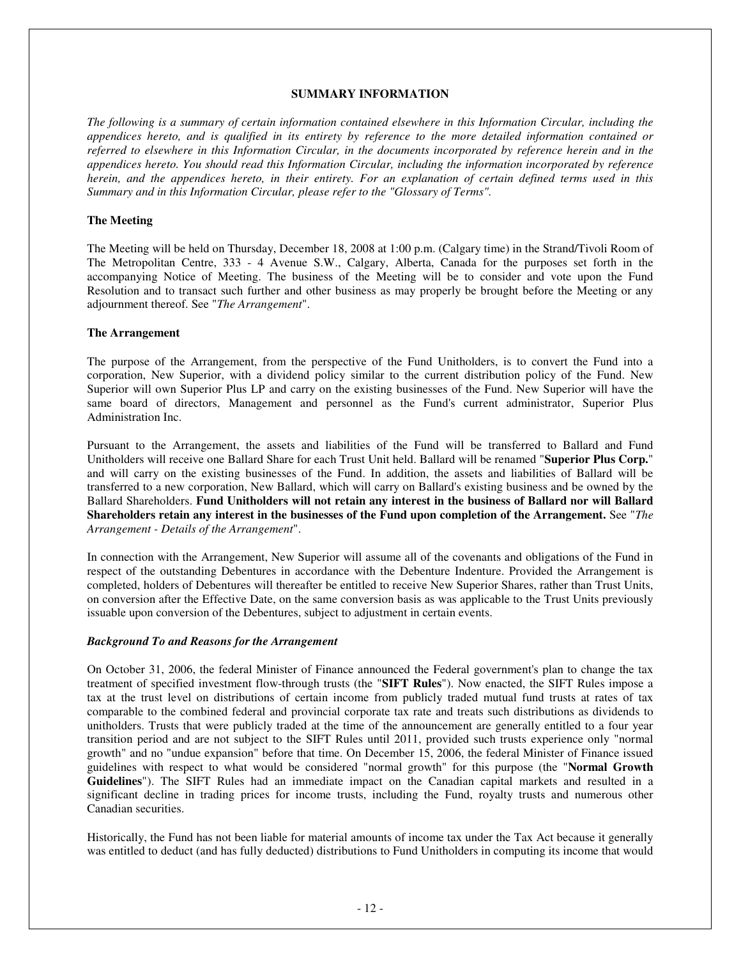### **SUMMARY INFORMATION**

The following is a summary of certain information contained elsewhere in this Information Circular, including the appendices hereto, and is qualified in its entirety by reference to the more detailed information contained or referred to elsewhere in this Information Circular, in the documents incorporated by reference herein and in the *appendices hereto. You should read this Information Circular, including the information incorporated by reference* herein, and the appendices hereto, in their entirety. For an explanation of certain defined terms used in this *Summary and in this Information Circular, please refer to the "Glossary of Terms".*

#### **The Meeting**

The Meeting will be held on Thursday, December 18, 2008 at 1:00 p.m. (Calgary time) in the Strand/Tivoli Room of The Metropolitan Centre, 333 - 4 Avenue S.W., Calgary, Alberta, Canada for the purposes set forth in the accompanying Notice of Meeting. The business of the Meeting will be to consider and vote upon the Fund Resolution and to transact such further and other business as may properly be brought before the Meeting or any adjournment thereof. See "*The Arrangement*".

#### **The Arrangement**

The purpose of the Arrangement, from the perspective of the Fund Unitholders, is to convert the Fund into a corporation, New Superior, with a dividend policy similar to the current distribution policy of the Fund. New Superior will own Superior Plus LP and carry on the existing businesses of the Fund. New Superior will have the same board of directors, Management and personnel as the Fund's current administrator, Superior Plus Administration Inc.

Pursuant to the Arrangement, the assets and liabilities of the Fund will be transferred to Ballard and Fund Unitholders will receive one Ballard Share for each Trust Unit held. Ballard will be renamed "**Superior Plus Corp.**" and will carry on the existing businesses of the Fund. In addition, the assets and liabilities of Ballard will be transferred to a new corporation, New Ballard, which will carry on Ballard's existing business and be owned by the Ballard Shareholders. **Fund Unitholders will not retain any interest in the business of Ballard nor will Ballard Shareholders retain any interest in the businesses of the Fund upon completion of the Arrangement.** See "*The Arrangement - Details of the Arrangement*".

In connection with the Arrangement, New Superior will assume all of the covenants and obligations of the Fund in respect of the outstanding Debentures in accordance with the Debenture Indenture. Provided the Arrangement is completed, holders of Debentures will thereafter be entitled to receive New Superior Shares, rather than Trust Units, on conversion after the Effective Date, on the same conversion basis as was applicable to the Trust Units previously issuable upon conversion of the Debentures, subject to adjustment in certain events.

### *Background To and Reasons for the Arrangement*

On October 31, 2006, the federal Minister of Finance announced the Federal government's plan to change the tax treatment of specified investment flow-through trusts (the "**SIFT Rules**"). Now enacted, the SIFT Rules impose a tax at the trust level on distributions of certain income from publicly traded mutual fund trusts at rates of tax comparable to the combined federal and provincial corporate tax rate and treats such distributions as dividends to unitholders. Trusts that were publicly traded at the time of the announcement are generally entitled to a four year transition period and are not subject to the SIFT Rules until 2011, provided such trusts experience only "normal growth" and no "undue expansion" before that time. On December 15, 2006, the federal Minister of Finance issued guidelines with respect to what would be considered "normal growth" for this purpose (the "**Normal Growth Guidelines**"). The SIFT Rules had an immediate impact on the Canadian capital markets and resulted in a significant decline in trading prices for income trusts, including the Fund, royalty trusts and numerous other Canadian securities.

Historically, the Fund has not been liable for material amounts of income tax under the Tax Act because it generally was entitled to deduct (and has fully deducted) distributions to Fund Unitholders in computing its income that would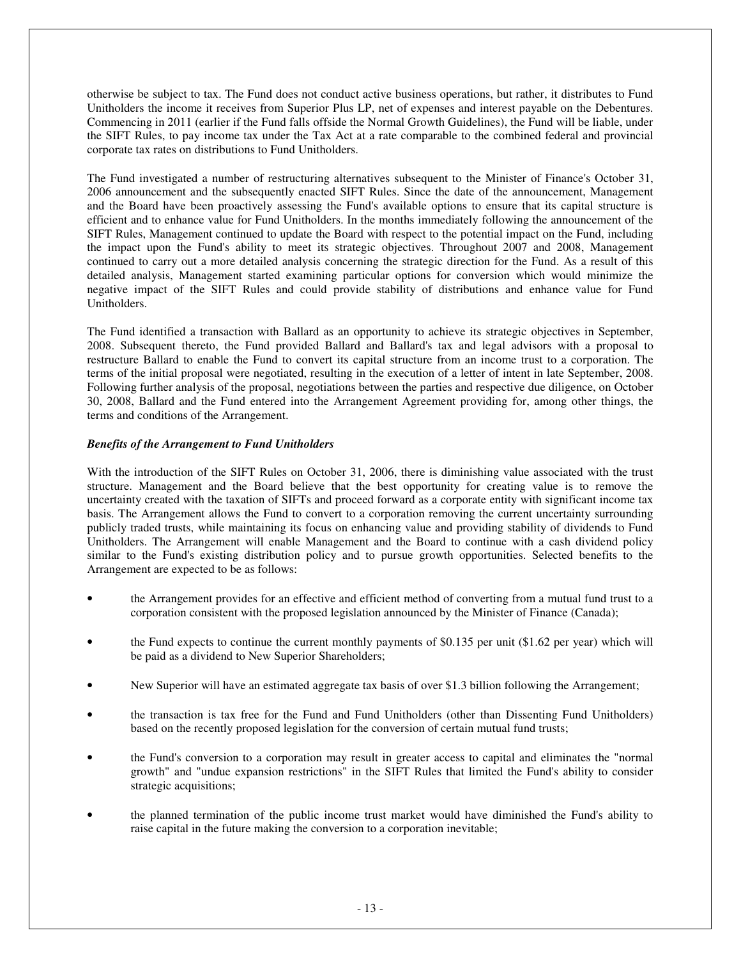otherwise be subject to tax. The Fund does not conduct active business operations, but rather, it distributes to Fund Unitholders the income it receives from Superior Plus LP, net of expenses and interest payable on the Debentures. Commencing in 2011 (earlier if the Fund falls offside the Normal Growth Guidelines), the Fund will be liable, under the SIFT Rules, to pay income tax under the Tax Act at a rate comparable to the combined federal and provincial corporate tax rates on distributions to Fund Unitholders.

The Fund investigated a number of restructuring alternatives subsequent to the Minister of Finance's October 31, 2006 announcement and the subsequently enacted SIFT Rules. Since the date of the announcement, Management and the Board have been proactively assessing the Fund's available options to ensure that its capital structure is efficient and to enhance value for Fund Unitholders. In the months immediately following the announcement of the SIFT Rules, Management continued to update the Board with respect to the potential impact on the Fund, including the impact upon the Fund's ability to meet its strategic objectives. Throughout 2007 and 2008, Management continued to carry out a more detailed analysis concerning the strategic direction for the Fund. As a result of this detailed analysis, Management started examining particular options for conversion which would minimize the negative impact of the SIFT Rules and could provide stability of distributions and enhance value for Fund Unitholders.

The Fund identified a transaction with Ballard as an opportunity to achieve its strategic objectives in September, 2008. Subsequent thereto, the Fund provided Ballard and Ballard's tax and legal advisors with a proposal to restructure Ballard to enable the Fund to convert its capital structure from an income trust to a corporation. The terms of the initial proposal were negotiated, resulting in the execution of a letter of intent in late September, 2008. Following further analysis of the proposal, negotiations between the parties and respective due diligence, on October 30, 2008, Ballard and the Fund entered into the Arrangement Agreement providing for, among other things, the terms and conditions of the Arrangement.

# *Benefits of the Arrangement to Fund Unitholders*

With the introduction of the SIFT Rules on October 31, 2006, there is diminishing value associated with the trust structure. Management and the Board believe that the best opportunity for creating value is to remove the uncertainty created with the taxation of SIFTs and proceed forward as a corporate entity with significant income tax basis. The Arrangement allows the Fund to convert to a corporation removing the current uncertainty surrounding publicly traded trusts, while maintaining its focus on enhancing value and providing stability of dividends to Fund Unitholders. The Arrangement will enable Management and the Board to continue with a cash dividend policy similar to the Fund's existing distribution policy and to pursue growth opportunities. Selected benefits to the Arrangement are expected to be as follows:

- the Arrangement provides for an effective and efficient method of converting from a mutual fund trust to a corporation consistent with the proposed legislation announced by the Minister of Finance (Canada);
- the Fund expects to continue the current monthly payments of \$0.135 per unit (\$1.62 per year) which will be paid as a dividend to New Superior Shareholders;
- New Superior will have an estimated aggregate tax basis of over \$1.3 billion following the Arrangement;
- the transaction is tax free for the Fund and Fund Unitholders (other than Dissenting Fund Unitholders) based on the recently proposed legislation for the conversion of certain mutual fund trusts;
- the Fund's conversion to a corporation may result in greater access to capital and eliminates the "normal" growth" and "undue expansion restrictions" in the SIFT Rules that limited the Fund's ability to consider strategic acquisitions;
- the planned termination of the public income trust market would have diminished the Fund's ability to raise capital in the future making the conversion to a corporation inevitable;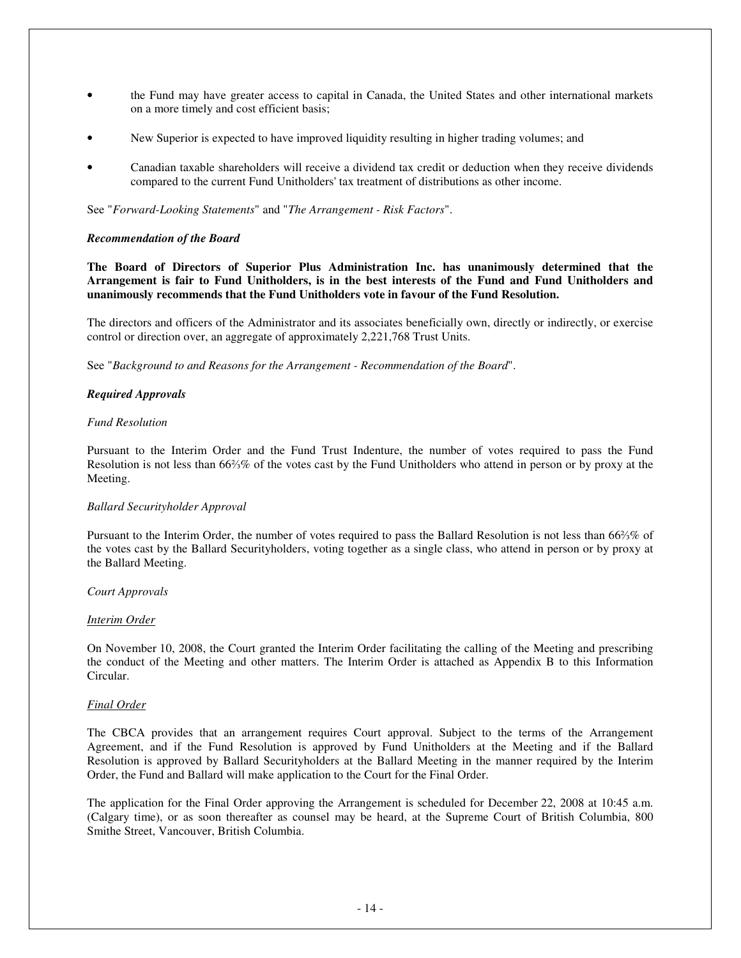- the Fund may have greater access to capital in Canada, the United States and other international markets on a more timely and cost efficient basis;
- New Superior is expected to have improved liquidity resulting in higher trading volumes; and
- Canadian taxable shareholders will receive a dividend tax credit or deduction when they receive dividends compared to the current Fund Unitholders' tax treatment of distributions as other income.

See "*Forward-Looking Statements*" and "*The Arrangement - Risk Factors*".

#### *Recommendation of the Board*

**The Board of Directors of Superior Plus Administration Inc. has unanimously determined that the** Arrangement is fair to Fund Unitholders, is in the best interests of the Fund and Fund Unitholders and **unanimously recommends that the Fund Unitholders vote in favour of the Fund Resolution.**

The directors and officers of the Administrator and its associates beneficially own, directly or indirectly, or exercise control or direction over, an aggregate of approximately 2,221,768 Trust Units.

See "*Background to and Reasons for the Arrangement - Recommendation of the Board*".

### *Required Approvals*

### *Fund Resolution*

Pursuant to the Interim Order and the Fund Trust Indenture, the number of votes required to pass the Fund Resolution is not less than 66% of the votes cast by the Fund Unitholders who attend in person or by proxy at the Meeting.

#### *Ballard Securityholder Approval*

Pursuant to the Interim Order, the number of votes required to pass the Ballard Resolution is not less than 66% % of the votes cast by the Ballard Securityholders, voting together as a single class, who attend in person or by proxy at the Ballard Meeting.

#### *Court Approvals*

### *Interim Order*

On November 10, 2008, the Court granted the Interim Order facilitating the calling of the Meeting and prescribing the conduct of the Meeting and other matters. The Interim Order is attached as Appendix B to this Information Circular.

### *Final Order*

The CBCA provides that an arrangement requires Court approval. Subject to the terms of the Arrangement Agreement, and if the Fund Resolution is approved by Fund Unitholders at the Meeting and if the Ballard Resolution is approved by Ballard Securityholders at the Ballard Meeting in the manner required by the Interim Order, the Fund and Ballard will make application to the Court for the Final Order.

The application for the Final Order approving the Arrangement is scheduled for December 22, 2008 at 10:45 a.m. (Calgary time), or as soon thereafter as counsel may be heard, at the Supreme Court of British Columbia, 800 Smithe Street, Vancouver, British Columbia.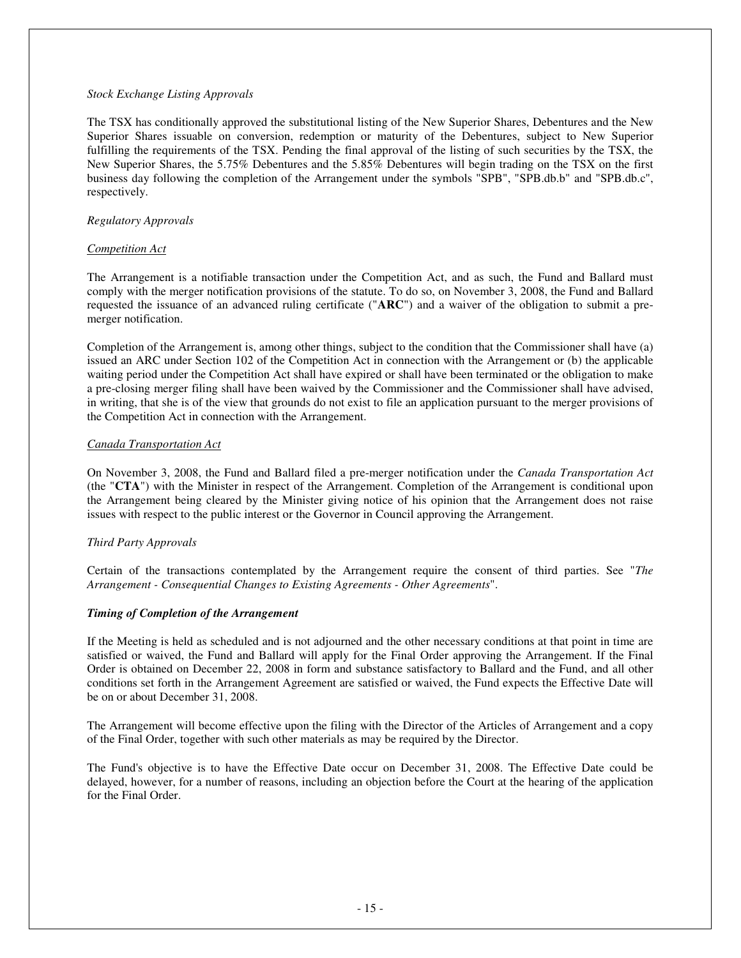### *Stock Exchange Listing Approvals*

The TSX has conditionally approved the substitutional listing of the New Superior Shares, Debentures and the New Superior Shares issuable on conversion, redemption or maturity of the Debentures, subject to New Superior fulfilling the requirements of the TSX. Pending the final approval of the listing of such securities by the TSX, the New Superior Shares, the 5.75% Debentures and the 5.85% Debentures will begin trading on the TSX on the first business day following the completion of the Arrangement under the symbols "SPB", "SPB.db.b" and "SPB.db.c", respectively.

### *Regulatory Approvals*

### *Competition Act*

The Arrangement is a notifiable transaction under the Competition Act, and as such, the Fund and Ballard must comply with the merger notification provisions of the statute. To do so, on November 3, 2008, the Fund and Ballard requested the issuance of an advanced ruling certificate ("**ARC**") and a waiver of the obligation to submit a premerger notification.

Completion of the Arrangement is, among other things, subject to the condition that the Commissioner shall have (a) issued an ARC under Section 102 of the Competition Act in connection with the Arrangement or (b) the applicable waiting period under the Competition Act shall have expired or shall have been terminated or the obligation to make a pre-closing merger filing shall have been waived by the Commissioner and the Commissioner shall have advised, in writing, that she is of the view that grounds do not exist to file an application pursuant to the merger provisions of the Competition Act in connection with the Arrangement.

### *Canada Transportation Act*

On November 3, 2008, the Fund and Ballard filed a pre-merger notification under the *Canada Transportation Act* (the "**CTA**") with the Minister in respect of the Arrangement. Completion of the Arrangement is conditional upon the Arrangement being cleared by the Minister giving notice of his opinion that the Arrangement does not raise issues with respect to the public interest or the Governor in Council approving the Arrangement.

# *Third Party Approvals*

Certain of the transactions contemplated by the Arrangement require the consent of third parties. See "*The Arrangement - Consequential Changes to Existing Agreements - Other Agreements*".

# *Timing of Completion of the Arrangement*

If the Meeting is held as scheduled and is not adjourned and the other necessary conditions at that point in time are satisfied or waived, the Fund and Ballard will apply for the Final Order approving the Arrangement. If the Final Order is obtained on December 22, 2008 in form and substance satisfactory to Ballard and the Fund, and all other conditions set forth in the Arrangement Agreement are satisfied or waived, the Fund expects the Effective Date will be on or about December 31, 2008.

The Arrangement will become effective upon the filing with the Director of the Articles of Arrangement and a copy of the Final Order, together with such other materials as may be required by the Director.

The Fund's objective is to have the Effective Date occur on December 31, 2008. The Effective Date could be delayed, however, for a number of reasons, including an objection before the Court at the hearing of the application for the Final Order.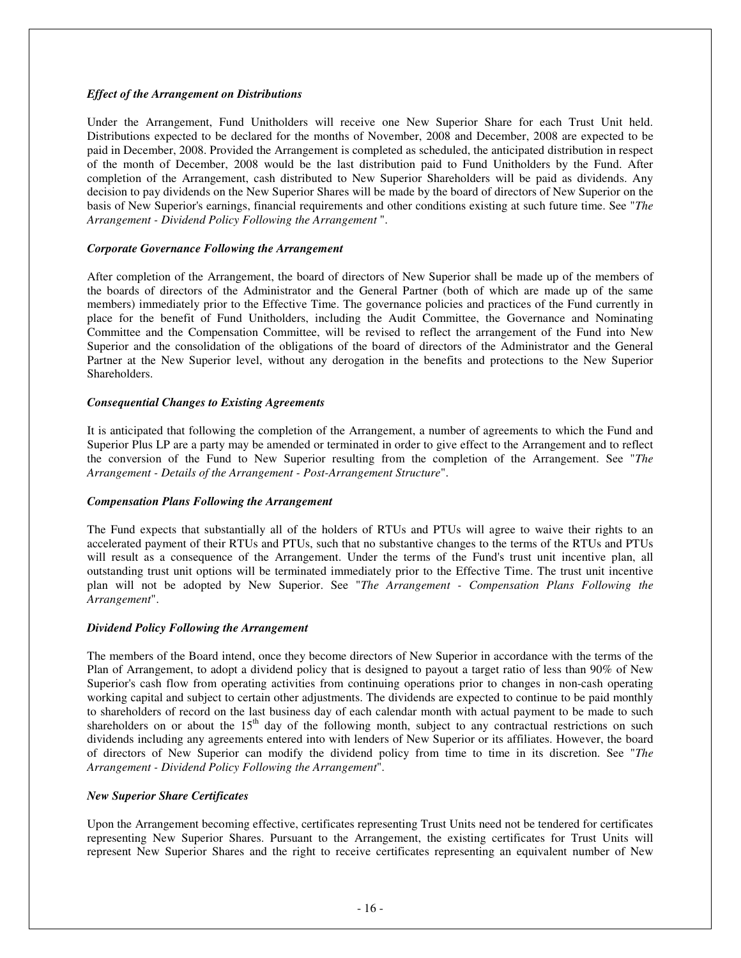### *Effect of the Arrangement on Distributions*

Under the Arrangement, Fund Unitholders will receive one New Superior Share for each Trust Unit held. Distributions expected to be declared for the months of November, 2008 and December, 2008 are expected to be paid in December, 2008. Provided the Arrangement is completed as scheduled, the anticipated distribution in respect of the month of December, 2008 would be the last distribution paid to Fund Unitholders by the Fund. After completion of the Arrangement, cash distributed to New Superior Shareholders will be paid as dividends. Any decision to pay dividends on the New Superior Shares will be made by the board of directors of New Superior on the basis of New Superior's earnings, financial requirements and other conditions existing at such future time. See "*The Arrangement - Dividend Policy Following the Arrangement* ".

### *Corporate Governance Following the Arrangement*

After completion of the Arrangement, the board of directors of New Superior shall be made up of the members of the boards of directors of the Administrator and the General Partner (both of which are made up of the same members) immediately prior to the Effective Time. The governance policies and practices of the Fund currently in place for the benefit of Fund Unitholders, including the Audit Committee, the Governance and Nominating Committee and the Compensation Committee, will be revised to reflect the arrangement of the Fund into New Superior and the consolidation of the obligations of the board of directors of the Administrator and the General Partner at the New Superior level, without any derogation in the benefits and protections to the New Superior Shareholders.

### *Consequential Changes to Existing Agreements*

It is anticipated that following the completion of the Arrangement, a number of agreements to which the Fund and Superior Plus LP are a party may be amended or terminated in order to give effect to the Arrangement and to reflect the conversion of the Fund to New Superior resulting from the completion of the Arrangement. See "*The Arrangement - Details of the Arrangement - Post-Arrangement Structure*".

### *Compensation Plans Following the Arrangement*

The Fund expects that substantially all of the holders of RTUs and PTUs will agree to waive their rights to an accelerated payment of their RTUs and PTUs, such that no substantive changes to the terms of the RTUs and PTUs will result as a consequence of the Arrangement. Under the terms of the Fund's trust unit incentive plan, all outstanding trust unit options will be terminated immediately prior to the Effective Time. The trust unit incentive plan will not be adopted by New Superior. See "*The Arrangement - Compensation Plans Following the Arrangement*".

### *Dividend Policy Following the Arrangement*

The members of the Board intend, once they become directors of New Superior in accordance with the terms of the Plan of Arrangement, to adopt a dividend policy that is designed to payout a target ratio of less than 90% of New Superior's cash flow from operating activities from continuing operations prior to changes in non-cash operating working capital and subject to certain other adjustments. The dividends are expected to continue to be paid monthly to shareholders of record on the last business day of each calendar month with actual payment to be made to such shareholders on or about the 15<sup>th</sup> day of the following month, subject to any contractual restrictions on such dividends including any agreements entered into with lenders of New Superior or its affiliates. However, the board of directors of New Superior can modify the dividend policy from time to time in its discretion. See "*The Arrangement - Dividend Policy Following the Arrangement*".

# *New Superior Share Certificates*

Upon the Arrangement becoming effective, certificates representing Trust Units need not be tendered for certificates representing New Superior Shares. Pursuant to the Arrangement, the existing certificates for Trust Units will represent New Superior Shares and the right to receive certificates representing an equivalent number of New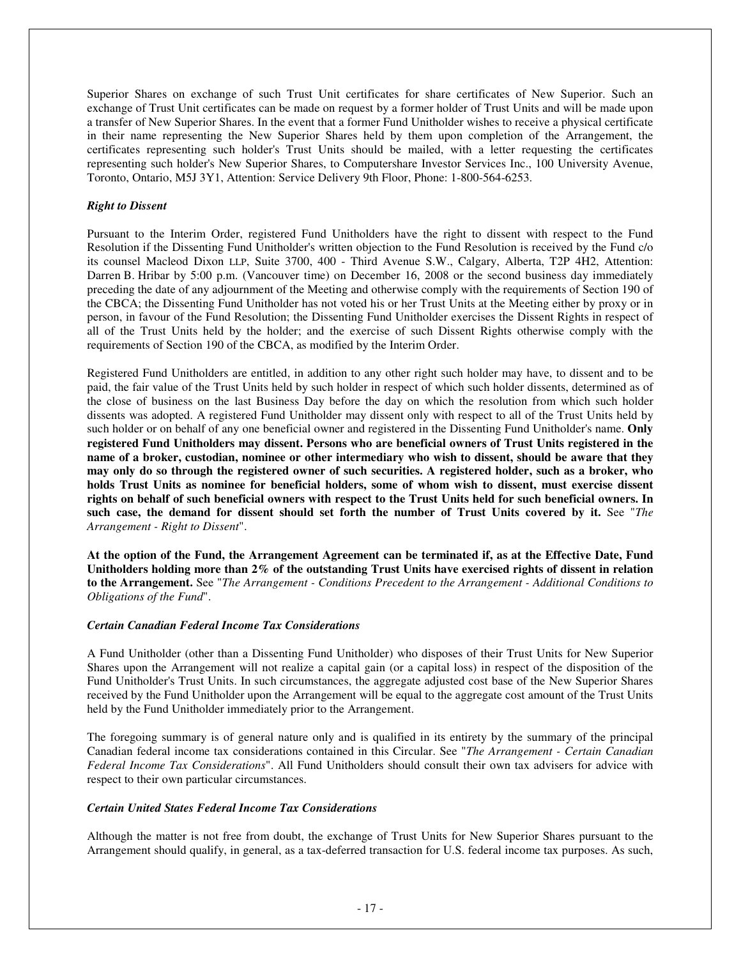Superior Shares on exchange of such Trust Unit certificates for share certificates of New Superior. Such an exchange of Trust Unit certificates can be made on request by a former holder of Trust Units and will be made upon a transfer of New Superior Shares. In the event that a former Fund Unitholder wishes to receive a physical certificate in their name representing the New Superior Shares held by them upon completion of the Arrangement, the certificates representing such holder's Trust Units should be mailed, with a letter requesting the certificates representing such holder's New Superior Shares, to Computershare Investor Services Inc., 100 University Avenue, Toronto, Ontario, M5J 3Y1, Attention: Service Delivery 9th Floor, Phone: 1-800-564-6253.

### *Right to Dissent*

Pursuant to the Interim Order, registered Fund Unitholders have the right to dissent with respect to the Fund Resolution if the Dissenting Fund Unitholder's written objection to the Fund Resolution is received by the Fund c/o its counsel Macleod Dixon LLP, Suite 3700, 400 - Third Avenue S.W., Calgary, Alberta, T2P 4H2, Attention: Darren B. Hribar by 5:00 p.m. (Vancouver time) on December 16, 2008 or the second business day immediately preceding the date of any adjournment of the Meeting and otherwise comply with the requirements of Section 190 of the CBCA; the Dissenting Fund Unitholder has not voted his or her Trust Units at the Meeting either by proxy or in person, in favour of the Fund Resolution; the Dissenting Fund Unitholder exercises the Dissent Rights in respect of all of the Trust Units held by the holder; and the exercise of such Dissent Rights otherwise comply with the requirements of Section 190 of the CBCA, as modified by the Interim Order.

Registered Fund Unitholders are entitled, in addition to any other right such holder may have, to dissent and to be paid, the fair value of the Trust Units held by such holder in respect of which such holder dissents, determined as of the close of business on the last Business Day before the day on which the resolution from which such holder dissents was adopted. A registered Fund Unitholder may dissent only with respect to all of the Trust Units held by such holder or on behalf of any one beneficial owner and registered in the Dissenting Fund Unitholder's name. **Only registered Fund Unitholders may dissent. Persons who are beneficial owners of Trust Units registered in the** name of a broker, custodian, nominee or other intermediary who wish to dissent, should be aware that they may only do so through the registered owner of such securities. A registered holder, such as a broker, who **holds Trust Units as nominee for beneficial holders, some of whom wish to dissent, must exercise dissent** rights on behalf of such beneficial owners with respect to the Trust Units held for such beneficial owners. In such case, the demand for dissent should set forth the number of Trust Units covered by it. See "The *Arrangement - Right to Dissent*".

At the option of the Fund, the Arrangement Agreement can be terminated if, as at the Effective Date, Fund Unitholders holding more than  $2\%$  of the outstanding Trust Units have exercised rights of dissent in relation **to the Arrangement.** See "*The Arrangement - Conditions Precedent to the Arrangement - Additional Conditions to Obligations of the Fund*".

### *Certain Canadian Federal Income Tax Considerations*

A Fund Unitholder (other than a Dissenting Fund Unitholder) who disposes of their Trust Units for New Superior Shares upon the Arrangement will not realize a capital gain (or a capital loss) in respect of the disposition of the Fund Unitholder's Trust Units. In such circumstances, the aggregate adjusted cost base of the New Superior Shares received by the Fund Unitholder upon the Arrangement will be equal to the aggregate cost amount of the Trust Units held by the Fund Unitholder immediately prior to the Arrangement.

The foregoing summary is of general nature only and is qualified in its entirety by the summary of the principal Canadian federal income tax considerations contained in this Circular. See "*The Arrangement - Certain Canadian Federal Income Tax Considerations*". All Fund Unitholders should consult their own tax advisers for advice with respect to their own particular circumstances.

### *Certain United States Federal Income Tax Considerations*

Although the matter is not free from doubt, the exchange of Trust Units for New Superior Shares pursuant to the Arrangement should qualify, in general, as a tax-deferred transaction for U.S. federal income tax purposes. As such,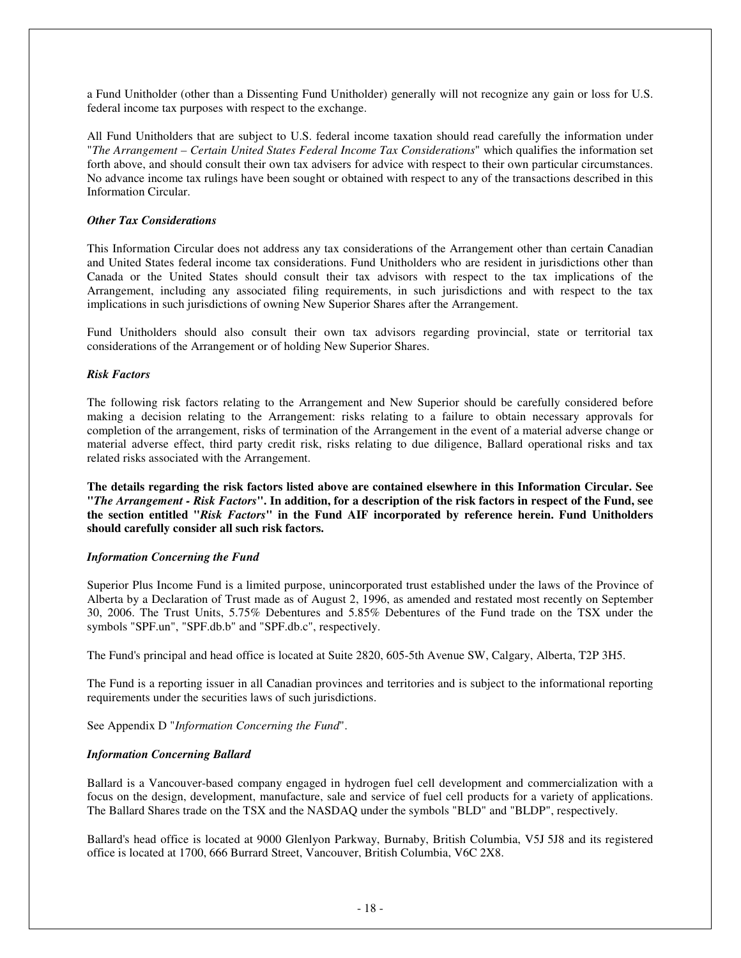a Fund Unitholder (other than a Dissenting Fund Unitholder) generally will not recognize any gain or loss for U.S. federal income tax purposes with respect to the exchange.

All Fund Unitholders that are subject to U.S. federal income taxation should read carefully the information under "*The Arrangement – Certain United States Federal Income Tax Considerations*" which qualifies the information set forth above, and should consult their own tax advisers for advice with respect to their own particular circumstances. No advance income tax rulings have been sought or obtained with respect to any of the transactions described in this Information Circular.

### *Other Tax Considerations*

This Information Circular does not address any tax considerations of the Arrangement other than certain Canadian and United States federal income tax considerations. Fund Unitholders who are resident in jurisdictions other than Canada or the United States should consult their tax advisors with respect to the tax implications of the Arrangement, including any associated filing requirements, in such jurisdictions and with respect to the tax implications in such jurisdictions of owning New Superior Shares after the Arrangement.

Fund Unitholders should also consult their own tax advisors regarding provincial, state or territorial tax considerations of the Arrangement or of holding New Superior Shares.

### *Risk Factors*

The following risk factors relating to the Arrangement and New Superior should be carefully considered before making a decision relating to the Arrangement: risks relating to a failure to obtain necessary approvals for completion of the arrangement, risks of termination of the Arrangement in the event of a material adverse change or material adverse effect, third party credit risk, risks relating to due diligence, Ballard operational risks and tax related risks associated with the Arrangement.

**The details regarding the risk factors listed above are contained elsewhere in this Information Circular. See** "The Arrangement - Risk Factors". In addition, for a description of the risk factors in respect of the Fund, see **the section entitled "***Risk Factors***" in the Fund AIF incorporated by reference herein. Fund Unitholders should carefully consider all such risk factors.**

# *Information Concerning the Fund*

Superior Plus Income Fund is a limited purpose, unincorporated trust established under the laws of the Province of Alberta by a Declaration of Trust made as of August 2, 1996, as amended and restated most recently on September 30, 2006. The Trust Units, 5.75% Debentures and 5.85% Debentures of the Fund trade on the TSX under the symbols "SPF.un", "SPF.db.b" and "SPF.db.c", respectively.

The Fund's principal and head office is located at Suite 2820, 605-5th Avenue SW, Calgary, Alberta, T2P 3H5.

The Fund is a reporting issuer in all Canadian provinces and territories and is subject to the informational reporting requirements under the securities laws of such jurisdictions.

See Appendix D "*Information Concerning the Fund*".

# *Information Concerning Ballard*

Ballard is a Vancouver-based company engaged in hydrogen fuel cell development and commercialization with a focus on the design, development, manufacture, sale and service of fuel cell products for a variety of applications. The Ballard Shares trade on the TSX and the NASDAQ under the symbols "BLD" and "BLDP", respectively.

Ballard's head office is located at 9000 Glenlyon Parkway, Burnaby, British Columbia, V5J 5J8 and its registered office is located at 1700, 666 Burrard Street, Vancouver, British Columbia, V6C 2X8.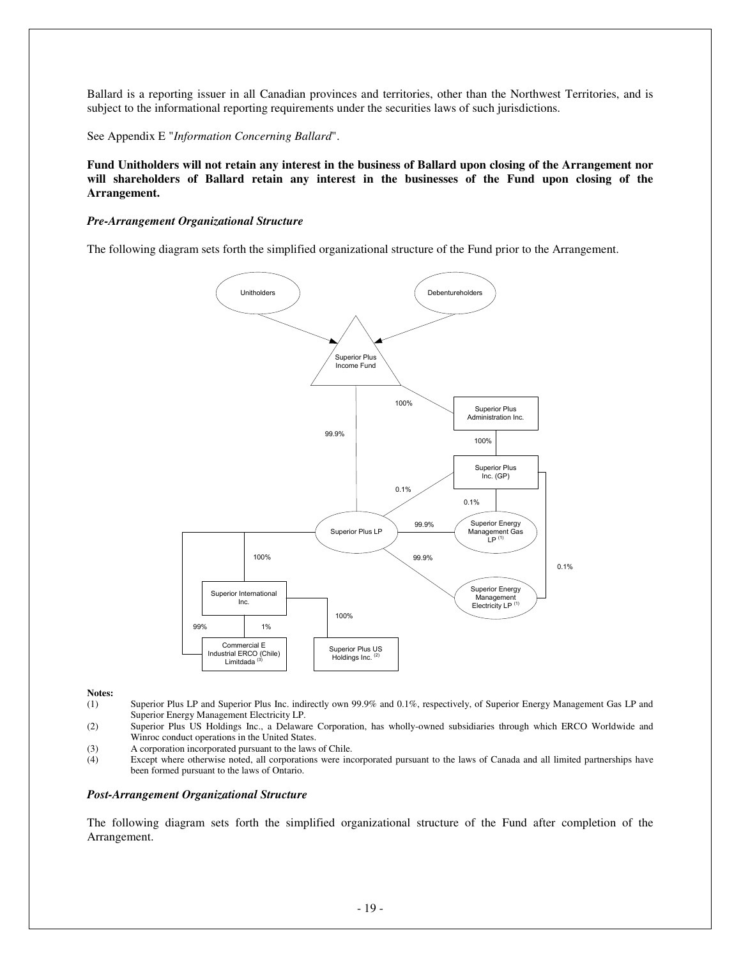Ballard is a reporting issuer in all Canadian provinces and territories, other than the Northwest Territories, and is subject to the informational reporting requirements under the securities laws of such jurisdictions.

See Appendix E "*Information Concerning Ballard*".

Fund Unitholders will not retain any interest in the business of Ballard upon closing of the Arrangement nor **will shareholders of Ballard retain any interest in the businesses of the Fund upon closing of the Arrangement.**

### *Pre-Arrangement Organizational Structure*

The following diagram sets forth the simplified organizational structure of the Fund prior to the Arrangement.



#### **Notes:**

- (1) Superior Plus LP and Superior Plus Inc. indirectly own 99.9% and 0.1%, respectively, of Superior Energy Management Gas LP and Superior Energy Management Electricity LP.
- (2) Superior Plus US Holdings Inc., a Delaware Corporation, has wholly-owned subsidiaries through which ERCO Worldwide and Winroc conduct operations in the United States.
- (3) A corporation incorporated pursuant to the laws of Chile.<br>
(4) Except where otherwise noted, all corporations were inc
- Except where otherwise noted, all corporations were incorporated pursuant to the laws of Canada and all limited partnerships have been formed pursuant to the laws of Ontario.

### *Post-Arrangement Organizational Structure*

The following diagram sets forth the simplified organizational structure of the Fund after completion of the Arrangement.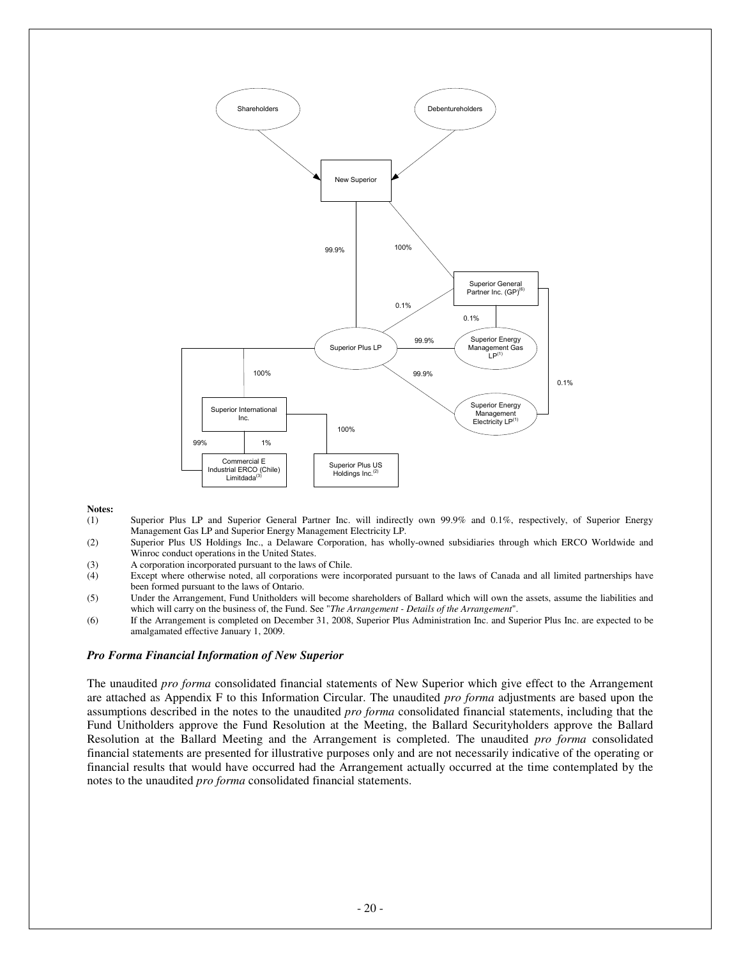

#### **Notes:**

- (1) Superior Plus LP and Superior General Partner Inc. will indirectly own 99.9% and 0.1%, respectively, of Superior Energy Management Gas LP and Superior Energy Management Electricity LP.
- (2) Superior Plus US Holdings Inc., a Delaware Corporation, has wholly-owned subsidiaries through which ERCO Worldwide and Winroc conduct operations in the United States.
- (3) A corporation incorporated pursuant to the laws of Chile.
- (4) Except where otherwise noted, all corporations were incorporated pursuant to the laws of Canada and all limited partnerships have been formed pursuant to the laws of Ontario.
- (5) Under the Arrangement, Fund Unitholders will become shareholders of Ballard which will own the assets, assume the liabilities and which will carry on the business of, the Fund. See "*The Arrangement - Details of the Arrangement*".
- (6) If the Arrangement is completed on December 31, 2008, Superior Plus Administration Inc. and Superior Plus Inc. are expected to be amalgamated effective January 1, 2009.

#### *Pro Forma Financial Information of New Superior*

The unaudited *pro forma* consolidated financial statements of New Superior which give effect to the Arrangement are attached as Appendix F to this Information Circular. The unaudited *pro forma* adjustments are based upon the assumptions described in the notes to the unaudited *pro forma* consolidated financial statements, including that the Fund Unitholders approve the Fund Resolution at the Meeting, the Ballard Securityholders approve the Ballard Resolution at the Ballard Meeting and the Arrangement is completed. The unaudited *pro forma* consolidated financial statements are presented for illustrative purposes only and are not necessarily indicative of the operating or financial results that would have occurred had the Arrangement actually occurred at the time contemplated by the notes to the unaudited *pro forma* consolidated financial statements.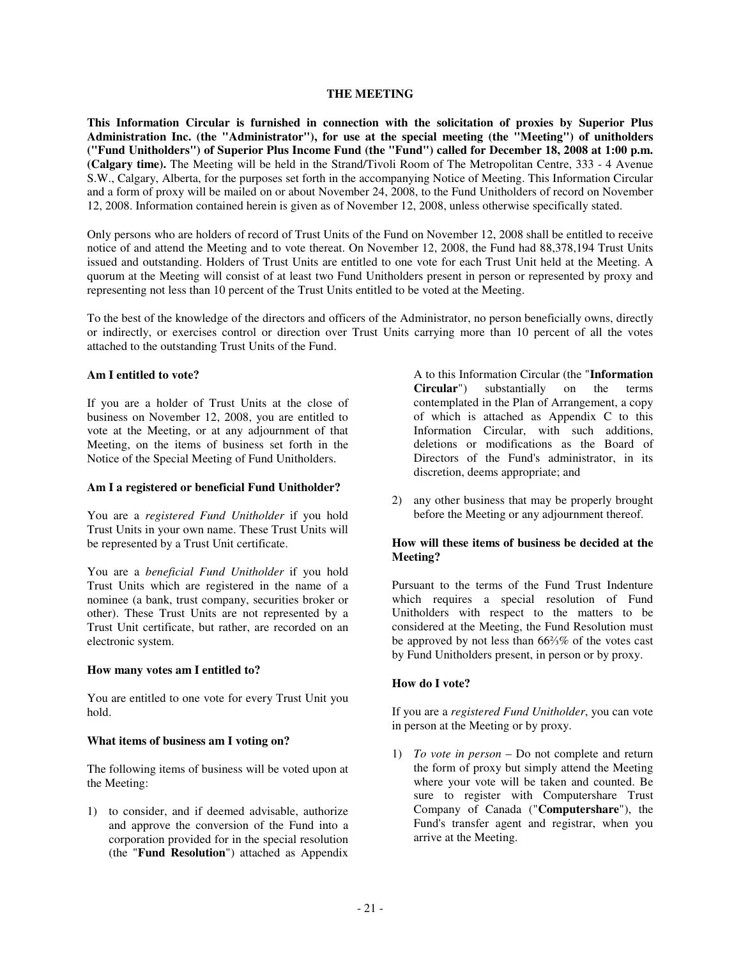### **THE MEETING**

**This Information Circular is furnished in connection with the solicitation of proxies by Superior Plus Administration Inc. (the "Administrator"), for use at the special meeting (the "Meeting") of unitholders ("Fund Unitholders") of Superior Plus Income Fund (the "Fund") called for December 18, 2008 at 1:00 p.m. (Calgary time).** The Meeting will be held in the Strand/Tivoli Room of The Metropolitan Centre, 333 - 4 Avenue S.W., Calgary, Alberta, for the purposes set forth in the accompanying Notice of Meeting. This Information Circular and a form of proxy will be mailed on or about November 24, 2008, to the Fund Unitholders of record on November 12, 2008. Information contained herein is given as of November 12, 2008, unless otherwise specifically stated.

Only persons who are holders of record of Trust Units of the Fund on November 12, 2008 shall be entitled to receive notice of and attend the Meeting and to vote thereat. On November 12, 2008, the Fund had 88,378,194 Trust Units issued and outstanding. Holders of Trust Units are entitled to one vote for each Trust Unit held at the Meeting. A quorum at the Meeting will consist of at least two Fund Unitholders present in person or represented by proxy and representing not less than 10 percent of the Trust Units entitled to be voted at the Meeting.

To the best of the knowledge of the directors and officers of the Administrator, no person beneficially owns, directly or indirectly, or exercises control or direction over Trust Units carrying more than 10 percent of all the votes attached to the outstanding Trust Units of the Fund.

### **Am I entitled to vote?**

If you are a holder of Trust Units at the close of business on November 12, 2008, you are entitled to vote at the Meeting, or at any adjournment of that Meeting, on the items of business set forth in the Notice of the Special Meeting of Fund Unitholders.

### **Am I a registered or beneficial Fund Unitholder?**

You are a *registered Fund Unitholder* if you hold Trust Units in your own name. These Trust Units will be represented by a Trust Unit certificate.

You are a *beneficial Fund Unitholder* if you hold Trust Units which are registered in the name of a nominee (a bank, trust company, securities broker or other). These Trust Units are not represented by a Trust Unit certificate, but rather, are recorded on an electronic system.

#### **How many votes am I entitled to?**

You are entitled to one vote for every Trust Unit you hold.

### **What items of business am I voting on?**

The following items of business will be voted upon at the Meeting:

1) to consider, and if deemed advisable, authorize and approve the conversion of the Fund into a corporation provided for in the special resolution (the "**Fund Resolution**") attached as Appendix

A to this Information Circular (the "**Information Circular**") substantially on the terms contemplated in the Plan of Arrangement, a copy of which is attached as Appendix C to this Information Circular, with such additions, deletions or modifications as the Board of Directors of the Fund's administrator, in its discretion, deems appropriate; and

2) any other business that may be properly brought before the Meeting or any adjournment thereof.

### **How will these items of business be decided at the Meeting?**

Pursuant to the terms of the Fund Trust Indenture which requires a special resolution of Fund Unitholders with respect to the matters to be considered at the Meeting, the Fund Resolution must be approved by not less than  $66\frac{2}{3}\%$  of the votes cast by Fund Unitholders present, in person or by proxy.

### **How do I vote?**

If you are a *registered Fund Unitholder*, you can vote in person at the Meeting or by proxy.

1) *To vote in person* – Do not complete and return the form of proxy but simply attend the Meeting where your vote will be taken and counted. Be sure to register with Computershare Trust Company of Canada ("**Computershare**"), the Fund's transfer agent and registrar, when you arrive at the Meeting.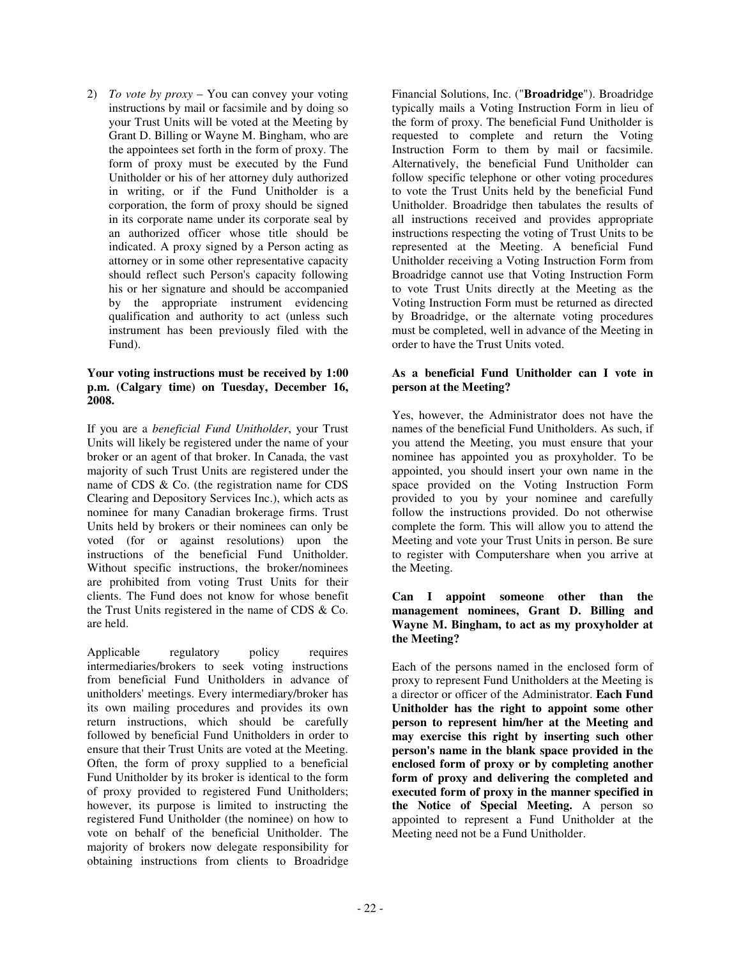2) *To vote by proxy* – You can convey your voting instructions by mail or facsimile and by doing so your Trust Units will be voted at the Meeting by Grant D. Billing or Wayne M. Bingham, who are the appointees set forth in the form of proxy. The form of proxy must be executed by the Fund Unitholder or his of her attorney duly authorized in writing, or if the Fund Unitholder is a corporation, the form of proxy should be signed in its corporate name under its corporate seal by an authorized officer whose title should be indicated. A proxy signed by a Person acting as attorney or in some other representative capacity should reflect such Person's capacity following his or her signature and should be accompanied by the appropriate instrument evidencing qualification and authority to act (unless such instrument has been previously filed with the Fund).

### **Your voting instructions must be received by 1:00 p.m. (Calgary time) on Tuesday, December 16, 2008.**

If you are a *beneficial Fund Unitholder*, your Trust Units will likely be registered under the name of your broker or an agent of that broker. In Canada, the vast majority of such Trust Units are registered under the name of CDS & Co. (the registration name for CDS Clearing and Depository Services Inc.), which acts as nominee for many Canadian brokerage firms. Trust Units held by brokers or their nominees can only be voted (for or against resolutions) upon the instructions of the beneficial Fund Unitholder. Without specific instructions, the broker/nominees are prohibited from voting Trust Units for their clients. The Fund does not know for whose benefit the Trust Units registered in the name of CDS & Co. are held.

Applicable regulatory policy requires intermediaries/brokers to seek voting instructions from beneficial Fund Unitholders in advance of unitholders' meetings. Every intermediary/broker has its own mailing procedures and provides its own return instructions, which should be carefully followed by beneficial Fund Unitholders in order to ensure that their Trust Units are voted at the Meeting. Often, the form of proxy supplied to a beneficial Fund Unitholder by its broker is identical to the form of proxy provided to registered Fund Unitholders; however, its purpose is limited to instructing the registered Fund Unitholder (the nominee) on how to vote on behalf of the beneficial Unitholder. The majority of brokers now delegate responsibility for obtaining instructions from clients to Broadridge

Financial Solutions, Inc. ("**Broadridge**"). Broadridge typically mails a Voting Instruction Form in lieu of the form of proxy. The beneficial Fund Unitholder is requested to complete and return the Voting Instruction Form to them by mail or facsimile. Alternatively, the beneficial Fund Unitholder can follow specific telephone or other voting procedures to vote the Trust Units held by the beneficial Fund Unitholder. Broadridge then tabulates the results of all instructions received and provides appropriate instructions respecting the voting of Trust Units to be represented at the Meeting. A beneficial Fund Unitholder receiving a Voting Instruction Form from Broadridge cannot use that Voting Instruction Form to vote Trust Units directly at the Meeting as the Voting Instruction Form must be returned as directed by Broadridge, or the alternate voting procedures must be completed, well in advance of the Meeting in order to have the Trust Units voted.

# **As a beneficial Fund Unitholder can I vote in person at the Meeting?**

Yes, however, the Administrator does not have the names of the beneficial Fund Unitholders. As such, if you attend the Meeting, you must ensure that your nominee has appointed you as proxyholder. To be appointed, you should insert your own name in the space provided on the Voting Instruction Form provided to you by your nominee and carefully follow the instructions provided. Do not otherwise complete the form. This will allow you to attend the Meeting and vote your Trust Units in person. Be sure to register with Computershare when you arrive at the Meeting.

### **Can I appoint someone other than the management nominees, Grant D. Billing and Wayne M. Bingham, to act as my proxyholder at the Meeting?**

Each of the persons named in the enclosed form of proxy to represent Fund Unitholders at the Meeting is a director or officer of the Administrator. **Each Fund Unitholder has the right to appoint some other person to represent him/her at the Meeting and may exercise this right by inserting such other person's name in the blank space provided in the enclosed form of proxy or by completing another form of proxy and delivering the completed and executed form of proxy in the manner specified in the Notice of Special Meeting.** A person so appointed to represent a Fund Unitholder at the Meeting need not be a Fund Unitholder.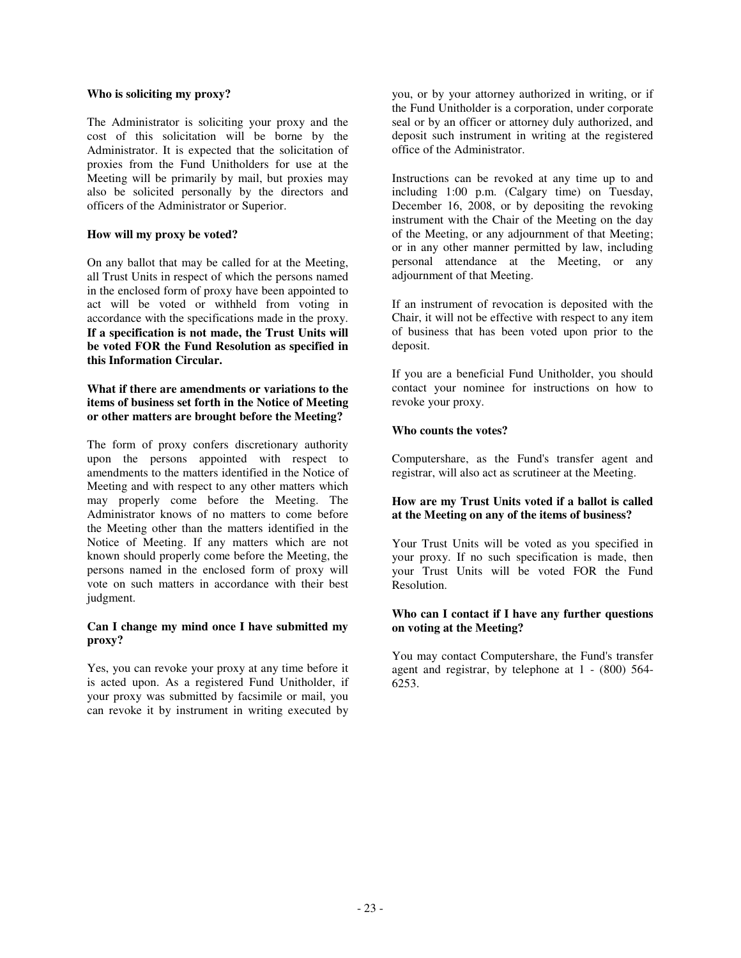### **Who is soliciting my proxy?**

The Administrator is soliciting your proxy and the cost of this solicitation will be borne by the Administrator. It is expected that the solicitation of proxies from the Fund Unitholders for use at the Meeting will be primarily by mail, but proxies may also be solicited personally by the directors and officers of the Administrator or Superior.

### **How will my proxy be voted?**

On any ballot that may be called for at the Meeting, all Trust Units in respect of which the persons named in the enclosed form of proxy have been appointed to act will be voted or withheld from voting in accordance with the specifications made in the proxy. **If a specification is not made, the Trust Units will be voted FOR the Fund Resolution as specified in this Information Circular.**

# **What if there are amendments or variations to the items of business set forth in the Notice of Meeting or other matters are brought before the Meeting?**

The form of proxy confers discretionary authority upon the persons appointed with respect to amendments to the matters identified in the Notice of Meeting and with respect to any other matters which may properly come before the Meeting. The Administrator knows of no matters to come before the Meeting other than the matters identified in the Notice of Meeting. If any matters which are not known should properly come before the Meeting, the persons named in the enclosed form of proxy will vote on such matters in accordance with their best judgment.

### **Can I change my mind once I have submitted my proxy?**

Yes, you can revoke your proxy at any time before it is acted upon. As a registered Fund Unitholder, if your proxy was submitted by facsimile or mail, you can revoke it by instrument in writing executed by

you, or by your attorney authorized in writing, or if the Fund Unitholder is a corporation, under corporate seal or by an officer or attorney duly authorized, and deposit such instrument in writing at the registered office of the Administrator.

Instructions can be revoked at any time up to and including 1:00 p.m. (Calgary time) on Tuesday, December 16, 2008, or by depositing the revoking instrument with the Chair of the Meeting on the day of the Meeting, or any adjournment of that Meeting; or in any other manner permitted by law, including personal attendance at the Meeting, or any adjournment of that Meeting.

If an instrument of revocation is deposited with the Chair, it will not be effective with respect to any item of business that has been voted upon prior to the deposit.

If you are a beneficial Fund Unitholder, you should contact your nominee for instructions on how to revoke your proxy.

# **Who counts the votes?**

Computershare, as the Fund's transfer agent and registrar, will also act as scrutineer at the Meeting.

### **How are my Trust Units voted if a ballot is called at the Meeting on any of the items of business?**

Your Trust Units will be voted as you specified in your proxy. If no such specification is made, then your Trust Units will be voted FOR the Fund Resolution.

### **Who can I contact if I have any further questions on voting at the Meeting?**

You may contact Computershare, the Fund's transfer agent and registrar, by telephone at 1 - (800) 564- 6253.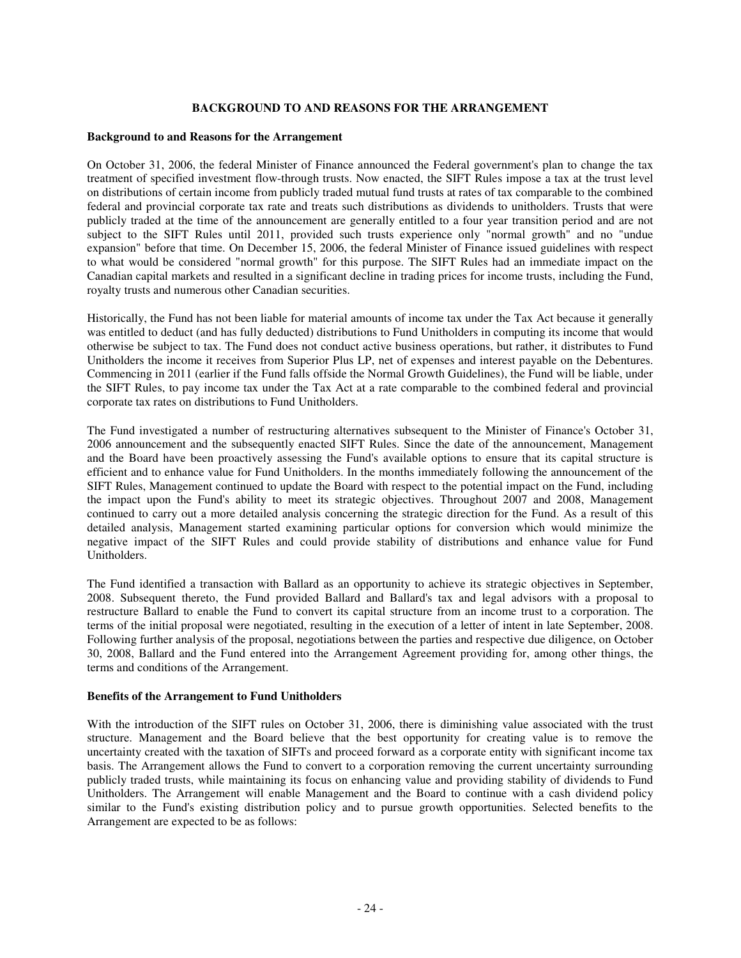### **BACKGROUND TO AND REASONS FOR THE ARRANGEMENT**

#### **Background to and Reasons for the Arrangement**

On October 31, 2006, the federal Minister of Finance announced the Federal government's plan to change the tax treatment of specified investment flow-through trusts. Now enacted, the SIFT Rules impose a tax at the trust level on distributions of certain income from publicly traded mutual fund trusts at rates of tax comparable to the combined federal and provincial corporate tax rate and treats such distributions as dividends to unitholders. Trusts that were publicly traded at the time of the announcement are generally entitled to a four year transition period and are not subject to the SIFT Rules until 2011, provided such trusts experience only "normal growth" and no "undue expansion" before that time. On December 15, 2006, the federal Minister of Finance issued guidelines with respect to what would be considered "normal growth" for this purpose. The SIFT Rules had an immediate impact on the Canadian capital markets and resulted in a significant decline in trading prices for income trusts, including the Fund, royalty trusts and numerous other Canadian securities.

Historically, the Fund has not been liable for material amounts of income tax under the Tax Act because it generally was entitled to deduct (and has fully deducted) distributions to Fund Unitholders in computing its income that would otherwise be subject to tax. The Fund does not conduct active business operations, but rather, it distributes to Fund Unitholders the income it receives from Superior Plus LP, net of expenses and interest payable on the Debentures. Commencing in 2011 (earlier if the Fund falls offside the Normal Growth Guidelines), the Fund will be liable, under the SIFT Rules, to pay income tax under the Tax Act at a rate comparable to the combined federal and provincial corporate tax rates on distributions to Fund Unitholders.

The Fund investigated a number of restructuring alternatives subsequent to the Minister of Finance's October 31, 2006 announcement and the subsequently enacted SIFT Rules. Since the date of the announcement, Management and the Board have been proactively assessing the Fund's available options to ensure that its capital structure is efficient and to enhance value for Fund Unitholders. In the months immediately following the announcement of the SIFT Rules, Management continued to update the Board with respect to the potential impact on the Fund, including the impact upon the Fund's ability to meet its strategic objectives. Throughout 2007 and 2008, Management continued to carry out a more detailed analysis concerning the strategic direction for the Fund. As a result of this detailed analysis, Management started examining particular options for conversion which would minimize the negative impact of the SIFT Rules and could provide stability of distributions and enhance value for Fund Unitholders.

The Fund identified a transaction with Ballard as an opportunity to achieve its strategic objectives in September, 2008. Subsequent thereto, the Fund provided Ballard and Ballard's tax and legal advisors with a proposal to restructure Ballard to enable the Fund to convert its capital structure from an income trust to a corporation. The terms of the initial proposal were negotiated, resulting in the execution of a letter of intent in late September, 2008. Following further analysis of the proposal, negotiations between the parties and respective due diligence, on October 30, 2008, Ballard and the Fund entered into the Arrangement Agreement providing for, among other things, the terms and conditions of the Arrangement.

### **Benefits of the Arrangement to Fund Unitholders**

With the introduction of the SIFT rules on October 31, 2006, there is diminishing value associated with the trust structure. Management and the Board believe that the best opportunity for creating value is to remove the uncertainty created with the taxation of SIFTs and proceed forward as a corporate entity with significant income tax basis. The Arrangement allows the Fund to convert to a corporation removing the current uncertainty surrounding publicly traded trusts, while maintaining its focus on enhancing value and providing stability of dividends to Fund Unitholders. The Arrangement will enable Management and the Board to continue with a cash dividend policy similar to the Fund's existing distribution policy and to pursue growth opportunities. Selected benefits to the Arrangement are expected to be as follows: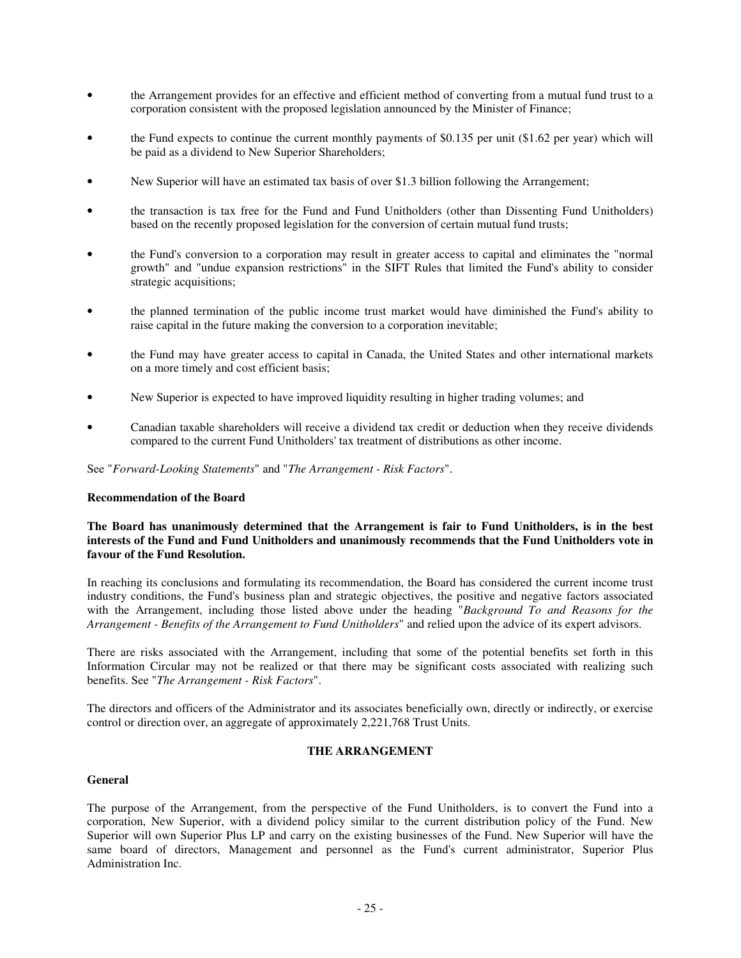- the Arrangement provides for an effective and efficient method of converting from a mutual fund trust to a corporation consistent with the proposed legislation announced by the Minister of Finance;
- the Fund expects to continue the current monthly payments of \$0.135 per unit (\$1.62 per year) which will be paid as a dividend to New Superior Shareholders;
- New Superior will have an estimated tax basis of over \$1.3 billion following the Arrangement;
- the transaction is tax free for the Fund and Fund Unitholders (other than Dissenting Fund Unitholders) based on the recently proposed legislation for the conversion of certain mutual fund trusts;
- the Fund's conversion to a corporation may result in greater access to capital and eliminates the "normal growth" and "undue expansion restrictions" in the SIFT Rules that limited the Fund's ability to consider strategic acquisitions;
- the planned termination of the public income trust market would have diminished the Fund's ability to raise capital in the future making the conversion to a corporation inevitable;
- the Fund may have greater access to capital in Canada, the United States and other international markets on a more timely and cost efficient basis;
- New Superior is expected to have improved liquidity resulting in higher trading volumes; and
- Canadian taxable shareholders will receive a dividend tax credit or deduction when they receive dividends compared to the current Fund Unitholders' tax treatment of distributions as other income.

See "*Forward-Looking Statements*" and "*The Arrangement - Risk Factors*".

#### **Recommendation of the Board**

### **The Board has unanimously determined that the Arrangement is fair to Fund Unitholders, is in the best interests of the Fund and Fund Unitholders and unanimously recommends that the Fund Unitholders vote in favour of the Fund Resolution.**

In reaching its conclusions and formulating its recommendation, the Board has considered the current income trust industry conditions, the Fund's business plan and strategic objectives, the positive and negative factors associated with the Arrangement, including those listed above under the heading "*Background To and Reasons for the Arrangement - Benefits of the Arrangement to Fund Unitholders*" and relied upon the advice of its expert advisors.

There are risks associated with the Arrangement, including that some of the potential benefits set forth in this Information Circular may not be realized or that there may be significant costs associated with realizing such benefits. See "*The Arrangement - Risk Factors*".

The directors and officers of the Administrator and its associates beneficially own, directly or indirectly, or exercise control or direction over, an aggregate of approximately 2,221,768 Trust Units.

### **THE ARRANGEMENT**

### **General**

The purpose of the Arrangement, from the perspective of the Fund Unitholders, is to convert the Fund into a corporation, New Superior, with a dividend policy similar to the current distribution policy of the Fund. New Superior will own Superior Plus LP and carry on the existing businesses of the Fund. New Superior will have the same board of directors, Management and personnel as the Fund's current administrator, Superior Plus Administration Inc.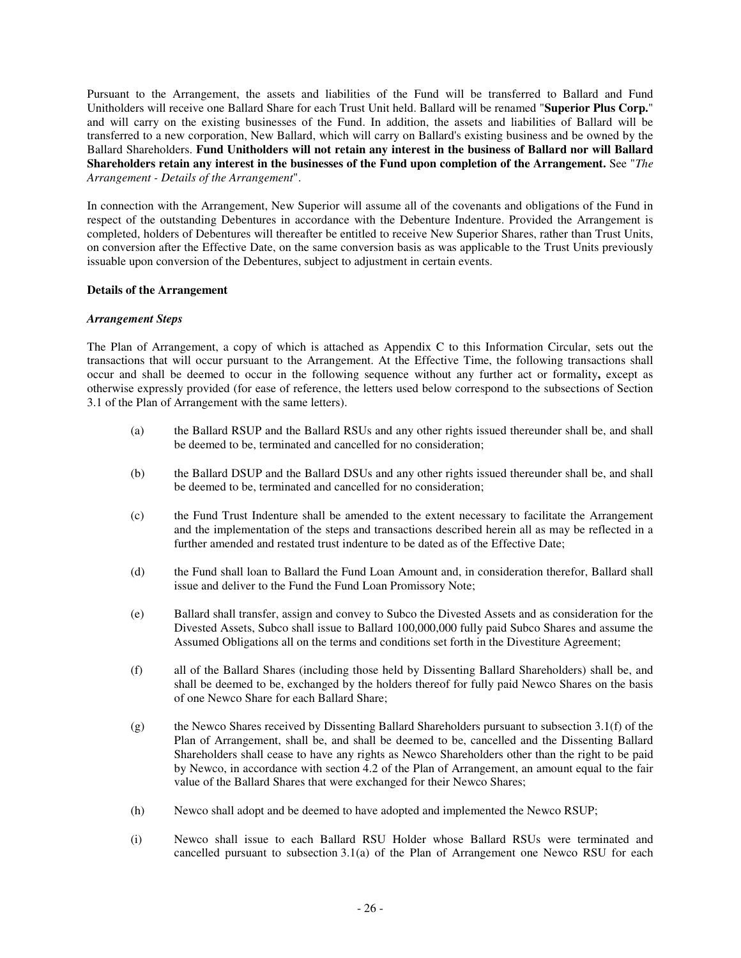Pursuant to the Arrangement, the assets and liabilities of the Fund will be transferred to Ballard and Fund Unitholders will receive one Ballard Share for each Trust Unit held. Ballard will be renamed "**Superior Plus Corp.**" and will carry on the existing businesses of the Fund. In addition, the assets and liabilities of Ballard will be transferred to a new corporation, New Ballard, which will carry on Ballard's existing business and be owned by the Ballard Shareholders. **Fund Unitholders will not retain any interest in the business of Ballard nor will Ballard Shareholders retain any interest in the businesses of the Fund upon completion of the Arrangement.** See "*The Arrangement - Details of the Arrangement*".

In connection with the Arrangement, New Superior will assume all of the covenants and obligations of the Fund in respect of the outstanding Debentures in accordance with the Debenture Indenture. Provided the Arrangement is completed, holders of Debentures will thereafter be entitled to receive New Superior Shares, rather than Trust Units, on conversion after the Effective Date, on the same conversion basis as was applicable to the Trust Units previously issuable upon conversion of the Debentures, subject to adjustment in certain events.

### **Details of the Arrangement**

### *Arrangement Steps*

The Plan of Arrangement, a copy of which is attached as Appendix C to this Information Circular, sets out the transactions that will occur pursuant to the Arrangement. At the Effective Time, the following transactions shall occur and shall be deemed to occur in the following sequence without any further act or formality**,** except as otherwise expressly provided (for ease of reference, the letters used below correspond to the subsections of Section 3.1 of the Plan of Arrangement with the same letters).

- (a) the Ballard RSUP and the Ballard RSUs and any other rights issued thereunder shall be, and shall be deemed to be, terminated and cancelled for no consideration;
- (b) the Ballard DSUP and the Ballard DSUs and any other rights issued thereunder shall be, and shall be deemed to be, terminated and cancelled for no consideration;
- (c) the Fund Trust Indenture shall be amended to the extent necessary to facilitate the Arrangement and the implementation of the steps and transactions described herein all as may be reflected in a further amended and restated trust indenture to be dated as of the Effective Date;
- (d) the Fund shall loan to Ballard the Fund Loan Amount and, in consideration therefor, Ballard shall issue and deliver to the Fund the Fund Loan Promissory Note;
- (e) Ballard shall transfer, assign and convey to Subco the Divested Assets and as consideration for the Divested Assets, Subco shall issue to Ballard 100,000,000 fully paid Subco Shares and assume the Assumed Obligations all on the terms and conditions set forth in the Divestiture Agreement;
- (f) all of the Ballard Shares (including those held by Dissenting Ballard Shareholders) shall be, and shall be deemed to be, exchanged by the holders thereof for fully paid Newco Shares on the basis of one Newco Share for each Ballard Share;
- (g) the Newco Shares received by Dissenting Ballard Shareholders pursuant to subsection 3.1(f) of the Plan of Arrangement, shall be, and shall be deemed to be, cancelled and the Dissenting Ballard Shareholders shall cease to have any rights as Newco Shareholders other than the right to be paid by Newco, in accordance with section 4.2 of the Plan of Arrangement, an amount equal to the fair value of the Ballard Shares that were exchanged for their Newco Shares;
- (h) Newco shall adopt and be deemed to have adopted and implemented the Newco RSUP;
- (i) Newco shall issue to each Ballard RSU Holder whose Ballard RSUs were terminated and cancelled pursuant to subsection 3.1(a) of the Plan of Arrangement one Newco RSU for each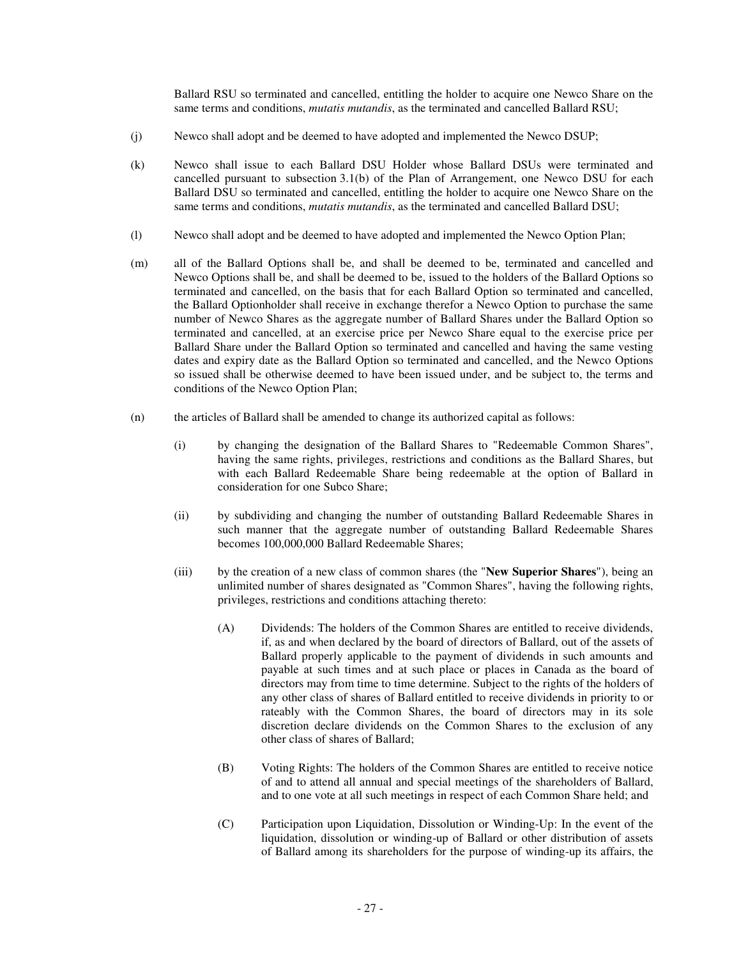Ballard RSU so terminated and cancelled, entitling the holder to acquire one Newco Share on the same terms and conditions, *mutatis mutandis*, as the terminated and cancelled Ballard RSU;

- (j) Newco shall adopt and be deemed to have adopted and implemented the Newco DSUP;
- (k) Newco shall issue to each Ballard DSU Holder whose Ballard DSUs were terminated and cancelled pursuant to subsection 3.1(b) of the Plan of Arrangement, one Newco DSU for each Ballard DSU so terminated and cancelled, entitling the holder to acquire one Newco Share on the same terms and conditions, *mutatis mutandis*, as the terminated and cancelled Ballard DSU;
- (l) Newco shall adopt and be deemed to have adopted and implemented the Newco Option Plan;
- (m) all of the Ballard Options shall be, and shall be deemed to be, terminated and cancelled and Newco Options shall be, and shall be deemed to be, issued to the holders of the Ballard Options so terminated and cancelled, on the basis that for each Ballard Option so terminated and cancelled, the Ballard Optionholder shall receive in exchange therefor a Newco Option to purchase the same number of Newco Shares as the aggregate number of Ballard Shares under the Ballard Option so terminated and cancelled, at an exercise price per Newco Share equal to the exercise price per Ballard Share under the Ballard Option so terminated and cancelled and having the same vesting dates and expiry date as the Ballard Option so terminated and cancelled, and the Newco Options so issued shall be otherwise deemed to have been issued under, and be subject to, the terms and conditions of the Newco Option Plan;
- (n) the articles of Ballard shall be amended to change its authorized capital as follows:
	- (i) by changing the designation of the Ballard Shares to "Redeemable Common Shares", having the same rights, privileges, restrictions and conditions as the Ballard Shares, but with each Ballard Redeemable Share being redeemable at the option of Ballard in consideration for one Subco Share;
	- (ii) by subdividing and changing the number of outstanding Ballard Redeemable Shares in such manner that the aggregate number of outstanding Ballard Redeemable Shares becomes 100,000,000 Ballard Redeemable Shares;
	- (iii) by the creation of a new class of common shares (the "**New Superior Shares**"), being an unlimited number of shares designated as "Common Shares", having the following rights, privileges, restrictions and conditions attaching thereto:
		- (A) Dividends: The holders of the Common Shares are entitled to receive dividends, if, as and when declared by the board of directors of Ballard, out of the assets of Ballard properly applicable to the payment of dividends in such amounts and payable at such times and at such place or places in Canada as the board of directors may from time to time determine. Subject to the rights of the holders of any other class of shares of Ballard entitled to receive dividends in priority to or rateably with the Common Shares, the board of directors may in its sole discretion declare dividends on the Common Shares to the exclusion of any other class of shares of Ballard;
		- (B) Voting Rights: The holders of the Common Shares are entitled to receive notice of and to attend all annual and special meetings of the shareholders of Ballard, and to one vote at all such meetings in respect of each Common Share held; and
		- (C) Participation upon Liquidation, Dissolution or Winding-Up: In the event of the liquidation, dissolution or winding-up of Ballard or other distribution of assets of Ballard among its shareholders for the purpose of winding-up its affairs, the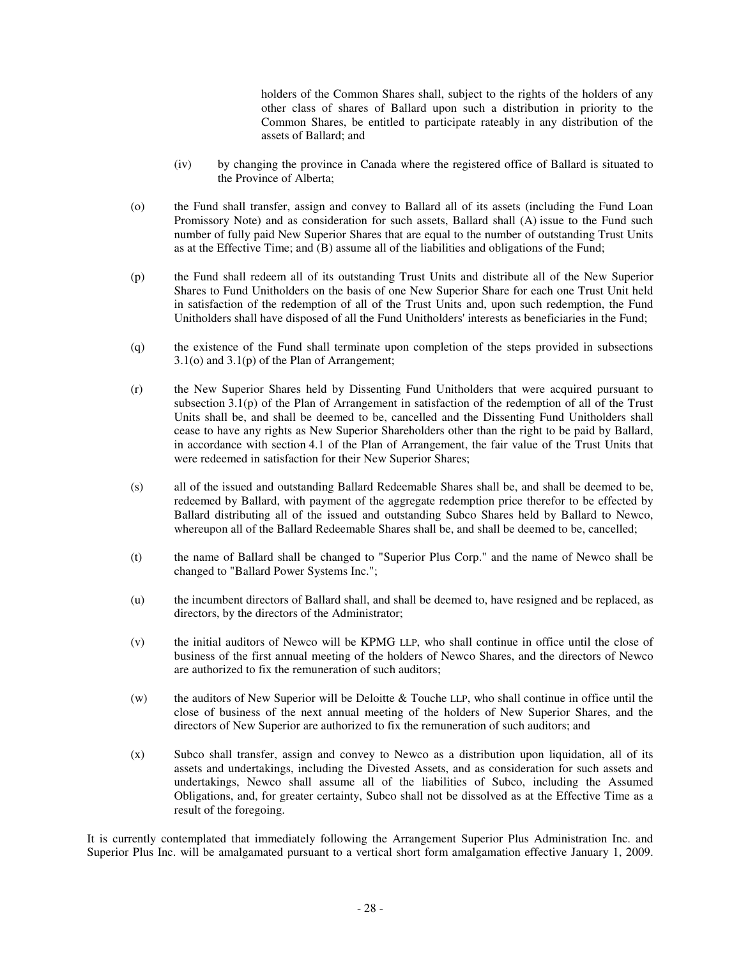holders of the Common Shares shall, subject to the rights of the holders of any other class of shares of Ballard upon such a distribution in priority to the Common Shares, be entitled to participate rateably in any distribution of the assets of Ballard; and

- (iv) by changing the province in Canada where the registered office of Ballard is situated to the Province of Alberta;
- (o) the Fund shall transfer, assign and convey to Ballard all of its assets (including the Fund Loan Promissory Note) and as consideration for such assets, Ballard shall (A) issue to the Fund such number of fully paid New Superior Shares that are equal to the number of outstanding Trust Units as at the Effective Time; and (B) assume all of the liabilities and obligations of the Fund;
- (p) the Fund shall redeem all of its outstanding Trust Units and distribute all of the New Superior Shares to Fund Unitholders on the basis of one New Superior Share for each one Trust Unit held in satisfaction of the redemption of all of the Trust Units and, upon such redemption, the Fund Unitholders shall have disposed of all the Fund Unitholders' interests as beneficiaries in the Fund;
- (q) the existence of the Fund shall terminate upon completion of the steps provided in subsections 3.1(o) and 3.1(p) of the Plan of Arrangement;
- (r) the New Superior Shares held by Dissenting Fund Unitholders that were acquired pursuant to subsection 3.1(p) of the Plan of Arrangement in satisfaction of the redemption of all of the Trust Units shall be, and shall be deemed to be, cancelled and the Dissenting Fund Unitholders shall cease to have any rights as New Superior Shareholders other than the right to be paid by Ballard, in accordance with section 4.1 of the Plan of Arrangement, the fair value of the Trust Units that were redeemed in satisfaction for their New Superior Shares;
- (s) all of the issued and outstanding Ballard Redeemable Shares shall be, and shall be deemed to be, redeemed by Ballard, with payment of the aggregate redemption price therefor to be effected by Ballard distributing all of the issued and outstanding Subco Shares held by Ballard to Newco, whereupon all of the Ballard Redeemable Shares shall be, and shall be deemed to be, cancelled;
- (t) the name of Ballard shall be changed to "Superior Plus Corp." and the name of Newco shall be changed to "Ballard Power Systems Inc.";
- (u) the incumbent directors of Ballard shall, and shall be deemed to, have resigned and be replaced, as directors, by the directors of the Administrator;
- (v) the initial auditors of Newco will be KPMG LLP, who shall continue in office until the close of business of the first annual meeting of the holders of Newco Shares, and the directors of Newco are authorized to fix the remuneration of such auditors;
- (w) the auditors of New Superior will be Deloitte & Touche LLP, who shall continue in office until the close of business of the next annual meeting of the holders of New Superior Shares, and the directors of New Superior are authorized to fix the remuneration of such auditors; and
- (x) Subco shall transfer, assign and convey to Newco as a distribution upon liquidation, all of its assets and undertakings, including the Divested Assets, and as consideration for such assets and undertakings, Newco shall assume all of the liabilities of Subco, including the Assumed Obligations, and, for greater certainty, Subco shall not be dissolved as at the Effective Time as a result of the foregoing.

It is currently contemplated that immediately following the Arrangement Superior Plus Administration Inc. and Superior Plus Inc. will be amalgamated pursuant to a vertical short form amalgamation effective January 1, 2009.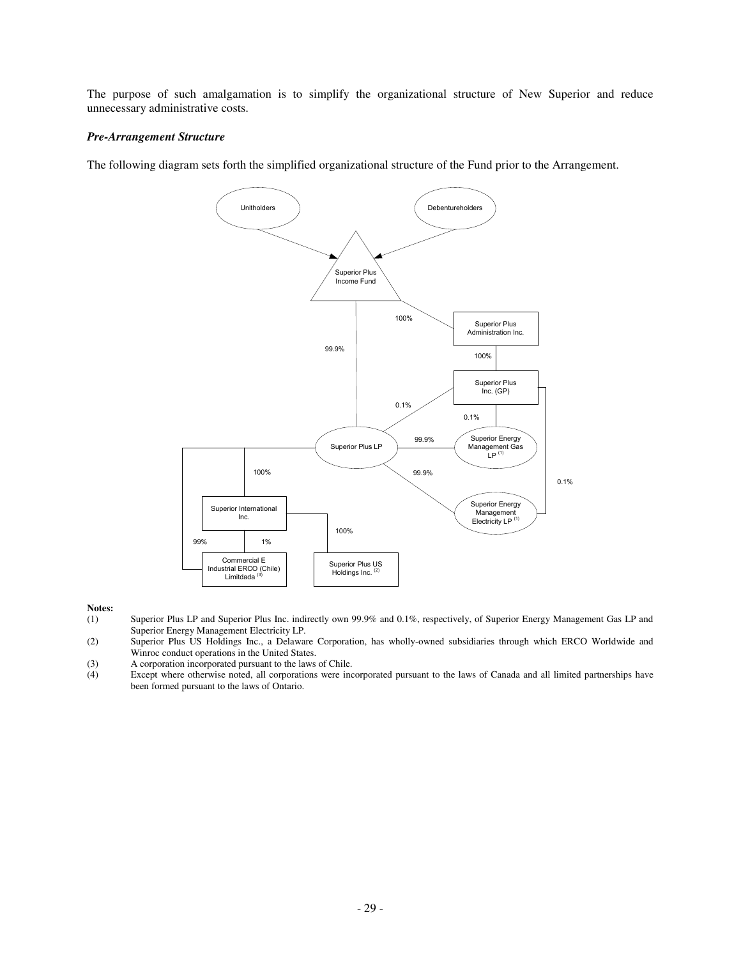The purpose of such amalgamation is to simplify the organizational structure of New Superior and reduce unnecessary administrative costs.

## *Pre-Arrangement Structure*

The following diagram sets forth the simplified organizational structure of the Fund prior to the Arrangement.



# **Notes:**<br>(1)

- Superior Plus LP and Superior Plus Inc. indirectly own 99.9% and 0.1%, respectively, of Superior Energy Management Gas LP and Superior Energy Management Electricity LP.
- (2) Superior Plus US Holdings Inc., a Delaware Corporation, has wholly-owned subsidiaries through which ERCO Worldwide and Winroc conduct operations in the United States.
- (3) A corporation incorporated pursuant to the laws of Chile.
- (4) Except where otherwise noted, all corporations were incorporated pursuant to the laws of Canada and all limited partnerships have been formed pursuant to the laws of Ontario.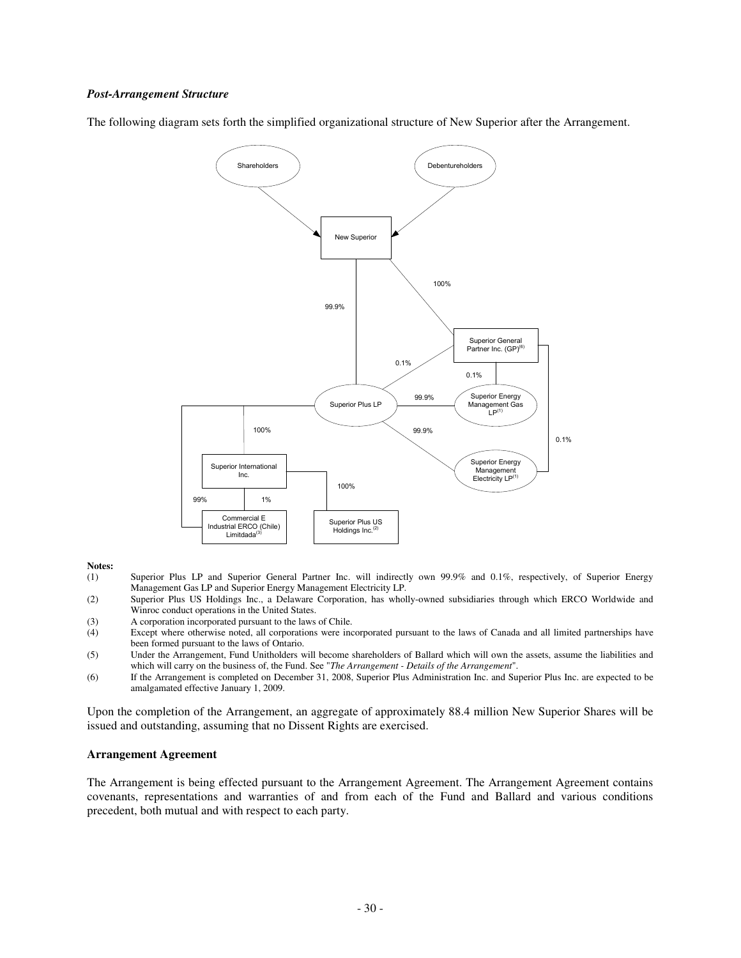#### *Post-Arrangement Structure*

The following diagram sets forth the simplified organizational structure of New Superior after the Arrangement.



# **Notes:**<br>(1)

- Superior Plus LP and Superior General Partner Inc. will indirectly own 99.9% and 0.1%, respectively, of Superior Energy Management Gas LP and Superior Energy Management Electricity LP.
- (2) Superior Plus US Holdings Inc., a Delaware Corporation, has wholly-owned subsidiaries through which ERCO Worldwide and Winroc conduct operations in the United States.
- (3) A corporation incorporated pursuant to the laws of Chile.<br>
(4) Except where otherwise noted, all corporations were inc
- Except where otherwise noted, all corporations were incorporated pursuant to the laws of Canada and all limited partnerships have been formed pursuant to the laws of Ontario.
- (5) Under the Arrangement, Fund Unitholders will become shareholders of Ballard which will own the assets, assume the liabilities and which will carry on the business of, the Fund. See "*The Arrangement - Details of the Arrangement*".
- (6) If the Arrangement is completed on December 31, 2008, Superior Plus Administration Inc. and Superior Plus Inc. are expected to be amalgamated effective January 1, 2009.

Upon the completion of the Arrangement, an aggregate of approximately 88.4 million New Superior Shares will be issued and outstanding, assuming that no Dissent Rights are exercised.

#### **Arrangement Agreement**

The Arrangement is being effected pursuant to the Arrangement Agreement. The Arrangement Agreement contains covenants, representations and warranties of and from each of the Fund and Ballard and various conditions precedent, both mutual and with respect to each party.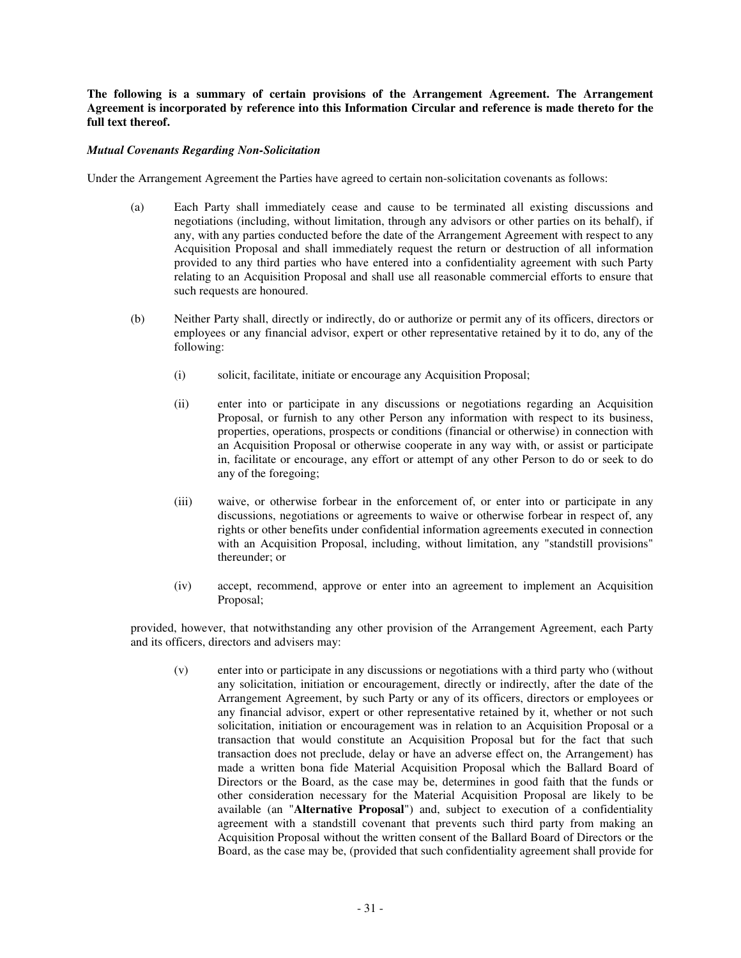**The following is a summary of certain provisions of the Arrangement Agreement. The Arrangement Agreement is incorporated by reference into this Information Circular and reference is made thereto for the full text thereof.**

## *Mutual Covenants Regarding Non-Solicitation*

Under the Arrangement Agreement the Parties have agreed to certain non-solicitation covenants as follows:

- (a) Each Party shall immediately cease and cause to be terminated all existing discussions and negotiations (including, without limitation, through any advisors or other parties on its behalf), if any, with any parties conducted before the date of the Arrangement Agreement with respect to any Acquisition Proposal and shall immediately request the return or destruction of all information provided to any third parties who have entered into a confidentiality agreement with such Party relating to an Acquisition Proposal and shall use all reasonable commercial efforts to ensure that such requests are honoured.
- (b) Neither Party shall, directly or indirectly, do or authorize or permit any of its officers, directors or employees or any financial advisor, expert or other representative retained by it to do, any of the following:
	- (i) solicit, facilitate, initiate or encourage any Acquisition Proposal;
	- (ii) enter into or participate in any discussions or negotiations regarding an Acquisition Proposal, or furnish to any other Person any information with respect to its business, properties, operations, prospects or conditions (financial or otherwise) in connection with an Acquisition Proposal or otherwise cooperate in any way with, or assist or participate in, facilitate or encourage, any effort or attempt of any other Person to do or seek to do any of the foregoing;
	- (iii) waive, or otherwise forbear in the enforcement of, or enter into or participate in any discussions, negotiations or agreements to waive or otherwise forbear in respect of, any rights or other benefits under confidential information agreements executed in connection with an Acquisition Proposal, including, without limitation, any "standstill provisions" thereunder; or
	- (iv) accept, recommend, approve or enter into an agreement to implement an Acquisition Proposal;

provided, however, that notwithstanding any other provision of the Arrangement Agreement, each Party and its officers, directors and advisers may:

(v) enter into or participate in any discussions or negotiations with a third party who (without any solicitation, initiation or encouragement, directly or indirectly, after the date of the Arrangement Agreement, by such Party or any of its officers, directors or employees or any financial advisor, expert or other representative retained by it, whether or not such solicitation, initiation or encouragement was in relation to an Acquisition Proposal or a transaction that would constitute an Acquisition Proposal but for the fact that such transaction does not preclude, delay or have an adverse effect on, the Arrangement) has made a written bona fide Material Acquisition Proposal which the Ballard Board of Directors or the Board, as the case may be, determines in good faith that the funds or other consideration necessary for the Material Acquisition Proposal are likely to be available (an "**Alternative Proposal**") and, subject to execution of a confidentiality agreement with a standstill covenant that prevents such third party from making an Acquisition Proposal without the written consent of the Ballard Board of Directors or the Board, as the case may be, (provided that such confidentiality agreement shall provide for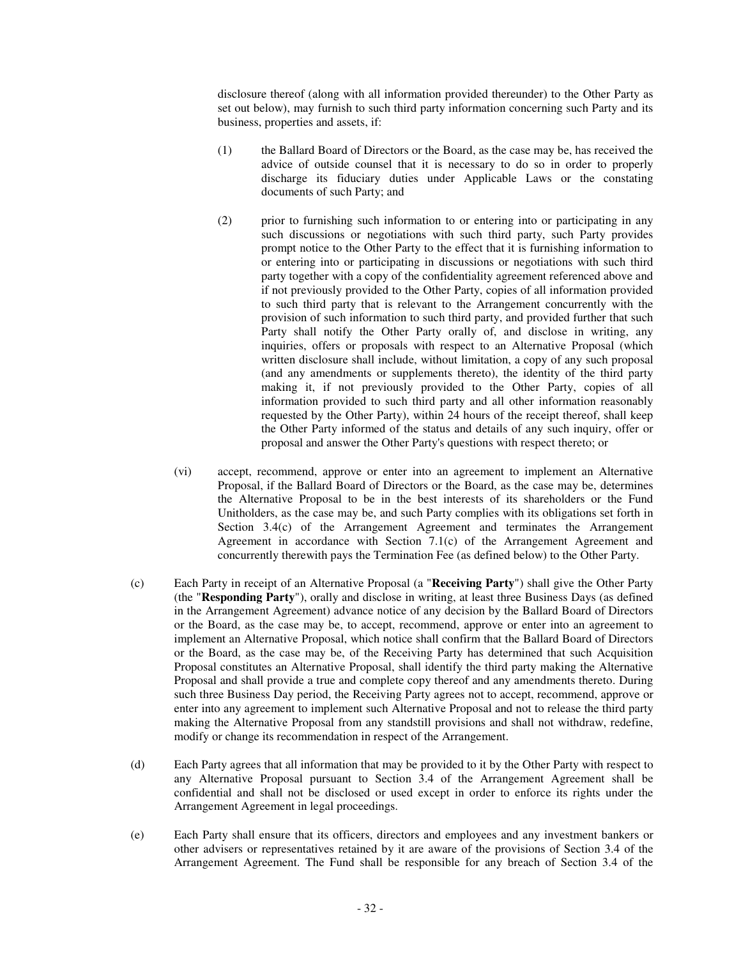disclosure thereof (along with all information provided thereunder) to the Other Party as set out below), may furnish to such third party information concerning such Party and its business, properties and assets, if:

- (1) the Ballard Board of Directors or the Board, as the case may be, has received the advice of outside counsel that it is necessary to do so in order to properly discharge its fiduciary duties under Applicable Laws or the constating documents of such Party; and
- (2) prior to furnishing such information to or entering into or participating in any such discussions or negotiations with such third party, such Party provides prompt notice to the Other Party to the effect that it is furnishing information to or entering into or participating in discussions or negotiations with such third party together with a copy of the confidentiality agreement referenced above and if not previously provided to the Other Party, copies of all information provided to such third party that is relevant to the Arrangement concurrently with the provision of such information to such third party, and provided further that such Party shall notify the Other Party orally of, and disclose in writing, any inquiries, offers or proposals with respect to an Alternative Proposal (which written disclosure shall include, without limitation, a copy of any such proposal (and any amendments or supplements thereto), the identity of the third party making it, if not previously provided to the Other Party, copies of all information provided to such third party and all other information reasonably requested by the Other Party), within 24 hours of the receipt thereof, shall keep the Other Party informed of the status and details of any such inquiry, offer or proposal and answer the Other Party's questions with respect thereto; or
- (vi) accept, recommend, approve or enter into an agreement to implement an Alternative Proposal, if the Ballard Board of Directors or the Board, as the case may be, determines the Alternative Proposal to be in the best interests of its shareholders or the Fund Unitholders, as the case may be, and such Party complies with its obligations set forth in Section 3.4(c) of the Arrangement Agreement and terminates the Arrangement Agreement in accordance with Section 7.1(c) of the Arrangement Agreement and concurrently therewith pays the Termination Fee (as defined below) to the Other Party.
- (c) Each Party in receipt of an Alternative Proposal (a "**Receiving Party**") shall give the Other Party (the "**Responding Party**"), orally and disclose in writing, at least three Business Days (as defined in the Arrangement Agreement) advance notice of any decision by the Ballard Board of Directors or the Board, as the case may be, to accept, recommend, approve or enter into an agreement to implement an Alternative Proposal, which notice shall confirm that the Ballard Board of Directors or the Board, as the case may be, of the Receiving Party has determined that such Acquisition Proposal constitutes an Alternative Proposal, shall identify the third party making the Alternative Proposal and shall provide a true and complete copy thereof and any amendments thereto. During such three Business Day period, the Receiving Party agrees not to accept, recommend, approve or enter into any agreement to implement such Alternative Proposal and not to release the third party making the Alternative Proposal from any standstill provisions and shall not withdraw, redefine, modify or change its recommendation in respect of the Arrangement.
- (d) Each Party agrees that all information that may be provided to it by the Other Party with respect to any Alternative Proposal pursuant to Section 3.4 of the Arrangement Agreement shall be confidential and shall not be disclosed or used except in order to enforce its rights under the Arrangement Agreement in legal proceedings.
- (e) Each Party shall ensure that its officers, directors and employees and any investment bankers or other advisers or representatives retained by it are aware of the provisions of Section 3.4 of the Arrangement Agreement. The Fund shall be responsible for any breach of Section 3.4 of the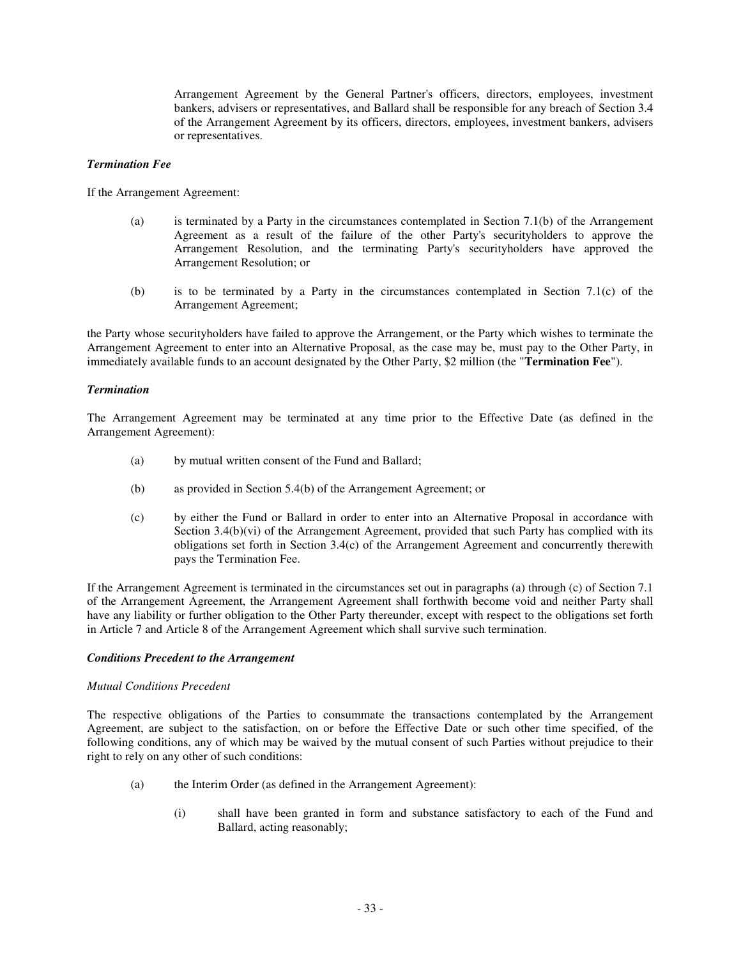Arrangement Agreement by the General Partner's officers, directors, employees, investment bankers, advisers or representatives, and Ballard shall be responsible for any breach of Section 3.4 of the Arrangement Agreement by its officers, directors, employees, investment bankers, advisers or representatives.

#### *Termination Fee*

If the Arrangement Agreement:

- (a) is terminated by a Party in the circumstances contemplated in Section 7.1(b) of the Arrangement Agreement as a result of the failure of the other Party's securityholders to approve the Arrangement Resolution, and the terminating Party's securityholders have approved the Arrangement Resolution; or
- (b) is to be terminated by a Party in the circumstances contemplated in Section 7.1(c) of the Arrangement Agreement;

the Party whose securityholders have failed to approve the Arrangement, or the Party which wishes to terminate the Arrangement Agreement to enter into an Alternative Proposal, as the case may be, must pay to the Other Party, in immediately available funds to an account designated by the Other Party, \$2 million (the "**Termination Fee**").

#### *Termination*

The Arrangement Agreement may be terminated at any time prior to the Effective Date (as defined in the Arrangement Agreement):

- (a) by mutual written consent of the Fund and Ballard;
- (b) as provided in Section 5.4(b) of the Arrangement Agreement; or
- (c) by either the Fund or Ballard in order to enter into an Alternative Proposal in accordance with Section 3.4(b)(vi) of the Arrangement Agreement, provided that such Party has complied with its obligations set forth in Section 3.4(c) of the Arrangement Agreement and concurrently therewith pays the Termination Fee.

If the Arrangement Agreement is terminated in the circumstances set out in paragraphs (a) through (c) of Section 7.1 of the Arrangement Agreement, the Arrangement Agreement shall forthwith become void and neither Party shall have any liability or further obligation to the Other Party thereunder, except with respect to the obligations set forth in Article 7 and Article 8 of the Arrangement Agreement which shall survive such termination.

## *Conditions Precedent to the Arrangement*

#### *Mutual Conditions Precedent*

The respective obligations of the Parties to consummate the transactions contemplated by the Arrangement Agreement, are subject to the satisfaction, on or before the Effective Date or such other time specified, of the following conditions, any of which may be waived by the mutual consent of such Parties without prejudice to their right to rely on any other of such conditions:

- (a) the Interim Order (as defined in the Arrangement Agreement):
	- (i) shall have been granted in form and substance satisfactory to each of the Fund and Ballard, acting reasonably;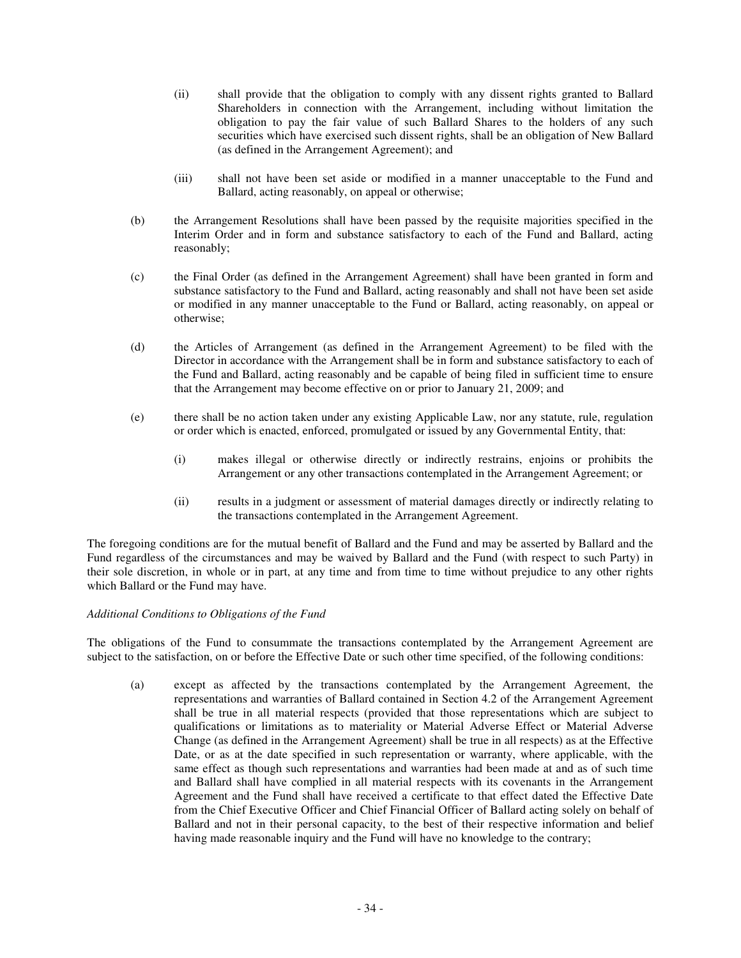- (ii) shall provide that the obligation to comply with any dissent rights granted to Ballard Shareholders in connection with the Arrangement, including without limitation the obligation to pay the fair value of such Ballard Shares to the holders of any such securities which have exercised such dissent rights, shall be an obligation of New Ballard (as defined in the Arrangement Agreement); and
- (iii) shall not have been set aside or modified in a manner unacceptable to the Fund and Ballard, acting reasonably, on appeal or otherwise;
- (b) the Arrangement Resolutions shall have been passed by the requisite majorities specified in the Interim Order and in form and substance satisfactory to each of the Fund and Ballard, acting reasonably;
- (c) the Final Order (as defined in the Arrangement Agreement) shall have been granted in form and substance satisfactory to the Fund and Ballard, acting reasonably and shall not have been set aside or modified in any manner unacceptable to the Fund or Ballard, acting reasonably, on appeal or otherwise;
- (d) the Articles of Arrangement (as defined in the Arrangement Agreement) to be filed with the Director in accordance with the Arrangement shall be in form and substance satisfactory to each of the Fund and Ballard, acting reasonably and be capable of being filed in sufficient time to ensure that the Arrangement may become effective on or prior to January 21, 2009; and
- (e) there shall be no action taken under any existing Applicable Law, nor any statute, rule, regulation or order which is enacted, enforced, promulgated or issued by any Governmental Entity, that:
	- (i) makes illegal or otherwise directly or indirectly restrains, enjoins or prohibits the Arrangement or any other transactions contemplated in the Arrangement Agreement; or
	- (ii) results in a judgment or assessment of material damages directly or indirectly relating to the transactions contemplated in the Arrangement Agreement.

The foregoing conditions are for the mutual benefit of Ballard and the Fund and may be asserted by Ballard and the Fund regardless of the circumstances and may be waived by Ballard and the Fund (with respect to such Party) in their sole discretion, in whole or in part, at any time and from time to time without prejudice to any other rights which Ballard or the Fund may have.

# *Additional Conditions to Obligations of the Fund*

The obligations of the Fund to consummate the transactions contemplated by the Arrangement Agreement are subject to the satisfaction, on or before the Effective Date or such other time specified, of the following conditions:

(a) except as affected by the transactions contemplated by the Arrangement Agreement, the representations and warranties of Ballard contained in Section 4.2 of the Arrangement Agreement shall be true in all material respects (provided that those representations which are subject to qualifications or limitations as to materiality or Material Adverse Effect or Material Adverse Change (as defined in the Arrangement Agreement) shall be true in all respects) as at the Effective Date, or as at the date specified in such representation or warranty, where applicable, with the same effect as though such representations and warranties had been made at and as of such time and Ballard shall have complied in all material respects with its covenants in the Arrangement Agreement and the Fund shall have received a certificate to that effect dated the Effective Date from the Chief Executive Officer and Chief Financial Officer of Ballard acting solely on behalf of Ballard and not in their personal capacity, to the best of their respective information and belief having made reasonable inquiry and the Fund will have no knowledge to the contrary;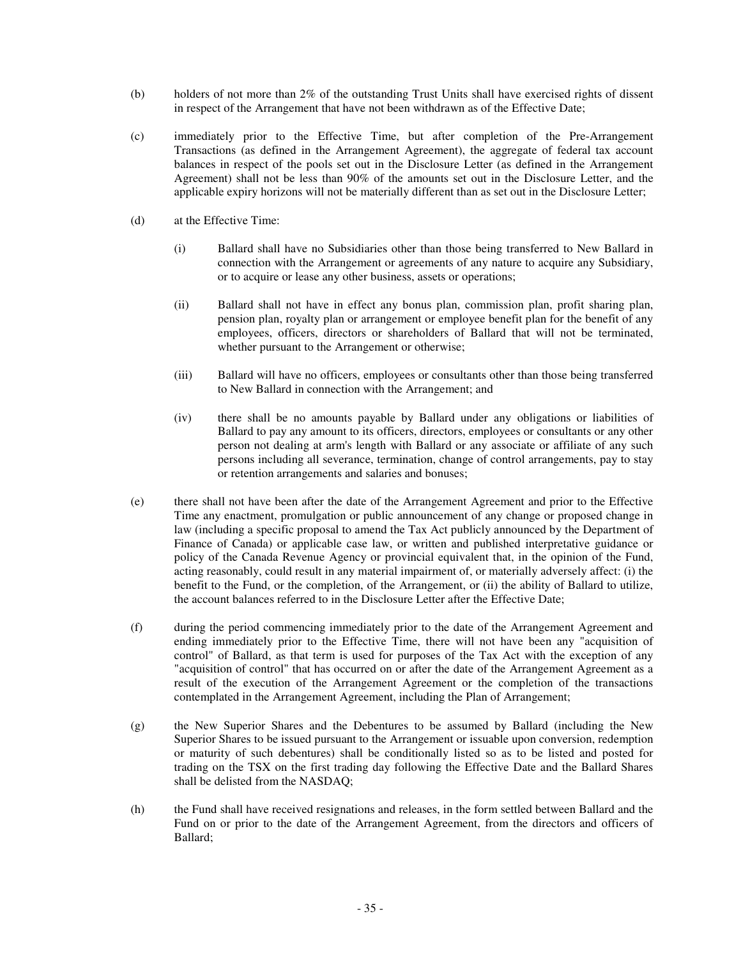- (b) holders of not more than 2% of the outstanding Trust Units shall have exercised rights of dissent in respect of the Arrangement that have not been withdrawn as of the Effective Date;
- (c) immediately prior to the Effective Time, but after completion of the Pre-Arrangement Transactions (as defined in the Arrangement Agreement), the aggregate of federal tax account balances in respect of the pools set out in the Disclosure Letter (as defined in the Arrangement Agreement) shall not be less than 90% of the amounts set out in the Disclosure Letter, and the applicable expiry horizons will not be materially different than as set out in the Disclosure Letter;
- (d) at the Effective Time:
	- (i) Ballard shall have no Subsidiaries other than those being transferred to New Ballard in connection with the Arrangement or agreements of any nature to acquire any Subsidiary, or to acquire or lease any other business, assets or operations;
	- (ii) Ballard shall not have in effect any bonus plan, commission plan, profit sharing plan, pension plan, royalty plan or arrangement or employee benefit plan for the benefit of any employees, officers, directors or shareholders of Ballard that will not be terminated, whether pursuant to the Arrangement or otherwise;
	- (iii) Ballard will have no officers, employees or consultants other than those being transferred to New Ballard in connection with the Arrangement; and
	- (iv) there shall be no amounts payable by Ballard under any obligations or liabilities of Ballard to pay any amount to its officers, directors, employees or consultants or any other person not dealing at arm's length with Ballard or any associate or affiliate of any such persons including all severance, termination, change of control arrangements, pay to stay or retention arrangements and salaries and bonuses;
- (e) there shall not have been after the date of the Arrangement Agreement and prior to the Effective Time any enactment, promulgation or public announcement of any change or proposed change in law (including a specific proposal to amend the Tax Act publicly announced by the Department of Finance of Canada) or applicable case law, or written and published interpretative guidance or policy of the Canada Revenue Agency or provincial equivalent that, in the opinion of the Fund, acting reasonably, could result in any material impairment of, or materially adversely affect: (i) the benefit to the Fund, or the completion, of the Arrangement, or (ii) the ability of Ballard to utilize, the account balances referred to in the Disclosure Letter after the Effective Date;
- (f) during the period commencing immediately prior to the date of the Arrangement Agreement and ending immediately prior to the Effective Time, there will not have been any "acquisition of control" of Ballard, as that term is used for purposes of the Tax Act with the exception of any "acquisition of control" that has occurred on or after the date of the Arrangement Agreement as a result of the execution of the Arrangement Agreement or the completion of the transactions contemplated in the Arrangement Agreement, including the Plan of Arrangement;
- (g) the New Superior Shares and the Debentures to be assumed by Ballard (including the New Superior Shares to be issued pursuant to the Arrangement or issuable upon conversion, redemption or maturity of such debentures) shall be conditionally listed so as to be listed and posted for trading on the TSX on the first trading day following the Effective Date and the Ballard Shares shall be delisted from the NASDAQ;
- (h) the Fund shall have received resignations and releases, in the form settled between Ballard and the Fund on or prior to the date of the Arrangement Agreement, from the directors and officers of Ballard;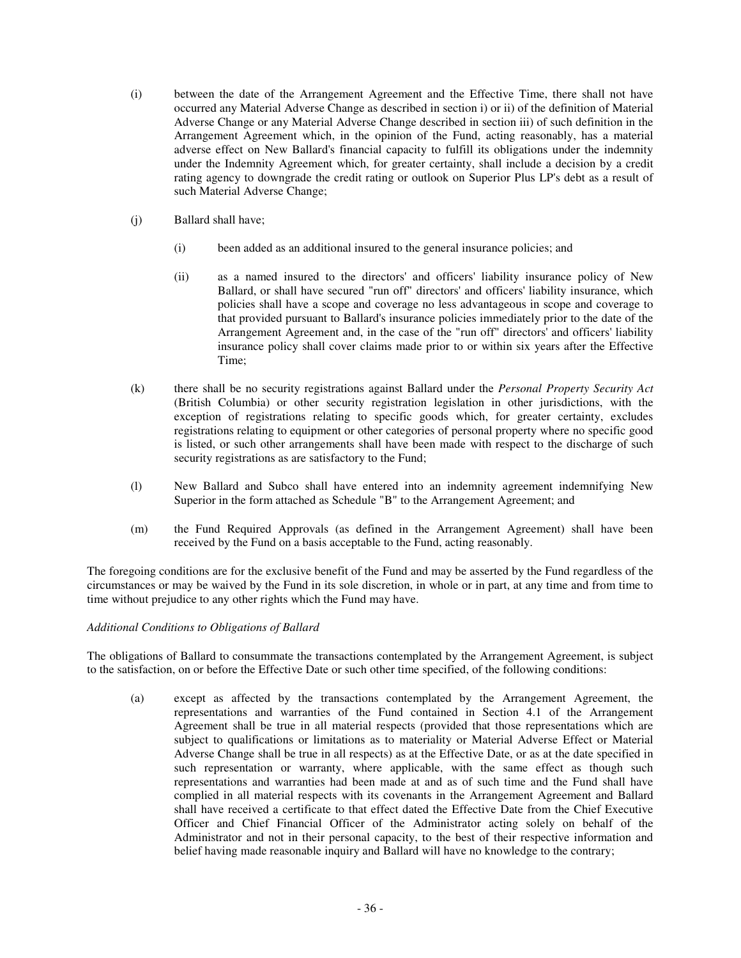- (i) between the date of the Arrangement Agreement and the Effective Time, there shall not have occurred any Material Adverse Change as described in section i) or ii) of the definition of Material Adverse Change or any Material Adverse Change described in section iii) of such definition in the Arrangement Agreement which, in the opinion of the Fund, acting reasonably, has a material adverse effect on New Ballard's financial capacity to fulfill its obligations under the indemnity under the Indemnity Agreement which, for greater certainty, shall include a decision by a credit rating agency to downgrade the credit rating or outlook on Superior Plus LP's debt as a result of such Material Adverse Change;
- (j) Ballard shall have;
	- (i) been added as an additional insured to the general insurance policies; and
	- (ii) as a named insured to the directors' and officers' liability insurance policy of New Ballard, or shall have secured "run off" directors' and officers' liability insurance, which policies shall have a scope and coverage no less advantageous in scope and coverage to that provided pursuant to Ballard's insurance policies immediately prior to the date of the Arrangement Agreement and, in the case of the "run off" directors' and officers' liability insurance policy shall cover claims made prior to or within six years after the Effective Time;
- (k) there shall be no security registrations against Ballard under the *Personal Property Security Act* (British Columbia) or other security registration legislation in other jurisdictions, with the exception of registrations relating to specific goods which, for greater certainty, excludes registrations relating to equipment or other categories of personal property where no specific good is listed, or such other arrangements shall have been made with respect to the discharge of such security registrations as are satisfactory to the Fund;
- (l) New Ballard and Subco shall have entered into an indemnity agreement indemnifying New Superior in the form attached as Schedule "B" to the Arrangement Agreement; and
- (m) the Fund Required Approvals (as defined in the Arrangement Agreement) shall have been received by the Fund on a basis acceptable to the Fund, acting reasonably.

The foregoing conditions are for the exclusive benefit of the Fund and may be asserted by the Fund regardless of the circumstances or may be waived by the Fund in its sole discretion, in whole or in part, at any time and from time to time without prejudice to any other rights which the Fund may have.

# *Additional Conditions to Obligations of Ballard*

The obligations of Ballard to consummate the transactions contemplated by the Arrangement Agreement, is subject to the satisfaction, on or before the Effective Date or such other time specified, of the following conditions:

(a) except as affected by the transactions contemplated by the Arrangement Agreement, the representations and warranties of the Fund contained in Section 4.1 of the Arrangement Agreement shall be true in all material respects (provided that those representations which are subject to qualifications or limitations as to materiality or Material Adverse Effect or Material Adverse Change shall be true in all respects) as at the Effective Date, or as at the date specified in such representation or warranty, where applicable, with the same effect as though such representations and warranties had been made at and as of such time and the Fund shall have complied in all material respects with its covenants in the Arrangement Agreement and Ballard shall have received a certificate to that effect dated the Effective Date from the Chief Executive Officer and Chief Financial Officer of the Administrator acting solely on behalf of the Administrator and not in their personal capacity, to the best of their respective information and belief having made reasonable inquiry and Ballard will have no knowledge to the contrary;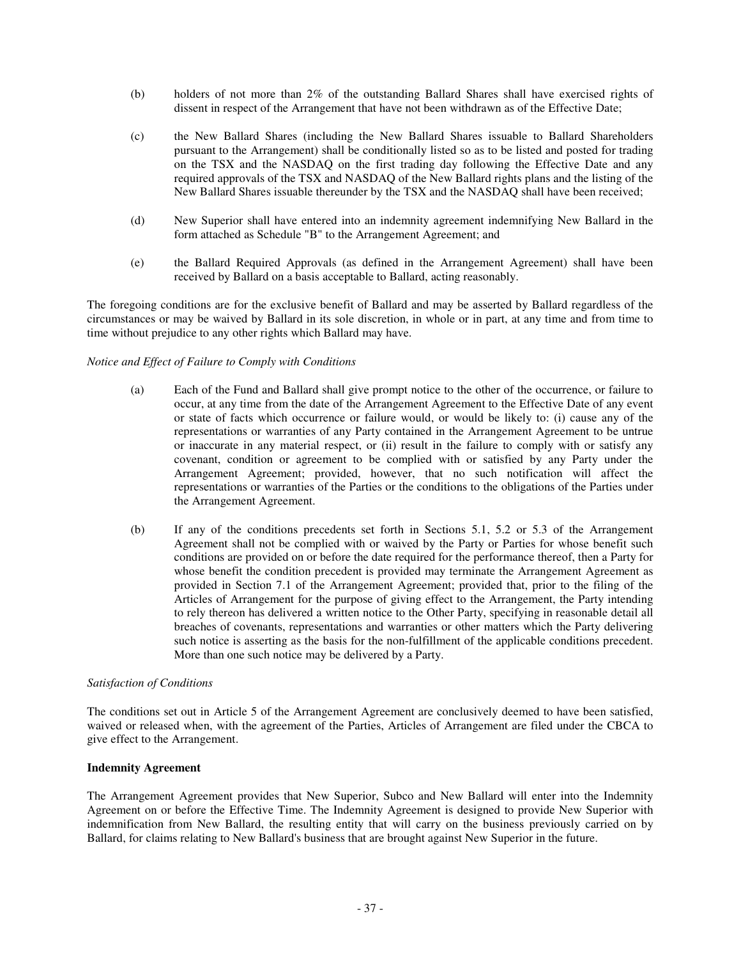- (b) holders of not more than 2% of the outstanding Ballard Shares shall have exercised rights of dissent in respect of the Arrangement that have not been withdrawn as of the Effective Date;
- (c) the New Ballard Shares (including the New Ballard Shares issuable to Ballard Shareholders pursuant to the Arrangement) shall be conditionally listed so as to be listed and posted for trading on the TSX and the NASDAQ on the first trading day following the Effective Date and any required approvals of the TSX and NASDAQ of the New Ballard rights plans and the listing of the New Ballard Shares issuable thereunder by the TSX and the NASDAQ shall have been received;
- (d) New Superior shall have entered into an indemnity agreement indemnifying New Ballard in the form attached as Schedule "B" to the Arrangement Agreement; and
- (e) the Ballard Required Approvals (as defined in the Arrangement Agreement) shall have been received by Ballard on a basis acceptable to Ballard, acting reasonably.

The foregoing conditions are for the exclusive benefit of Ballard and may be asserted by Ballard regardless of the circumstances or may be waived by Ballard in its sole discretion, in whole or in part, at any time and from time to time without prejudice to any other rights which Ballard may have.

#### *Notice and Effect of Failure to Comply with Conditions*

- (a) Each of the Fund and Ballard shall give prompt notice to the other of the occurrence, or failure to occur, at any time from the date of the Arrangement Agreement to the Effective Date of any event or state of facts which occurrence or failure would, or would be likely to: (i) cause any of the representations or warranties of any Party contained in the Arrangement Agreement to be untrue or inaccurate in any material respect, or (ii) result in the failure to comply with or satisfy any covenant, condition or agreement to be complied with or satisfied by any Party under the Arrangement Agreement; provided, however, that no such notification will affect the representations or warranties of the Parties or the conditions to the obligations of the Parties under the Arrangement Agreement.
- (b) If any of the conditions precedents set forth in Sections 5.1, 5.2 or 5.3 of the Arrangement Agreement shall not be complied with or waived by the Party or Parties for whose benefit such conditions are provided on or before the date required for the performance thereof, then a Party for whose benefit the condition precedent is provided may terminate the Arrangement Agreement as provided in Section 7.1 of the Arrangement Agreement; provided that, prior to the filing of the Articles of Arrangement for the purpose of giving effect to the Arrangement, the Party intending to rely thereon has delivered a written notice to the Other Party, specifying in reasonable detail all breaches of covenants, representations and warranties or other matters which the Party delivering such notice is asserting as the basis for the non-fulfillment of the applicable conditions precedent. More than one such notice may be delivered by a Party.

#### *Satisfaction of Conditions*

The conditions set out in Article 5 of the Arrangement Agreement are conclusively deemed to have been satisfied, waived or released when, with the agreement of the Parties, Articles of Arrangement are filed under the CBCA to give effect to the Arrangement.

#### **Indemnity Agreement**

The Arrangement Agreement provides that New Superior, Subco and New Ballard will enter into the Indemnity Agreement on or before the Effective Time. The Indemnity Agreement is designed to provide New Superior with indemnification from New Ballard, the resulting entity that will carry on the business previously carried on by Ballard, for claims relating to New Ballard's business that are brought against New Superior in the future.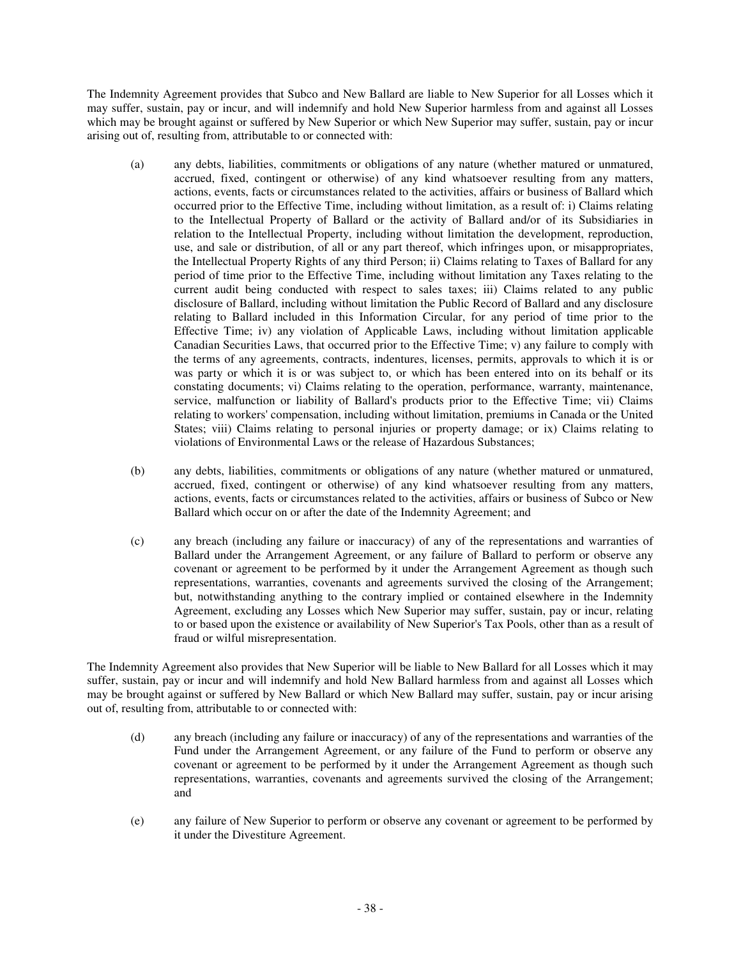The Indemnity Agreement provides that Subco and New Ballard are liable to New Superior for all Losses which it may suffer, sustain, pay or incur, and will indemnify and hold New Superior harmless from and against all Losses which may be brought against or suffered by New Superior or which New Superior may suffer, sustain, pay or incur arising out of, resulting from, attributable to or connected with:

- (a) any debts, liabilities, commitments or obligations of any nature (whether matured or unmatured, accrued, fixed, contingent or otherwise) of any kind whatsoever resulting from any matters, actions, events, facts or circumstances related to the activities, affairs or business of Ballard which occurred prior to the Effective Time, including without limitation, as a result of: i) Claims relating to the Intellectual Property of Ballard or the activity of Ballard and/or of its Subsidiaries in relation to the Intellectual Property, including without limitation the development, reproduction, use, and sale or distribution, of all or any part thereof, which infringes upon, or misappropriates, the Intellectual Property Rights of any third Person; ii) Claims relating to Taxes of Ballard for any period of time prior to the Effective Time, including without limitation any Taxes relating to the current audit being conducted with respect to sales taxes; iii) Claims related to any public disclosure of Ballard, including without limitation the Public Record of Ballard and any disclosure relating to Ballard included in this Information Circular, for any period of time prior to the Effective Time; iv) any violation of Applicable Laws, including without limitation applicable Canadian Securities Laws, that occurred prior to the Effective Time; v) any failure to comply with the terms of any agreements, contracts, indentures, licenses, permits, approvals to which it is or was party or which it is or was subject to, or which has been entered into on its behalf or its constating documents; vi) Claims relating to the operation, performance, warranty, maintenance, service, malfunction or liability of Ballard's products prior to the Effective Time; vii) Claims relating to workers' compensation, including without limitation, premiums in Canada or the United States; viii) Claims relating to personal injuries or property damage; or ix) Claims relating to violations of Environmental Laws or the release of Hazardous Substances;
- (b) any debts, liabilities, commitments or obligations of any nature (whether matured or unmatured, accrued, fixed, contingent or otherwise) of any kind whatsoever resulting from any matters, actions, events, facts or circumstances related to the activities, affairs or business of Subco or New Ballard which occur on or after the date of the Indemnity Agreement; and
- (c) any breach (including any failure or inaccuracy) of any of the representations and warranties of Ballard under the Arrangement Agreement, or any failure of Ballard to perform or observe any covenant or agreement to be performed by it under the Arrangement Agreement as though such representations, warranties, covenants and agreements survived the closing of the Arrangement; but, notwithstanding anything to the contrary implied or contained elsewhere in the Indemnity Agreement, excluding any Losses which New Superior may suffer, sustain, pay or incur, relating to or based upon the existence or availability of New Superior's Tax Pools, other than as a result of fraud or wilful misrepresentation.

The Indemnity Agreement also provides that New Superior will be liable to New Ballard for all Losses which it may suffer, sustain, pay or incur and will indemnify and hold New Ballard harmless from and against all Losses which may be brought against or suffered by New Ballard or which New Ballard may suffer, sustain, pay or incur arising out of, resulting from, attributable to or connected with:

- (d) any breach (including any failure or inaccuracy) of any of the representations and warranties of the Fund under the Arrangement Agreement, or any failure of the Fund to perform or observe any covenant or agreement to be performed by it under the Arrangement Agreement as though such representations, warranties, covenants and agreements survived the closing of the Arrangement; and
- (e) any failure of New Superior to perform or observe any covenant or agreement to be performed by it under the Divestiture Agreement.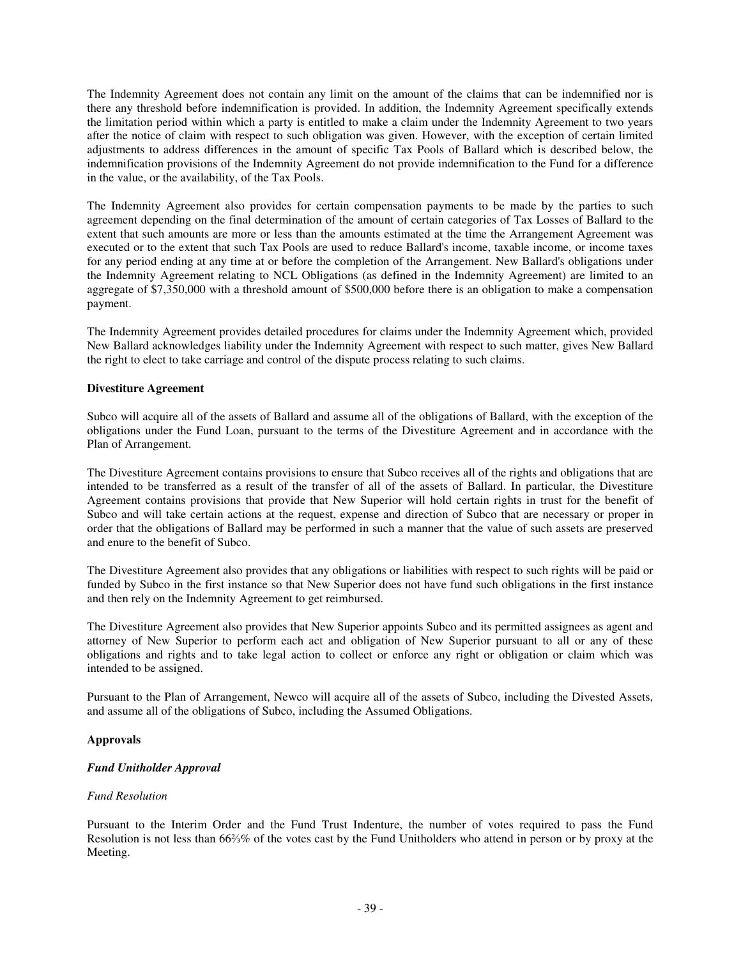The Indemnity Agreement does not contain any limit on the amount of the claims that can be indemnified nor is there any threshold before indemnification is provided. In addition, the Indemnity Agreement specifically extends the limitation period within which a party is entitled to make a claim under the Indemnity Agreement to two years after the notice of claim with respect to such obligation was given. However, with the exception of certain limited adjustments to address differences in the amount of specific Tax Pools of Ballard which is described below, the indemnification provisions of the Indemnity Agreement do not provide indemnification to the Fund for a difference in the value, or the availability, of the Tax Pools.

The Indemnity Agreement also provides for certain compensation payments to be made by the parties to such agreement depending on the final determination of the amount of certain categories of Tax Losses of Ballard to the extent that such amounts are more or less than the amounts estimated at the time the Arrangement Agreement was executed or to the extent that such Tax Pools are used to reduce Ballard's income, taxable income, or income taxes for any period ending at any time at or before the completion of the Arrangement. New Ballard's obligations under the Indemnity Agreement relating to NCL Obligations (as defined in the Indemnity Agreement) are limited to an aggregate of \$7,350,000 with a threshold amount of \$500,000 before there is an obligation to make a compensation payment.

The Indemnity Agreement provides detailed procedures for claims under the Indemnity Agreement which, provided New Ballard acknowledges liability under the Indemnity Agreement with respect to such matter, gives New Ballard the right to elect to take carriage and control of the dispute process relating to such claims.

## **Divestiture Agreement**

Subco will acquire all of the assets of Ballard and assume all of the obligations of Ballard, with the exception of the obligations under the Fund Loan, pursuant to the terms of the Divestiture Agreement and in accordance with the Plan of Arrangement.

The Divestiture Agreement contains provisions to ensure that Subco receives all of the rights and obligations that are intended to be transferred as a result of the transfer of all of the assets of Ballard. In particular, the Divestiture Agreement contains provisions that provide that New Superior will hold certain rights in trust for the benefit of Subco and will take certain actions at the request, expense and direction of Subco that are necessary or proper in order that the obligations of Ballard may be performed in such a manner that the value of such assets are preserved and enure to the benefit of Subco.

The Divestiture Agreement also provides that any obligations or liabilities with respect to such rights will be paid or funded by Subco in the first instance so that New Superior does not have fund such obligations in the first instance and then rely on the Indemnity Agreement to get reimbursed.

The Divestiture Agreement also provides that New Superior appoints Subco and its permitted assignees as agent and attorney of New Superior to perform each act and obligation of New Superior pursuant to all or any of these obligations and rights and to take legal action to collect or enforce any right or obligation or claim which was intended to be assigned.

Pursuant to the Plan of Arrangement, Newco will acquire all of the assets of Subco, including the Divested Assets, and assume all of the obligations of Subco, including the Assumed Obligations.

# **Approvals**

# *Fund Unitholder Approval*

#### *Fund Resolution*

Pursuant to the Interim Order and the Fund Trust Indenture, the number of votes required to pass the Fund Resolution is not less than 66% of the votes cast by the Fund Unitholders who attend in person or by proxy at the Meeting.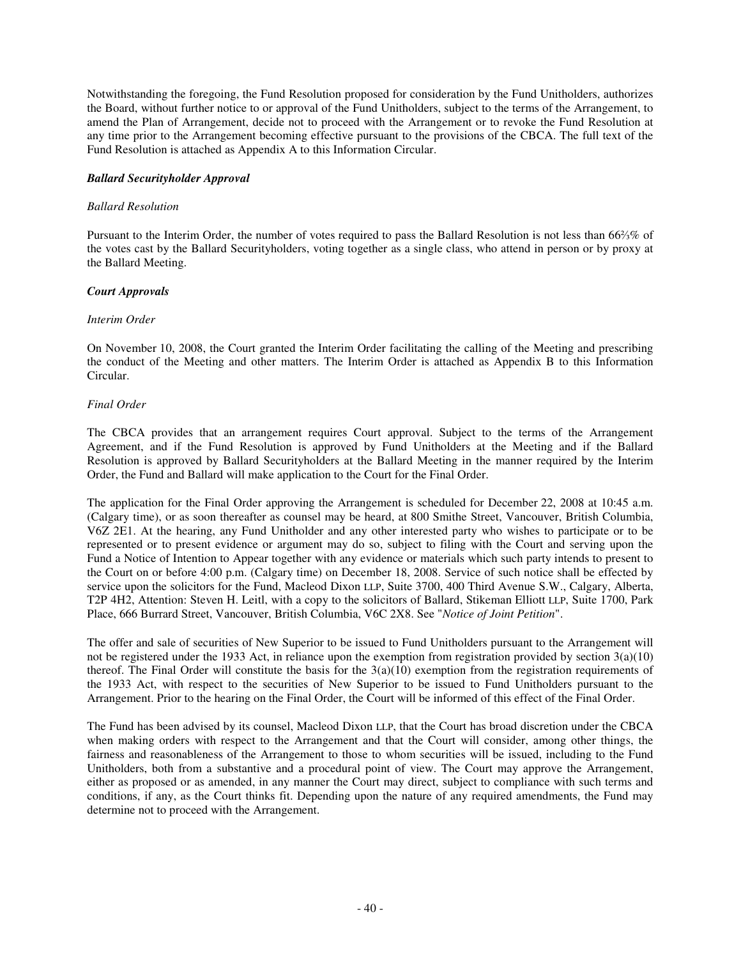Notwithstanding the foregoing, the Fund Resolution proposed for consideration by the Fund Unitholders, authorizes the Board, without further notice to or approval of the Fund Unitholders, subject to the terms of the Arrangement, to amend the Plan of Arrangement, decide not to proceed with the Arrangement or to revoke the Fund Resolution at any time prior to the Arrangement becoming effective pursuant to the provisions of the CBCA. The full text of the Fund Resolution is attached as Appendix A to this Information Circular.

## *Ballard Securityholder Approval*

## *Ballard Resolution*

Pursuant to the Interim Order, the number of votes required to pass the Ballard Resolution is not less than 66% % of the votes cast by the Ballard Securityholders, voting together as a single class, who attend in person or by proxy at the Ballard Meeting.

# *Court Approvals*

## *Interim Order*

On November 10, 2008, the Court granted the Interim Order facilitating the calling of the Meeting and prescribing the conduct of the Meeting and other matters. The Interim Order is attached as Appendix B to this Information Circular.

## *Final Order*

The CBCA provides that an arrangement requires Court approval. Subject to the terms of the Arrangement Agreement, and if the Fund Resolution is approved by Fund Unitholders at the Meeting and if the Ballard Resolution is approved by Ballard Securityholders at the Ballard Meeting in the manner required by the Interim Order, the Fund and Ballard will make application to the Court for the Final Order.

The application for the Final Order approving the Arrangement is scheduled for December 22, 2008 at 10:45 a.m. (Calgary time), or as soon thereafter as counsel may be heard, at 800 Smithe Street, Vancouver, British Columbia, V6Z 2E1. At the hearing, any Fund Unitholder and any other interested party who wishes to participate or to be represented or to present evidence or argument may do so, subject to filing with the Court and serving upon the Fund a Notice of Intention to Appear together with any evidence or materials which such party intends to present to the Court on or before 4:00 p.m. (Calgary time) on December 18, 2008. Service of such notice shall be effected by service upon the solicitors for the Fund, Macleod Dixon LLP, Suite 3700, 400 Third Avenue S.W., Calgary, Alberta, T2P 4H2, Attention: Steven H. Leitl, with a copy to the solicitors of Ballard, Stikeman Elliott LLP, Suite 1700, Park Place, 666 Burrard Street, Vancouver, British Columbia, V6C 2X8. See "*Notice of Joint Petition*".

The offer and sale of securities of New Superior to be issued to Fund Unitholders pursuant to the Arrangement will not be registered under the 1933 Act, in reliance upon the exemption from registration provided by section 3(a)(10) thereof. The Final Order will constitute the basis for the  $3(a)(10)$  exemption from the registration requirements of the 1933 Act, with respect to the securities of New Superior to be issued to Fund Unitholders pursuant to the Arrangement. Prior to the hearing on the Final Order, the Court will be informed of this effect of the Final Order.

The Fund has been advised by its counsel, Macleod Dixon LLP, that the Court has broad discretion under the CBCA when making orders with respect to the Arrangement and that the Court will consider, among other things, the fairness and reasonableness of the Arrangement to those to whom securities will be issued, including to the Fund Unitholders, both from a substantive and a procedural point of view. The Court may approve the Arrangement, either as proposed or as amended, in any manner the Court may direct, subject to compliance with such terms and conditions, if any, as the Court thinks fit. Depending upon the nature of any required amendments, the Fund may determine not to proceed with the Arrangement.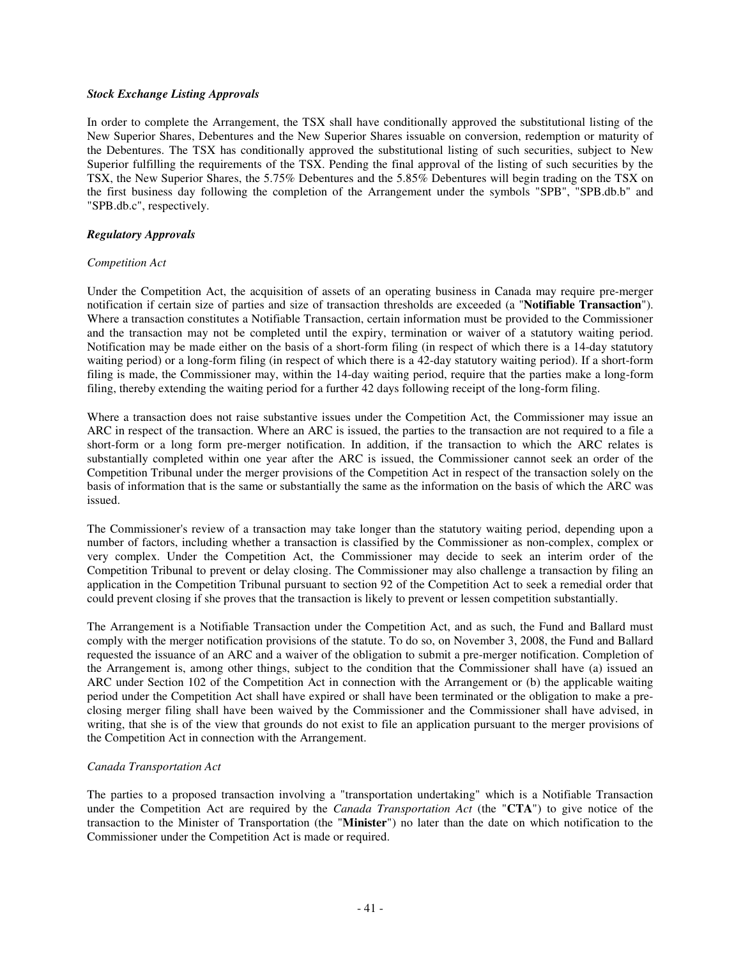#### *Stock Exchange Listing Approvals*

In order to complete the Arrangement, the TSX shall have conditionally approved the substitutional listing of the New Superior Shares, Debentures and the New Superior Shares issuable on conversion, redemption or maturity of the Debentures. The TSX has conditionally approved the substitutional listing of such securities, subject to New Superior fulfilling the requirements of the TSX. Pending the final approval of the listing of such securities by the TSX, the New Superior Shares, the 5.75% Debentures and the 5.85% Debentures will begin trading on the TSX on the first business day following the completion of the Arrangement under the symbols "SPB", "SPB.db.b" and "SPB.db.c", respectively.

## *Regulatory Approvals*

## *Competition Act*

Under the Competition Act, the acquisition of assets of an operating business in Canada may require pre-merger notification if certain size of parties and size of transaction thresholds are exceeded (a "**Notifiable Transaction**"). Where a transaction constitutes a Notifiable Transaction, certain information must be provided to the Commissioner and the transaction may not be completed until the expiry, termination or waiver of a statutory waiting period. Notification may be made either on the basis of a short-form filing (in respect of which there is a 14-day statutory waiting period) or a long-form filing (in respect of which there is a 42-day statutory waiting period). If a short-form filing is made, the Commissioner may, within the 14-day waiting period, require that the parties make a long-form filing, thereby extending the waiting period for a further 42 days following receipt of the long-form filing.

Where a transaction does not raise substantive issues under the Competition Act, the Commissioner may issue an ARC in respect of the transaction. Where an ARC is issued, the parties to the transaction are not required to a file a short-form or a long form pre-merger notification. In addition, if the transaction to which the ARC relates is substantially completed within one year after the ARC is issued, the Commissioner cannot seek an order of the Competition Tribunal under the merger provisions of the Competition Act in respect of the transaction solely on the basis of information that is the same or substantially the same as the information on the basis of which the ARC was issued.

The Commissioner's review of a transaction may take longer than the statutory waiting period, depending upon a number of factors, including whether a transaction is classified by the Commissioner as non-complex, complex or very complex. Under the Competition Act, the Commissioner may decide to seek an interim order of the Competition Tribunal to prevent or delay closing. The Commissioner may also challenge a transaction by filing an application in the Competition Tribunal pursuant to section 92 of the Competition Act to seek a remedial order that could prevent closing if she proves that the transaction is likely to prevent or lessen competition substantially.

The Arrangement is a Notifiable Transaction under the Competition Act, and as such, the Fund and Ballard must comply with the merger notification provisions of the statute. To do so, on November 3, 2008, the Fund and Ballard requested the issuance of an ARC and a waiver of the obligation to submit a pre-merger notification. Completion of the Arrangement is, among other things, subject to the condition that the Commissioner shall have (a) issued an ARC under Section 102 of the Competition Act in connection with the Arrangement or (b) the applicable waiting period under the Competition Act shall have expired or shall have been terminated or the obligation to make a preclosing merger filing shall have been waived by the Commissioner and the Commissioner shall have advised, in writing, that she is of the view that grounds do not exist to file an application pursuant to the merger provisions of the Competition Act in connection with the Arrangement.

#### *Canada Transportation Act*

The parties to a proposed transaction involving a "transportation undertaking" which is a Notifiable Transaction under the Competition Act are required by the *Canada Transportation Act* (the "**CTA**") to give notice of the transaction to the Minister of Transportation (the "**Minister**") no later than the date on which notification to the Commissioner under the Competition Act is made or required.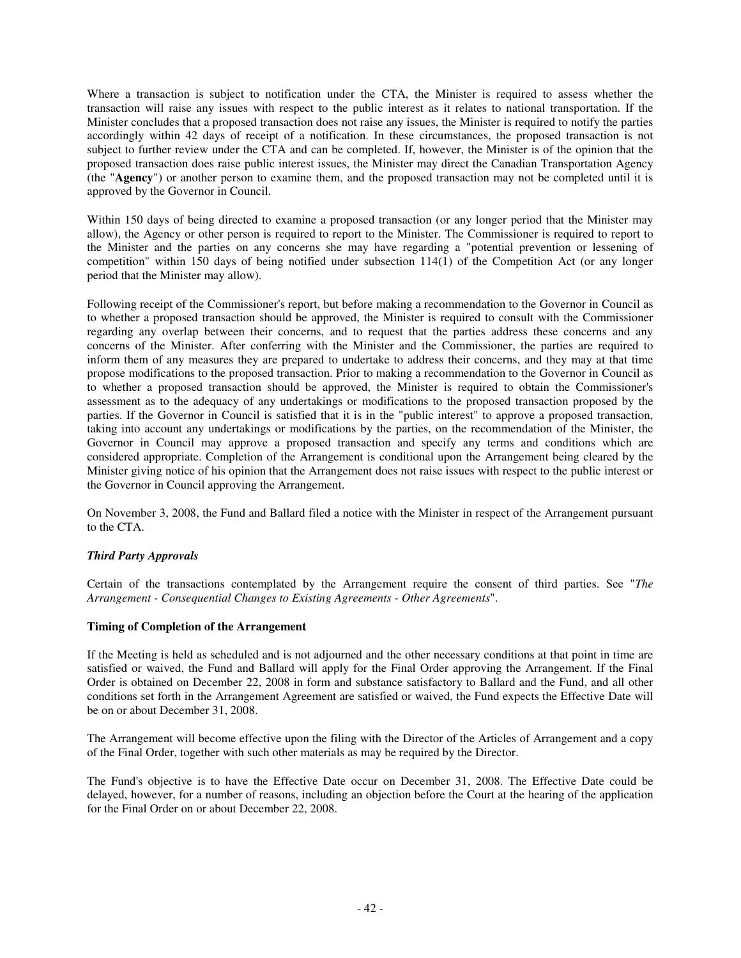Where a transaction is subject to notification under the CTA, the Minister is required to assess whether the transaction will raise any issues with respect to the public interest as it relates to national transportation. If the Minister concludes that a proposed transaction does not raise any issues, the Minister is required to notify the parties accordingly within 42 days of receipt of a notification. In these circumstances, the proposed transaction is not subject to further review under the CTA and can be completed. If, however, the Minister is of the opinion that the proposed transaction does raise public interest issues, the Minister may direct the Canadian Transportation Agency (the "**Agency**") or another person to examine them, and the proposed transaction may not be completed until it is approved by the Governor in Council.

Within 150 days of being directed to examine a proposed transaction (or any longer period that the Minister may allow), the Agency or other person is required to report to the Minister. The Commissioner is required to report to the Minister and the parties on any concerns she may have regarding a "potential prevention or lessening of competition" within 150 days of being notified under subsection 114(1) of the Competition Act (or any longer period that the Minister may allow).

Following receipt of the Commissioner's report, but before making a recommendation to the Governor in Council as to whether a proposed transaction should be approved, the Minister is required to consult with the Commissioner regarding any overlap between their concerns, and to request that the parties address these concerns and any concerns of the Minister. After conferring with the Minister and the Commissioner, the parties are required to inform them of any measures they are prepared to undertake to address their concerns, and they may at that time propose modifications to the proposed transaction. Prior to making a recommendation to the Governor in Council as to whether a proposed transaction should be approved, the Minister is required to obtain the Commissioner's assessment as to the adequacy of any undertakings or modifications to the proposed transaction proposed by the parties. If the Governor in Council is satisfied that it is in the "public interest" to approve a proposed transaction, taking into account any undertakings or modifications by the parties, on the recommendation of the Minister, the Governor in Council may approve a proposed transaction and specify any terms and conditions which are considered appropriate. Completion of the Arrangement is conditional upon the Arrangement being cleared by the Minister giving notice of his opinion that the Arrangement does not raise issues with respect to the public interest or the Governor in Council approving the Arrangement.

On November 3, 2008, the Fund and Ballard filed a notice with the Minister in respect of the Arrangement pursuant to the CTA.

# *Third Party Approvals*

Certain of the transactions contemplated by the Arrangement require the consent of third parties. See "*The Arrangement - Consequential Changes to Existing Agreements - Other Agreements*".

# **Timing of Completion of the Arrangement**

If the Meeting is held as scheduled and is not adjourned and the other necessary conditions at that point in time are satisfied or waived, the Fund and Ballard will apply for the Final Order approving the Arrangement. If the Final Order is obtained on December 22, 2008 in form and substance satisfactory to Ballard and the Fund, and all other conditions set forth in the Arrangement Agreement are satisfied or waived, the Fund expects the Effective Date will be on or about December 31, 2008.

The Arrangement will become effective upon the filing with the Director of the Articles of Arrangement and a copy of the Final Order, together with such other materials as may be required by the Director.

The Fund's objective is to have the Effective Date occur on December 31, 2008. The Effective Date could be delayed, however, for a number of reasons, including an objection before the Court at the hearing of the application for the Final Order on or about December 22, 2008.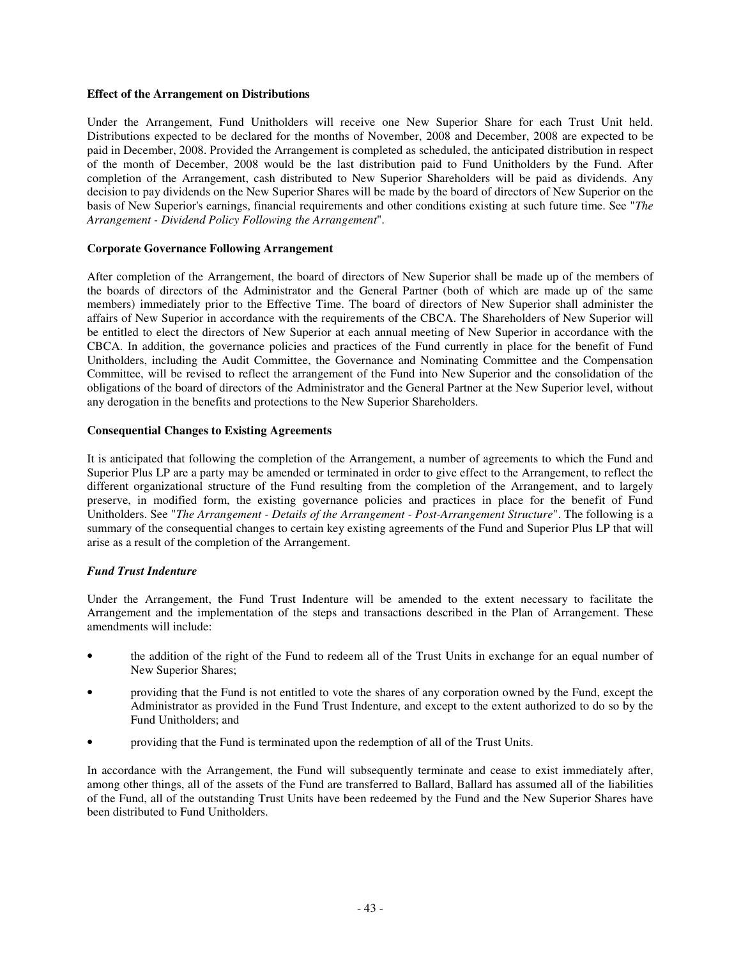#### **Effect of the Arrangement on Distributions**

Under the Arrangement, Fund Unitholders will receive one New Superior Share for each Trust Unit held. Distributions expected to be declared for the months of November, 2008 and December, 2008 are expected to be paid in December, 2008. Provided the Arrangement is completed as scheduled, the anticipated distribution in respect of the month of December, 2008 would be the last distribution paid to Fund Unitholders by the Fund. After completion of the Arrangement, cash distributed to New Superior Shareholders will be paid as dividends. Any decision to pay dividends on the New Superior Shares will be made by the board of directors of New Superior on the basis of New Superior's earnings, financial requirements and other conditions existing at such future time. See "*The Arrangement - Dividend Policy Following the Arrangement*".

# **Corporate Governance Following Arrangement**

After completion of the Arrangement, the board of directors of New Superior shall be made up of the members of the boards of directors of the Administrator and the General Partner (both of which are made up of the same members) immediately prior to the Effective Time. The board of directors of New Superior shall administer the affairs of New Superior in accordance with the requirements of the CBCA. The Shareholders of New Superior will be entitled to elect the directors of New Superior at each annual meeting of New Superior in accordance with the CBCA. In addition, the governance policies and practices of the Fund currently in place for the benefit of Fund Unitholders, including the Audit Committee, the Governance and Nominating Committee and the Compensation Committee, will be revised to reflect the arrangement of the Fund into New Superior and the consolidation of the obligations of the board of directors of the Administrator and the General Partner at the New Superior level, without any derogation in the benefits and protections to the New Superior Shareholders.

## **Consequential Changes to Existing Agreements**

It is anticipated that following the completion of the Arrangement, a number of agreements to which the Fund and Superior Plus LP are a party may be amended or terminated in order to give effect to the Arrangement, to reflect the different organizational structure of the Fund resulting from the completion of the Arrangement, and to largely preserve, in modified form, the existing governance policies and practices in place for the benefit of Fund Unitholders. See "*The Arrangement - Details of the Arrangement - Post-Arrangement Structure*". The following is a summary of the consequential changes to certain key existing agreements of the Fund and Superior Plus LP that will arise as a result of the completion of the Arrangement.

# *Fund Trust Indenture*

Under the Arrangement, the Fund Trust Indenture will be amended to the extent necessary to facilitate the Arrangement and the implementation of the steps and transactions described in the Plan of Arrangement. These amendments will include:

- the addition of the right of the Fund to redeem all of the Trust Units in exchange for an equal number of New Superior Shares;
- providing that the Fund is not entitled to vote the shares of any corporation owned by the Fund, except the Administrator as provided in the Fund Trust Indenture, and except to the extent authorized to do so by the Fund Unitholders; and
- providing that the Fund is terminated upon the redemption of all of the Trust Units.

In accordance with the Arrangement, the Fund will subsequently terminate and cease to exist immediately after, among other things, all of the assets of the Fund are transferred to Ballard, Ballard has assumed all of the liabilities of the Fund, all of the outstanding Trust Units have been redeemed by the Fund and the New Superior Shares have been distributed to Fund Unitholders.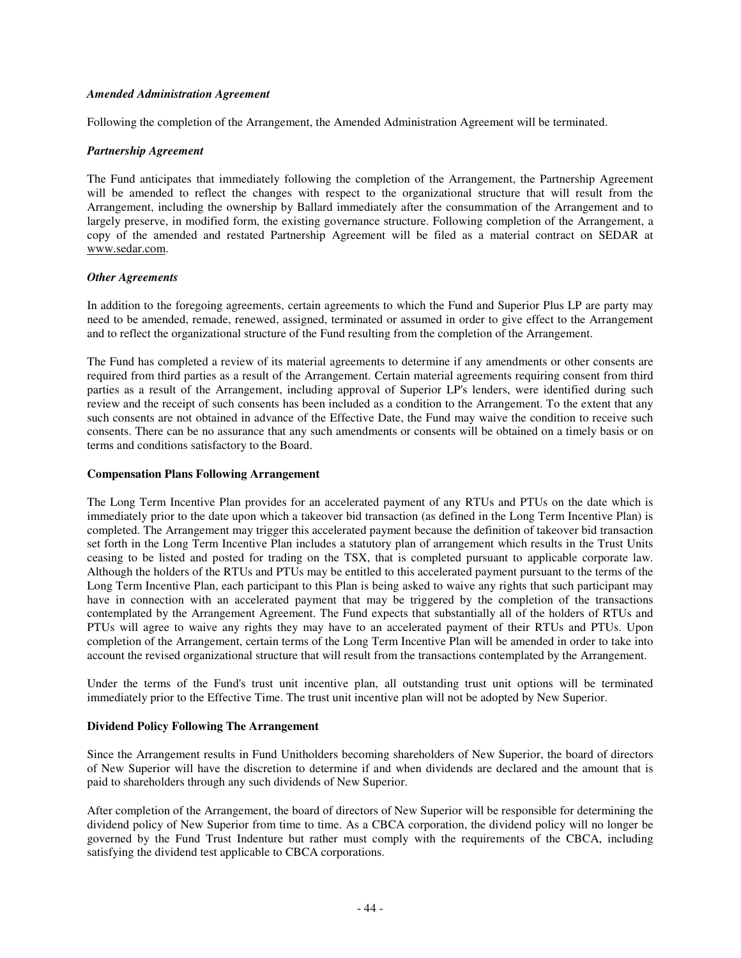#### *Amended Administration Agreement*

Following the completion of the Arrangement, the Amended Administration Agreement will be terminated.

## *Partnership Agreement*

The Fund anticipates that immediately following the completion of the Arrangement, the Partnership Agreement will be amended to reflect the changes with respect to the organizational structure that will result from the Arrangement, including the ownership by Ballard immediately after the consummation of the Arrangement and to largely preserve, in modified form, the existing governance structure. Following completion of the Arrangement, a copy of the amended and restated Partnership Agreement will be filed as a material contract on SEDAR at www.sedar.com.

## *Other Agreements*

In addition to the foregoing agreements, certain agreements to which the Fund and Superior Plus LP are party may need to be amended, remade, renewed, assigned, terminated or assumed in order to give effect to the Arrangement and to reflect the organizational structure of the Fund resulting from the completion of the Arrangement.

The Fund has completed a review of its material agreements to determine if any amendments or other consents are required from third parties as a result of the Arrangement. Certain material agreements requiring consent from third parties as a result of the Arrangement, including approval of Superior LP's lenders, were identified during such review and the receipt of such consents has been included as a condition to the Arrangement. To the extent that any such consents are not obtained in advance of the Effective Date, the Fund may waive the condition to receive such consents. There can be no assurance that any such amendments or consents will be obtained on a timely basis or on terms and conditions satisfactory to the Board.

#### **Compensation Plans Following Arrangement**

The Long Term Incentive Plan provides for an accelerated payment of any RTUs and PTUs on the date which is immediately prior to the date upon which a takeover bid transaction (as defined in the Long Term Incentive Plan) is completed. The Arrangement may trigger this accelerated payment because the definition of takeover bid transaction set forth in the Long Term Incentive Plan includes a statutory plan of arrangement which results in the Trust Units ceasing to be listed and posted for trading on the TSX, that is completed pursuant to applicable corporate law. Although the holders of the RTUs and PTUs may be entitled to this accelerated payment pursuant to the terms of the Long Term Incentive Plan, each participant to this Plan is being asked to waive any rights that such participant may have in connection with an accelerated payment that may be triggered by the completion of the transactions contemplated by the Arrangement Agreement. The Fund expects that substantially all of the holders of RTUs and PTUs will agree to waive any rights they may have to an accelerated payment of their RTUs and PTUs. Upon completion of the Arrangement, certain terms of the Long Term Incentive Plan will be amended in order to take into account the revised organizational structure that will result from the transactions contemplated by the Arrangement.

Under the terms of the Fund's trust unit incentive plan, all outstanding trust unit options will be terminated immediately prior to the Effective Time. The trust unit incentive plan will not be adopted by New Superior.

#### **Dividend Policy Following The Arrangement**

Since the Arrangement results in Fund Unitholders becoming shareholders of New Superior, the board of directors of New Superior will have the discretion to determine if and when dividends are declared and the amount that is paid to shareholders through any such dividends of New Superior.

After completion of the Arrangement, the board of directors of New Superior will be responsible for determining the dividend policy of New Superior from time to time. As a CBCA corporation, the dividend policy will no longer be governed by the Fund Trust Indenture but rather must comply with the requirements of the CBCA, including satisfying the dividend test applicable to CBCA corporations.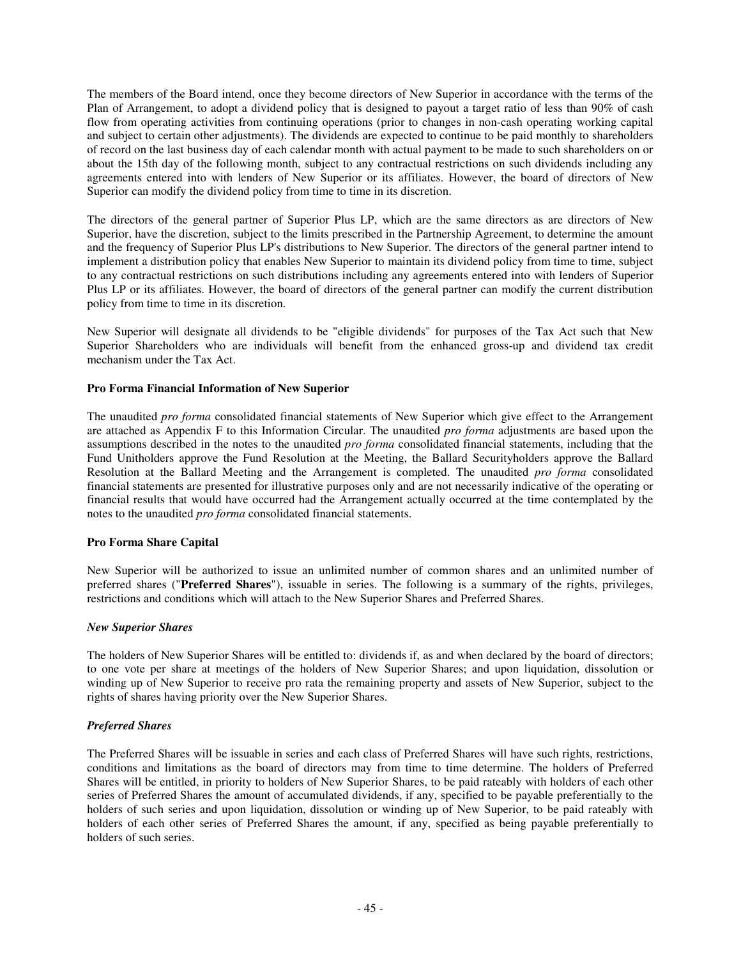The members of the Board intend, once they become directors of New Superior in accordance with the terms of the Plan of Arrangement, to adopt a dividend policy that is designed to payout a target ratio of less than 90% of cash flow from operating activities from continuing operations (prior to changes in non-cash operating working capital and subject to certain other adjustments). The dividends are expected to continue to be paid monthly to shareholders of record on the last business day of each calendar month with actual payment to be made to such shareholders on or about the 15th day of the following month, subject to any contractual restrictions on such dividends including any agreements entered into with lenders of New Superior or its affiliates. However, the board of directors of New Superior can modify the dividend policy from time to time in its discretion.

The directors of the general partner of Superior Plus LP, which are the same directors as are directors of New Superior, have the discretion, subject to the limits prescribed in the Partnership Agreement, to determine the amount and the frequency of Superior Plus LP's distributions to New Superior. The directors of the general partner intend to implement a distribution policy that enables New Superior to maintain its dividend policy from time to time, subject to any contractual restrictions on such distributions including any agreements entered into with lenders of Superior Plus LP or its affiliates. However, the board of directors of the general partner can modify the current distribution policy from time to time in its discretion.

New Superior will designate all dividends to be "eligible dividends" for purposes of the Tax Act such that New Superior Shareholders who are individuals will benefit from the enhanced gross-up and dividend tax credit mechanism under the Tax Act.

## **Pro Forma Financial Information of New Superior**

The unaudited *pro forma* consolidated financial statements of New Superior which give effect to the Arrangement are attached as Appendix F to this Information Circular. The unaudited *pro forma* adjustments are based upon the assumptions described in the notes to the unaudited *pro forma* consolidated financial statements, including that the Fund Unitholders approve the Fund Resolution at the Meeting, the Ballard Securityholders approve the Ballard Resolution at the Ballard Meeting and the Arrangement is completed. The unaudited *pro forma* consolidated financial statements are presented for illustrative purposes only and are not necessarily indicative of the operating or financial results that would have occurred had the Arrangement actually occurred at the time contemplated by the notes to the unaudited *pro forma* consolidated financial statements.

# **Pro Forma Share Capital**

New Superior will be authorized to issue an unlimited number of common shares and an unlimited number of preferred shares ("**Preferred Shares**"), issuable in series. The following is a summary of the rights, privileges, restrictions and conditions which will attach to the New Superior Shares and Preferred Shares.

#### *New Superior Shares*

The holders of New Superior Shares will be entitled to: dividends if, as and when declared by the board of directors; to one vote per share at meetings of the holders of New Superior Shares; and upon liquidation, dissolution or winding up of New Superior to receive pro rata the remaining property and assets of New Superior, subject to the rights of shares having priority over the New Superior Shares.

# *Preferred Shares*

The Preferred Shares will be issuable in series and each class of Preferred Shares will have such rights, restrictions, conditions and limitations as the board of directors may from time to time determine. The holders of Preferred Shares will be entitled, in priority to holders of New Superior Shares, to be paid rateably with holders of each other series of Preferred Shares the amount of accumulated dividends, if any, specified to be payable preferentially to the holders of such series and upon liquidation, dissolution or winding up of New Superior, to be paid rateably with holders of each other series of Preferred Shares the amount, if any, specified as being payable preferentially to holders of such series.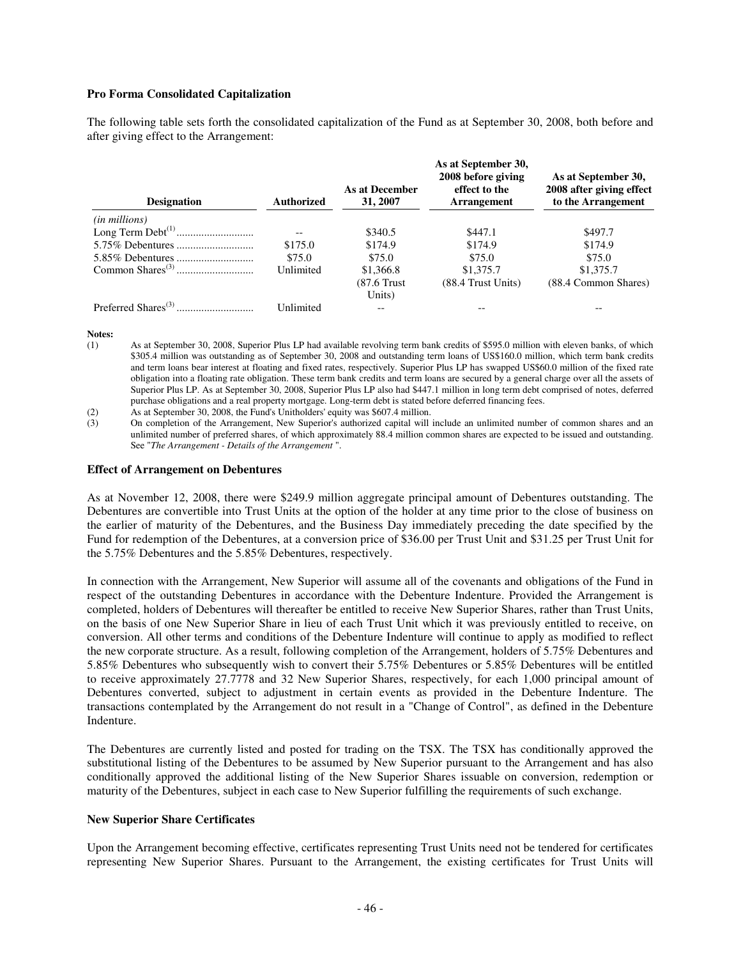## **Pro Forma Consolidated Capitalization**

The following table sets forth the consolidated capitalization of the Fund as at September 30, 2008, both before and after giving effect to the Arrangement:

| <b>Designation</b>     | Authorized                                          | As at December<br>31, 2007 | As at September 30,<br>2008 before giving<br>effect to the<br><b>Arrangement</b> | As at September 30,<br>2008 after giving effect<br>to the Arrangement |
|------------------------|-----------------------------------------------------|----------------------------|----------------------------------------------------------------------------------|-----------------------------------------------------------------------|
| ( <i>in millions</i> ) |                                                     |                            |                                                                                  |                                                                       |
|                        | $\hspace{0.05cm} -\hspace{0.05cm} -\hspace{0.05cm}$ | \$340.5                    | \$447.1                                                                          | \$497.7                                                               |
|                        | \$175.0                                             | \$174.9                    | \$174.9                                                                          | \$174.9                                                               |
|                        | \$75.0                                              | \$75.0                     | \$75.0                                                                           | \$75.0                                                                |
|                        | Unlimited                                           | \$1,366.8                  | \$1,375.7                                                                        | \$1,375.7                                                             |
|                        |                                                     | $(87.6$ Trust              | (88.4 Trust Units)                                                               | (88.4 Common Shares)                                                  |
|                        |                                                     | Units)                     |                                                                                  |                                                                       |
|                        | Unlimited                                           | $- -$                      |                                                                                  |                                                                       |

#### **Notes:**

(1) As at September 30, 2008, Superior Plus LP had available revolving term bank credits of \$595.0 million with eleven banks, of which \$305.4 million was outstanding as of September 30, 2008 and outstanding term loans of US\$160.0 million, which term bank credits and term loans bear interest at floating and fixed rates, respectively. Superior Plus LP has swapped US\$60.0 million of the fixed rate obligation into a floating rate obligation. These term bank credits and term loans are secured by a general charge over all the assets of Superior Plus LP. As at September 30, 2008, Superior Plus LP also had \$447.1 million in long term debt comprised of notes, deferred purchase obligations and a real property mortgage. Long-term debt is stated before deferred financing fees.

(2) As at September 30, 2008, the Fund's Unitholders' equity was \$607.4 million.

(3) On completion of the Arrangement, New Superior's authorized capital will include an unlimited number of common shares and an unlimited number of preferred shares, of which approximately 88.4 million common shares are expected to be issued and outstanding. See "*The Arrangement - Details of the Arrangement* ".

#### **Effect of Arrangement on Debentures**

As at November 12, 2008, there were \$249.9 million aggregate principal amount of Debentures outstanding. The Debentures are convertible into Trust Units at the option of the holder at any time prior to the close of business on the earlier of maturity of the Debentures, and the Business Day immediately preceding the date specified by the Fund for redemption of the Debentures, at a conversion price of \$36.00 per Trust Unit and \$31.25 per Trust Unit for the 5.75% Debentures and the 5.85% Debentures, respectively.

In connection with the Arrangement, New Superior will assume all of the covenants and obligations of the Fund in respect of the outstanding Debentures in accordance with the Debenture Indenture. Provided the Arrangement is completed, holders of Debentures will thereafter be entitled to receive New Superior Shares, rather than Trust Units, on the basis of one New Superior Share in lieu of each Trust Unit which it was previously entitled to receive, on conversion. All other terms and conditions of the Debenture Indenture will continue to apply as modified to reflect the new corporate structure. As a result, following completion of the Arrangement, holders of 5.75% Debentures and 5.85% Debentures who subsequently wish to convert their 5.75% Debentures or 5.85% Debentures will be entitled to receive approximately 27.7778 and 32 New Superior Shares, respectively, for each 1,000 principal amount of Debentures converted, subject to adjustment in certain events as provided in the Debenture Indenture. The transactions contemplated by the Arrangement do not result in a "Change of Control", as defined in the Debenture Indenture.

The Debentures are currently listed and posted for trading on the TSX. The TSX has conditionally approved the substitutional listing of the Debentures to be assumed by New Superior pursuant to the Arrangement and has also conditionally approved the additional listing of the New Superior Shares issuable on conversion, redemption or maturity of the Debentures, subject in each case to New Superior fulfilling the requirements of such exchange.

#### **New Superior Share Certificates**

Upon the Arrangement becoming effective, certificates representing Trust Units need not be tendered for certificates representing New Superior Shares. Pursuant to the Arrangement, the existing certificates for Trust Units will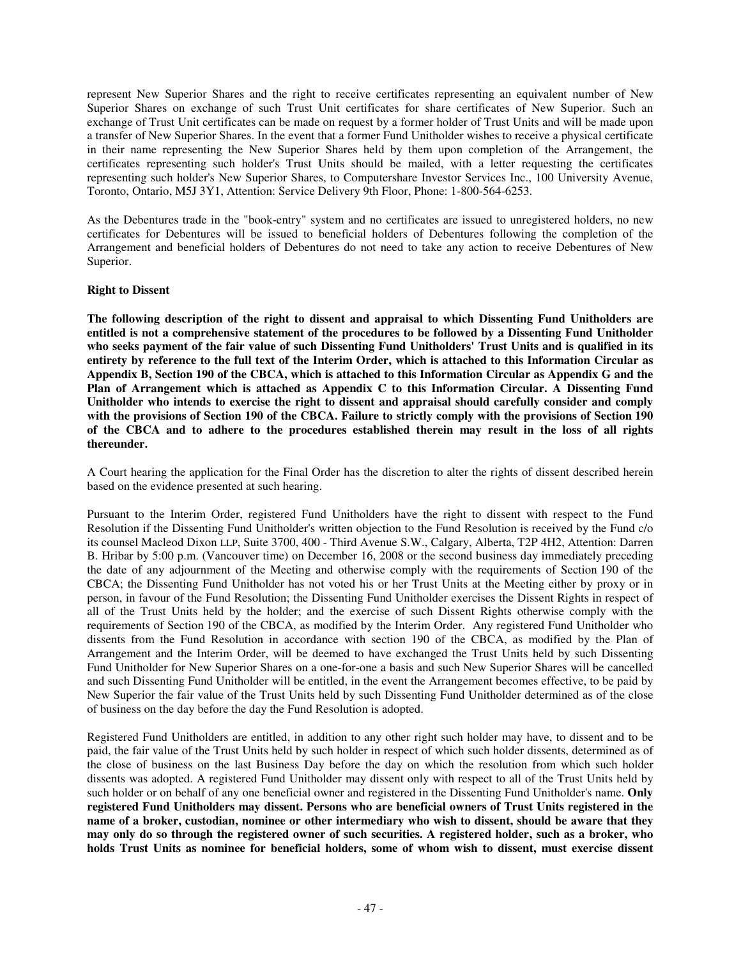represent New Superior Shares and the right to receive certificates representing an equivalent number of New Superior Shares on exchange of such Trust Unit certificates for share certificates of New Superior. Such an exchange of Trust Unit certificates can be made on request by a former holder of Trust Units and will be made upon a transfer of New Superior Shares. In the event that a former Fund Unitholder wishes to receive a physical certificate in their name representing the New Superior Shares held by them upon completion of the Arrangement, the certificates representing such holder's Trust Units should be mailed, with a letter requesting the certificates representing such holder's New Superior Shares, to Computershare Investor Services Inc., 100 University Avenue, Toronto, Ontario, M5J 3Y1, Attention: Service Delivery 9th Floor, Phone: 1-800-564-6253.

As the Debentures trade in the "book-entry" system and no certificates are issued to unregistered holders, no new certificates for Debentures will be issued to beneficial holders of Debentures following the completion of the Arrangement and beneficial holders of Debentures do not need to take any action to receive Debentures of New Superior.

# **Right to Dissent**

**The following description of the right to dissent and appraisal to which Dissenting Fund Unitholders are** entitled is not a comprehensive statement of the procedures to be followed by a Dissenting Fund Unitholder who seeks payment of the fair value of such Dissenting Fund Unitholders' Trust Units and is qualified in its entirety by reference to the full text of the Interim Order, which is attached to this Information Circular as Appendix B, Section 190 of the CBCA, which is attached to this Information Circular as Appendix G and the **Plan of Arrangement which is attached as Appendix C to this Information Circular. A Dissenting Fund Unitholder who intends to exercise the right to dissent and appraisal should carefully consider and comply** with the provisions of Section 190 of the CBCA. Failure to strictly comply with the provisions of Section 190 of the CBCA and to adhere to the procedures established therein may result in the loss of all rights **thereunder.**

A Court hearing the application for the Final Order has the discretion to alter the rights of dissent described herein based on the evidence presented at such hearing.

Pursuant to the Interim Order, registered Fund Unitholders have the right to dissent with respect to the Fund Resolution if the Dissenting Fund Unitholder's written objection to the Fund Resolution is received by the Fund c/o its counsel Macleod Dixon LLP, Suite 3700, 400 - Third Avenue S.W., Calgary, Alberta, T2P 4H2, Attention: Darren B. Hribar by 5:00 p.m. (Vancouver time) on December 16, 2008 or the second business day immediately preceding the date of any adjournment of the Meeting and otherwise comply with the requirements of Section 190 of the CBCA; the Dissenting Fund Unitholder has not voted his or her Trust Units at the Meeting either by proxy or in person, in favour of the Fund Resolution; the Dissenting Fund Unitholder exercises the Dissent Rights in respect of all of the Trust Units held by the holder; and the exercise of such Dissent Rights otherwise comply with the requirements of Section 190 of the CBCA, as modified by the Interim Order. Any registered Fund Unitholder who dissents from the Fund Resolution in accordance with section 190 of the CBCA, as modified by the Plan of Arrangement and the Interim Order, will be deemed to have exchanged the Trust Units held by such Dissenting Fund Unitholder for New Superior Shares on a one-for-one a basis and such New Superior Shares will be cancelled and such Dissenting Fund Unitholder will be entitled, in the event the Arrangement becomes effective, to be paid by New Superior the fair value of the Trust Units held by such Dissenting Fund Unitholder determined as of the close of business on the day before the day the Fund Resolution is adopted.

Registered Fund Unitholders are entitled, in addition to any other right such holder may have, to dissent and to be paid, the fair value of the Trust Units held by such holder in respect of which such holder dissents, determined as of the close of business on the last Business Day before the day on which the resolution from which such holder dissents was adopted. A registered Fund Unitholder may dissent only with respect to all of the Trust Units held by such holder or on behalf of any one beneficial owner and registered in the Dissenting Fund Unitholder's name. **Only registered Fund Unitholders may dissent. Persons who are beneficial owners of Trust Units registered in the** name of a broker, custodian, nominee or other intermediary who wish to dissent, should be aware that they may only do so through the registered owner of such securities. A registered holder, such as a broker, who **holds Trust Units as nominee for beneficial holders, some of whom wish to dissent, must exercise dissent**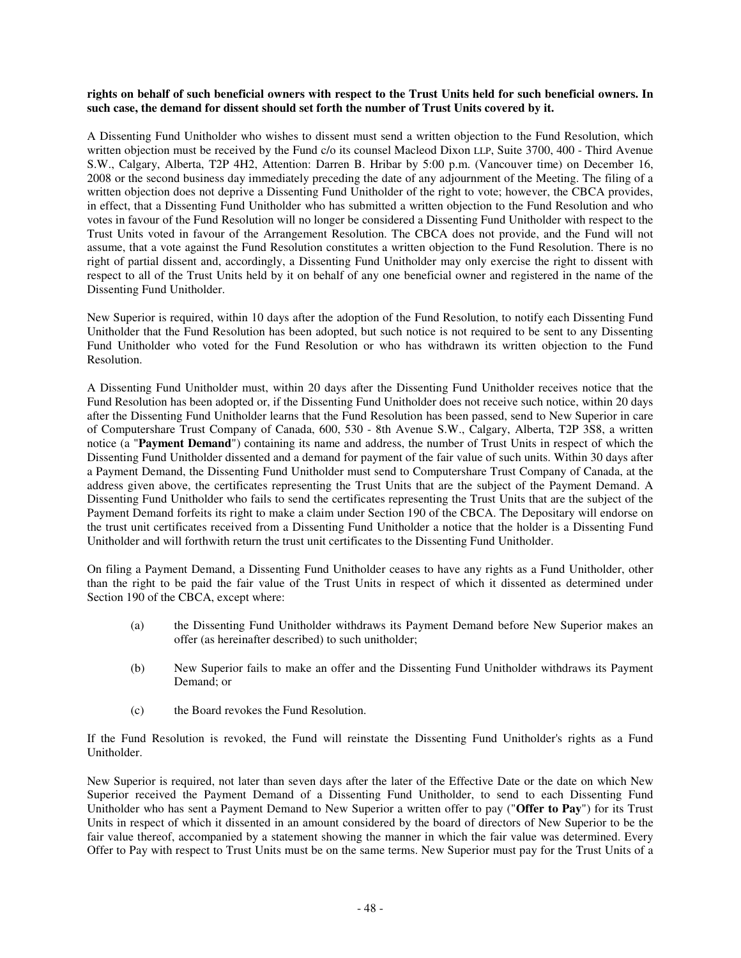## rights on behalf of such beneficial owners with respect to the Trust Units held for such beneficial owners. In **such case, the demand for dissent should set forth the number of Trust Units covered by it.**

A Dissenting Fund Unitholder who wishes to dissent must send a written objection to the Fund Resolution, which written objection must be received by the Fund c/o its counsel Macleod Dixon LLP, Suite 3700, 400 - Third Avenue S.W., Calgary, Alberta, T2P 4H2, Attention: Darren B. Hribar by 5:00 p.m. (Vancouver time) on December 16, 2008 or the second business day immediately preceding the date of any adjournment of the Meeting. The filing of a written objection does not deprive a Dissenting Fund Unitholder of the right to vote; however, the CBCA provides, in effect, that a Dissenting Fund Unitholder who has submitted a written objection to the Fund Resolution and who votes in favour of the Fund Resolution will no longer be considered a Dissenting Fund Unitholder with respect to the Trust Units voted in favour of the Arrangement Resolution. The CBCA does not provide, and the Fund will not assume, that a vote against the Fund Resolution constitutes a written objection to the Fund Resolution. There is no right of partial dissent and, accordingly, a Dissenting Fund Unitholder may only exercise the right to dissent with respect to all of the Trust Units held by it on behalf of any one beneficial owner and registered in the name of the Dissenting Fund Unitholder.

New Superior is required, within 10 days after the adoption of the Fund Resolution, to notify each Dissenting Fund Unitholder that the Fund Resolution has been adopted, but such notice is not required to be sent to any Dissenting Fund Unitholder who voted for the Fund Resolution or who has withdrawn its written objection to the Fund Resolution.

A Dissenting Fund Unitholder must, within 20 days after the Dissenting Fund Unitholder receives notice that the Fund Resolution has been adopted or, if the Dissenting Fund Unitholder does not receive such notice, within 20 days after the Dissenting Fund Unitholder learns that the Fund Resolution has been passed, send to New Superior in care of Computershare Trust Company of Canada, 600, 530 - 8th Avenue S.W., Calgary, Alberta, T2P 3S8, a written notice (a "**Payment Demand**") containing its name and address, the number of Trust Units in respect of which the Dissenting Fund Unitholder dissented and a demand for payment of the fair value of such units. Within 30 days after a Payment Demand, the Dissenting Fund Unitholder must send to Computershare Trust Company of Canada, at the address given above, the certificates representing the Trust Units that are the subject of the Payment Demand. A Dissenting Fund Unitholder who fails to send the certificates representing the Trust Units that are the subject of the Payment Demand forfeits its right to make a claim under Section 190 of the CBCA. The Depositary will endorse on the trust unit certificates received from a Dissenting Fund Unitholder a notice that the holder is a Dissenting Fund Unitholder and will forthwith return the trust unit certificates to the Dissenting Fund Unitholder.

On filing a Payment Demand, a Dissenting Fund Unitholder ceases to have any rights as a Fund Unitholder, other than the right to be paid the fair value of the Trust Units in respect of which it dissented as determined under Section 190 of the CBCA, except where:

- (a) the Dissenting Fund Unitholder withdraws its Payment Demand before New Superior makes an offer (as hereinafter described) to such unitholder;
- (b) New Superior fails to make an offer and the Dissenting Fund Unitholder withdraws its Payment Demand; or
- (c) the Board revokes the Fund Resolution.

If the Fund Resolution is revoked, the Fund will reinstate the Dissenting Fund Unitholder's rights as a Fund Unitholder.

New Superior is required, not later than seven days after the later of the Effective Date or the date on which New Superior received the Payment Demand of a Dissenting Fund Unitholder, to send to each Dissenting Fund Unitholder who has sent a Payment Demand to New Superior a written offer to pay ("**Offer to Pay**") for its Trust Units in respect of which it dissented in an amount considered by the board of directors of New Superior to be the fair value thereof, accompanied by a statement showing the manner in which the fair value was determined. Every Offer to Pay with respect to Trust Units must be on the same terms. New Superior must pay for the Trust Units of a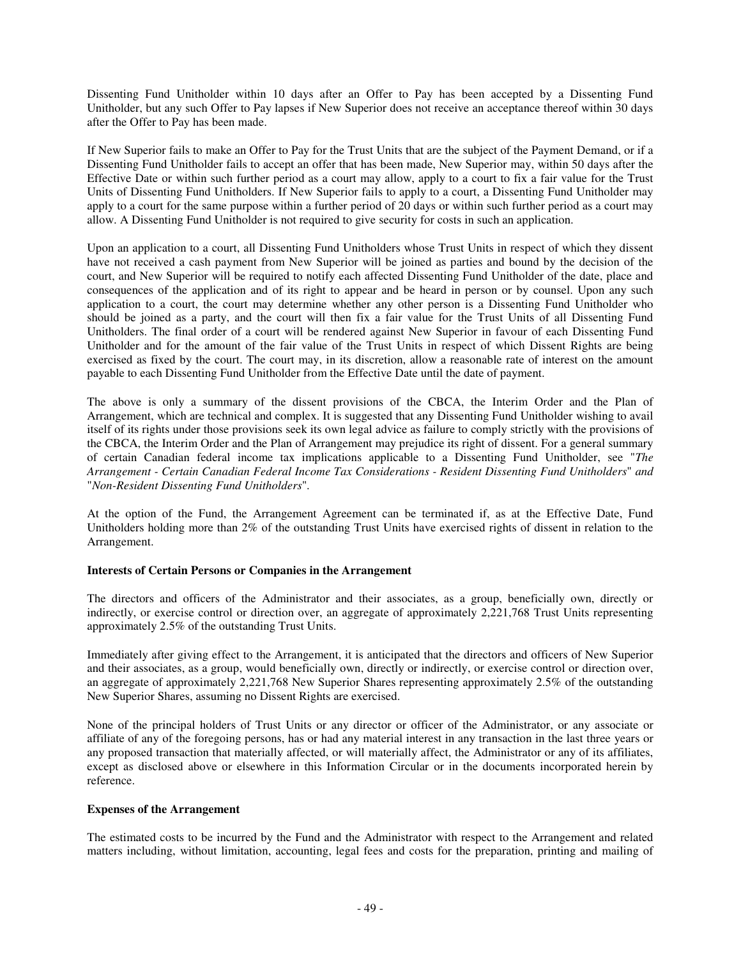Dissenting Fund Unitholder within 10 days after an Offer to Pay has been accepted by a Dissenting Fund Unitholder, but any such Offer to Pay lapses if New Superior does not receive an acceptance thereof within 30 days after the Offer to Pay has been made.

If New Superior fails to make an Offer to Pay for the Trust Units that are the subject of the Payment Demand, or if a Dissenting Fund Unitholder fails to accept an offer that has been made, New Superior may, within 50 days after the Effective Date or within such further period as a court may allow, apply to a court to fix a fair value for the Trust Units of Dissenting Fund Unitholders. If New Superior fails to apply to a court, a Dissenting Fund Unitholder may apply to a court for the same purpose within a further period of 20 days or within such further period as a court may allow. A Dissenting Fund Unitholder is not required to give security for costs in such an application.

Upon an application to a court, all Dissenting Fund Unitholders whose Trust Units in respect of which they dissent have not received a cash payment from New Superior will be joined as parties and bound by the decision of the court, and New Superior will be required to notify each affected Dissenting Fund Unitholder of the date, place and consequences of the application and of its right to appear and be heard in person or by counsel. Upon any such application to a court, the court may determine whether any other person is a Dissenting Fund Unitholder who should be joined as a party, and the court will then fix a fair value for the Trust Units of all Dissenting Fund Unitholders. The final order of a court will be rendered against New Superior in favour of each Dissenting Fund Unitholder and for the amount of the fair value of the Trust Units in respect of which Dissent Rights are being exercised as fixed by the court. The court may, in its discretion, allow a reasonable rate of interest on the amount payable to each Dissenting Fund Unitholder from the Effective Date until the date of payment.

The above is only a summary of the dissent provisions of the CBCA, the Interim Order and the Plan of Arrangement, which are technical and complex. It is suggested that any Dissenting Fund Unitholder wishing to avail itself of its rights under those provisions seek its own legal advice as failure to comply strictly with the provisions of the CBCA, the Interim Order and the Plan of Arrangement may prejudice its right of dissent. For a general summary of certain Canadian federal income tax implications applicable to a Dissenting Fund Unitholder, see "*The Arrangement - Certain Canadian Federal Income Tax Considerations - Resident Dissenting Fund Unitholders*" *and* "*Non-Resident Dissenting Fund Unitholders*"*.*

At the option of the Fund, the Arrangement Agreement can be terminated if, as at the Effective Date, Fund Unitholders holding more than 2% of the outstanding Trust Units have exercised rights of dissent in relation to the Arrangement.

# **Interests of Certain Persons or Companies in the Arrangement**

The directors and officers of the Administrator and their associates, as a group, beneficially own, directly or indirectly, or exercise control or direction over, an aggregate of approximately 2,221,768 Trust Units representing approximately 2.5% of the outstanding Trust Units.

Immediately after giving effect to the Arrangement, it is anticipated that the directors and officers of New Superior and their associates, as a group, would beneficially own, directly or indirectly, or exercise control or direction over, an aggregate of approximately 2,221,768 New Superior Shares representing approximately 2.5% of the outstanding New Superior Shares, assuming no Dissent Rights are exercised.

None of the principal holders of Trust Units or any director or officer of the Administrator, or any associate or affiliate of any of the foregoing persons, has or had any material interest in any transaction in the last three years or any proposed transaction that materially affected, or will materially affect, the Administrator or any of its affiliates, except as disclosed above or elsewhere in this Information Circular or in the documents incorporated herein by reference.

# **Expenses of the Arrangement**

The estimated costs to be incurred by the Fund and the Administrator with respect to the Arrangement and related matters including, without limitation, accounting, legal fees and costs for the preparation, printing and mailing of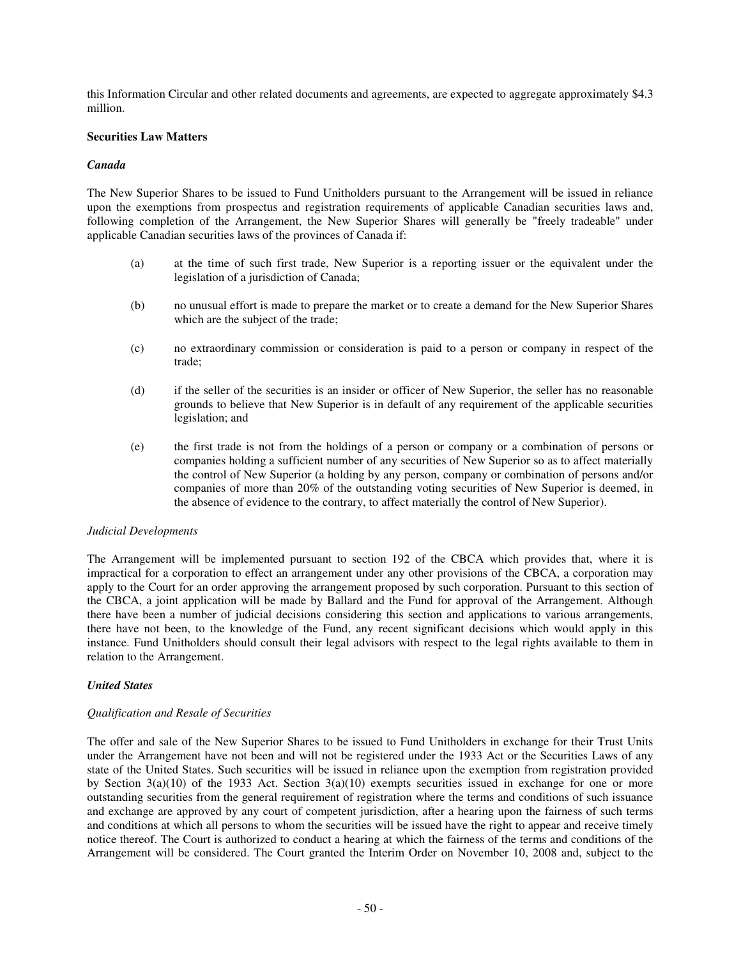this Information Circular and other related documents and agreements, are expected to aggregate approximately \$4.3 million.

## **Securities Law Matters**

#### *Canada*

The New Superior Shares to be issued to Fund Unitholders pursuant to the Arrangement will be issued in reliance upon the exemptions from prospectus and registration requirements of applicable Canadian securities laws and, following completion of the Arrangement, the New Superior Shares will generally be "freely tradeable" under applicable Canadian securities laws of the provinces of Canada if:

- (a) at the time of such first trade, New Superior is a reporting issuer or the equivalent under the legislation of a jurisdiction of Canada;
- (b) no unusual effort is made to prepare the market or to create a demand for the New Superior Shares which are the subject of the trade;
- (c) no extraordinary commission or consideration is paid to a person or company in respect of the trade;
- (d) if the seller of the securities is an insider or officer of New Superior, the seller has no reasonable grounds to believe that New Superior is in default of any requirement of the applicable securities legislation; and
- (e) the first trade is not from the holdings of a person or company or a combination of persons or companies holding a sufficient number of any securities of New Superior so as to affect materially the control of New Superior (a holding by any person, company or combination of persons and/or companies of more than 20% of the outstanding voting securities of New Superior is deemed, in the absence of evidence to the contrary, to affect materially the control of New Superior).

#### *Judicial Developments*

The Arrangement will be implemented pursuant to section 192 of the CBCA which provides that, where it is impractical for a corporation to effect an arrangement under any other provisions of the CBCA, a corporation may apply to the Court for an order approving the arrangement proposed by such corporation. Pursuant to this section of the CBCA, a joint application will be made by Ballard and the Fund for approval of the Arrangement. Although there have been a number of judicial decisions considering this section and applications to various arrangements, there have not been, to the knowledge of the Fund, any recent significant decisions which would apply in this instance. Fund Unitholders should consult their legal advisors with respect to the legal rights available to them in relation to the Arrangement.

# *United States*

#### *Qualification and Resale of Securities*

The offer and sale of the New Superior Shares to be issued to Fund Unitholders in exchange for their Trust Units under the Arrangement have not been and will not be registered under the 1933 Act or the Securities Laws of any state of the United States. Such securities will be issued in reliance upon the exemption from registration provided by Section  $3(a)(10)$  of the 1933 Act. Section  $3(a)(10)$  exempts securities issued in exchange for one or more outstanding securities from the general requirement of registration where the terms and conditions of such issuance and exchange are approved by any court of competent jurisdiction, after a hearing upon the fairness of such terms and conditions at which all persons to whom the securities will be issued have the right to appear and receive timely notice thereof. The Court is authorized to conduct a hearing at which the fairness of the terms and conditions of the Arrangement will be considered. The Court granted the Interim Order on November 10, 2008 and, subject to the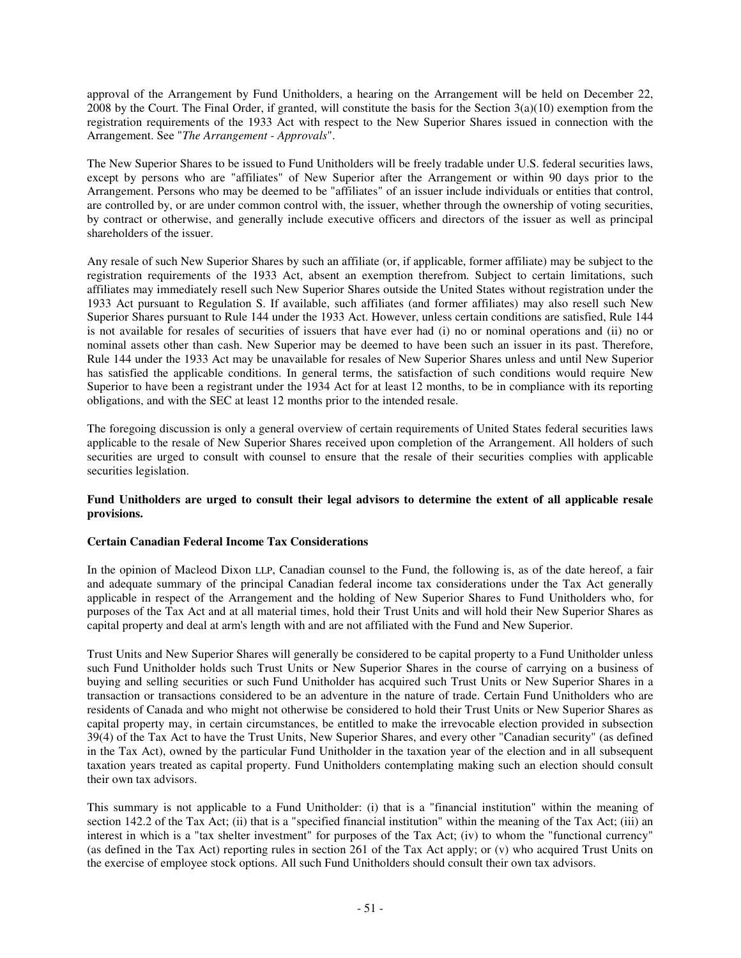approval of the Arrangement by Fund Unitholders, a hearing on the Arrangement will be held on December 22, 2008 by the Court. The Final Order, if granted, will constitute the basis for the Section  $3(a)(10)$  exemption from the registration requirements of the 1933 Act with respect to the New Superior Shares issued in connection with the Arrangement. See "*The Arrangement - Approvals*".

The New Superior Shares to be issued to Fund Unitholders will be freely tradable under U.S. federal securities laws, except by persons who are "affiliates" of New Superior after the Arrangement or within 90 days prior to the Arrangement. Persons who may be deemed to be "affiliates" of an issuer include individuals or entities that control, are controlled by, or are under common control with, the issuer, whether through the ownership of voting securities, by contract or otherwise, and generally include executive officers and directors of the issuer as well as principal shareholders of the issuer.

Any resale of such New Superior Shares by such an affiliate (or, if applicable, former affiliate) may be subject to the registration requirements of the 1933 Act, absent an exemption therefrom. Subject to certain limitations, such affiliates may immediately resell such New Superior Shares outside the United States without registration under the 1933 Act pursuant to Regulation S. If available, such affiliates (and former affiliates) may also resell such New Superior Shares pursuant to Rule 144 under the 1933 Act. However, unless certain conditions are satisfied, Rule 144 is not available for resales of securities of issuers that have ever had (i) no or nominal operations and (ii) no or nominal assets other than cash. New Superior may be deemed to have been such an issuer in its past. Therefore, Rule 144 under the 1933 Act may be unavailable for resales of New Superior Shares unless and until New Superior has satisfied the applicable conditions. In general terms, the satisfaction of such conditions would require New Superior to have been a registrant under the 1934 Act for at least 12 months, to be in compliance with its reporting obligations, and with the SEC at least 12 months prior to the intended resale.

The foregoing discussion is only a general overview of certain requirements of United States federal securities laws applicable to the resale of New Superior Shares received upon completion of the Arrangement. All holders of such securities are urged to consult with counsel to ensure that the resale of their securities complies with applicable securities legislation.

# Fund Unitholders are urged to consult their legal advisors to determine the extent of all applicable resale **provisions.**

# **Certain Canadian Federal Income Tax Considerations**

In the opinion of Macleod Dixon LLP, Canadian counsel to the Fund, the following is, as of the date hereof, a fair and adequate summary of the principal Canadian federal income tax considerations under the Tax Act generally applicable in respect of the Arrangement and the holding of New Superior Shares to Fund Unitholders who, for purposes of the Tax Act and at all material times, hold their Trust Units and will hold their New Superior Shares as capital property and deal at arm's length with and are not affiliated with the Fund and New Superior.

Trust Units and New Superior Shares will generally be considered to be capital property to a Fund Unitholder unless such Fund Unitholder holds such Trust Units or New Superior Shares in the course of carrying on a business of buying and selling securities or such Fund Unitholder has acquired such Trust Units or New Superior Shares in a transaction or transactions considered to be an adventure in the nature of trade. Certain Fund Unitholders who are residents of Canada and who might not otherwise be considered to hold their Trust Units or New Superior Shares as capital property may, in certain circumstances, be entitled to make the irrevocable election provided in subsection 39(4) of the Tax Act to have the Trust Units, New Superior Shares, and every other "Canadian security" (as defined in the Tax Act), owned by the particular Fund Unitholder in the taxation year of the election and in all subsequent taxation years treated as capital property. Fund Unitholders contemplating making such an election should consult their own tax advisors.

This summary is not applicable to a Fund Unitholder: (i) that is a "financial institution" within the meaning of section 142.2 of the Tax Act; (ii) that is a "specified financial institution" within the meaning of the Tax Act; (iii) an interest in which is a "tax shelter investment" for purposes of the Tax Act; (iv) to whom the "functional currency" (as defined in the Tax Act) reporting rules in section 261 of the Tax Act apply; or (v) who acquired Trust Units on the exercise of employee stock options. All such Fund Unitholders should consult their own tax advisors.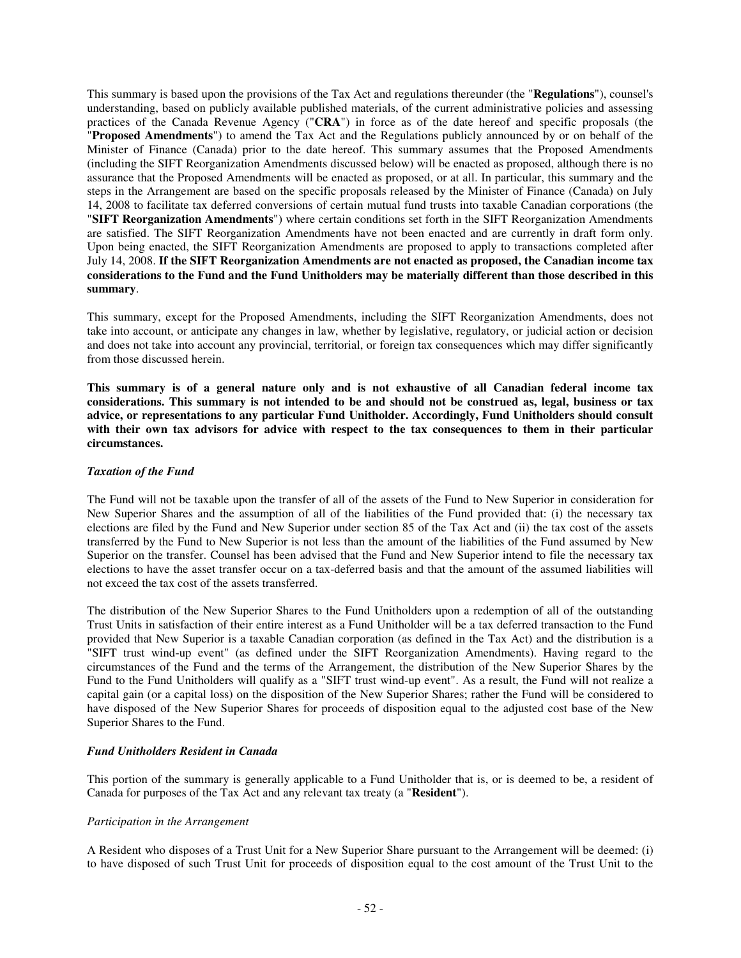This summary is based upon the provisions of the Tax Act and regulations thereunder (the "**Regulations**"), counsel's understanding, based on publicly available published materials, of the current administrative policies and assessing practices of the Canada Revenue Agency ("**CRA**") in force as of the date hereof and specific proposals (the "**Proposed Amendments**") to amend the Tax Act and the Regulations publicly announced by or on behalf of the Minister of Finance (Canada) prior to the date hereof. This summary assumes that the Proposed Amendments (including the SIFT Reorganization Amendments discussed below) will be enacted as proposed, although there is no assurance that the Proposed Amendments will be enacted as proposed, or at all. In particular, this summary and the steps in the Arrangement are based on the specific proposals released by the Minister of Finance (Canada) on July 14, 2008 to facilitate tax deferred conversions of certain mutual fund trusts into taxable Canadian corporations (the "**SIFT Reorganization Amendments**") where certain conditions set forth in the SIFT Reorganization Amendments are satisfied. The SIFT Reorganization Amendments have not been enacted and are currently in draft form only. Upon being enacted, the SIFT Reorganization Amendments are proposed to apply to transactions completed after July 14, 2008. **If the SIFT Reorganization Amendments are not enacted as proposed, the Canadian income tax** considerations to the Fund and the Fund Unitholders may be materially different than those described in this **summary**.

This summary, except for the Proposed Amendments, including the SIFT Reorganization Amendments, does not take into account, or anticipate any changes in law, whether by legislative, regulatory, or judicial action or decision and does not take into account any provincial, territorial, or foreign tax consequences which may differ significantly from those discussed herein.

**This summary is of a general nature only and is not exhaustive of all Canadian federal income tax** considerations. This summary is not intended to be and should not be construed as, legal, business or tax **advice, or representations to any particular Fund Unitholder. Accordingly, Fund Unitholders should consult** with their own tax advisors for advice with respect to the tax consequences to them in their particular **circumstances.**

# *Taxation of the Fund*

The Fund will not be taxable upon the transfer of all of the assets of the Fund to New Superior in consideration for New Superior Shares and the assumption of all of the liabilities of the Fund provided that: (i) the necessary tax elections are filed by the Fund and New Superior under section 85 of the Tax Act and (ii) the tax cost of the assets transferred by the Fund to New Superior is not less than the amount of the liabilities of the Fund assumed by New Superior on the transfer. Counsel has been advised that the Fund and New Superior intend to file the necessary tax elections to have the asset transfer occur on a tax-deferred basis and that the amount of the assumed liabilities will not exceed the tax cost of the assets transferred.

The distribution of the New Superior Shares to the Fund Unitholders upon a redemption of all of the outstanding Trust Units in satisfaction of their entire interest as a Fund Unitholder will be a tax deferred transaction to the Fund provided that New Superior is a taxable Canadian corporation (as defined in the Tax Act) and the distribution is a "SIFT trust wind-up event" (as defined under the SIFT Reorganization Amendments). Having regard to the circumstances of the Fund and the terms of the Arrangement, the distribution of the New Superior Shares by the Fund to the Fund Unitholders will qualify as a "SIFT trust wind-up event". As a result, the Fund will not realize a capital gain (or a capital loss) on the disposition of the New Superior Shares; rather the Fund will be considered to have disposed of the New Superior Shares for proceeds of disposition equal to the adjusted cost base of the New Superior Shares to the Fund.

# *Fund Unitholders Resident in Canada*

This portion of the summary is generally applicable to a Fund Unitholder that is, or is deemed to be, a resident of Canada for purposes of the Tax Act and any relevant tax treaty (a "**Resident**").

#### *Participation in the Arrangement*

A Resident who disposes of a Trust Unit for a New Superior Share pursuant to the Arrangement will be deemed: (i) to have disposed of such Trust Unit for proceeds of disposition equal to the cost amount of the Trust Unit to the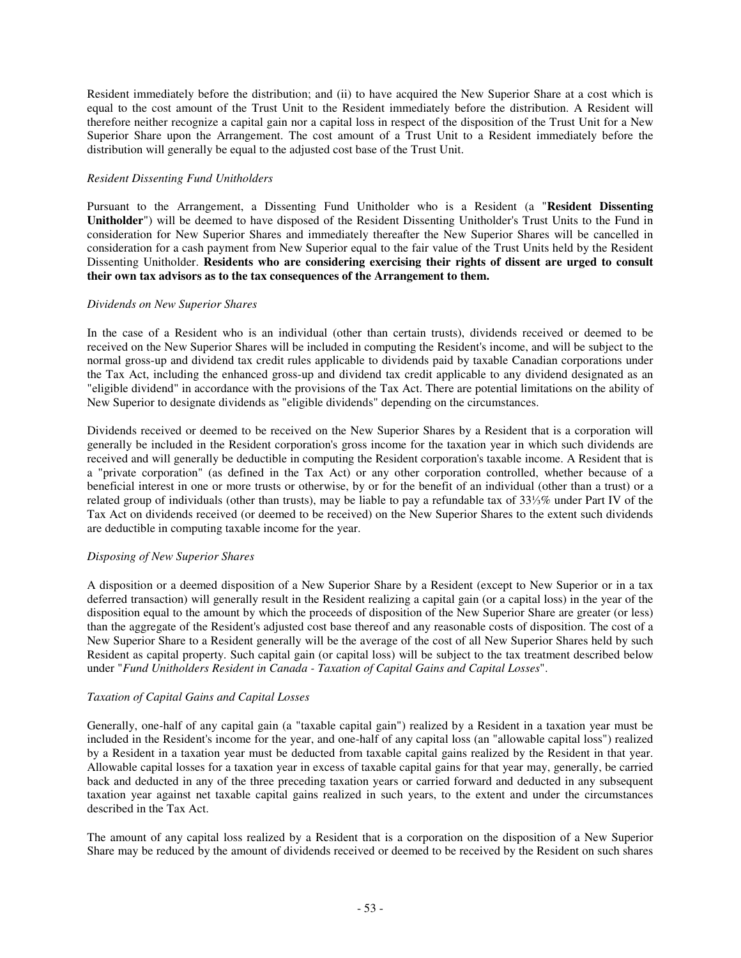Resident immediately before the distribution; and (ii) to have acquired the New Superior Share at a cost which is equal to the cost amount of the Trust Unit to the Resident immediately before the distribution. A Resident will therefore neither recognize a capital gain nor a capital loss in respect of the disposition of the Trust Unit for a New Superior Share upon the Arrangement. The cost amount of a Trust Unit to a Resident immediately before the distribution will generally be equal to the adjusted cost base of the Trust Unit.

# *Resident Dissenting Fund Unitholders*

Pursuant to the Arrangement, a Dissenting Fund Unitholder who is a Resident (a "**Resident Dissenting Unitholder**") will be deemed to have disposed of the Resident Dissenting Unitholder's Trust Units to the Fund in consideration for New Superior Shares and immediately thereafter the New Superior Shares will be cancelled in consideration for a cash payment from New Superior equal to the fair value of the Trust Units held by the Resident Dissenting Unitholder. **Residents who are considering exercising their rights of dissent are urged to consult their own tax advisors as to the tax consequences of the Arrangement to them.**

# *Dividends on New Superior Shares*

In the case of a Resident who is an individual (other than certain trusts), dividends received or deemed to be received on the New Superior Shares will be included in computing the Resident's income, and will be subject to the normal gross-up and dividend tax credit rules applicable to dividends paid by taxable Canadian corporations under the Tax Act, including the enhanced gross-up and dividend tax credit applicable to any dividend designated as an "eligible dividend" in accordance with the provisions of the Tax Act. There are potential limitations on the ability of New Superior to designate dividends as "eligible dividends" depending on the circumstances.

Dividends received or deemed to be received on the New Superior Shares by a Resident that is a corporation will generally be included in the Resident corporation's gross income for the taxation year in which such dividends are received and will generally be deductible in computing the Resident corporation's taxable income. A Resident that is a "private corporation" (as defined in the Tax Act) or any other corporation controlled, whether because of a beneficial interest in one or more trusts or otherwise, by or for the benefit of an individual (other than a trust) or a related group of individuals (other than trusts), may be liable to pay a refundable tax of 331/3% under Part IV of the Tax Act on dividends received (or deemed to be received) on the New Superior Shares to the extent such dividends are deductible in computing taxable income for the year.

# *Disposing of New Superior Shares*

A disposition or a deemed disposition of a New Superior Share by a Resident (except to New Superior or in a tax deferred transaction) will generally result in the Resident realizing a capital gain (or a capital loss) in the year of the disposition equal to the amount by which the proceeds of disposition of the New Superior Share are greater (or less) than the aggregate of the Resident's adjusted cost base thereof and any reasonable costs of disposition. The cost of a New Superior Share to a Resident generally will be the average of the cost of all New Superior Shares held by such Resident as capital property. Such capital gain (or capital loss) will be subject to the tax treatment described below under "*Fund Unitholders Resident in Canada - Taxation of Capital Gains and Capital Losses*".

# *Taxation of Capital Gains and Capital Losses*

Generally, one-half of any capital gain (a "taxable capital gain") realized by a Resident in a taxation year must be included in the Resident's income for the year, and one-half of any capital loss (an "allowable capital loss") realized by a Resident in a taxation year must be deducted from taxable capital gains realized by the Resident in that year. Allowable capital losses for a taxation year in excess of taxable capital gains for that year may, generally, be carried back and deducted in any of the three preceding taxation years or carried forward and deducted in any subsequent taxation year against net taxable capital gains realized in such years, to the extent and under the circumstances described in the Tax Act.

The amount of any capital loss realized by a Resident that is a corporation on the disposition of a New Superior Share may be reduced by the amount of dividends received or deemed to be received by the Resident on such shares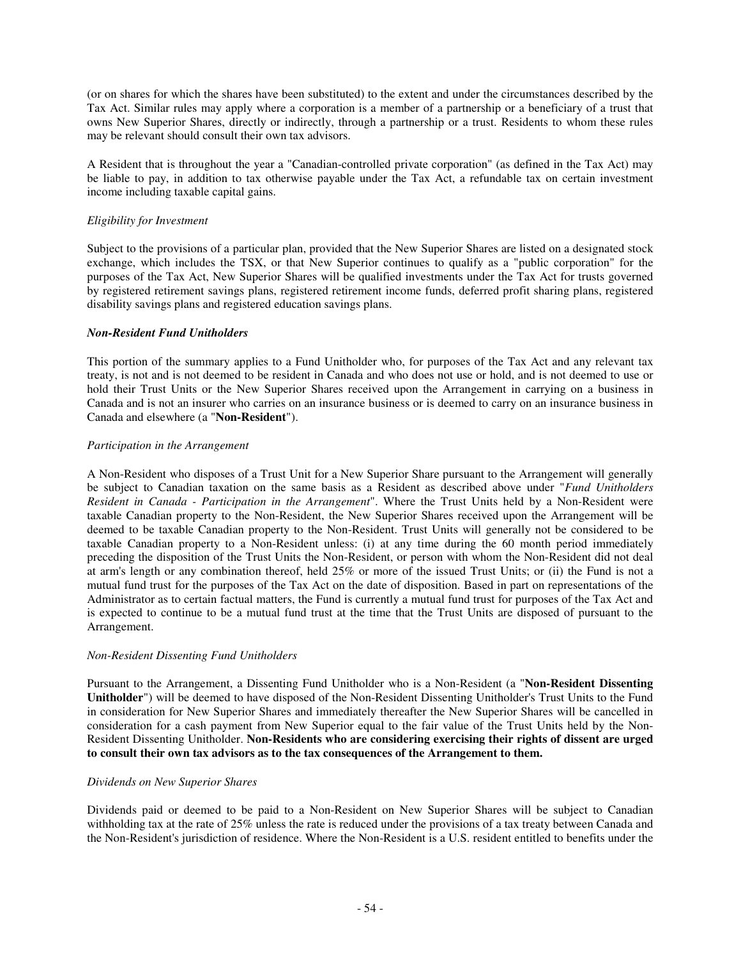(or on shares for which the shares have been substituted) to the extent and under the circumstances described by the Tax Act. Similar rules may apply where a corporation is a member of a partnership or a beneficiary of a trust that owns New Superior Shares, directly or indirectly, through a partnership or a trust. Residents to whom these rules may be relevant should consult their own tax advisors.

A Resident that is throughout the year a "Canadian-controlled private corporation" (as defined in the Tax Act) may be liable to pay, in addition to tax otherwise payable under the Tax Act, a refundable tax on certain investment income including taxable capital gains.

# *Eligibility for Investment*

Subject to the provisions of a particular plan, provided that the New Superior Shares are listed on a designated stock exchange, which includes the TSX, or that New Superior continues to qualify as a "public corporation" for the purposes of the Tax Act, New Superior Shares will be qualified investments under the Tax Act for trusts governed by registered retirement savings plans, registered retirement income funds, deferred profit sharing plans, registered disability savings plans and registered education savings plans.

# *Non-Resident Fund Unitholders*

This portion of the summary applies to a Fund Unitholder who, for purposes of the Tax Act and any relevant tax treaty, is not and is not deemed to be resident in Canada and who does not use or hold, and is not deemed to use or hold their Trust Units or the New Superior Shares received upon the Arrangement in carrying on a business in Canada and is not an insurer who carries on an insurance business or is deemed to carry on an insurance business in Canada and elsewhere (a "**Non-Resident**").

# *Participation in the Arrangement*

A Non-Resident who disposes of a Trust Unit for a New Superior Share pursuant to the Arrangement will generally be subject to Canadian taxation on the same basis as a Resident as described above under "*Fund Unitholders Resident in Canada - Participation in the Arrangement*". Where the Trust Units held by a Non-Resident were taxable Canadian property to the Non-Resident, the New Superior Shares received upon the Arrangement will be deemed to be taxable Canadian property to the Non-Resident. Trust Units will generally not be considered to be taxable Canadian property to a Non-Resident unless: (i) at any time during the 60 month period immediately preceding the disposition of the Trust Units the Non-Resident, or person with whom the Non-Resident did not deal at arm's length or any combination thereof, held 25% or more of the issued Trust Units; or (ii) the Fund is not a mutual fund trust for the purposes of the Tax Act on the date of disposition. Based in part on representations of the Administrator as to certain factual matters, the Fund is currently a mutual fund trust for purposes of the Tax Act and is expected to continue to be a mutual fund trust at the time that the Trust Units are disposed of pursuant to the Arrangement.

# *Non-Resident Dissenting Fund Unitholders*

Pursuant to the Arrangement, a Dissenting Fund Unitholder who is a Non-Resident (a "**Non-Resident Dissenting Unitholder**") will be deemed to have disposed of the Non-Resident Dissenting Unitholder's Trust Units to the Fund in consideration for New Superior Shares and immediately thereafter the New Superior Shares will be cancelled in consideration for a cash payment from New Superior equal to the fair value of the Trust Units held by the Non-Resident Dissenting Unitholder. **Non-Residents who are considering exercising their rights of dissent are urged to consult their own tax advisors as to the tax consequences of the Arrangement to them.**

# *Dividends on New Superior Shares*

Dividends paid or deemed to be paid to a Non-Resident on New Superior Shares will be subject to Canadian withholding tax at the rate of 25% unless the rate is reduced under the provisions of a tax treaty between Canada and the Non-Resident's jurisdiction of residence. Where the Non-Resident is a U.S. resident entitled to benefits under the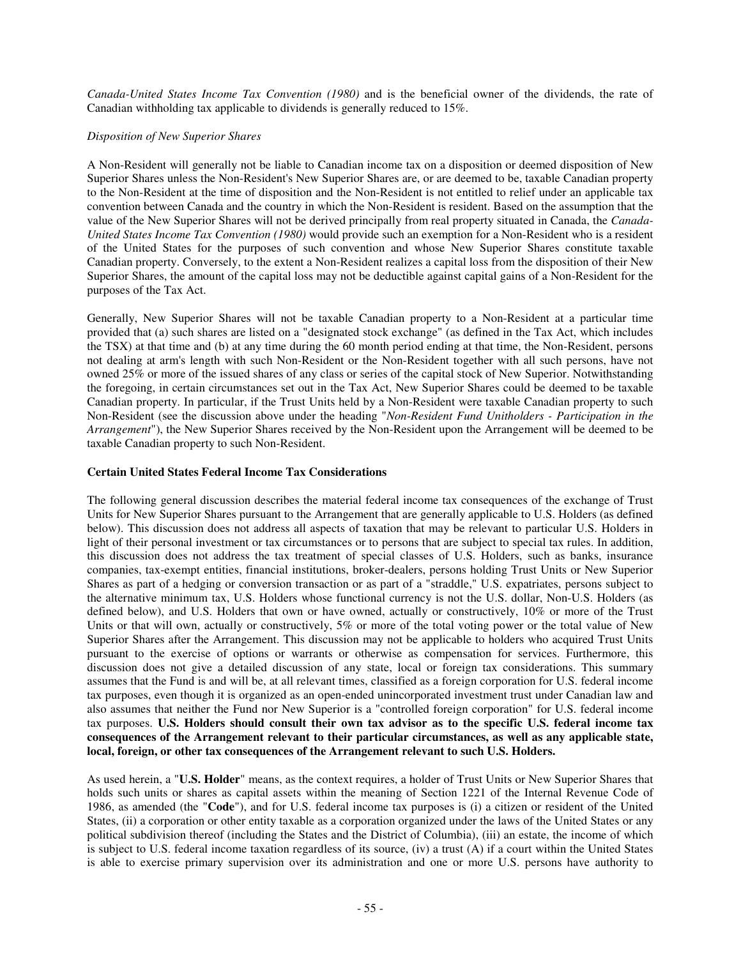*Canada-United States Income Tax Convention (1980)* and is the beneficial owner of the dividends, the rate of Canadian withholding tax applicable to dividends is generally reduced to 15%.

# *Disposition of New Superior Shares*

A Non-Resident will generally not be liable to Canadian income tax on a disposition or deemed disposition of New Superior Shares unless the Non-Resident's New Superior Shares are, or are deemed to be, taxable Canadian property to the Non-Resident at the time of disposition and the Non-Resident is not entitled to relief under an applicable tax convention between Canada and the country in which the Non-Resident is resident. Based on the assumption that the value of the New Superior Shares will not be derived principally from real property situated in Canada, the *Canada-United States Income Tax Convention (1980)* would provide such an exemption for a Non-Resident who is a resident of the United States for the purposes of such convention and whose New Superior Shares constitute taxable Canadian property. Conversely, to the extent a Non-Resident realizes a capital loss from the disposition of their New Superior Shares, the amount of the capital loss may not be deductible against capital gains of a Non-Resident for the purposes of the Tax Act.

Generally, New Superior Shares will not be taxable Canadian property to a Non-Resident at a particular time provided that (a) such shares are listed on a "designated stock exchange" (as defined in the Tax Act, which includes the TSX) at that time and (b) at any time during the 60 month period ending at that time, the Non-Resident, persons not dealing at arm's length with such Non-Resident or the Non-Resident together with all such persons, have not owned 25% or more of the issued shares of any class or series of the capital stock of New Superior. Notwithstanding the foregoing, in certain circumstances set out in the Tax Act, New Superior Shares could be deemed to be taxable Canadian property. In particular, if the Trust Units held by a Non-Resident were taxable Canadian property to such Non-Resident (see the discussion above under the heading "*Non-Resident Fund Unitholders - Participation in the Arrangement*"), the New Superior Shares received by the Non-Resident upon the Arrangement will be deemed to be taxable Canadian property to such Non-Resident.

## **Certain United States Federal Income Tax Considerations**

The following general discussion describes the material federal income tax consequences of the exchange of Trust Units for New Superior Shares pursuant to the Arrangement that are generally applicable to U.S. Holders (as defined below). This discussion does not address all aspects of taxation that may be relevant to particular U.S. Holders in light of their personal investment or tax circumstances or to persons that are subject to special tax rules. In addition, this discussion does not address the tax treatment of special classes of U.S. Holders, such as banks, insurance companies, tax-exempt entities, financial institutions, broker-dealers, persons holding Trust Units or New Superior Shares as part of a hedging or conversion transaction or as part of a "straddle," U.S. expatriates, persons subject to the alternative minimum tax, U.S. Holders whose functional currency is not the U.S. dollar, Non-U.S. Holders (as defined below), and U.S. Holders that own or have owned, actually or constructively, 10% or more of the Trust Units or that will own, actually or constructively, 5% or more of the total voting power or the total value of New Superior Shares after the Arrangement. This discussion may not be applicable to holders who acquired Trust Units pursuant to the exercise of options or warrants or otherwise as compensation for services. Furthermore, this discussion does not give a detailed discussion of any state, local or foreign tax considerations. This summary assumes that the Fund is and will be, at all relevant times, classified as a foreign corporation for U.S. federal income tax purposes, even though it is organized as an open-ended unincorporated investment trust under Canadian law and also assumes that neither the Fund nor New Superior is a "controlled foreign corporation" for U.S. federal income tax purposes. **U.S. Holders should consult their own tax advisor as to the specific U.S. federal income tax consequences of the Arrangement relevant to their particular circumstances, as well as any applicable state, local, foreign, or other tax consequences of the Arrangement relevant to such U.S. Holders.**

As used herein, a "**U.S. Holder**" means, as the context requires, a holder of Trust Units or New Superior Shares that holds such units or shares as capital assets within the meaning of Section 1221 of the Internal Revenue Code of 1986, as amended (the "**Code**"), and for U.S. federal income tax purposes is (i) a citizen or resident of the United States, (ii) a corporation or other entity taxable as a corporation organized under the laws of the United States or any political subdivision thereof (including the States and the District of Columbia), (iii) an estate, the income of which is subject to U.S. federal income taxation regardless of its source, (iv) a trust (A) if a court within the United States is able to exercise primary supervision over its administration and one or more U.S. persons have authority to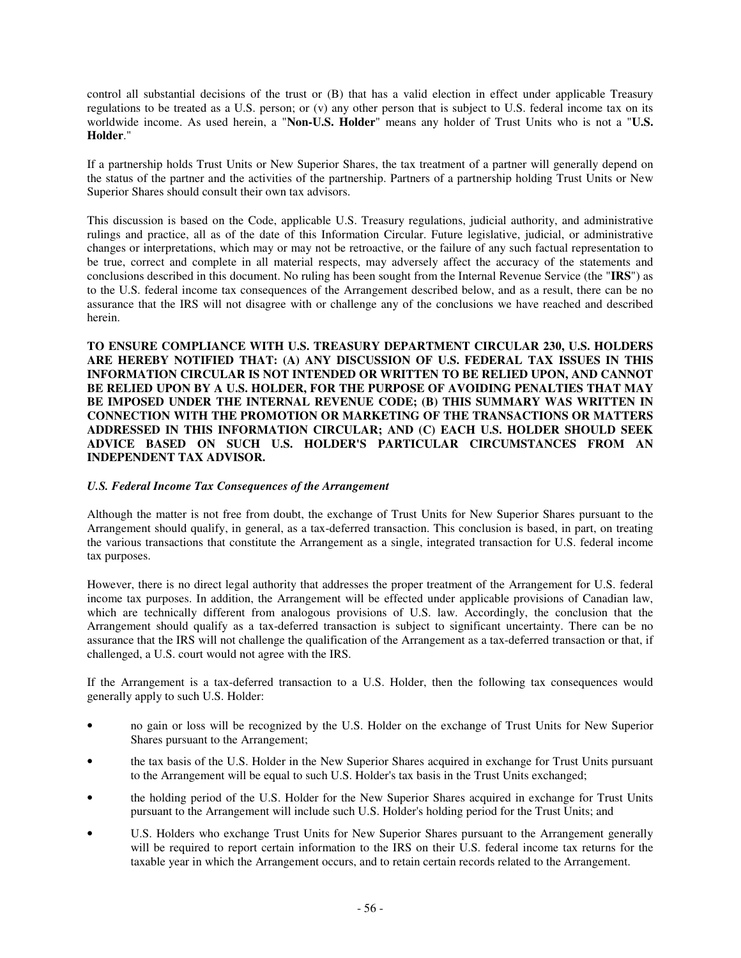control all substantial decisions of the trust or (B) that has a valid election in effect under applicable Treasury regulations to be treated as a U.S. person; or (v) any other person that is subject to U.S. federal income tax on its worldwide income. As used herein, a "**Non-U.S. Holder**" means any holder of Trust Units who is not a "**U.S. Holder**."

If a partnership holds Trust Units or New Superior Shares, the tax treatment of a partner will generally depend on the status of the partner and the activities of the partnership. Partners of a partnership holding Trust Units or New Superior Shares should consult their own tax advisors.

This discussion is based on the Code, applicable U.S. Treasury regulations, judicial authority, and administrative rulings and practice, all as of the date of this Information Circular. Future legislative, judicial, or administrative changes or interpretations, which may or may not be retroactive, or the failure of any such factual representation to be true, correct and complete in all material respects, may adversely affect the accuracy of the statements and conclusions described in this document. No ruling has been sought from the Internal Revenue Service (the "**IRS**") as to the U.S. federal income tax consequences of the Arrangement described below, and as a result, there can be no assurance that the IRS will not disagree with or challenge any of the conclusions we have reached and described herein.

**TO ENSURE COMPLIANCE WITH U.S. TREASURY DEPARTMENT CIRCULAR 230, U.S. HOLDERS ARE HEREBY NOTIFIED THAT: (A) ANY DISCUSSION OF U.S. FEDERAL TAX ISSUES IN THIS INFORMATION CIRCULAR IS NOT INTENDED OR WRITTEN TO BE RELIED UPON, AND CANNOT BE RELIED UPON BY A U.S. HOLDER, FOR THE PURPOSE OF AVOIDING PENALTIES THAT MAY BE IMPOSED UNDER THE INTERNAL REVENUE CODE; (B) THIS SUMMARY WAS WRITTEN IN CONNECTION WITH THE PROMOTION OR MARKETING OF THE TRANSACTIONS OR MATTERS ADDRESSED IN THIS INFORMATION CIRCULAR; AND (C) EACH U.S. HOLDER SHOULD SEEK ADVICE BASED ON SUCH U.S. HOLDER'S PARTICULAR CIRCUMSTANCES FROM AN INDEPENDENT TAX ADVISOR.**

# *U.S. Federal Income Tax Consequences of the Arrangement*

Although the matter is not free from doubt, the exchange of Trust Units for New Superior Shares pursuant to the Arrangement should qualify, in general, as a tax-deferred transaction. This conclusion is based, in part, on treating the various transactions that constitute the Arrangement as a single, integrated transaction for U.S. federal income tax purposes.

However, there is no direct legal authority that addresses the proper treatment of the Arrangement for U.S. federal income tax purposes. In addition, the Arrangement will be effected under applicable provisions of Canadian law, which are technically different from analogous provisions of U.S. law. Accordingly, the conclusion that the Arrangement should qualify as a tax-deferred transaction is subject to significant uncertainty. There can be no assurance that the IRS will not challenge the qualification of the Arrangement as a tax-deferred transaction or that, if challenged, a U.S. court would not agree with the IRS.

If the Arrangement is a tax-deferred transaction to a U.S. Holder, then the following tax consequences would generally apply to such U.S. Holder:

- no gain or loss will be recognized by the U.S. Holder on the exchange of Trust Units for New Superior Shares pursuant to the Arrangement;
- the tax basis of the U.S. Holder in the New Superior Shares acquired in exchange for Trust Units pursuant to the Arrangement will be equal to such U.S. Holder's tax basis in the Trust Units exchanged;
- the holding period of the U.S. Holder for the New Superior Shares acquired in exchange for Trust Units pursuant to the Arrangement will include such U.S. Holder's holding period for the Trust Units; and
- U.S. Holders who exchange Trust Units for New Superior Shares pursuant to the Arrangement generally will be required to report certain information to the IRS on their U.S. federal income tax returns for the taxable year in which the Arrangement occurs, and to retain certain records related to the Arrangement.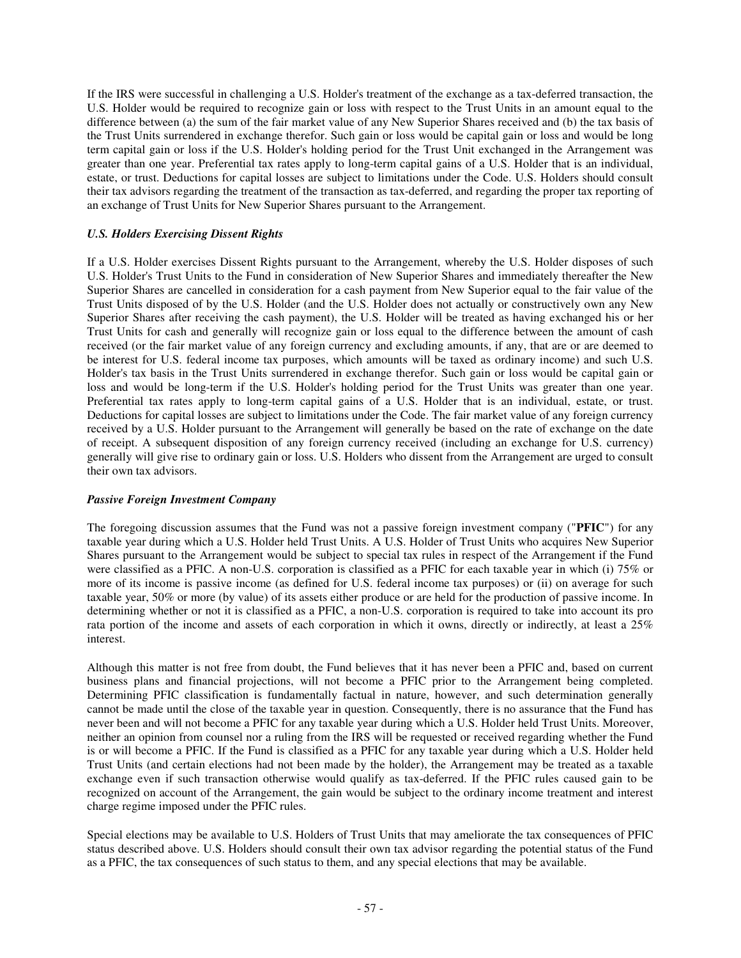If the IRS were successful in challenging a U.S. Holder's treatment of the exchange as a tax-deferred transaction, the U.S. Holder would be required to recognize gain or loss with respect to the Trust Units in an amount equal to the difference between (a) the sum of the fair market value of any New Superior Shares received and (b) the tax basis of the Trust Units surrendered in exchange therefor. Such gain or loss would be capital gain or loss and would be long term capital gain or loss if the U.S. Holder's holding period for the Trust Unit exchanged in the Arrangement was greater than one year. Preferential tax rates apply to long-term capital gains of a U.S. Holder that is an individual, estate, or trust. Deductions for capital losses are subject to limitations under the Code. U.S. Holders should consult their tax advisors regarding the treatment of the transaction as tax-deferred, and regarding the proper tax reporting of an exchange of Trust Units for New Superior Shares pursuant to the Arrangement.

# *U.S. Holders Exercising Dissent Rights*

If a U.S. Holder exercises Dissent Rights pursuant to the Arrangement, whereby the U.S. Holder disposes of such U.S. Holder's Trust Units to the Fund in consideration of New Superior Shares and immediately thereafter the New Superior Shares are cancelled in consideration for a cash payment from New Superior equal to the fair value of the Trust Units disposed of by the U.S. Holder (and the U.S. Holder does not actually or constructively own any New Superior Shares after receiving the cash payment), the U.S. Holder will be treated as having exchanged his or her Trust Units for cash and generally will recognize gain or loss equal to the difference between the amount of cash received (or the fair market value of any foreign currency and excluding amounts, if any, that are or are deemed to be interest for U.S. federal income tax purposes, which amounts will be taxed as ordinary income) and such U.S. Holder's tax basis in the Trust Units surrendered in exchange therefor. Such gain or loss would be capital gain or loss and would be long-term if the U.S. Holder's holding period for the Trust Units was greater than one year. Preferential tax rates apply to long-term capital gains of a U.S. Holder that is an individual, estate, or trust. Deductions for capital losses are subject to limitations under the Code. The fair market value of any foreign currency received by a U.S. Holder pursuant to the Arrangement will generally be based on the rate of exchange on the date of receipt. A subsequent disposition of any foreign currency received (including an exchange for U.S. currency) generally will give rise to ordinary gain or loss. U.S. Holders who dissent from the Arrangement are urged to consult their own tax advisors.

# *Passive Foreign Investment Company*

The foregoing discussion assumes that the Fund was not a passive foreign investment company ("**PFIC**") for any taxable year during which a U.S. Holder held Trust Units. A U.S. Holder of Trust Units who acquires New Superior Shares pursuant to the Arrangement would be subject to special tax rules in respect of the Arrangement if the Fund were classified as a PFIC. A non-U.S. corporation is classified as a PFIC for each taxable year in which (i) 75% or more of its income is passive income (as defined for U.S. federal income tax purposes) or (ii) on average for such taxable year, 50% or more (by value) of its assets either produce or are held for the production of passive income. In determining whether or not it is classified as a PFIC, a non-U.S. corporation is required to take into account its pro rata portion of the income and assets of each corporation in which it owns, directly or indirectly, at least a 25% interest.

Although this matter is not free from doubt, the Fund believes that it has never been a PFIC and, based on current business plans and financial projections, will not become a PFIC prior to the Arrangement being completed. Determining PFIC classification is fundamentally factual in nature, however, and such determination generally cannot be made until the close of the taxable year in question. Consequently, there is no assurance that the Fund has never been and will not become a PFIC for any taxable year during which a U.S. Holder held Trust Units. Moreover, neither an opinion from counsel nor a ruling from the IRS will be requested or received regarding whether the Fund is or will become a PFIC. If the Fund is classified as a PFIC for any taxable year during which a U.S. Holder held Trust Units (and certain elections had not been made by the holder), the Arrangement may be treated as a taxable exchange even if such transaction otherwise would qualify as tax-deferred. If the PFIC rules caused gain to be recognized on account of the Arrangement, the gain would be subject to the ordinary income treatment and interest charge regime imposed under the PFIC rules.

Special elections may be available to U.S. Holders of Trust Units that may ameliorate the tax consequences of PFIC status described above. U.S. Holders should consult their own tax advisor regarding the potential status of the Fund as a PFIC, the tax consequences of such status to them, and any special elections that may be available.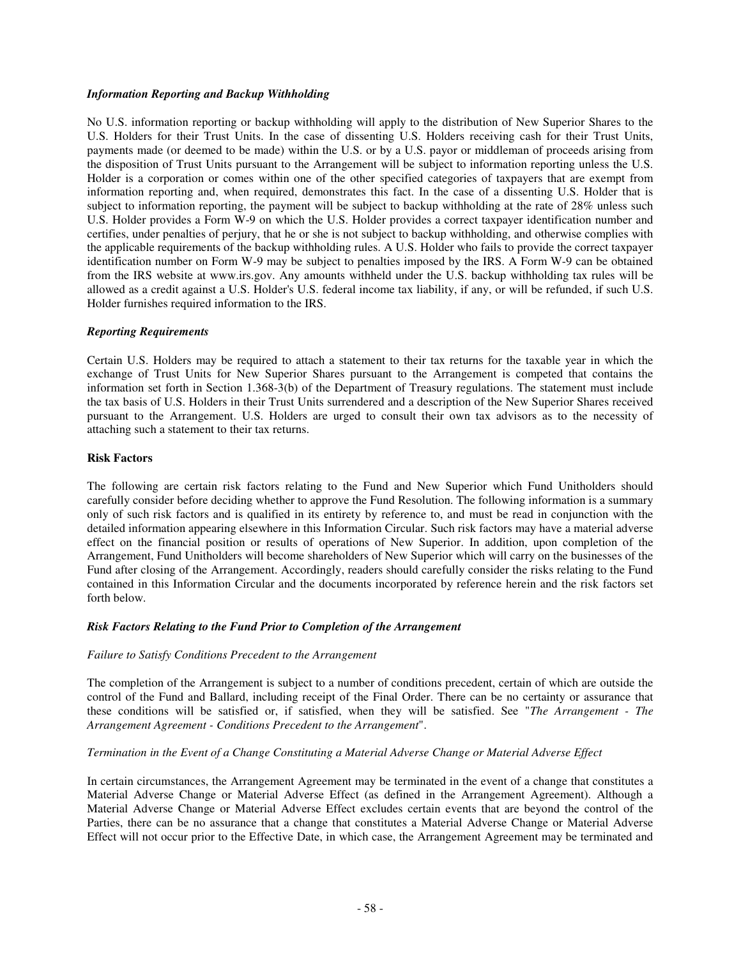## *Information Reporting and Backup Withholding*

No U.S. information reporting or backup withholding will apply to the distribution of New Superior Shares to the U.S. Holders for their Trust Units. In the case of dissenting U.S. Holders receiving cash for their Trust Units, payments made (or deemed to be made) within the U.S. or by a U.S. payor or middleman of proceeds arising from the disposition of Trust Units pursuant to the Arrangement will be subject to information reporting unless the U.S. Holder is a corporation or comes within one of the other specified categories of taxpayers that are exempt from information reporting and, when required, demonstrates this fact. In the case of a dissenting U.S. Holder that is subject to information reporting, the payment will be subject to backup withholding at the rate of 28% unless such U.S. Holder provides a Form W-9 on which the U.S. Holder provides a correct taxpayer identification number and certifies, under penalties of perjury, that he or she is not subject to backup withholding, and otherwise complies with the applicable requirements of the backup withholding rules. A U.S. Holder who fails to provide the correct taxpayer identification number on Form W-9 may be subject to penalties imposed by the IRS. A Form W-9 can be obtained from the IRS website at www.irs.gov. Any amounts withheld under the U.S. backup withholding tax rules will be allowed as a credit against a U.S. Holder's U.S. federal income tax liability, if any, or will be refunded, if such U.S. Holder furnishes required information to the IRS.

## *Reporting Requirements*

Certain U.S. Holders may be required to attach a statement to their tax returns for the taxable year in which the exchange of Trust Units for New Superior Shares pursuant to the Arrangement is competed that contains the information set forth in Section 1.368-3(b) of the Department of Treasury regulations. The statement must include the tax basis of U.S. Holders in their Trust Units surrendered and a description of the New Superior Shares received pursuant to the Arrangement. U.S. Holders are urged to consult their own tax advisors as to the necessity of attaching such a statement to their tax returns.

#### **Risk Factors**

The following are certain risk factors relating to the Fund and New Superior which Fund Unitholders should carefully consider before deciding whether to approve the Fund Resolution. The following information is a summary only of such risk factors and is qualified in its entirety by reference to, and must be read in conjunction with the detailed information appearing elsewhere in this Information Circular. Such risk factors may have a material adverse effect on the financial position or results of operations of New Superior. In addition, upon completion of the Arrangement, Fund Unitholders will become shareholders of New Superior which will carry on the businesses of the Fund after closing of the Arrangement. Accordingly, readers should carefully consider the risks relating to the Fund contained in this Information Circular and the documents incorporated by reference herein and the risk factors set forth below.

#### *Risk Factors Relating to the Fund Prior to Completion of the Arrangement*

#### *Failure to Satisfy Conditions Precedent to the Arrangement*

The completion of the Arrangement is subject to a number of conditions precedent, certain of which are outside the control of the Fund and Ballard, including receipt of the Final Order. There can be no certainty or assurance that these conditions will be satisfied or, if satisfied, when they will be satisfied. See "*The Arrangement - The Arrangement Agreement - Conditions Precedent to the Arrangement*".

## *Termination in the Event of a Change Constituting a Material Adverse Change or Material Adverse Effect*

In certain circumstances, the Arrangement Agreement may be terminated in the event of a change that constitutes a Material Adverse Change or Material Adverse Effect (as defined in the Arrangement Agreement). Although a Material Adverse Change or Material Adverse Effect excludes certain events that are beyond the control of the Parties, there can be no assurance that a change that constitutes a Material Adverse Change or Material Adverse Effect will not occur prior to the Effective Date, in which case, the Arrangement Agreement may be terminated and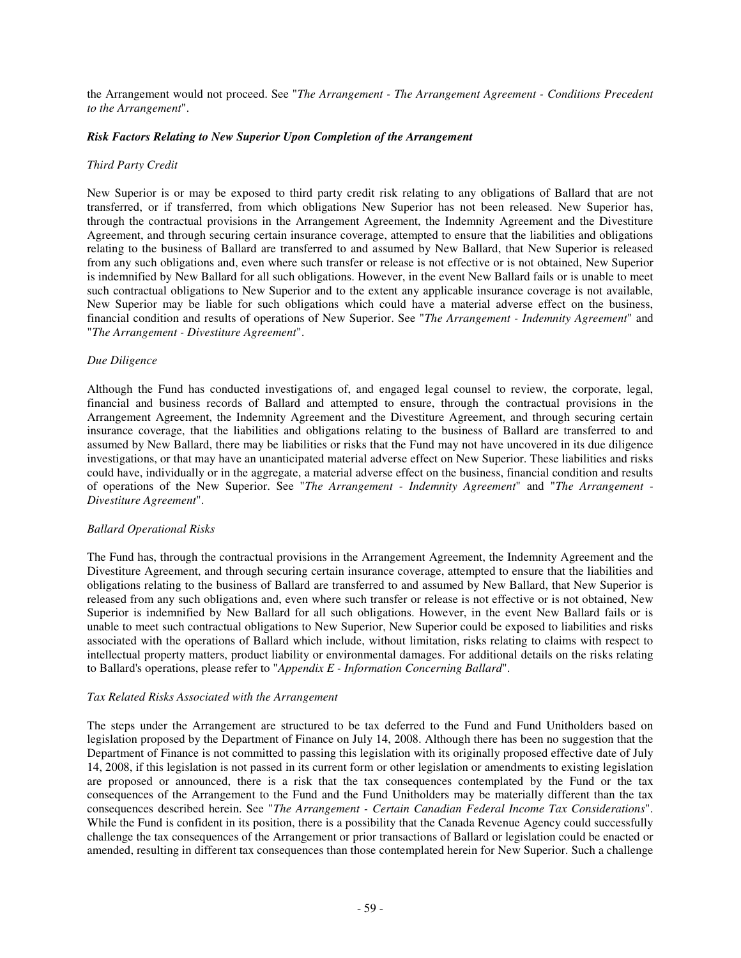the Arrangement would not proceed. See "*The Arrangement - The Arrangement Agreement - Conditions Precedent to the Arrangement*".

## *Risk Factors Relating to New Superior Upon Completion of the Arrangement*

#### *Third Party Credit*

New Superior is or may be exposed to third party credit risk relating to any obligations of Ballard that are not transferred, or if transferred, from which obligations New Superior has not been released. New Superior has, through the contractual provisions in the Arrangement Agreement, the Indemnity Agreement and the Divestiture Agreement, and through securing certain insurance coverage, attempted to ensure that the liabilities and obligations relating to the business of Ballard are transferred to and assumed by New Ballard, that New Superior is released from any such obligations and, even where such transfer or release is not effective or is not obtained, New Superior is indemnified by New Ballard for all such obligations. However, in the event New Ballard fails or is unable to meet such contractual obligations to New Superior and to the extent any applicable insurance coverage is not available, New Superior may be liable for such obligations which could have a material adverse effect on the business, financial condition and results of operations of New Superior. See "*The Arrangement - Indemnity Agreement*" and "*The Arrangement - Divestiture Agreement*".

## *Due Diligence*

Although the Fund has conducted investigations of, and engaged legal counsel to review, the corporate, legal, financial and business records of Ballard and attempted to ensure, through the contractual provisions in the Arrangement Agreement, the Indemnity Agreement and the Divestiture Agreement, and through securing certain insurance coverage, that the liabilities and obligations relating to the business of Ballard are transferred to and assumed by New Ballard, there may be liabilities or risks that the Fund may not have uncovered in its due diligence investigations, or that may have an unanticipated material adverse effect on New Superior. These liabilities and risks could have, individually or in the aggregate, a material adverse effect on the business, financial condition and results of operations of the New Superior. See "*The Arrangement - Indemnity Agreement*" and "*The Arrangement - Divestiture Agreement*".

#### *Ballard Operational Risks*

The Fund has, through the contractual provisions in the Arrangement Agreement, the Indemnity Agreement and the Divestiture Agreement, and through securing certain insurance coverage, attempted to ensure that the liabilities and obligations relating to the business of Ballard are transferred to and assumed by New Ballard, that New Superior is released from any such obligations and, even where such transfer or release is not effective or is not obtained, New Superior is indemnified by New Ballard for all such obligations. However, in the event New Ballard fails or is unable to meet such contractual obligations to New Superior, New Superior could be exposed to liabilities and risks associated with the operations of Ballard which include, without limitation, risks relating to claims with respect to intellectual property matters, product liability or environmental damages. For additional details on the risks relating to Ballard's operations, please refer to "*Appendix E - Information Concerning Ballard*".

#### *Tax Related Risks Associated with the Arrangement*

The steps under the Arrangement are structured to be tax deferred to the Fund and Fund Unitholders based on legislation proposed by the Department of Finance on July 14, 2008. Although there has been no suggestion that the Department of Finance is not committed to passing this legislation with its originally proposed effective date of July 14, 2008, if this legislation is not passed in its current form or other legislation or amendments to existing legislation are proposed or announced, there is a risk that the tax consequences contemplated by the Fund or the tax consequences of the Arrangement to the Fund and the Fund Unitholders may be materially different than the tax consequences described herein. See "*The Arrangement - Certain Canadian Federal Income Tax Considerations*". While the Fund is confident in its position, there is a possibility that the Canada Revenue Agency could successfully challenge the tax consequences of the Arrangement or prior transactions of Ballard or legislation could be enacted or amended, resulting in different tax consequences than those contemplated herein for New Superior. Such a challenge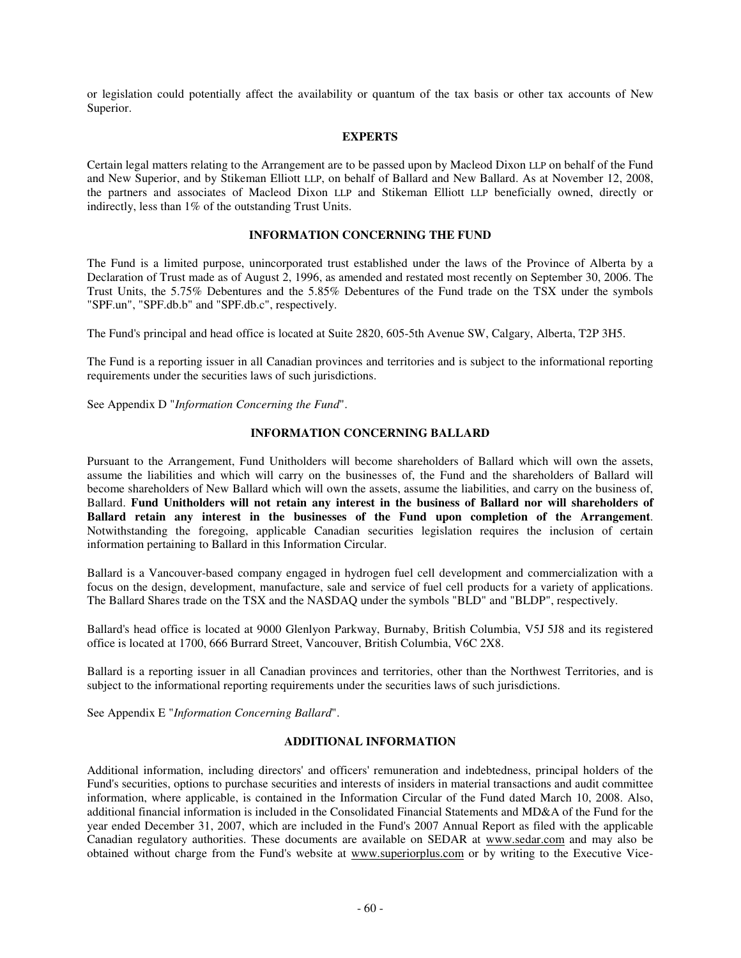or legislation could potentially affect the availability or quantum of the tax basis or other tax accounts of New Superior.

## **EXPERTS**

Certain legal matters relating to the Arrangement are to be passed upon by Macleod Dixon LLP on behalf of the Fund and New Superior, and by Stikeman Elliott LLP, on behalf of Ballard and New Ballard. As at November 12, 2008, the partners and associates of Macleod Dixon LLP and Stikeman Elliott LLP beneficially owned, directly or indirectly, less than 1% of the outstanding Trust Units.

#### **INFORMATION CONCERNING THE FUND**

The Fund is a limited purpose, unincorporated trust established under the laws of the Province of Alberta by a Declaration of Trust made as of August 2, 1996, as amended and restated most recently on September 30, 2006. The Trust Units, the 5.75% Debentures and the 5.85% Debentures of the Fund trade on the TSX under the symbols "SPF.un", "SPF.db.b" and "SPF.db.c", respectively.

The Fund's principal and head office is located at Suite 2820, 605-5th Avenue SW, Calgary, Alberta, T2P 3H5.

The Fund is a reporting issuer in all Canadian provinces and territories and is subject to the informational reporting requirements under the securities laws of such jurisdictions.

See Appendix D "*Information Concerning the Fund*".

## **INFORMATION CONCERNING BALLARD**

Pursuant to the Arrangement, Fund Unitholders will become shareholders of Ballard which will own the assets, assume the liabilities and which will carry on the businesses of, the Fund and the shareholders of Ballard will become shareholders of New Ballard which will own the assets, assume the liabilities, and carry on the business of, Ballard. **Fund Unitholders will not retain any interest in the business of Ballard nor will shareholders of Ballard retain any interest in the businesses of the Fund upon completion of the Arrangement**. Notwithstanding the foregoing, applicable Canadian securities legislation requires the inclusion of certain information pertaining to Ballard in this Information Circular.

Ballard is a Vancouver-based company engaged in hydrogen fuel cell development and commercialization with a focus on the design, development, manufacture, sale and service of fuel cell products for a variety of applications. The Ballard Shares trade on the TSX and the NASDAQ under the symbols "BLD" and "BLDP", respectively.

Ballard's head office is located at 9000 Glenlyon Parkway, Burnaby, British Columbia, V5J 5J8 and its registered office is located at 1700, 666 Burrard Street, Vancouver, British Columbia, V6C 2X8.

Ballard is a reporting issuer in all Canadian provinces and territories, other than the Northwest Territories, and is subject to the informational reporting requirements under the securities laws of such jurisdictions.

See Appendix E "*Information Concerning Ballard*".

# **ADDITIONAL INFORMATION**

Additional information, including directors' and officers' remuneration and indebtedness, principal holders of the Fund's securities, options to purchase securities and interests of insiders in material transactions and audit committee information, where applicable, is contained in the Information Circular of the Fund dated March 10, 2008. Also, additional financial information is included in the Consolidated Financial Statements and MD&A of the Fund for the year ended December 31, 2007, which are included in the Fund's 2007 Annual Report as filed with the applicable Canadian regulatory authorities. These documents are available on SEDAR at www.sedar.com and may also be obtained without charge from the Fund's website at www.superiorplus.com or by writing to the Executive Vice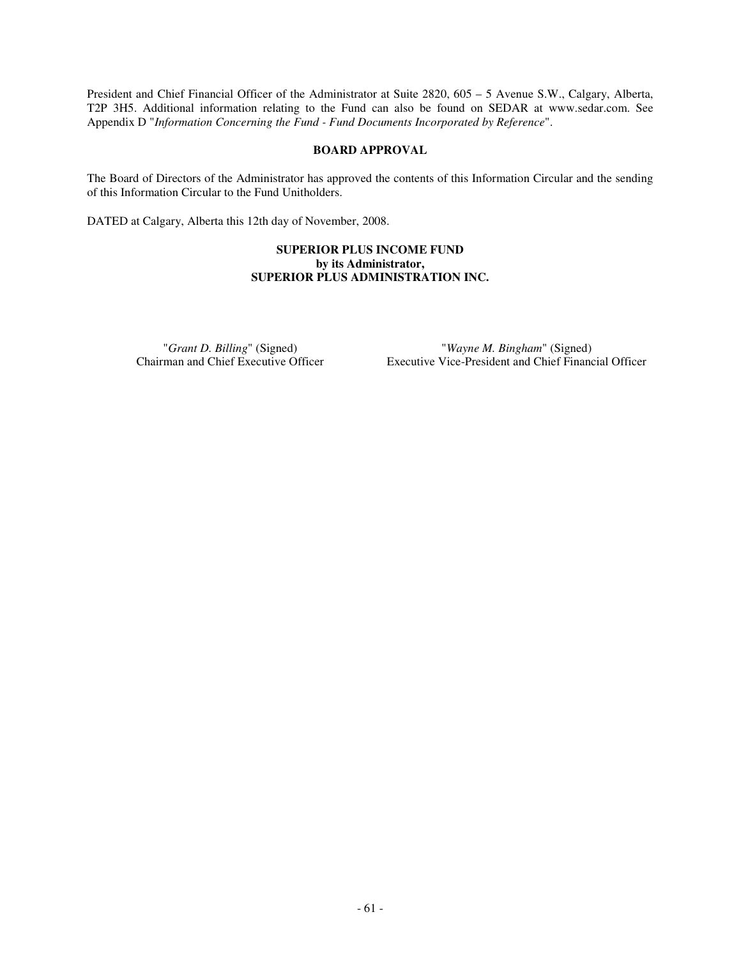President and Chief Financial Officer of the Administrator at Suite 2820, 605 – 5 Avenue S.W., Calgary, Alberta, T2P 3H5. Additional information relating to the Fund can also be found on SEDAR at www.sedar.com. See Appendix D "*Information Concerning the Fund - Fund Documents Incorporated by Reference*".

# **BOARD APPROVAL**

The Board of Directors of the Administrator has approved the contents of this Information Circular and the sending of this Information Circular to the Fund Unitholders.

DATED at Calgary, Alberta this 12th day of November, 2008.

## **SUPERIOR PLUS INCOME FUND by its Administrator, SUPERIOR PLUS ADMINISTRATION INC.**

"*Grant D. Billing*" (Signed) "*Wayne M. Bingham*" (Signed) Executive Vice-President and Chief Financial Officer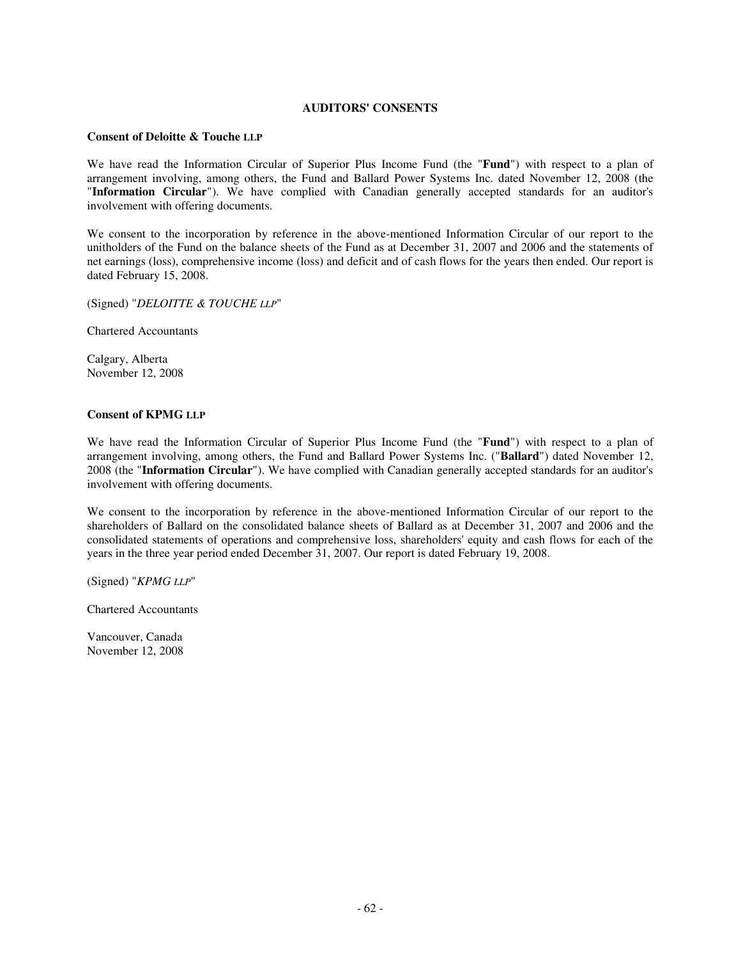## **AUDITORS' CONSENTS**

#### **Consent of Deloitte & Touche LLP**

We have read the Information Circular of Superior Plus Income Fund (the "**Fund**") with respect to a plan of arrangement involving, among others, the Fund and Ballard Power Systems Inc. dated November 12, 2008 (the "**Information Circular**"). We have complied with Canadian generally accepted standards for an auditor's involvement with offering documents.

We consent to the incorporation by reference in the above-mentioned Information Circular of our report to the unitholders of the Fund on the balance sheets of the Fund as at December 31, 2007 and 2006 and the statements of net earnings (loss), comprehensive income (loss) and deficit and of cash flows for the years then ended. Our report is dated February 15, 2008.

(Signed) "*DELOITTE & TOUCHE LLP*"

Chartered Accountants

Calgary, Alberta November 12, 2008

## **Consent of KPMG LLP**

We have read the Information Circular of Superior Plus Income Fund (the "**Fund**") with respect to a plan of arrangement involving, among others, the Fund and Ballard Power Systems Inc. ("**Ballard**") dated November 12, 2008 (the "**Information Circular**"). We have complied with Canadian generally accepted standards for an auditor's involvement with offering documents.

We consent to the incorporation by reference in the above-mentioned Information Circular of our report to the shareholders of Ballard on the consolidated balance sheets of Ballard as at December 31, 2007 and 2006 and the consolidated statements of operations and comprehensive loss, shareholders' equity and cash flows for each of the years in the three year period ended December 31, 2007. Our report is dated February 19, 2008.

(Signed) "*KPMG LLP*"

Chartered Accountants

Vancouver, Canada November 12, 2008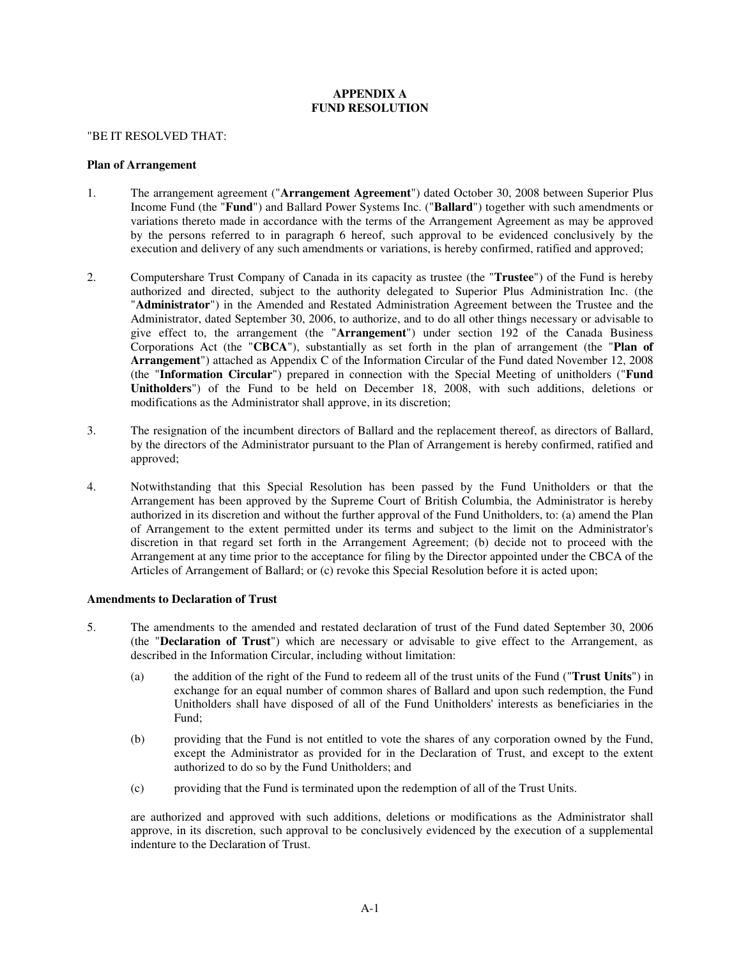# **APPENDIX A FUND RESOLUTION**

#### "BE IT RESOLVED THAT:

#### **Plan of Arrangement**

- 1. The arrangement agreement ("**Arrangement Agreement**") dated October 30, 2008 between Superior Plus Income Fund (the "**Fund**") and Ballard Power Systems Inc. ("**Ballard**") together with such amendments or variations thereto made in accordance with the terms of the Arrangement Agreement as may be approved by the persons referred to in paragraph 6 hereof, such approval to be evidenced conclusively by the execution and delivery of any such amendments or variations, is hereby confirmed, ratified and approved;
- 2. Computershare Trust Company of Canada in its capacity as trustee (the "**Trustee**") of the Fund is hereby authorized and directed, subject to the authority delegated to Superior Plus Administration Inc. (the "**Administrator**") in the Amended and Restated Administration Agreement between the Trustee and the Administrator, dated September 30, 2006, to authorize, and to do all other things necessary or advisable to give effect to, the arrangement (the "**Arrangement**") under section 192 of the Canada Business Corporations Act (the "**CBCA**"), substantially as set forth in the plan of arrangement (the "**Plan of Arrangement**") attached as Appendix C of the Information Circular of the Fund dated November 12, 2008 (the "**Information Circular**") prepared in connection with the Special Meeting of unitholders ("**Fund Unitholders**") of the Fund to be held on December 18, 2008, with such additions, deletions or modifications as the Administrator shall approve, in its discretion;
- 3. The resignation of the incumbent directors of Ballard and the replacement thereof, as directors of Ballard, by the directors of the Administrator pursuant to the Plan of Arrangement is hereby confirmed, ratified and approved;
- 4. Notwithstanding that this Special Resolution has been passed by the Fund Unitholders or that the Arrangement has been approved by the Supreme Court of British Columbia, the Administrator is hereby authorized in its discretion and without the further approval of the Fund Unitholders, to: (a) amend the Plan of Arrangement to the extent permitted under its terms and subject to the limit on the Administrator's discretion in that regard set forth in the Arrangement Agreement; (b) decide not to proceed with the Arrangement at any time prior to the acceptance for filing by the Director appointed under the CBCA of the Articles of Arrangement of Ballard; or (c) revoke this Special Resolution before it is acted upon;

#### **Amendments to Declaration of Trust**

- 5. The amendments to the amended and restated declaration of trust of the Fund dated September 30, 2006 (the "**Declaration of Trust**") which are necessary or advisable to give effect to the Arrangement, as described in the Information Circular, including without limitation:
	- (a) the addition of the right of the Fund to redeem all of the trust units of the Fund ("**Trust Units**") in exchange for an equal number of common shares of Ballard and upon such redemption, the Fund Unitholders shall have disposed of all of the Fund Unitholders' interests as beneficiaries in the Fund;
	- (b) providing that the Fund is not entitled to vote the shares of any corporation owned by the Fund, except the Administrator as provided for in the Declaration of Trust, and except to the extent authorized to do so by the Fund Unitholders; and
	- (c) providing that the Fund is terminated upon the redemption of all of the Trust Units.

are authorized and approved with such additions, deletions or modifications as the Administrator shall approve, in its discretion, such approval to be conclusively evidenced by the execution of a supplemental indenture to the Declaration of Trust.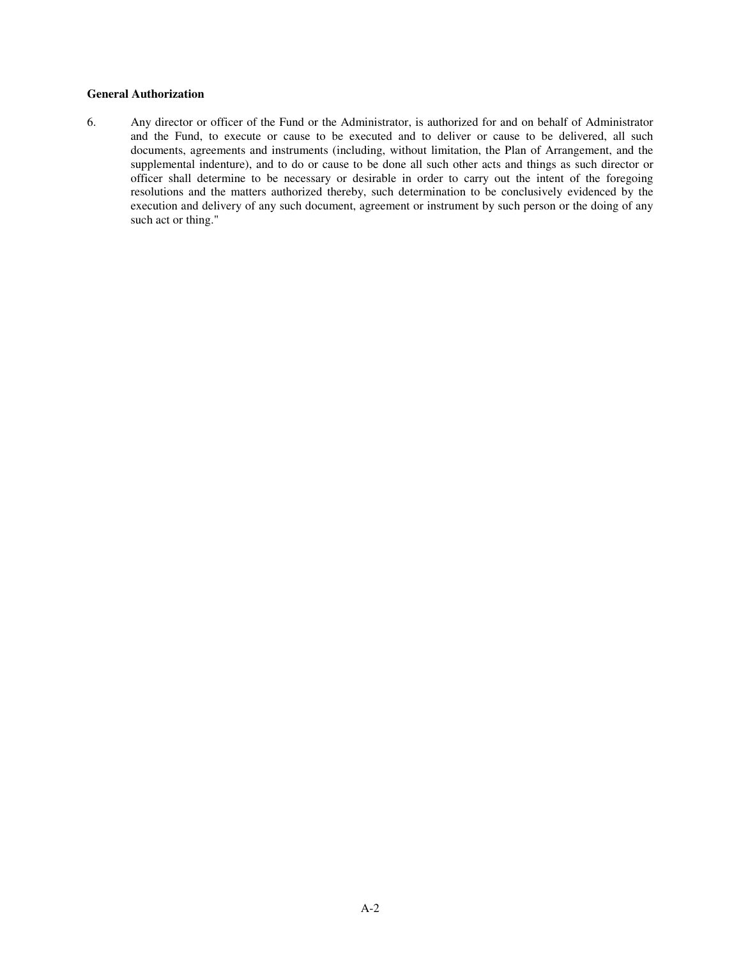# **General Authorization**

6. Any director or officer of the Fund or the Administrator, is authorized for and on behalf of Administrator and the Fund, to execute or cause to be executed and to deliver or cause to be delivered, all such documents, agreements and instruments (including, without limitation, the Plan of Arrangement, and the supplemental indenture), and to do or cause to be done all such other acts and things as such director or officer shall determine to be necessary or desirable in order to carry out the intent of the foregoing resolutions and the matters authorized thereby, such determination to be conclusively evidenced by the execution and delivery of any such document, agreement or instrument by such person or the doing of any such act or thing."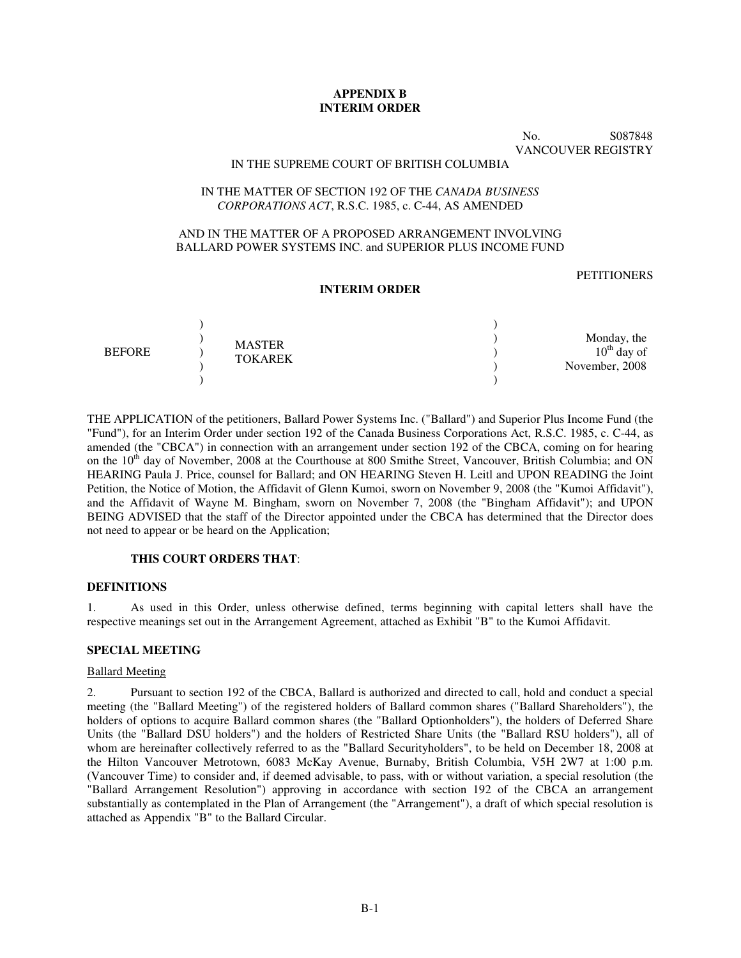# **APPENDIX B INTERIM ORDER**

No. S087848 VANCOUVER REGISTRY

### IN THE SUPREME COURT OF BRITISH COLUMBIA

#### IN THE MATTER OF SECTION 192 OF THE *CANADA BUSINESS CORPORATIONS ACT*, R.S.C. 1985, c. C-44, AS AMENDED

### AND IN THE MATTER OF A PROPOSED ARRANGEMENT INVOLVING BALLARD POWER SYSTEMS INC. and SUPERIOR PLUS INCOME FUND

#### **PETITIONERS**

#### **INTERIM ORDER**

| <b>BEFORE</b> | <b>MASTER</b>  | Monday, the      |
|---------------|----------------|------------------|
|               |                | $10^{th}$ day of |
|               | <b>TOKAREK</b> | November, 2008   |
|               |                |                  |

THE APPLICATION of the petitioners, Ballard Power Systems Inc. ("Ballard") and Superior Plus Income Fund (the "Fund"), for an Interim Order under section 192 of the Canada Business Corporations Act, R.S.C. 1985, c. C-44, as amended (the "CBCA") in connection with an arrangement under section 192 of the CBCA, coming on for hearing on the 10<sup>th</sup> day of November, 2008 at the Courthouse at 800 Smithe Street, Vancouver, British Columbia; and ON HEARING Paula J. Price, counsel for Ballard; and ON HEARING Steven H. Leitl and UPON READING the Joint Petition, the Notice of Motion, the Affidavit of Glenn Kumoi, sworn on November 9, 2008 (the "Kumoi Affidavit"), and the Affidavit of Wayne M. Bingham, sworn on November 7, 2008 (the "Bingham Affidavit"); and UPON BEING ADVISED that the staff of the Director appointed under the CBCA has determined that the Director does not need to appear or be heard on the Application;

### **THIS COURT ORDERS THAT**:

#### **DEFINITIONS**

1. As used in this Order, unless otherwise defined, terms beginning with capital letters shall have the respective meanings set out in the Arrangement Agreement, attached as Exhibit "B" to the Kumoi Affidavit.

#### **SPECIAL MEETING**

# Ballard Meeting

2. Pursuant to section 192 of the CBCA, Ballard is authorized and directed to call, hold and conduct a special meeting (the "Ballard Meeting") of the registered holders of Ballard common shares ("Ballard Shareholders"), the holders of options to acquire Ballard common shares (the "Ballard Optionholders"), the holders of Deferred Share Units (the "Ballard DSU holders") and the holders of Restricted Share Units (the "Ballard RSU holders"), all of whom are hereinafter collectively referred to as the "Ballard Securityholders", to be held on December 18, 2008 at the Hilton Vancouver Metrotown, 6083 McKay Avenue, Burnaby, British Columbia, V5H 2W7 at 1:00 p.m. (Vancouver Time) to consider and, if deemed advisable, to pass, with or without variation, a special resolution (the "Ballard Arrangement Resolution") approving in accordance with section 192 of the CBCA an arrangement substantially as contemplated in the Plan of Arrangement (the "Arrangement"), a draft of which special resolution is attached as Appendix "B" to the Ballard Circular.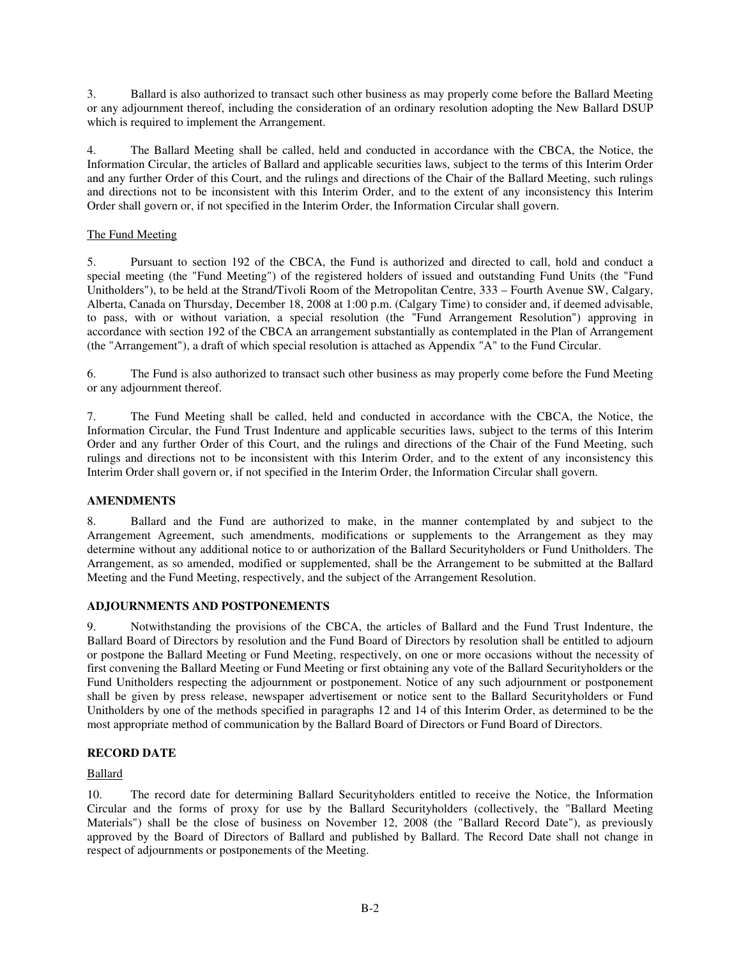3. Ballard is also authorized to transact such other business as may properly come before the Ballard Meeting or any adjournment thereof, including the consideration of an ordinary resolution adopting the New Ballard DSUP which is required to implement the Arrangement.

4. The Ballard Meeting shall be called, held and conducted in accordance with the CBCA, the Notice, the Information Circular, the articles of Ballard and applicable securities laws, subject to the terms of this Interim Order and any further Order of this Court, and the rulings and directions of the Chair of the Ballard Meeting, such rulings and directions not to be inconsistent with this Interim Order, and to the extent of any inconsistency this Interim Order shall govern or, if not specified in the Interim Order, the Information Circular shall govern.

# The Fund Meeting

5. Pursuant to section 192 of the CBCA, the Fund is authorized and directed to call, hold and conduct a special meeting (the "Fund Meeting") of the registered holders of issued and outstanding Fund Units (the "Fund Unitholders"), to be held at the Strand/Tivoli Room of the Metropolitan Centre, 333 – Fourth Avenue SW, Calgary, Alberta, Canada on Thursday, December 18, 2008 at 1:00 p.m. (Calgary Time) to consider and, if deemed advisable, to pass, with or without variation, a special resolution (the "Fund Arrangement Resolution") approving in accordance with section 192 of the CBCA an arrangement substantially as contemplated in the Plan of Arrangement (the "Arrangement"), a draft of which special resolution is attached as Appendix "A" to the Fund Circular.

6. The Fund is also authorized to transact such other business as may properly come before the Fund Meeting or any adjournment thereof.

7. The Fund Meeting shall be called, held and conducted in accordance with the CBCA, the Notice, the Information Circular, the Fund Trust Indenture and applicable securities laws, subject to the terms of this Interim Order and any further Order of this Court, and the rulings and directions of the Chair of the Fund Meeting, such rulings and directions not to be inconsistent with this Interim Order, and to the extent of any inconsistency this Interim Order shall govern or, if not specified in the Interim Order, the Information Circular shall govern.

## **AMENDMENTS**

8. Ballard and the Fund are authorized to make, in the manner contemplated by and subject to the Arrangement Agreement, such amendments, modifications or supplements to the Arrangement as they may determine without any additional notice to or authorization of the Ballard Securityholders or Fund Unitholders. The Arrangement, as so amended, modified or supplemented, shall be the Arrangement to be submitted at the Ballard Meeting and the Fund Meeting, respectively, and the subject of the Arrangement Resolution.

# **ADJOURNMENTS AND POSTPONEMENTS**

9. Notwithstanding the provisions of the CBCA, the articles of Ballard and the Fund Trust Indenture, the Ballard Board of Directors by resolution and the Fund Board of Directors by resolution shall be entitled to adjourn or postpone the Ballard Meeting or Fund Meeting, respectively, on one or more occasions without the necessity of first convening the Ballard Meeting or Fund Meeting or first obtaining any vote of the Ballard Securityholders or the Fund Unitholders respecting the adjournment or postponement. Notice of any such adjournment or postponement shall be given by press release, newspaper advertisement or notice sent to the Ballard Securityholders or Fund Unitholders by one of the methods specified in paragraphs 12 and 14 of this Interim Order, as determined to be the most appropriate method of communication by the Ballard Board of Directors or Fund Board of Directors.

# **RECORD DATE**

## Ballard

10. The record date for determining Ballard Securityholders entitled to receive the Notice, the Information Circular and the forms of proxy for use by the Ballard Securityholders (collectively, the "Ballard Meeting Materials") shall be the close of business on November 12, 2008 (the "Ballard Record Date"), as previously approved by the Board of Directors of Ballard and published by Ballard. The Record Date shall not change in respect of adjournments or postponements of the Meeting.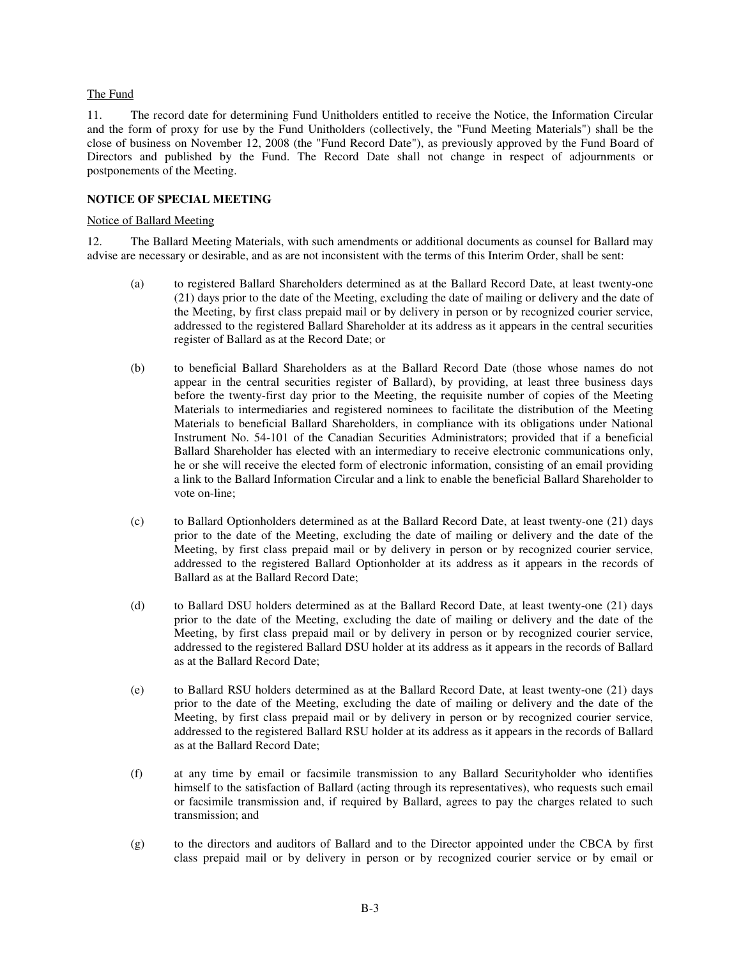### The Fund

11. The record date for determining Fund Unitholders entitled to receive the Notice, the Information Circular and the form of proxy for use by the Fund Unitholders (collectively, the "Fund Meeting Materials") shall be the close of business on November 12, 2008 (the "Fund Record Date"), as previously approved by the Fund Board of Directors and published by the Fund. The Record Date shall not change in respect of adjournments or postponements of the Meeting.

# **NOTICE OF SPECIAL MEETING**

#### Notice of Ballard Meeting

12. The Ballard Meeting Materials, with such amendments or additional documents as counsel for Ballard may advise are necessary or desirable, and as are not inconsistent with the terms of this Interim Order, shall be sent:

- (a) to registered Ballard Shareholders determined as at the Ballard Record Date, at least twenty-one (21) days prior to the date of the Meeting, excluding the date of mailing or delivery and the date of the Meeting, by first class prepaid mail or by delivery in person or by recognized courier service, addressed to the registered Ballard Shareholder at its address as it appears in the central securities register of Ballard as at the Record Date; or
- (b) to beneficial Ballard Shareholders as at the Ballard Record Date (those whose names do not appear in the central securities register of Ballard), by providing, at least three business days before the twenty-first day prior to the Meeting, the requisite number of copies of the Meeting Materials to intermediaries and registered nominees to facilitate the distribution of the Meeting Materials to beneficial Ballard Shareholders, in compliance with its obligations under National Instrument No. 54-101 of the Canadian Securities Administrators; provided that if a beneficial Ballard Shareholder has elected with an intermediary to receive electronic communications only, he or she will receive the elected form of electronic information, consisting of an email providing a link to the Ballard Information Circular and a link to enable the beneficial Ballard Shareholder to vote on-line;
- (c) to Ballard Optionholders determined as at the Ballard Record Date, at least twenty-one (21) days prior to the date of the Meeting, excluding the date of mailing or delivery and the date of the Meeting, by first class prepaid mail or by delivery in person or by recognized courier service, addressed to the registered Ballard Optionholder at its address as it appears in the records of Ballard as at the Ballard Record Date;
- (d) to Ballard DSU holders determined as at the Ballard Record Date, at least twenty-one (21) days prior to the date of the Meeting, excluding the date of mailing or delivery and the date of the Meeting, by first class prepaid mail or by delivery in person or by recognized courier service, addressed to the registered Ballard DSU holder at its address as it appears in the records of Ballard as at the Ballard Record Date;
- (e) to Ballard RSU holders determined as at the Ballard Record Date, at least twenty-one (21) days prior to the date of the Meeting, excluding the date of mailing or delivery and the date of the Meeting, by first class prepaid mail or by delivery in person or by recognized courier service, addressed to the registered Ballard RSU holder at its address as it appears in the records of Ballard as at the Ballard Record Date;
- (f) at any time by email or facsimile transmission to any Ballard Securityholder who identifies himself to the satisfaction of Ballard (acting through its representatives), who requests such email or facsimile transmission and, if required by Ballard, agrees to pay the charges related to such transmission; and
- (g) to the directors and auditors of Ballard and to the Director appointed under the CBCA by first class prepaid mail or by delivery in person or by recognized courier service or by email or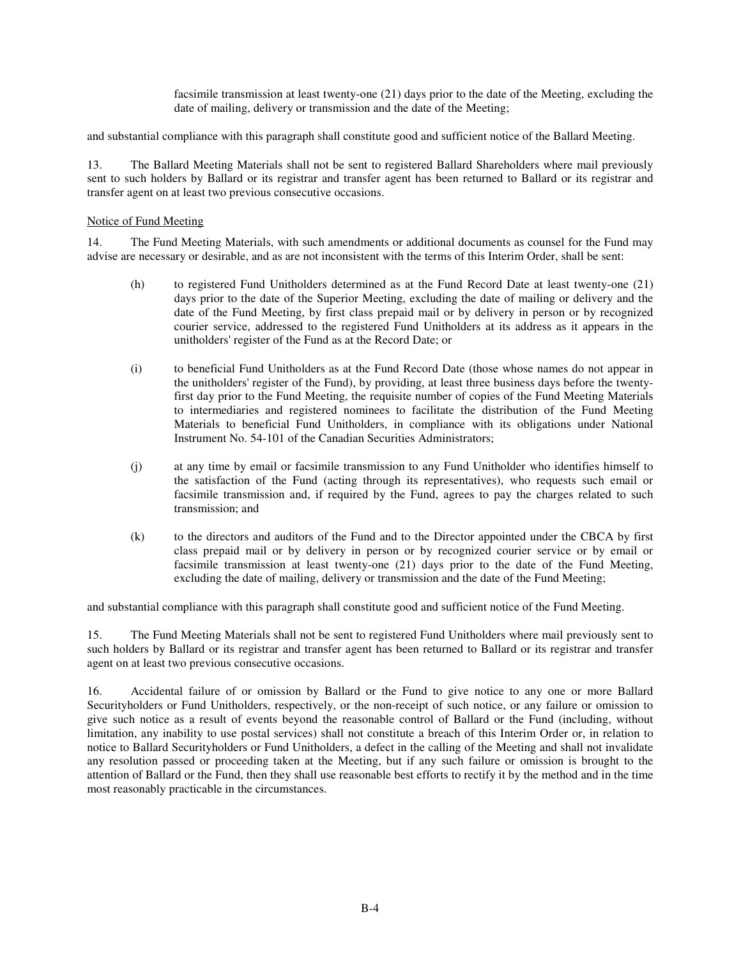facsimile transmission at least twenty-one (21) days prior to the date of the Meeting, excluding the date of mailing, delivery or transmission and the date of the Meeting;

and substantial compliance with this paragraph shall constitute good and sufficient notice of the Ballard Meeting.

13. The Ballard Meeting Materials shall not be sent to registered Ballard Shareholders where mail previously sent to such holders by Ballard or its registrar and transfer agent has been returned to Ballard or its registrar and transfer agent on at least two previous consecutive occasions.

#### Notice of Fund Meeting

14. The Fund Meeting Materials, with such amendments or additional documents as counsel for the Fund may advise are necessary or desirable, and as are not inconsistent with the terms of this Interim Order, shall be sent:

- (h) to registered Fund Unitholders determined as at the Fund Record Date at least twenty-one (21) days prior to the date of the Superior Meeting, excluding the date of mailing or delivery and the date of the Fund Meeting, by first class prepaid mail or by delivery in person or by recognized courier service, addressed to the registered Fund Unitholders at its address as it appears in the unitholders' register of the Fund as at the Record Date; or
- (i) to beneficial Fund Unitholders as at the Fund Record Date (those whose names do not appear in the unitholders' register of the Fund), by providing, at least three business days before the twentyfirst day prior to the Fund Meeting, the requisite number of copies of the Fund Meeting Materials to intermediaries and registered nominees to facilitate the distribution of the Fund Meeting Materials to beneficial Fund Unitholders, in compliance with its obligations under National Instrument No. 54-101 of the Canadian Securities Administrators;
- (j) at any time by email or facsimile transmission to any Fund Unitholder who identifies himself to the satisfaction of the Fund (acting through its representatives), who requests such email or facsimile transmission and, if required by the Fund, agrees to pay the charges related to such transmission; and
- (k) to the directors and auditors of the Fund and to the Director appointed under the CBCA by first class prepaid mail or by delivery in person or by recognized courier service or by email or facsimile transmission at least twenty-one (21) days prior to the date of the Fund Meeting, excluding the date of mailing, delivery or transmission and the date of the Fund Meeting;

and substantial compliance with this paragraph shall constitute good and sufficient notice of the Fund Meeting.

15. The Fund Meeting Materials shall not be sent to registered Fund Unitholders where mail previously sent to such holders by Ballard or its registrar and transfer agent has been returned to Ballard or its registrar and transfer agent on at least two previous consecutive occasions.

16. Accidental failure of or omission by Ballard or the Fund to give notice to any one or more Ballard Securityholders or Fund Unitholders, respectively, or the non-receipt of such notice, or any failure or omission to give such notice as a result of events beyond the reasonable control of Ballard or the Fund (including, without limitation, any inability to use postal services) shall not constitute a breach of this Interim Order or, in relation to notice to Ballard Securityholders or Fund Unitholders, a defect in the calling of the Meeting and shall not invalidate any resolution passed or proceeding taken at the Meeting, but if any such failure or omission is brought to the attention of Ballard or the Fund, then they shall use reasonable best efforts to rectify it by the method and in the time most reasonably practicable in the circumstances.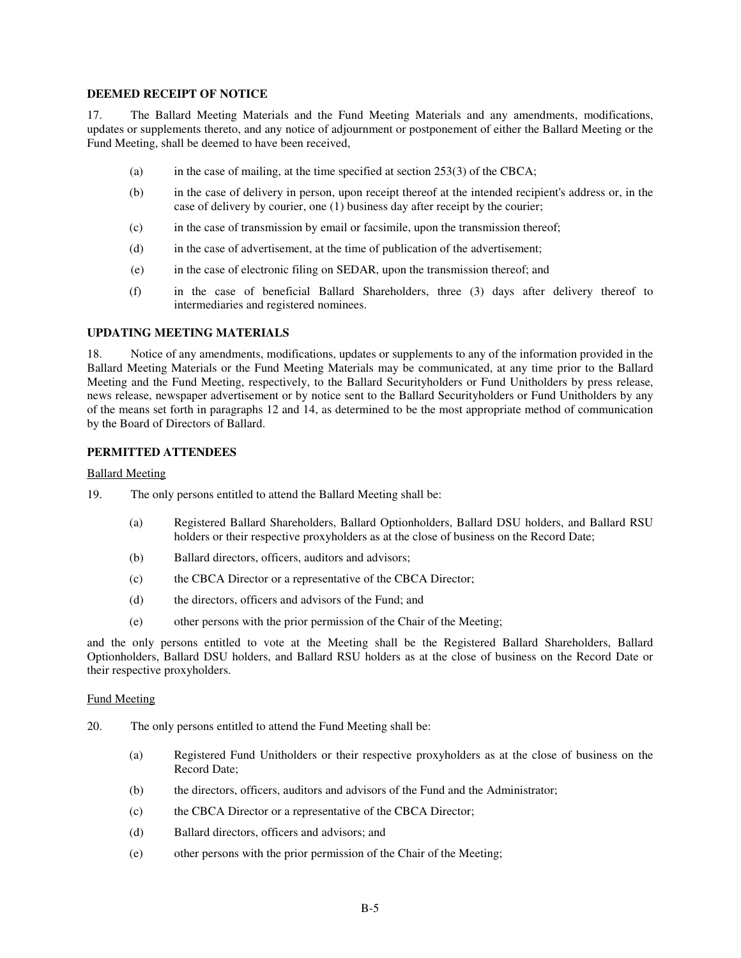#### **DEEMED RECEIPT OF NOTICE**

17. The Ballard Meeting Materials and the Fund Meeting Materials and any amendments, modifications, updates or supplements thereto, and any notice of adjournment or postponement of either the Ballard Meeting or the Fund Meeting, shall be deemed to have been received,

- (a) in the case of mailing, at the time specified at section  $253(3)$  of the CBCA;
- (b) in the case of delivery in person, upon receipt thereof at the intended recipient's address or, in the case of delivery by courier, one (1) business day after receipt by the courier;
- (c) in the case of transmission by email or facsimile, upon the transmission thereof;
- (d) in the case of advertisement, at the time of publication of the advertisement;
- (e) in the case of electronic filing on SEDAR, upon the transmission thereof; and
- (f) in the case of beneficial Ballard Shareholders, three (3) days after delivery thereof to intermediaries and registered nominees.

#### **UPDATING MEETING MATERIALS**

18. Notice of any amendments, modifications, updates or supplements to any of the information provided in the Ballard Meeting Materials or the Fund Meeting Materials may be communicated, at any time prior to the Ballard Meeting and the Fund Meeting, respectively, to the Ballard Securityholders or Fund Unitholders by press release, news release, newspaper advertisement or by notice sent to the Ballard Securityholders or Fund Unitholders by any of the means set forth in paragraphs 12 and 14, as determined to be the most appropriate method of communication by the Board of Directors of Ballard.

# **PERMITTED ATTENDEES**

#### Ballard Meeting

- 19. The only persons entitled to attend the Ballard Meeting shall be:
	- (a) Registered Ballard Shareholders, Ballard Optionholders, Ballard DSU holders, and Ballard RSU holders or their respective proxyholders as at the close of business on the Record Date;
	- (b) Ballard directors, officers, auditors and advisors;
	- (c) the CBCA Director or a representative of the CBCA Director;
	- (d) the directors, officers and advisors of the Fund; and
	- (e) other persons with the prior permission of the Chair of the Meeting;

and the only persons entitled to vote at the Meeting shall be the Registered Ballard Shareholders, Ballard Optionholders, Ballard DSU holders, and Ballard RSU holders as at the close of business on the Record Date or their respective proxyholders.

#### Fund Meeting

- 20. The only persons entitled to attend the Fund Meeting shall be:
	- (a) Registered Fund Unitholders or their respective proxyholders as at the close of business on the Record Date;
	- (b) the directors, officers, auditors and advisors of the Fund and the Administrator;
	- (c) the CBCA Director or a representative of the CBCA Director;
	- (d) Ballard directors, officers and advisors; and
	- (e) other persons with the prior permission of the Chair of the Meeting;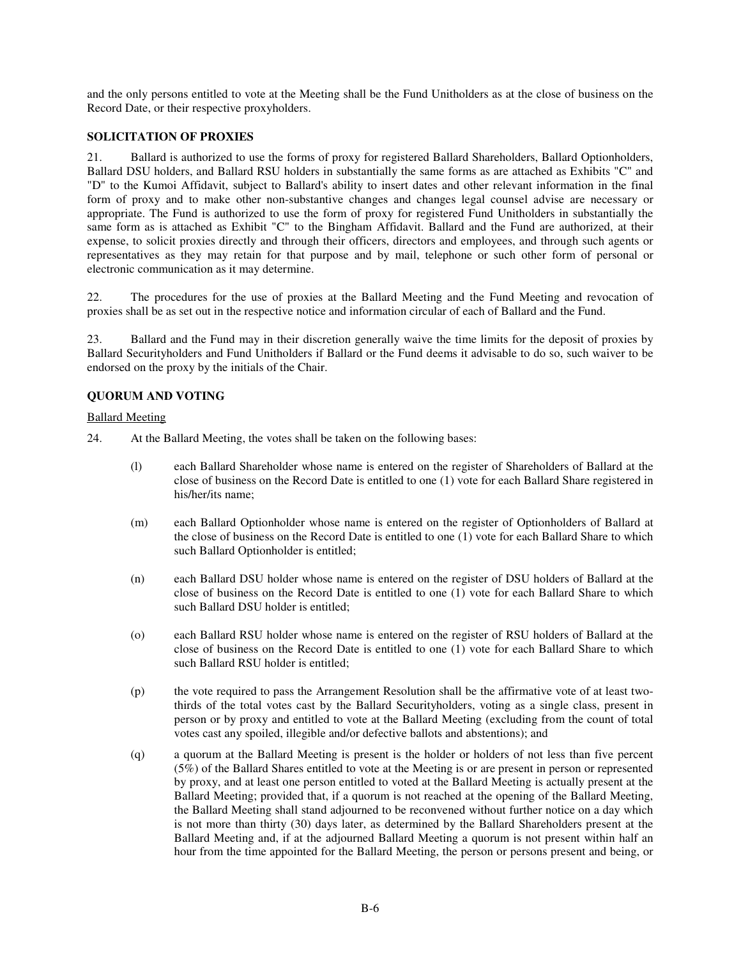and the only persons entitled to vote at the Meeting shall be the Fund Unitholders as at the close of business on the Record Date, or their respective proxyholders.

# **SOLICITATION OF PROXIES**

21. Ballard is authorized to use the forms of proxy for registered Ballard Shareholders, Ballard Optionholders, Ballard DSU holders, and Ballard RSU holders in substantially the same forms as are attached as Exhibits "C" and "D" to the Kumoi Affidavit, subject to Ballard's ability to insert dates and other relevant information in the final form of proxy and to make other non-substantive changes and changes legal counsel advise are necessary or appropriate. The Fund is authorized to use the form of proxy for registered Fund Unitholders in substantially the same form as is attached as Exhibit "C" to the Bingham Affidavit. Ballard and the Fund are authorized, at their expense, to solicit proxies directly and through their officers, directors and employees, and through such agents or representatives as they may retain for that purpose and by mail, telephone or such other form of personal or electronic communication as it may determine.

22. The procedures for the use of proxies at the Ballard Meeting and the Fund Meeting and revocation of proxies shall be as set out in the respective notice and information circular of each of Ballard and the Fund.

23. Ballard and the Fund may in their discretion generally waive the time limits for the deposit of proxies by Ballard Securityholders and Fund Unitholders if Ballard or the Fund deems it advisable to do so, such waiver to be endorsed on the proxy by the initials of the Chair.

## **QUORUM AND VOTING**

Ballard Meeting

- 24. At the Ballard Meeting, the votes shall be taken on the following bases:
	- (l) each Ballard Shareholder whose name is entered on the register of Shareholders of Ballard at the close of business on the Record Date is entitled to one (1) vote for each Ballard Share registered in his/her/its name;
	- (m) each Ballard Optionholder whose name is entered on the register of Optionholders of Ballard at the close of business on the Record Date is entitled to one (1) vote for each Ballard Share to which such Ballard Optionholder is entitled;
	- (n) each Ballard DSU holder whose name is entered on the register of DSU holders of Ballard at the close of business on the Record Date is entitled to one (1) vote for each Ballard Share to which such Ballard DSU holder is entitled;
	- (o) each Ballard RSU holder whose name is entered on the register of RSU holders of Ballard at the close of business on the Record Date is entitled to one (1) vote for each Ballard Share to which such Ballard RSU holder is entitled;
	- (p) the vote required to pass the Arrangement Resolution shall be the affirmative vote of at least twothirds of the total votes cast by the Ballard Securityholders, voting as a single class, present in person or by proxy and entitled to vote at the Ballard Meeting (excluding from the count of total votes cast any spoiled, illegible and/or defective ballots and abstentions); and
	- (q) a quorum at the Ballard Meeting is present is the holder or holders of not less than five percent (5%) of the Ballard Shares entitled to vote at the Meeting is or are present in person or represented by proxy, and at least one person entitled to voted at the Ballard Meeting is actually present at the Ballard Meeting; provided that, if a quorum is not reached at the opening of the Ballard Meeting, the Ballard Meeting shall stand adjourned to be reconvened without further notice on a day which is not more than thirty (30) days later, as determined by the Ballard Shareholders present at the Ballard Meeting and, if at the adjourned Ballard Meeting a quorum is not present within half an hour from the time appointed for the Ballard Meeting, the person or persons present and being, or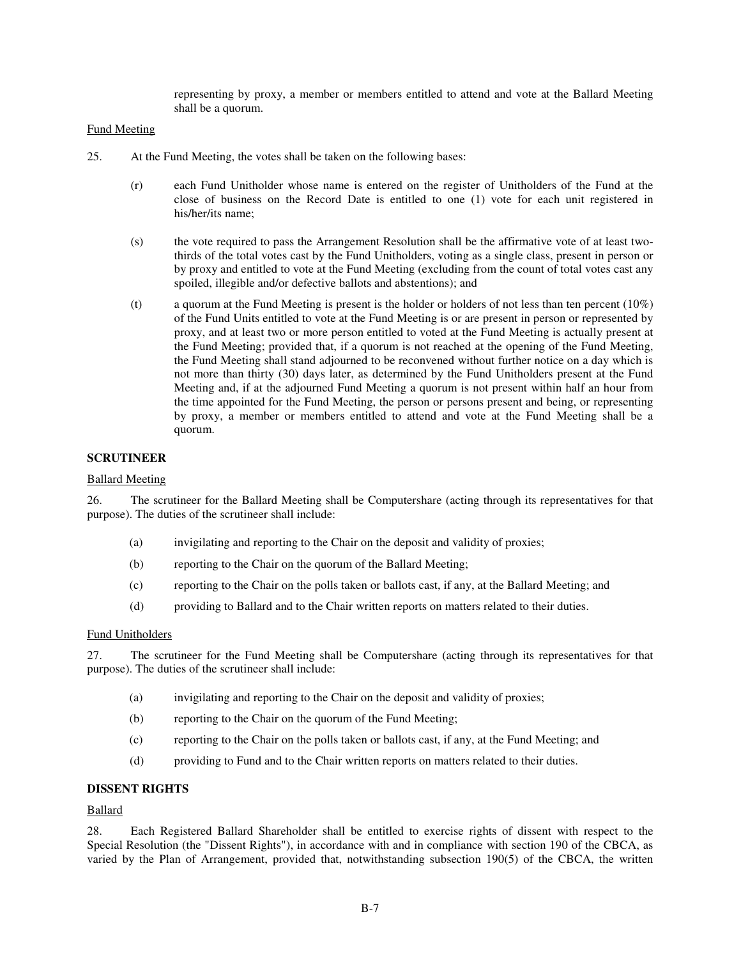representing by proxy, a member or members entitled to attend and vote at the Ballard Meeting shall be a quorum.

#### Fund Meeting

- 25. At the Fund Meeting, the votes shall be taken on the following bases:
	- (r) each Fund Unitholder whose name is entered on the register of Unitholders of the Fund at the close of business on the Record Date is entitled to one (1) vote for each unit registered in his/her/its name;
	- (s) the vote required to pass the Arrangement Resolution shall be the affirmative vote of at least twothirds of the total votes cast by the Fund Unitholders, voting as a single class, present in person or by proxy and entitled to vote at the Fund Meeting (excluding from the count of total votes cast any spoiled, illegible and/or defective ballots and abstentions); and
	- (t) a quorum at the Fund Meeting is present is the holder or holders of not less than ten percent  $(10\%)$ of the Fund Units entitled to vote at the Fund Meeting is or are present in person or represented by proxy, and at least two or more person entitled to voted at the Fund Meeting is actually present at the Fund Meeting; provided that, if a quorum is not reached at the opening of the Fund Meeting, the Fund Meeting shall stand adjourned to be reconvened without further notice on a day which is not more than thirty (30) days later, as determined by the Fund Unitholders present at the Fund Meeting and, if at the adjourned Fund Meeting a quorum is not present within half an hour from the time appointed for the Fund Meeting, the person or persons present and being, or representing by proxy, a member or members entitled to attend and vote at the Fund Meeting shall be a quorum.

# **SCRUTINEER**

#### Ballard Meeting

26. The scrutineer for the Ballard Meeting shall be Computershare (acting through its representatives for that purpose). The duties of the scrutineer shall include:

- (a) invigilating and reporting to the Chair on the deposit and validity of proxies;
- (b) reporting to the Chair on the quorum of the Ballard Meeting;
- (c) reporting to the Chair on the polls taken or ballots cast, if any, at the Ballard Meeting; and
- (d) providing to Ballard and to the Chair written reports on matters related to their duties.

#### Fund Unitholders

27. The scrutineer for the Fund Meeting shall be Computershare (acting through its representatives for that purpose). The duties of the scrutineer shall include:

- (a) invigilating and reporting to the Chair on the deposit and validity of proxies;
- (b) reporting to the Chair on the quorum of the Fund Meeting;
- (c) reporting to the Chair on the polls taken or ballots cast, if any, at the Fund Meeting; and
- (d) providing to Fund and to the Chair written reports on matters related to their duties.

#### **DISSENT RIGHTS**

#### Ballard

28. Each Registered Ballard Shareholder shall be entitled to exercise rights of dissent with respect to the Special Resolution (the "Dissent Rights"), in accordance with and in compliance with section 190 of the CBCA, as varied by the Plan of Arrangement, provided that, notwithstanding subsection 190(5) of the CBCA, the written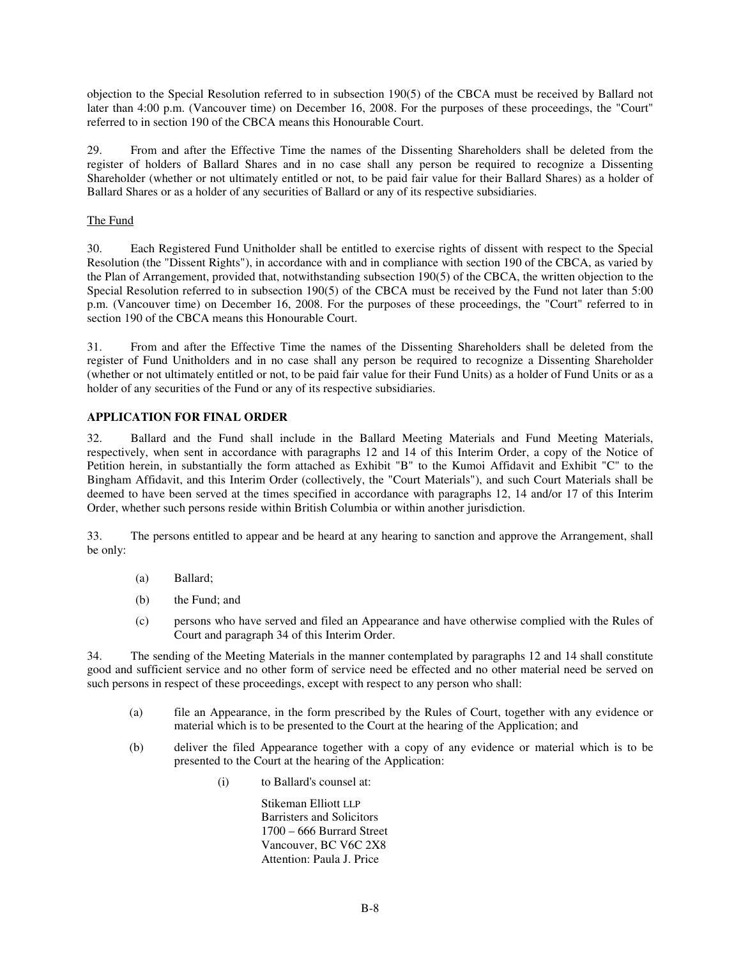objection to the Special Resolution referred to in subsection 190(5) of the CBCA must be received by Ballard not later than 4:00 p.m. (Vancouver time) on December 16, 2008. For the purposes of these proceedings, the "Court" referred to in section 190 of the CBCA means this Honourable Court.

29. From and after the Effective Time the names of the Dissenting Shareholders shall be deleted from the register of holders of Ballard Shares and in no case shall any person be required to recognize a Dissenting Shareholder (whether or not ultimately entitled or not, to be paid fair value for their Ballard Shares) as a holder of Ballard Shares or as a holder of any securities of Ballard or any of its respective subsidiaries.

# The Fund

30. Each Registered Fund Unitholder shall be entitled to exercise rights of dissent with respect to the Special Resolution (the "Dissent Rights"), in accordance with and in compliance with section 190 of the CBCA, as varied by the Plan of Arrangement, provided that, notwithstanding subsection 190(5) of the CBCA, the written objection to the Special Resolution referred to in subsection 190(5) of the CBCA must be received by the Fund not later than 5:00 p.m. (Vancouver time) on December 16, 2008. For the purposes of these proceedings, the "Court" referred to in section 190 of the CBCA means this Honourable Court.

31. From and after the Effective Time the names of the Dissenting Shareholders shall be deleted from the register of Fund Unitholders and in no case shall any person be required to recognize a Dissenting Shareholder (whether or not ultimately entitled or not, to be paid fair value for their Fund Units) as a holder of Fund Units or as a holder of any securities of the Fund or any of its respective subsidiaries.

# **APPLICATION FOR FINAL ORDER**

32. Ballard and the Fund shall include in the Ballard Meeting Materials and Fund Meeting Materials, respectively, when sent in accordance with paragraphs 12 and 14 of this Interim Order, a copy of the Notice of Petition herein, in substantially the form attached as Exhibit "B" to the Kumoi Affidavit and Exhibit "C" to the Bingham Affidavit, and this Interim Order (collectively, the "Court Materials"), and such Court Materials shall be deemed to have been served at the times specified in accordance with paragraphs 12, 14 and/or 17 of this Interim Order, whether such persons reside within British Columbia or within another jurisdiction.

33. The persons entitled to appear and be heard at any hearing to sanction and approve the Arrangement, shall be only:

- (a) Ballard;
- (b) the Fund; and
- (c) persons who have served and filed an Appearance and have otherwise complied with the Rules of Court and paragraph 34 of this Interim Order.

34. The sending of the Meeting Materials in the manner contemplated by paragraphs 12 and 14 shall constitute good and sufficient service and no other form of service need be effected and no other material need be served on such persons in respect of these proceedings, except with respect to any person who shall:

- (a) file an Appearance, in the form prescribed by the Rules of Court, together with any evidence or material which is to be presented to the Court at the hearing of the Application; and
- (b) deliver the filed Appearance together with a copy of any evidence or material which is to be presented to the Court at the hearing of the Application:
	- (i) to Ballard's counsel at:

Stikeman Elliott LLP Barristers and Solicitors 1700 – 666 Burrard Street Vancouver, BC V6C 2X8 Attention: Paula J. Price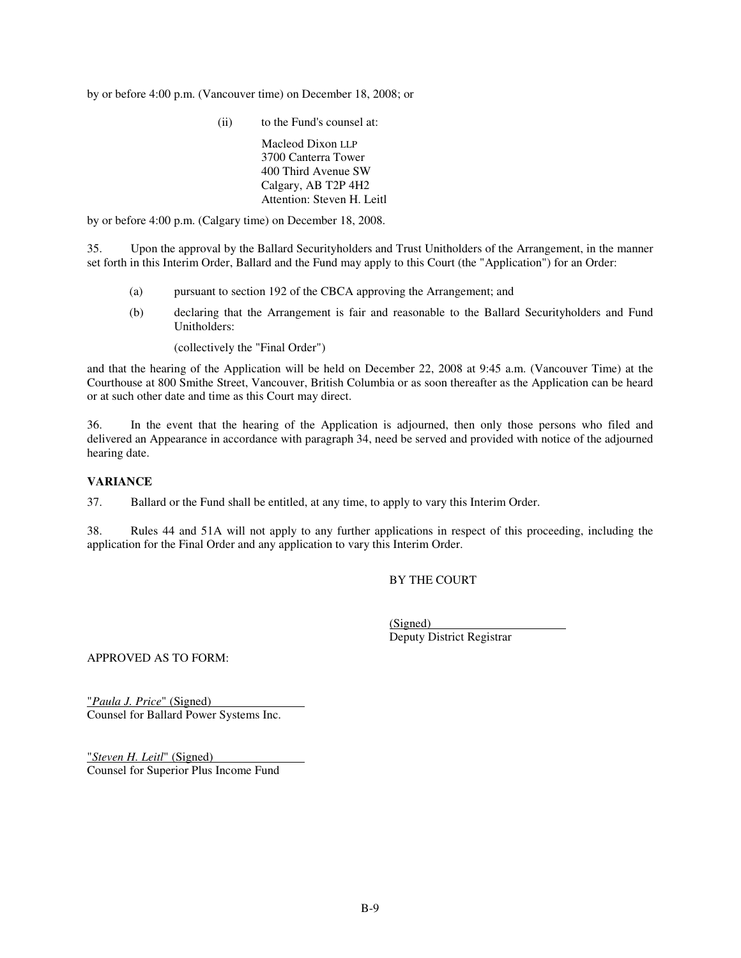by or before 4:00 p.m. (Vancouver time) on December 18, 2008; or

(ii) to the Fund's counsel at:

Macleod Dixon LLP 3700 Canterra Tower 400 Third Avenue SW Calgary, AB T2P 4H2 Attention: Steven H. Leitl

by or before 4:00 p.m. (Calgary time) on December 18, 2008.

35. Upon the approval by the Ballard Securityholders and Trust Unitholders of the Arrangement, in the manner set forth in this Interim Order, Ballard and the Fund may apply to this Court (the "Application") for an Order:

- (a) pursuant to section 192 of the CBCA approving the Arrangement; and
- (b) declaring that the Arrangement is fair and reasonable to the Ballard Securityholders and Fund Unitholders:

(collectively the "Final Order")

and that the hearing of the Application will be held on December 22, 2008 at 9:45 a.m. (Vancouver Time) at the Courthouse at 800 Smithe Street, Vancouver, British Columbia or as soon thereafter as the Application can be heard or at such other date and time as this Court may direct.

36. In the event that the hearing of the Application is adjourned, then only those persons who filed and delivered an Appearance in accordance with paragraph 34, need be served and provided with notice of the adjourned hearing date.

## **VARIANCE**

37. Ballard or the Fund shall be entitled, at any time, to apply to vary this Interim Order.

38. Rules 44 and 51A will not apply to any further applications in respect of this proceeding, including the application for the Final Order and any application to vary this Interim Order.

# BY THE COURT

(Signed) Deputy District Registrar

APPROVED AS TO FORM:

"*Paula J. Price*" (Signed) Counsel for Ballard Power Systems Inc.

"*Steven H. Leitl*" (Signed) Counsel for Superior Plus Income Fund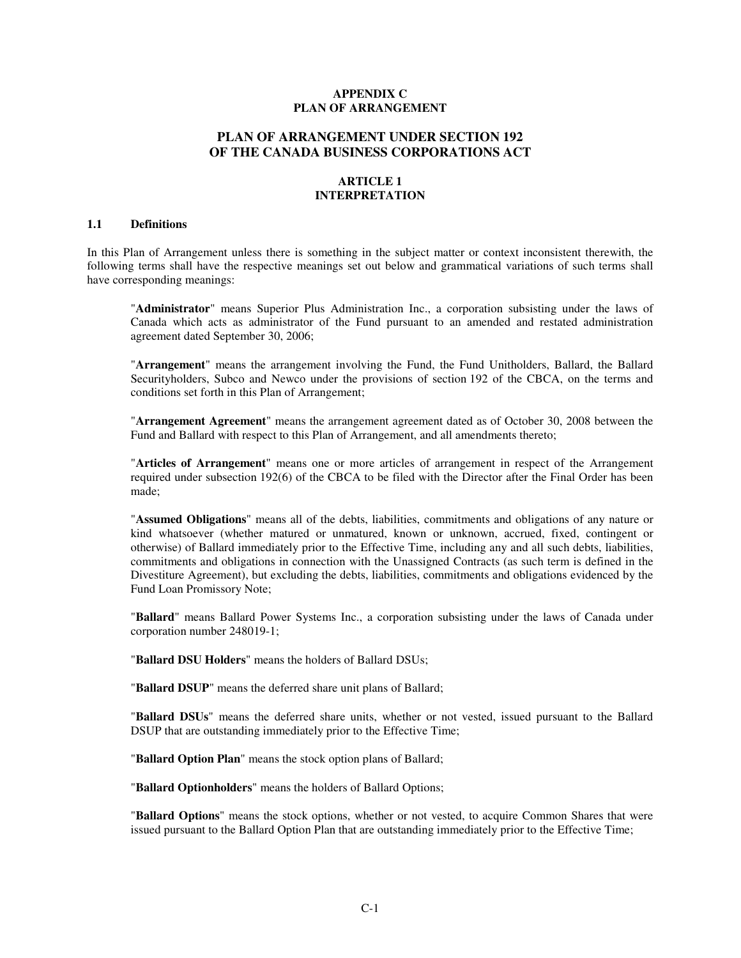## **APPENDIX C PLAN OF ARRANGEMENT**

# **PLAN OF ARRANGEMENT UNDER SECTION 192 OF THE CANADA BUSINESS CORPORATIONS ACT**

#### **ARTICLE 1 INTERPRETATION**

#### **1.1 Definitions**

In this Plan of Arrangement unless there is something in the subject matter or context inconsistent therewith, the following terms shall have the respective meanings set out below and grammatical variations of such terms shall have corresponding meanings:

"**Administrator**" means Superior Plus Administration Inc., a corporation subsisting under the laws of Canada which acts as administrator of the Fund pursuant to an amended and restated administration agreement dated September 30, 2006;

"**Arrangement**" means the arrangement involving the Fund, the Fund Unitholders, Ballard, the Ballard Securityholders, Subco and Newco under the provisions of section 192 of the CBCA, on the terms and conditions set forth in this Plan of Arrangement;

"**Arrangement Agreement**" means the arrangement agreement dated as of October 30, 2008 between the Fund and Ballard with respect to this Plan of Arrangement, and all amendments thereto;

"**Articles of Arrangement**" means one or more articles of arrangement in respect of the Arrangement required under subsection 192(6) of the CBCA to be filed with the Director after the Final Order has been made;

"**Assumed Obligations**" means all of the debts, liabilities, commitments and obligations of any nature or kind whatsoever (whether matured or unmatured, known or unknown, accrued, fixed, contingent or otherwise) of Ballard immediately prior to the Effective Time, including any and all such debts, liabilities, commitments and obligations in connection with the Unassigned Contracts (as such term is defined in the Divestiture Agreement), but excluding the debts, liabilities, commitments and obligations evidenced by the Fund Loan Promissory Note;

"**Ballard**" means Ballard Power Systems Inc., a corporation subsisting under the laws of Canada under corporation number 248019-1;

"**Ballard DSU Holders**" means the holders of Ballard DSUs;

"**Ballard DSUP**" means the deferred share unit plans of Ballard;

"**Ballard DSUs**" means the deferred share units, whether or not vested, issued pursuant to the Ballard DSUP that are outstanding immediately prior to the Effective Time;

"**Ballard Option Plan**" means the stock option plans of Ballard;

"**Ballard Optionholders**" means the holders of Ballard Options;

"**Ballard Options**" means the stock options, whether or not vested, to acquire Common Shares that were issued pursuant to the Ballard Option Plan that are outstanding immediately prior to the Effective Time;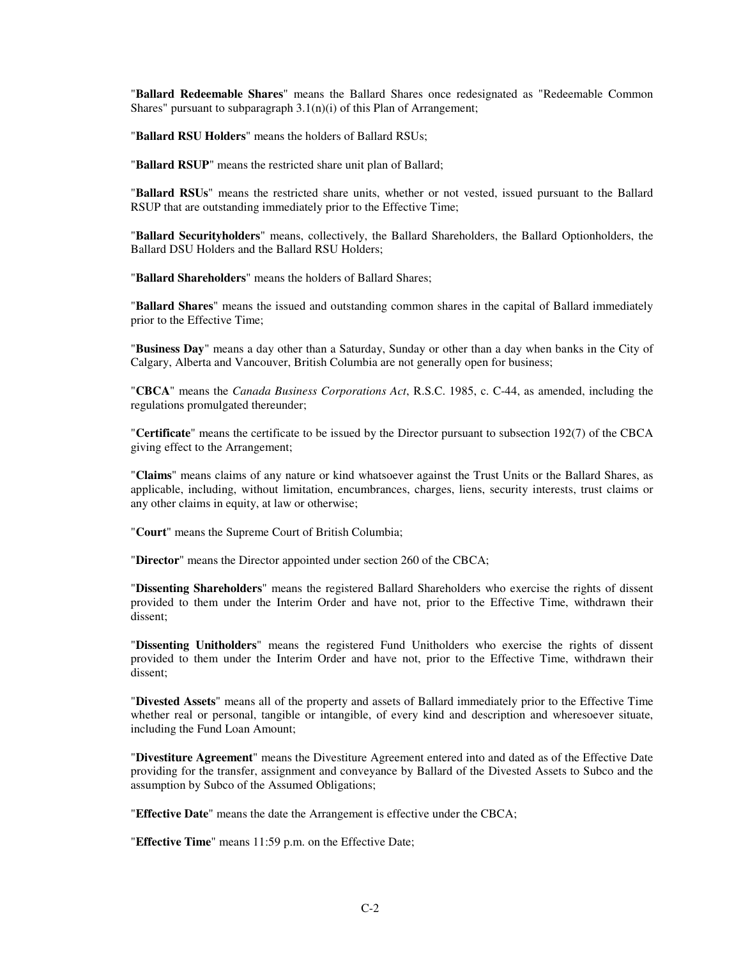"**Ballard Redeemable Shares**" means the Ballard Shares once redesignated as "Redeemable Common Shares" pursuant to subparagraph  $3.1(n)(i)$  of this Plan of Arrangement;

"**Ballard RSU Holders**" means the holders of Ballard RSUs;

"**Ballard RSUP**" means the restricted share unit plan of Ballard;

"**Ballard RSUs**" means the restricted share units, whether or not vested, issued pursuant to the Ballard RSUP that are outstanding immediately prior to the Effective Time;

"**Ballard Securityholders**" means, collectively, the Ballard Shareholders, the Ballard Optionholders, the Ballard DSU Holders and the Ballard RSU Holders;

"**Ballard Shareholders**" means the holders of Ballard Shares;

"**Ballard Shares**" means the issued and outstanding common shares in the capital of Ballard immediately prior to the Effective Time;

"**Business Day**" means a day other than a Saturday, Sunday or other than a day when banks in the City of Calgary, Alberta and Vancouver, British Columbia are not generally open for business;

"**CBCA**" means the *Canada Business Corporations Act*, R.S.C. 1985, c. C-44, as amended, including the regulations promulgated thereunder;

"**Certificate**" means the certificate to be issued by the Director pursuant to subsection 192(7) of the CBCA giving effect to the Arrangement;

"**Claims**" means claims of any nature or kind whatsoever against the Trust Units or the Ballard Shares, as applicable, including, without limitation, encumbrances, charges, liens, security interests, trust claims or any other claims in equity, at law or otherwise;

"**Court**" means the Supreme Court of British Columbia;

"**Director**" means the Director appointed under section 260 of the CBCA;

"**Dissenting Shareholders**" means the registered Ballard Shareholders who exercise the rights of dissent provided to them under the Interim Order and have not, prior to the Effective Time, withdrawn their dissent;

"**Dissenting Unitholders**" means the registered Fund Unitholders who exercise the rights of dissent provided to them under the Interim Order and have not, prior to the Effective Time, withdrawn their dissent;

"**Divested Assets**" means all of the property and assets of Ballard immediately prior to the Effective Time whether real or personal, tangible or intangible, of every kind and description and wheresoever situate, including the Fund Loan Amount;

"**Divestiture Agreement**" means the Divestiture Agreement entered into and dated as of the Effective Date providing for the transfer, assignment and conveyance by Ballard of the Divested Assets to Subco and the assumption by Subco of the Assumed Obligations;

"**Effective Date**" means the date the Arrangement is effective under the CBCA;

"**Effective Time**" means 11:59 p.m. on the Effective Date;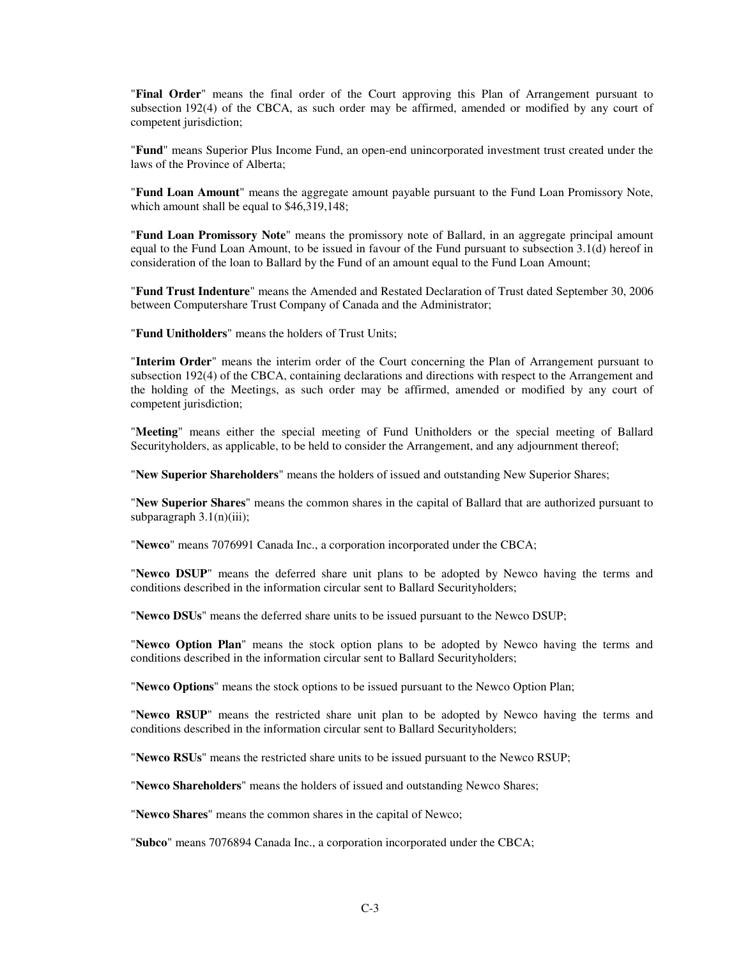"**Final Order**" means the final order of the Court approving this Plan of Arrangement pursuant to subsection 192(4) of the CBCA, as such order may be affirmed, amended or modified by any court of competent jurisdiction;

"**Fund**" means Superior Plus Income Fund, an open-end unincorporated investment trust created under the laws of the Province of Alberta;

"**Fund Loan Amount**" means the aggregate amount payable pursuant to the Fund Loan Promissory Note, which amount shall be equal to \$46,319,148;

"**Fund Loan Promissory Note**" means the promissory note of Ballard, in an aggregate principal amount equal to the Fund Loan Amount, to be issued in favour of the Fund pursuant to subsection 3.1(d) hereof in consideration of the loan to Ballard by the Fund of an amount equal to the Fund Loan Amount;

"**Fund Trust Indenture**" means the Amended and Restated Declaration of Trust dated September 30, 2006 between Computershare Trust Company of Canada and the Administrator;

"**Fund Unitholders**" means the holders of Trust Units;

"**Interim Order**" means the interim order of the Court concerning the Plan of Arrangement pursuant to subsection 192(4) of the CBCA, containing declarations and directions with respect to the Arrangement and the holding of the Meetings, as such order may be affirmed, amended or modified by any court of competent jurisdiction;

"**Meeting**" means either the special meeting of Fund Unitholders or the special meeting of Ballard Securityholders, as applicable, to be held to consider the Arrangement, and any adjournment thereof;

"**New Superior Shareholders**" means the holders of issued and outstanding New Superior Shares;

"**New Superior Shares**" means the common shares in the capital of Ballard that are authorized pursuant to subparagraph  $3.1(n)(iii)$ ;

"**Newco**" means 7076991 Canada Inc., a corporation incorporated under the CBCA;

"**Newco DSUP**" means the deferred share unit plans to be adopted by Newco having the terms and conditions described in the information circular sent to Ballard Securityholders;

"**Newco DSUs**" means the deferred share units to be issued pursuant to the Newco DSUP;

"**Newco Option Plan**" means the stock option plans to be adopted by Newco having the terms and conditions described in the information circular sent to Ballard Securityholders;

"**Newco Options**" means the stock options to be issued pursuant to the Newco Option Plan;

"**Newco RSUP**" means the restricted share unit plan to be adopted by Newco having the terms and conditions described in the information circular sent to Ballard Securityholders;

"**Newco RSUs**" means the restricted share units to be issued pursuant to the Newco RSUP;

"**Newco Shareholders**" means the holders of issued and outstanding Newco Shares;

"**Newco Shares**" means the common shares in the capital of Newco;

"**Subco**" means 7076894 Canada Inc., a corporation incorporated under the CBCA;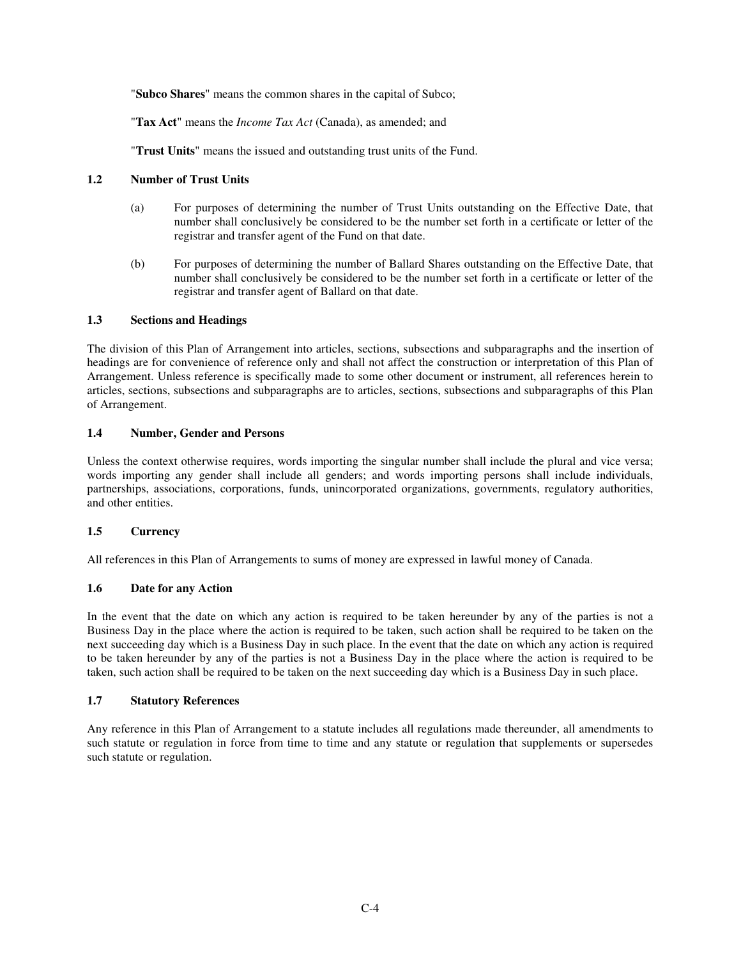"**Subco Shares**" means the common shares in the capital of Subco;

"**Tax Act**" means the *Income Tax Act* (Canada), as amended; and

"**Trust Units**" means the issued and outstanding trust units of the Fund.

## **1.2 Number of Trust Units**

- (a) For purposes of determining the number of Trust Units outstanding on the Effective Date, that number shall conclusively be considered to be the number set forth in a certificate or letter of the registrar and transfer agent of the Fund on that date.
- (b) For purposes of determining the number of Ballard Shares outstanding on the Effective Date, that number shall conclusively be considered to be the number set forth in a certificate or letter of the registrar and transfer agent of Ballard on that date.

### **1.3 Sections and Headings**

The division of this Plan of Arrangement into articles, sections, subsections and subparagraphs and the insertion of headings are for convenience of reference only and shall not affect the construction or interpretation of this Plan of Arrangement. Unless reference is specifically made to some other document or instrument, all references herein to articles, sections, subsections and subparagraphs are to articles, sections, subsections and subparagraphs of this Plan of Arrangement.

# **1.4 Number, Gender and Persons**

Unless the context otherwise requires, words importing the singular number shall include the plural and vice versa; words importing any gender shall include all genders; and words importing persons shall include individuals, partnerships, associations, corporations, funds, unincorporated organizations, governments, regulatory authorities, and other entities.

## **1.5 Currency**

All references in this Plan of Arrangements to sums of money are expressed in lawful money of Canada.

## **1.6 Date for any Action**

In the event that the date on which any action is required to be taken hereunder by any of the parties is not a Business Day in the place where the action is required to be taken, such action shall be required to be taken on the next succeeding day which is a Business Day in such place. In the event that the date on which any action is required to be taken hereunder by any of the parties is not a Business Day in the place where the action is required to be taken, such action shall be required to be taken on the next succeeding day which is a Business Day in such place.

#### **1.7 Statutory References**

Any reference in this Plan of Arrangement to a statute includes all regulations made thereunder, all amendments to such statute or regulation in force from time to time and any statute or regulation that supplements or supersedes such statute or regulation.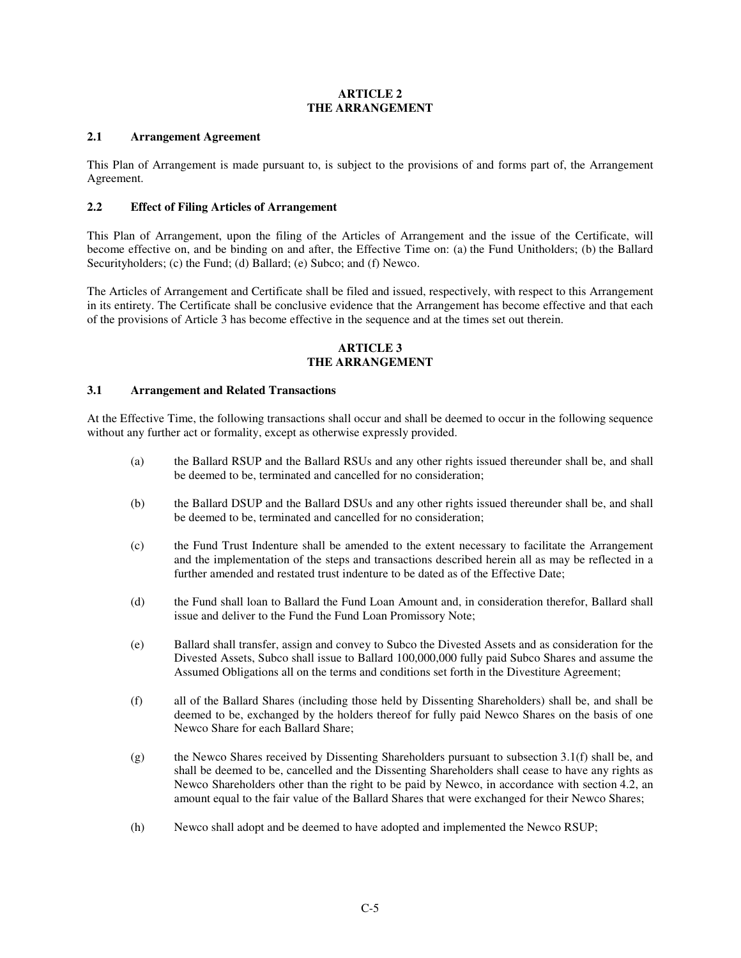## **ARTICLE 2 THE ARRANGEMENT**

## **2.1 Arrangement Agreement**

This Plan of Arrangement is made pursuant to, is subject to the provisions of and forms part of, the Arrangement Agreement.

#### **2.2 Effect of Filing Articles of Arrangement**

This Plan of Arrangement, upon the filing of the Articles of Arrangement and the issue of the Certificate, will become effective on, and be binding on and after, the Effective Time on: (a) the Fund Unitholders; (b) the Ballard Securityholders; (c) the Fund; (d) Ballard; (e) Subco; and (f) Newco.

The Articles of Arrangement and Certificate shall be filed and issued, respectively, with respect to this Arrangement in its entirety. The Certificate shall be conclusive evidence that the Arrangement has become effective and that each of the provisions of Article 3 has become effective in the sequence and at the times set out therein.

#### **ARTICLE 3 THE ARRANGEMENT**

#### **3.1 Arrangement and Related Transactions**

At the Effective Time, the following transactions shall occur and shall be deemed to occur in the following sequence without any further act or formality, except as otherwise expressly provided.

- (a) the Ballard RSUP and the Ballard RSUs and any other rights issued thereunder shall be, and shall be deemed to be, terminated and cancelled for no consideration;
- (b) the Ballard DSUP and the Ballard DSUs and any other rights issued thereunder shall be, and shall be deemed to be, terminated and cancelled for no consideration;
- (c) the Fund Trust Indenture shall be amended to the extent necessary to facilitate the Arrangement and the implementation of the steps and transactions described herein all as may be reflected in a further amended and restated trust indenture to be dated as of the Effective Date;
- (d) the Fund shall loan to Ballard the Fund Loan Amount and, in consideration therefor, Ballard shall issue and deliver to the Fund the Fund Loan Promissory Note;
- (e) Ballard shall transfer, assign and convey to Subco the Divested Assets and as consideration for the Divested Assets, Subco shall issue to Ballard 100,000,000 fully paid Subco Shares and assume the Assumed Obligations all on the terms and conditions set forth in the Divestiture Agreement;
- (f) all of the Ballard Shares (including those held by Dissenting Shareholders) shall be, and shall be deemed to be, exchanged by the holders thereof for fully paid Newco Shares on the basis of one Newco Share for each Ballard Share;
- (g) the Newco Shares received by Dissenting Shareholders pursuant to subsection 3.1(f) shall be, and shall be deemed to be, cancelled and the Dissenting Shareholders shall cease to have any rights as Newco Shareholders other than the right to be paid by Newco, in accordance with section 4.2, an amount equal to the fair value of the Ballard Shares that were exchanged for their Newco Shares;
- (h) Newco shall adopt and be deemed to have adopted and implemented the Newco RSUP;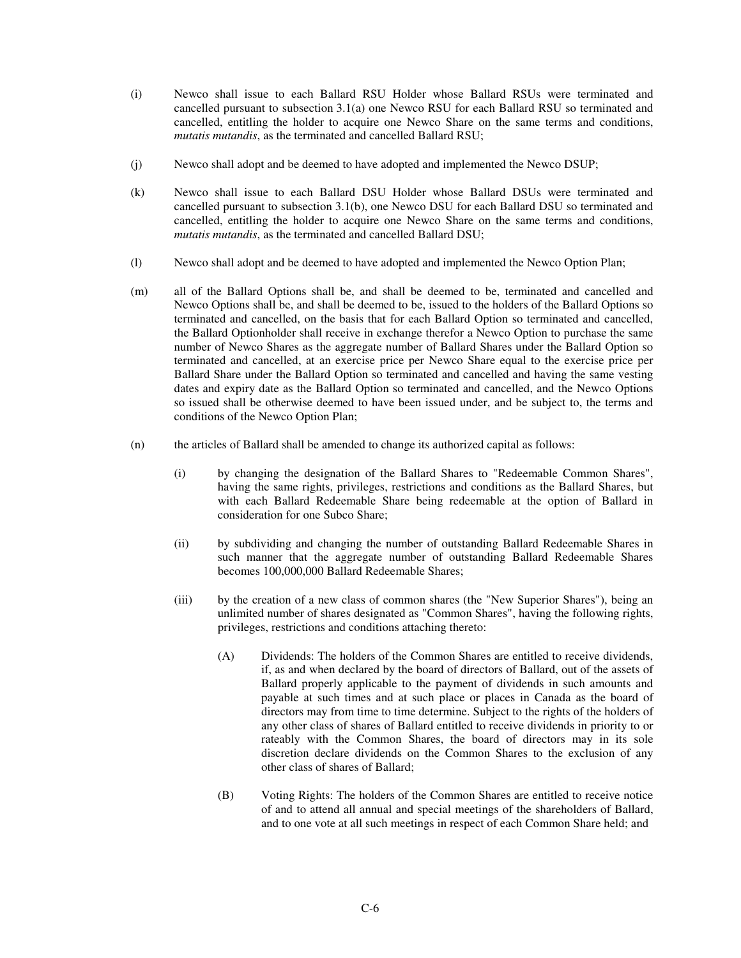- (i) Newco shall issue to each Ballard RSU Holder whose Ballard RSUs were terminated and cancelled pursuant to subsection 3.1(a) one Newco RSU for each Ballard RSU so terminated and cancelled, entitling the holder to acquire one Newco Share on the same terms and conditions, *mutatis mutandis*, as the terminated and cancelled Ballard RSU;
- (j) Newco shall adopt and be deemed to have adopted and implemented the Newco DSUP;
- (k) Newco shall issue to each Ballard DSU Holder whose Ballard DSUs were terminated and cancelled pursuant to subsection 3.1(b), one Newco DSU for each Ballard DSU so terminated and cancelled, entitling the holder to acquire one Newco Share on the same terms and conditions, *mutatis mutandis*, as the terminated and cancelled Ballard DSU;
- (l) Newco shall adopt and be deemed to have adopted and implemented the Newco Option Plan;
- (m) all of the Ballard Options shall be, and shall be deemed to be, terminated and cancelled and Newco Options shall be, and shall be deemed to be, issued to the holders of the Ballard Options so terminated and cancelled, on the basis that for each Ballard Option so terminated and cancelled, the Ballard Optionholder shall receive in exchange therefor a Newco Option to purchase the same number of Newco Shares as the aggregate number of Ballard Shares under the Ballard Option so terminated and cancelled, at an exercise price per Newco Share equal to the exercise price per Ballard Share under the Ballard Option so terminated and cancelled and having the same vesting dates and expiry date as the Ballard Option so terminated and cancelled, and the Newco Options so issued shall be otherwise deemed to have been issued under, and be subject to, the terms and conditions of the Newco Option Plan;
- (n) the articles of Ballard shall be amended to change its authorized capital as follows:
	- (i) by changing the designation of the Ballard Shares to "Redeemable Common Shares", having the same rights, privileges, restrictions and conditions as the Ballard Shares, but with each Ballard Redeemable Share being redeemable at the option of Ballard in consideration for one Subco Share;
	- (ii) by subdividing and changing the number of outstanding Ballard Redeemable Shares in such manner that the aggregate number of outstanding Ballard Redeemable Shares becomes 100,000,000 Ballard Redeemable Shares;
	- (iii) by the creation of a new class of common shares (the "New Superior Shares"), being an unlimited number of shares designated as "Common Shares", having the following rights, privileges, restrictions and conditions attaching thereto:
		- (A) Dividends: The holders of the Common Shares are entitled to receive dividends, if, as and when declared by the board of directors of Ballard, out of the assets of Ballard properly applicable to the payment of dividends in such amounts and payable at such times and at such place or places in Canada as the board of directors may from time to time determine. Subject to the rights of the holders of any other class of shares of Ballard entitled to receive dividends in priority to or rateably with the Common Shares, the board of directors may in its sole discretion declare dividends on the Common Shares to the exclusion of any other class of shares of Ballard;
		- (B) Voting Rights: The holders of the Common Shares are entitled to receive notice of and to attend all annual and special meetings of the shareholders of Ballard, and to one vote at all such meetings in respect of each Common Share held; and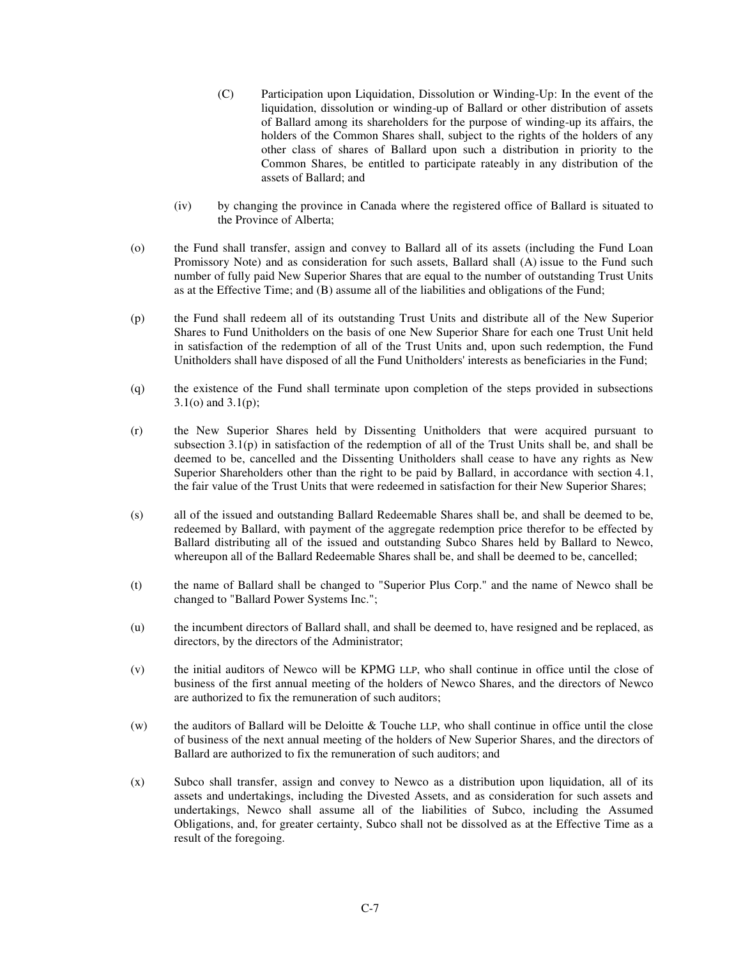- (C) Participation upon Liquidation, Dissolution or Winding-Up: In the event of the liquidation, dissolution or winding-up of Ballard or other distribution of assets of Ballard among its shareholders for the purpose of winding-up its affairs, the holders of the Common Shares shall, subject to the rights of the holders of any other class of shares of Ballard upon such a distribution in priority to the Common Shares, be entitled to participate rateably in any distribution of the assets of Ballard; and
- (iv) by changing the province in Canada where the registered office of Ballard is situated to the Province of Alberta;
- (o) the Fund shall transfer, assign and convey to Ballard all of its assets (including the Fund Loan Promissory Note) and as consideration for such assets, Ballard shall (A) issue to the Fund such number of fully paid New Superior Shares that are equal to the number of outstanding Trust Units as at the Effective Time; and (B) assume all of the liabilities and obligations of the Fund;
- (p) the Fund shall redeem all of its outstanding Trust Units and distribute all of the New Superior Shares to Fund Unitholders on the basis of one New Superior Share for each one Trust Unit held in satisfaction of the redemption of all of the Trust Units and, upon such redemption, the Fund Unitholders shall have disposed of all the Fund Unitholders' interests as beneficiaries in the Fund;
- (q) the existence of the Fund shall terminate upon completion of the steps provided in subsections 3.1(o) and 3.1(p);
- (r) the New Superior Shares held by Dissenting Unitholders that were acquired pursuant to subsection 3.1(p) in satisfaction of the redemption of all of the Trust Units shall be, and shall be deemed to be, cancelled and the Dissenting Unitholders shall cease to have any rights as New Superior Shareholders other than the right to be paid by Ballard, in accordance with section 4.1, the fair value of the Trust Units that were redeemed in satisfaction for their New Superior Shares;
- (s) all of the issued and outstanding Ballard Redeemable Shares shall be, and shall be deemed to be, redeemed by Ballard, with payment of the aggregate redemption price therefor to be effected by Ballard distributing all of the issued and outstanding Subco Shares held by Ballard to Newco, whereupon all of the Ballard Redeemable Shares shall be, and shall be deemed to be, cancelled;
- (t) the name of Ballard shall be changed to "Superior Plus Corp." and the name of Newco shall be changed to "Ballard Power Systems Inc.";
- (u) the incumbent directors of Ballard shall, and shall be deemed to, have resigned and be replaced, as directors, by the directors of the Administrator;
- (v) the initial auditors of Newco will be KPMG LLP, who shall continue in office until the close of business of the first annual meeting of the holders of Newco Shares, and the directors of Newco are authorized to fix the remuneration of such auditors;
- (w) the auditors of Ballard will be Deloitte & Touche LLP, who shall continue in office until the close of business of the next annual meeting of the holders of New Superior Shares, and the directors of Ballard are authorized to fix the remuneration of such auditors; and
- (x) Subco shall transfer, assign and convey to Newco as a distribution upon liquidation, all of its assets and undertakings, including the Divested Assets, and as consideration for such assets and undertakings, Newco shall assume all of the liabilities of Subco, including the Assumed Obligations, and, for greater certainty, Subco shall not be dissolved as at the Effective Time as a result of the foregoing.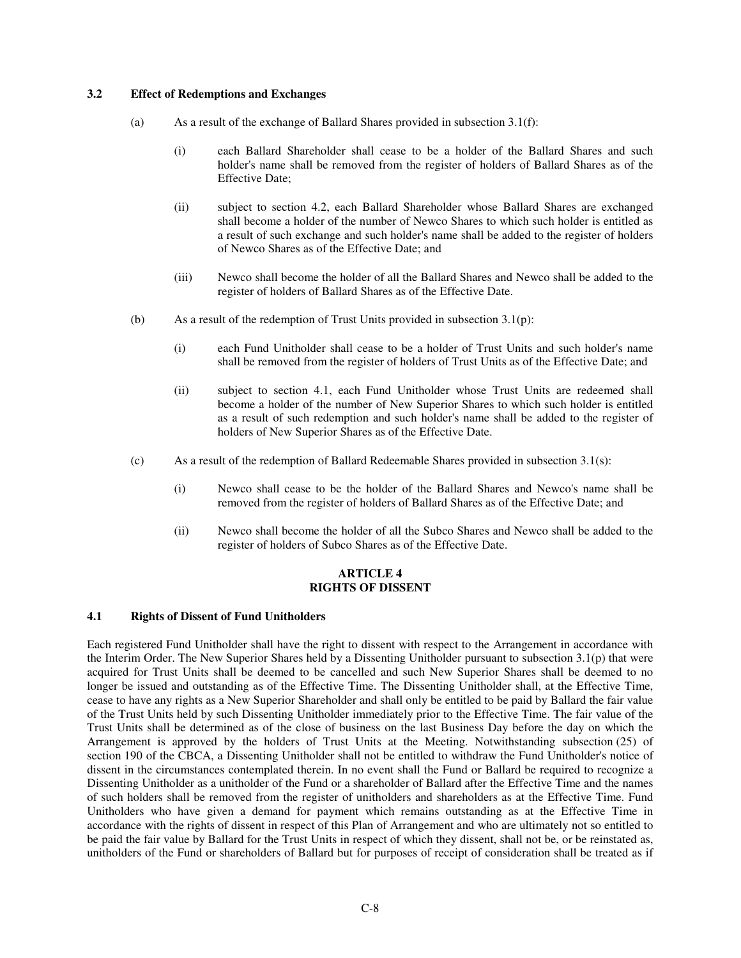### **3.2 Effect of Redemptions and Exchanges**

- (a) As a result of the exchange of Ballard Shares provided in subsection 3.1(f):
	- (i) each Ballard Shareholder shall cease to be a holder of the Ballard Shares and such holder's name shall be removed from the register of holders of Ballard Shares as of the Effective Date;
	- (ii) subject to section 4.2, each Ballard Shareholder whose Ballard Shares are exchanged shall become a holder of the number of Newco Shares to which such holder is entitled as a result of such exchange and such holder's name shall be added to the register of holders of Newco Shares as of the Effective Date; and
	- (iii) Newco shall become the holder of all the Ballard Shares and Newco shall be added to the register of holders of Ballard Shares as of the Effective Date.
- (b) As a result of the redemption of Trust Units provided in subsection 3.1(p):
	- (i) each Fund Unitholder shall cease to be a holder of Trust Units and such holder's name shall be removed from the register of holders of Trust Units as of the Effective Date; and
	- (ii) subject to section 4.1, each Fund Unitholder whose Trust Units are redeemed shall become a holder of the number of New Superior Shares to which such holder is entitled as a result of such redemption and such holder's name shall be added to the register of holders of New Superior Shares as of the Effective Date.
- (c) As a result of the redemption of Ballard Redeemable Shares provided in subsection 3.1(s):
	- (i) Newco shall cease to be the holder of the Ballard Shares and Newco's name shall be removed from the register of holders of Ballard Shares as of the Effective Date; and
	- (ii) Newco shall become the holder of all the Subco Shares and Newco shall be added to the register of holders of Subco Shares as of the Effective Date.

#### **ARTICLE 4 RIGHTS OF DISSENT**

#### **4.1 Rights of Dissent of Fund Unitholders**

Each registered Fund Unitholder shall have the right to dissent with respect to the Arrangement in accordance with the Interim Order. The New Superior Shares held by a Dissenting Unitholder pursuant to subsection 3.1(p) that were acquired for Trust Units shall be deemed to be cancelled and such New Superior Shares shall be deemed to no longer be issued and outstanding as of the Effective Time. The Dissenting Unitholder shall, at the Effective Time, cease to have any rights as a New Superior Shareholder and shall only be entitled to be paid by Ballard the fair value of the Trust Units held by such Dissenting Unitholder immediately prior to the Effective Time. The fair value of the Trust Units shall be determined as of the close of business on the last Business Day before the day on which the Arrangement is approved by the holders of Trust Units at the Meeting. Notwithstanding subsection (25) of section 190 of the CBCA, a Dissenting Unitholder shall not be entitled to withdraw the Fund Unitholder's notice of dissent in the circumstances contemplated therein. In no event shall the Fund or Ballard be required to recognize a Dissenting Unitholder as a unitholder of the Fund or a shareholder of Ballard after the Effective Time and the names of such holders shall be removed from the register of unitholders and shareholders as at the Effective Time. Fund Unitholders who have given a demand for payment which remains outstanding as at the Effective Time in accordance with the rights of dissent in respect of this Plan of Arrangement and who are ultimately not so entitled to be paid the fair value by Ballard for the Trust Units in respect of which they dissent, shall not be, or be reinstated as, unitholders of the Fund or shareholders of Ballard but for purposes of receipt of consideration shall be treated as if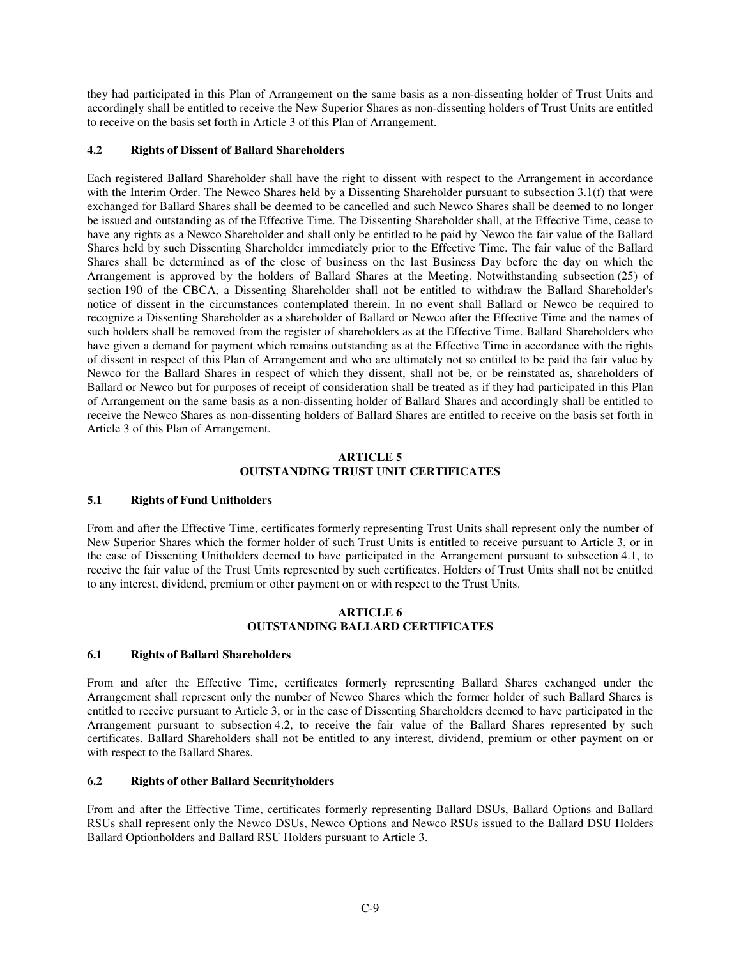they had participated in this Plan of Arrangement on the same basis as a non-dissenting holder of Trust Units and accordingly shall be entitled to receive the New Superior Shares as non-dissenting holders of Trust Units are entitled to receive on the basis set forth in Article 3 of this Plan of Arrangement.

## **4.2 Rights of Dissent of Ballard Shareholders**

Each registered Ballard Shareholder shall have the right to dissent with respect to the Arrangement in accordance with the Interim Order. The Newco Shares held by a Dissenting Shareholder pursuant to subsection 3.1(f) that were exchanged for Ballard Shares shall be deemed to be cancelled and such Newco Shares shall be deemed to no longer be issued and outstanding as of the Effective Time. The Dissenting Shareholder shall, at the Effective Time, cease to have any rights as a Newco Shareholder and shall only be entitled to be paid by Newco the fair value of the Ballard Shares held by such Dissenting Shareholder immediately prior to the Effective Time. The fair value of the Ballard Shares shall be determined as of the close of business on the last Business Day before the day on which the Arrangement is approved by the holders of Ballard Shares at the Meeting. Notwithstanding subsection (25) of section 190 of the CBCA, a Dissenting Shareholder shall not be entitled to withdraw the Ballard Shareholder's notice of dissent in the circumstances contemplated therein. In no event shall Ballard or Newco be required to recognize a Dissenting Shareholder as a shareholder of Ballard or Newco after the Effective Time and the names of such holders shall be removed from the register of shareholders as at the Effective Time. Ballard Shareholders who have given a demand for payment which remains outstanding as at the Effective Time in accordance with the rights of dissent in respect of this Plan of Arrangement and who are ultimately not so entitled to be paid the fair value by Newco for the Ballard Shares in respect of which they dissent, shall not be, or be reinstated as, shareholders of Ballard or Newco but for purposes of receipt of consideration shall be treated as if they had participated in this Plan of Arrangement on the same basis as a non-dissenting holder of Ballard Shares and accordingly shall be entitled to receive the Newco Shares as non-dissenting holders of Ballard Shares are entitled to receive on the basis set forth in Article 3 of this Plan of Arrangement.

#### **ARTICLE 5 OUTSTANDING TRUST UNIT CERTIFICATES**

#### **5.1 Rights of Fund Unitholders**

From and after the Effective Time, certificates formerly representing Trust Units shall represent only the number of New Superior Shares which the former holder of such Trust Units is entitled to receive pursuant to Article 3, or in the case of Dissenting Unitholders deemed to have participated in the Arrangement pursuant to subsection 4.1, to receive the fair value of the Trust Units represented by such certificates. Holders of Trust Units shall not be entitled to any interest, dividend, premium or other payment on or with respect to the Trust Units.

#### **ARTICLE 6 OUTSTANDING BALLARD CERTIFICATES**

#### **6.1 Rights of Ballard Shareholders**

From and after the Effective Time, certificates formerly representing Ballard Shares exchanged under the Arrangement shall represent only the number of Newco Shares which the former holder of such Ballard Shares is entitled to receive pursuant to Article 3, or in the case of Dissenting Shareholders deemed to have participated in the Arrangement pursuant to subsection 4.2, to receive the fair value of the Ballard Shares represented by such certificates. Ballard Shareholders shall not be entitled to any interest, dividend, premium or other payment on or with respect to the Ballard Shares.

#### **6.2 Rights of other Ballard Securityholders**

From and after the Effective Time, certificates formerly representing Ballard DSUs, Ballard Options and Ballard RSUs shall represent only the Newco DSUs, Newco Options and Newco RSUs issued to the Ballard DSU Holders Ballard Optionholders and Ballard RSU Holders pursuant to Article 3.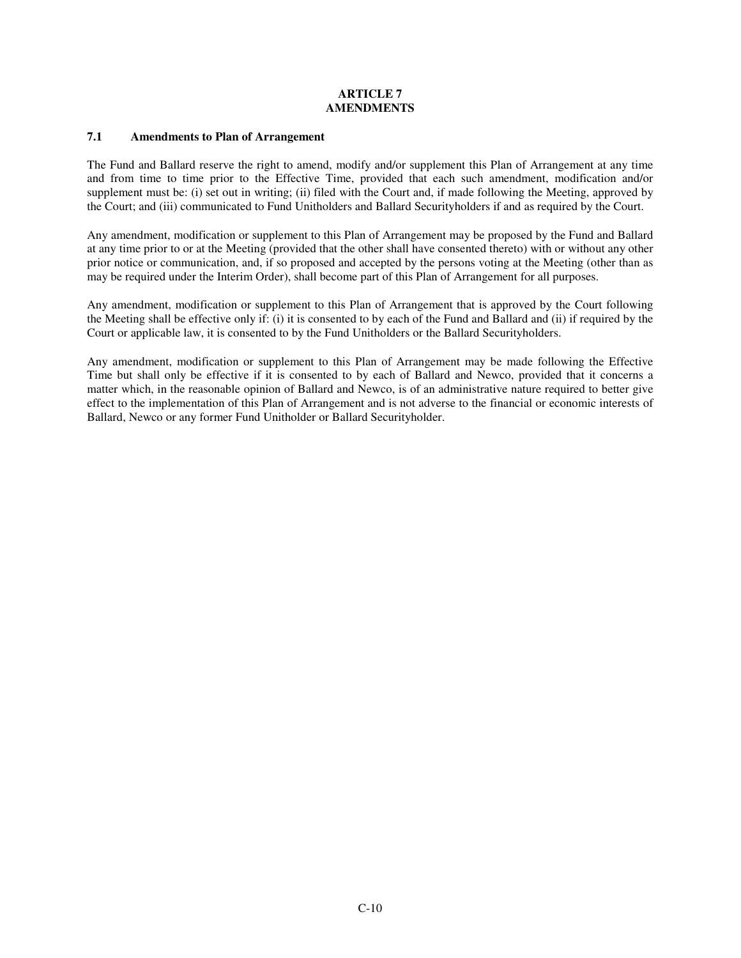## **ARTICLE 7 AMENDMENTS**

### **7.1 Amendments to Plan of Arrangement**

The Fund and Ballard reserve the right to amend, modify and/or supplement this Plan of Arrangement at any time and from time to time prior to the Effective Time, provided that each such amendment, modification and/or supplement must be: (i) set out in writing; (ii) filed with the Court and, if made following the Meeting, approved by the Court; and (iii) communicated to Fund Unitholders and Ballard Securityholders if and as required by the Court.

Any amendment, modification or supplement to this Plan of Arrangement may be proposed by the Fund and Ballard at any time prior to or at the Meeting (provided that the other shall have consented thereto) with or without any other prior notice or communication, and, if so proposed and accepted by the persons voting at the Meeting (other than as may be required under the Interim Order), shall become part of this Plan of Arrangement for all purposes.

Any amendment, modification or supplement to this Plan of Arrangement that is approved by the Court following the Meeting shall be effective only if: (i) it is consented to by each of the Fund and Ballard and (ii) if required by the Court or applicable law, it is consented to by the Fund Unitholders or the Ballard Securityholders.

Any amendment, modification or supplement to this Plan of Arrangement may be made following the Effective Time but shall only be effective if it is consented to by each of Ballard and Newco, provided that it concerns a matter which, in the reasonable opinion of Ballard and Newco, is of an administrative nature required to better give effect to the implementation of this Plan of Arrangement and is not adverse to the financial or economic interests of Ballard, Newco or any former Fund Unitholder or Ballard Securityholder.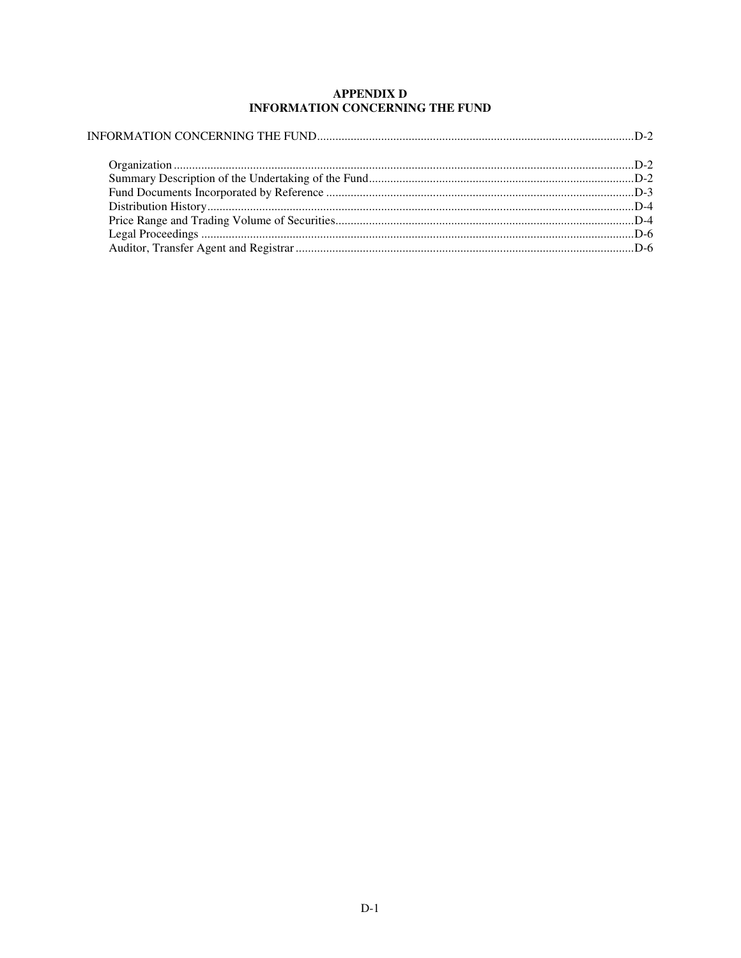# **APPENDIX D** INFORMATION CONCERNING THE FUND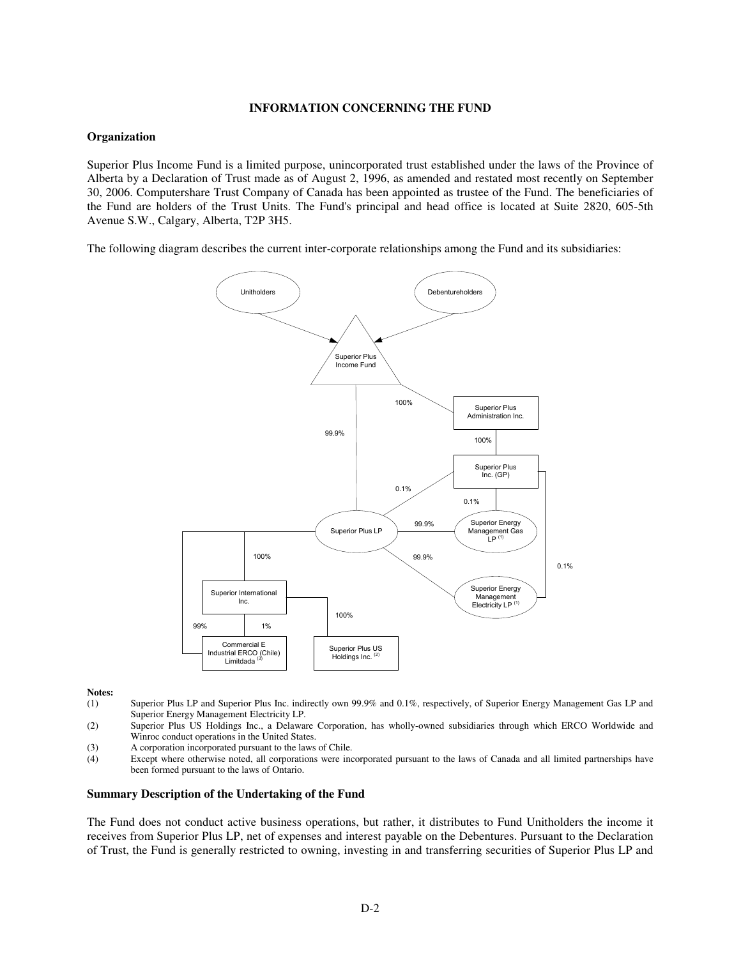#### **INFORMATION CONCERNING THE FUND**

#### **Organization**

Superior Plus Income Fund is a limited purpose, unincorporated trust established under the laws of the Province of Alberta by a Declaration of Trust made as of August 2, 1996, as amended and restated most recently on September 30, 2006. Computershare Trust Company of Canada has been appointed as trustee of the Fund. The beneficiaries of the Fund are holders of the Trust Units. The Fund's principal and head office is located at Suite 2820, 605-5th Avenue S.W., Calgary, Alberta, T2P 3H5.

The following diagram describes the current inter-corporate relationships among the Fund and its subsidiaries:



#### **Notes:**

- (1) Superior Plus LP and Superior Plus Inc. indirectly own 99.9% and 0.1%, respectively, of Superior Energy Management Gas LP and Superior Energy Management Electricity LP.
- (2) Superior Plus US Holdings Inc., a Delaware Corporation, has wholly-owned subsidiaries through which ERCO Worldwide and Winroc conduct operations in the United States.
- (3) A corporation incorporated pursuant to the laws of Chile.
- (4) Except where otherwise noted, all corporations were incorporated pursuant to the laws of Canada and all limited partnerships have been formed pursuant to the laws of Ontario.

#### **Summary Description of the Undertaking of the Fund**

The Fund does not conduct active business operations, but rather, it distributes to Fund Unitholders the income it receives from Superior Plus LP, net of expenses and interest payable on the Debentures. Pursuant to the Declaration of Trust, the Fund is generally restricted to owning, investing in and transferring securities of Superior Plus LP and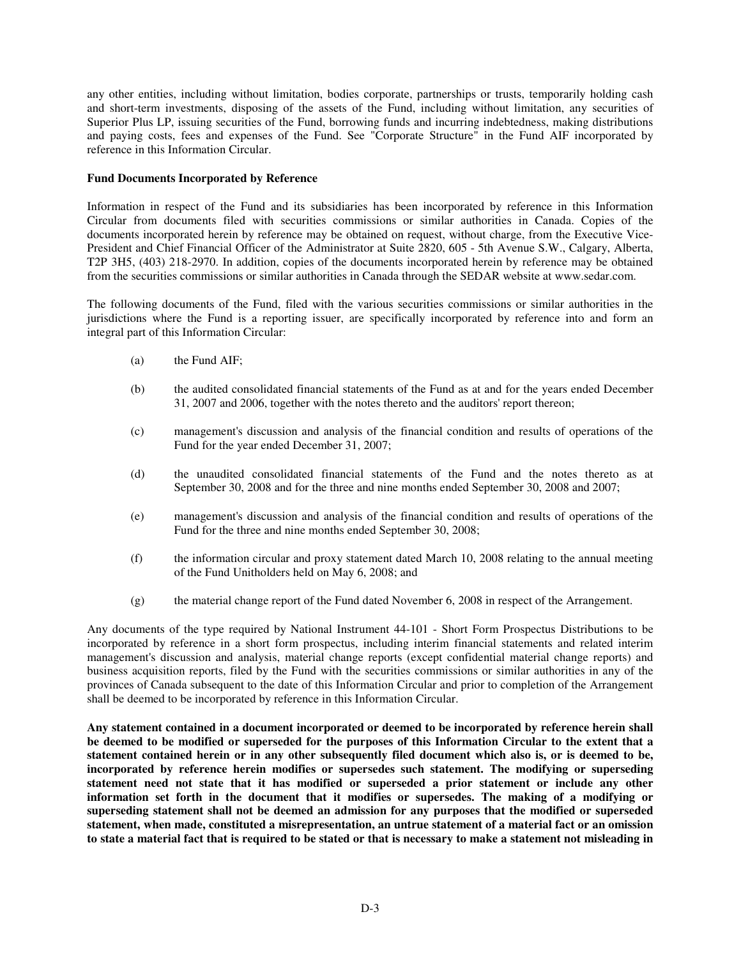any other entities, including without limitation, bodies corporate, partnerships or trusts, temporarily holding cash and short-term investments, disposing of the assets of the Fund, including without limitation, any securities of Superior Plus LP, issuing securities of the Fund, borrowing funds and incurring indebtedness, making distributions and paying costs, fees and expenses of the Fund. See "Corporate Structure" in the Fund AIF incorporated by reference in this Information Circular.

### **Fund Documents Incorporated by Reference**

Information in respect of the Fund and its subsidiaries has been incorporated by reference in this Information Circular from documents filed with securities commissions or similar authorities in Canada. Copies of the documents incorporated herein by reference may be obtained on request, without charge, from the Executive Vice-President and Chief Financial Officer of the Administrator at Suite 2820, 605 - 5th Avenue S.W., Calgary, Alberta, T2P 3H5, (403) 218-2970. In addition, copies of the documents incorporated herein by reference may be obtained from the securities commissions or similar authorities in Canada through the SEDAR website at www.sedar.com.

The following documents of the Fund, filed with the various securities commissions or similar authorities in the jurisdictions where the Fund is a reporting issuer, are specifically incorporated by reference into and form an integral part of this Information Circular:

- (a) the Fund AIF;
- (b) the audited consolidated financial statements of the Fund as at and for the years ended December 31, 2007 and 2006, together with the notes thereto and the auditors' report thereon;
- (c) management's discussion and analysis of the financial condition and results of operations of the Fund for the year ended December 31, 2007;
- (d) the unaudited consolidated financial statements of the Fund and the notes thereto as at September 30, 2008 and for the three and nine months ended September 30, 2008 and 2007;
- (e) management's discussion and analysis of the financial condition and results of operations of the Fund for the three and nine months ended September 30, 2008;
- (f) the information circular and proxy statement dated March 10, 2008 relating to the annual meeting of the Fund Unitholders held on May 6, 2008; and
- (g) the material change report of the Fund dated November 6, 2008 in respect of the Arrangement.

Any documents of the type required by National Instrument 44-101 - Short Form Prospectus Distributions to be incorporated by reference in a short form prospectus, including interim financial statements and related interim management's discussion and analysis, material change reports (except confidential material change reports) and business acquisition reports, filed by the Fund with the securities commissions or similar authorities in any of the provinces of Canada subsequent to the date of this Information Circular and prior to completion of the Arrangement shall be deemed to be incorporated by reference in this Information Circular.

**Any statement contained in a document incorporated or deemed to be incorporated by reference herein shall** be deemed to be modified or superseded for the purposes of this Information Circular to the extent that a statement contained herein or in any other subsequently filed document which also is, or is deemed to be, **incorporated by reference herein modifies or supersedes such statement. The modifying or superseding statement need not state that it has modified or superseded a prior statement or include any other information set forth in the document that it modifies or supersedes. The making of a modifying or superseding statement shall not be deemed an admission for any purposes that the modified or superseded statement, when made, constituted a misrepresentation, an untrue statement of a material fact or an omission** to state a material fact that is required to be stated or that is necessary to make a statement not misleading in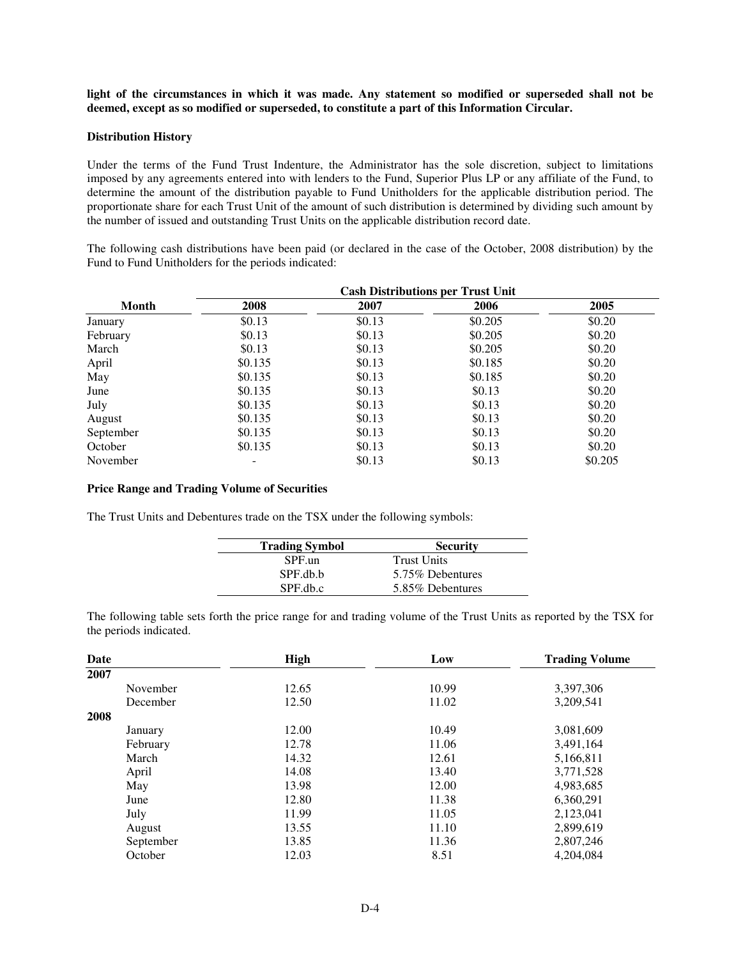light of the circumstances in which it was made. Any statement so modified or superseded shall not be **deemed, except as so modified or superseded, to constitute a part of this Information Circular.**

#### **Distribution History**

Under the terms of the Fund Trust Indenture, the Administrator has the sole discretion, subject to limitations imposed by any agreements entered into with lenders to the Fund, Superior Plus LP or any affiliate of the Fund, to determine the amount of the distribution payable to Fund Unitholders for the applicable distribution period. The proportionate share for each Trust Unit of the amount of such distribution is determined by dividing such amount by the number of issued and outstanding Trust Units on the applicable distribution record date.

The following cash distributions have been paid (or declared in the case of the October, 2008 distribution) by the Fund to Fund Unitholders for the periods indicated:

|              |         |        | <b>Cash Distributions per Trust Unit</b> |         |
|--------------|---------|--------|------------------------------------------|---------|
| <b>Month</b> | 2008    | 2007   | 2006                                     | 2005    |
| January      | \$0.13  | \$0.13 | \$0.205                                  | \$0.20  |
| February     | \$0.13  | \$0.13 | \$0.205                                  | \$0.20  |
| March        | \$0.13  | \$0.13 | \$0.205                                  | \$0.20  |
| April        | \$0.135 | \$0.13 | \$0.185                                  | \$0.20  |
| May          | \$0.135 | \$0.13 | \$0.185                                  | \$0.20  |
| June         | \$0.135 | \$0.13 | \$0.13                                   | \$0.20  |
| July         | \$0.135 | \$0.13 | \$0.13                                   | \$0.20  |
| August       | \$0.135 | \$0.13 | \$0.13                                   | \$0.20  |
| September    | \$0.135 | \$0.13 | \$0.13                                   | \$0.20  |
| October      | \$0.135 | \$0.13 | \$0.13                                   | \$0.20  |
| November     |         | \$0.13 | \$0.13                                   | \$0.205 |

#### **Price Range and Trading Volume of Securities**

The Trust Units and Debentures trade on the TSX under the following symbols:

| <b>Trading Symbol</b> | <b>Security</b>    |  |
|-----------------------|--------------------|--|
| SPF.un                | <b>Trust Units</b> |  |
| SPF.db.b              | 5.75% Debentures   |  |
| SPF.db.c              | 5.85% Debentures   |  |

The following table sets forth the price range for and trading volume of the Trust Units as reported by the TSX for the periods indicated.

| Date      | <b>High</b> | Low   | <b>Trading Volume</b> |
|-----------|-------------|-------|-----------------------|
| 2007      |             |       |                       |
| November  | 12.65       | 10.99 | 3,397,306             |
| December  | 12.50       | 11.02 | 3,209,541             |
| 2008      |             |       |                       |
| January   | 12.00       | 10.49 | 3,081,609             |
| February  | 12.78       | 11.06 | 3,491,164             |
| March     | 14.32       | 12.61 | 5,166,811             |
| April     | 14.08       | 13.40 | 3,771,528             |
| May       | 13.98       | 12.00 | 4,983,685             |
| June      | 12.80       | 11.38 | 6,360,291             |
| July      | 11.99       | 11.05 | 2,123,041             |
| August    | 13.55       | 11.10 | 2,899,619             |
| September | 13.85       | 11.36 | 2,807,246             |
| October   | 12.03       | 8.51  | 4,204,084             |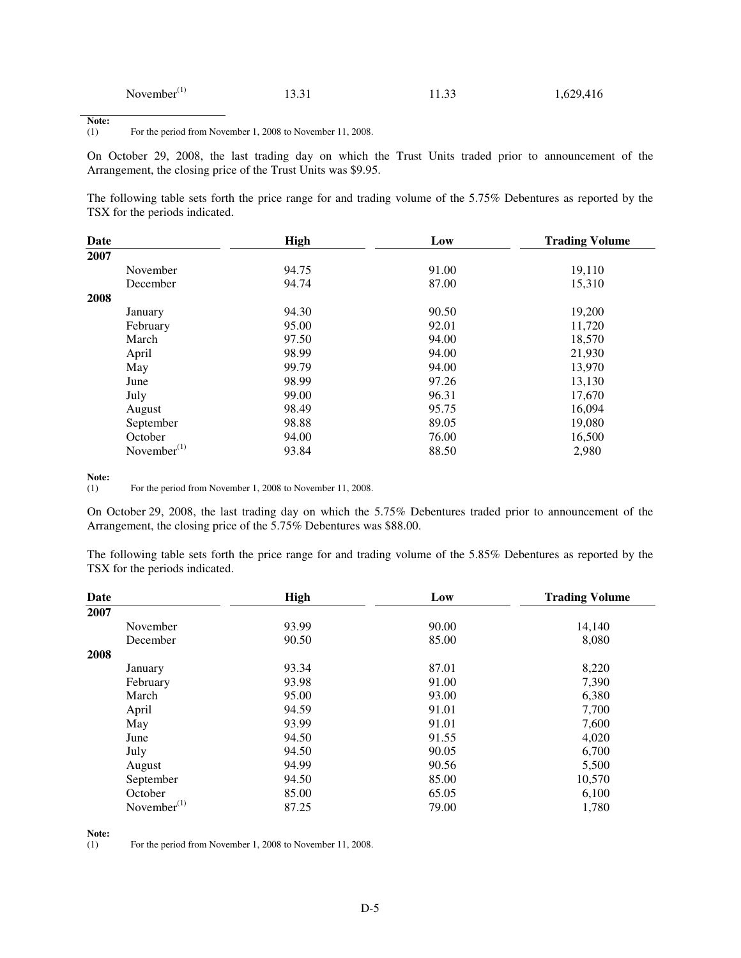| November $(1)$ | 13.31 | 11.33 | 1,629,416 |
|----------------|-------|-------|-----------|
|----------------|-------|-------|-----------|

**Note:**<br>(1)

For the period from November 1, 2008 to November 11, 2008.

On October 29, 2008, the last trading day on which the Trust Units traded prior to announcement of the Arrangement, the closing price of the Trust Units was \$9.95.

The following table sets forth the price range for and trading volume of the 5.75% Debentures as reported by the TSX for the periods indicated.

| Date           | <b>High</b> | Low   | <b>Trading Volume</b><br>19,110 |  |
|----------------|-------------|-------|---------------------------------|--|
| 2007           |             |       |                                 |  |
| November       | 94.75       | 91.00 |                                 |  |
| December       | 94.74       | 87.00 | 15,310                          |  |
| 2008           |             |       |                                 |  |
| January        | 94.30       | 90.50 | 19,200                          |  |
| February       | 95.00       | 92.01 | 11,720                          |  |
| March          | 97.50       | 94.00 | 18,570                          |  |
| April          | 98.99       | 94.00 | 21,930                          |  |
| May            | 99.79       | 94.00 | 13,970                          |  |
| June           | 98.99       | 97.26 | 13,130                          |  |
| July           | 99.00       | 96.31 | 17,670                          |  |
| August         | 98.49       | 95.75 | 16,094                          |  |
| September      | 98.88       | 89.05 | 19,080                          |  |
| October        | 94.00       | 76.00 | 16,500                          |  |
| November $(1)$ | 93.84       | 88.50 | 2,980                           |  |

**Note:**<br>(1)

For the period from November 1, 2008 to November 11, 2008.

On October 29, 2008, the last trading day on which the 5.75% Debentures traded prior to announcement of the Arrangement, the closing price of the 5.75% Debentures was \$88.00.

The following table sets forth the price range for and trading volume of the 5.85% Debentures as reported by the TSX for the periods indicated.

| Date           | <b>High</b> | Low   | <b>Trading Volume</b> |  |
|----------------|-------------|-------|-----------------------|--|
| 2007           |             |       |                       |  |
| November       | 93.99       | 90.00 | 14,140                |  |
| December       | 90.50       | 85.00 | 8,080                 |  |
| 2008           |             |       |                       |  |
| January        | 93.34       | 87.01 | 8,220                 |  |
| February       | 93.98       | 91.00 | 7,390                 |  |
| March          | 95.00       | 93.00 | 6,380                 |  |
| April          | 94.59       | 91.01 | 7,700                 |  |
| May            | 93.99       | 91.01 | 7,600                 |  |
| June           | 94.50       | 91.55 | 4,020                 |  |
| July           | 94.50       | 90.05 | 6,700                 |  |
| August         | 94.99       | 90.56 | 5,500                 |  |
| September      | 94.50       | 85.00 | 10,570                |  |
| October        | 85.00       | 65.05 | 6,100                 |  |
| November $(1)$ | 87.25       | 79.00 | 1,780                 |  |

**Note:**<br>(1) For the period from November 1, 2008 to November 11, 2008.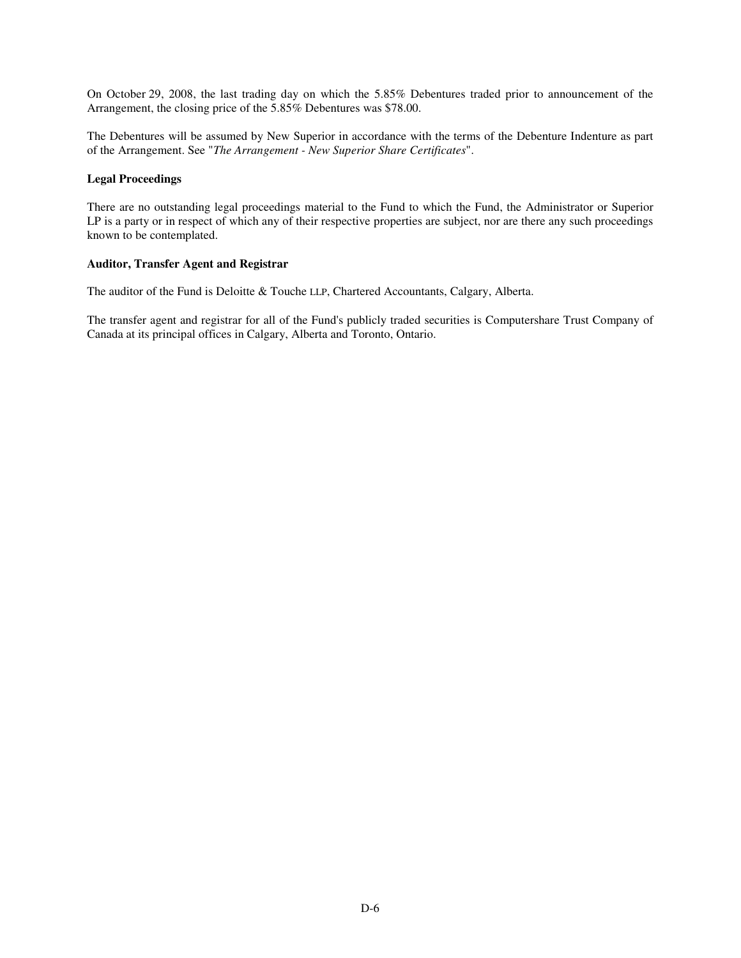On October 29, 2008, the last trading day on which the 5.85% Debentures traded prior to announcement of the Arrangement, the closing price of the 5.85% Debentures was \$78.00.

The Debentures will be assumed by New Superior in accordance with the terms of the Debenture Indenture as part of the Arrangement. See "*The Arrangement - New Superior Share Certificates*".

#### **Legal Proceedings**

There are no outstanding legal proceedings material to the Fund to which the Fund, the Administrator or Superior LP is a party or in respect of which any of their respective properties are subject, nor are there any such proceedings known to be contemplated.

#### **Auditor, Transfer Agent and Registrar**

The auditor of the Fund is Deloitte & Touche LLP, Chartered Accountants, Calgary, Alberta.

The transfer agent and registrar for all of the Fund's publicly traded securities is Computershare Trust Company of Canada at its principal offices in Calgary, Alberta and Toronto, Ontario.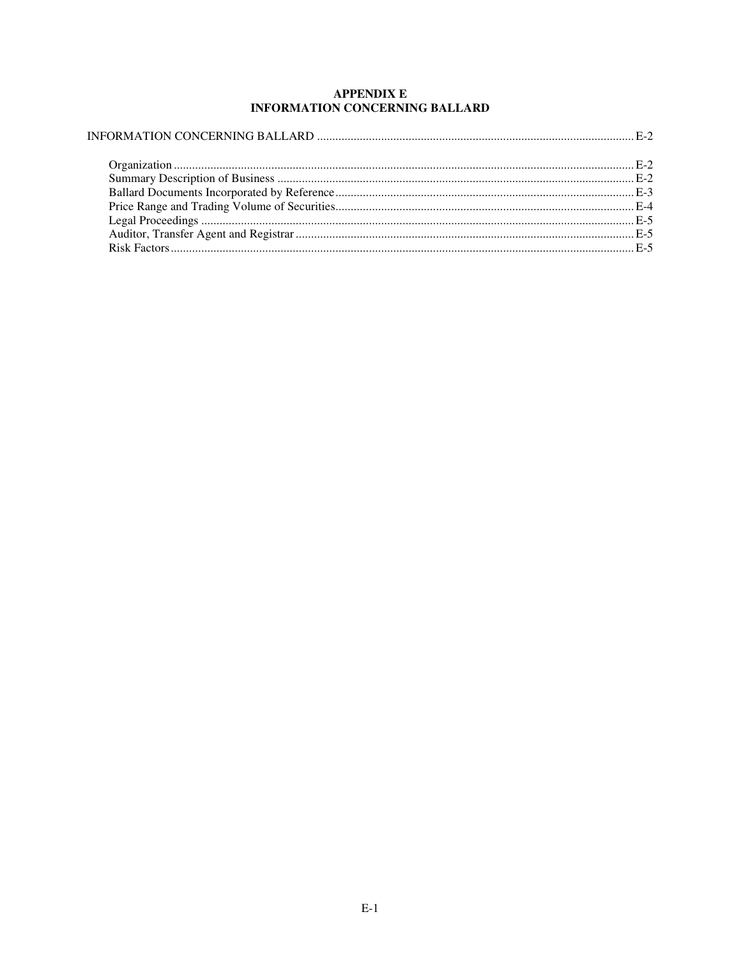# **APPENDIX E INFORMATION CONCERNING BALLARD**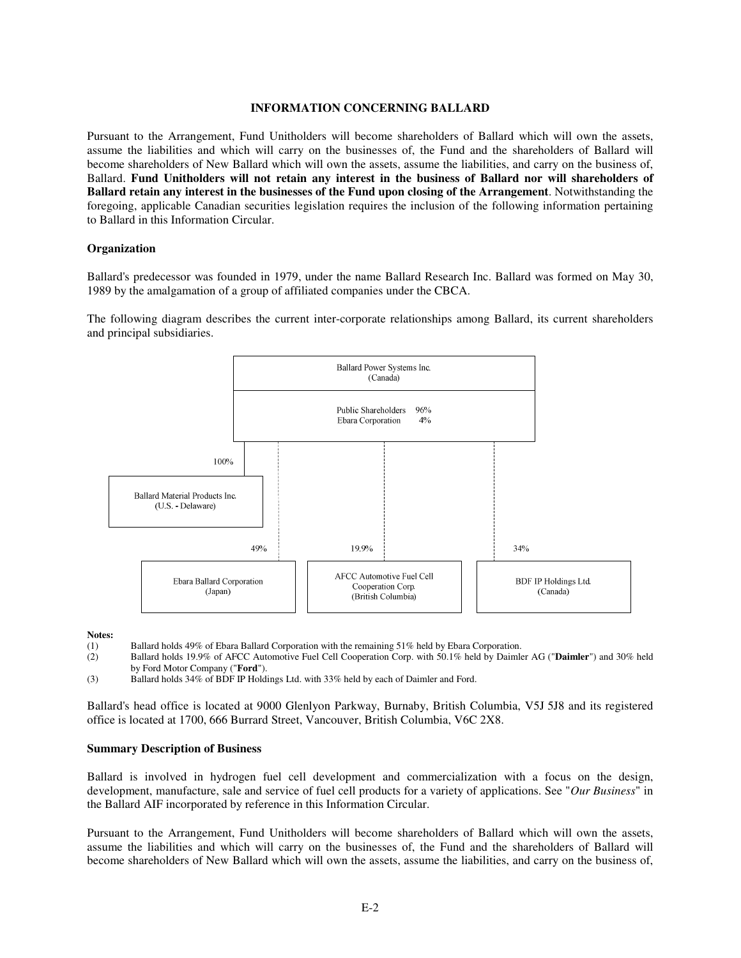#### **INFORMATION CONCERNING BALLARD**

Pursuant to the Arrangement, Fund Unitholders will become shareholders of Ballard which will own the assets, assume the liabilities and which will carry on the businesses of, the Fund and the shareholders of Ballard will become shareholders of New Ballard which will own the assets, assume the liabilities, and carry on the business of, Ballard. **Fund Unitholders will not retain any interest in the business of Ballard nor will shareholders of Ballard retain any interest in the businesses of the Fund upon closing of the Arrangement**. Notwithstanding the foregoing, applicable Canadian securities legislation requires the inclusion of the following information pertaining to Ballard in this Information Circular.

### **Organization**

Ballard's predecessor was founded in 1979, under the name Ballard Research Inc. Ballard was formed on May 30, 1989 by the amalgamation of a group of affiliated companies under the CBCA.

The following diagram describes the current inter-corporate relationships among Ballard, its current shareholders and principal subsidiaries.



#### **Notes:**

- (1) Ballard holds 49% of Ebara Ballard Corporation with the remaining 51% held by Ebara Corporation.<br>(2) Ballard holds 19.9% of AFCC Automotive Fuel Cell Cooperation Corp. with 50.1% held by Daimle
- (2) Ballard holds 19.9% of AFCC Automotive Fuel Cell Cooperation Corp. with 50.1% held by Daimler AG ("**Daimler**") and 30% held by Ford Motor Company ("**Ford**").
- (3) Ballard holds 34% of BDF IP Holdings Ltd. with 33% held by each of Daimler and Ford.

Ballard's head office is located at 9000 Glenlyon Parkway, Burnaby, British Columbia, V5J 5J8 and its registered office is located at 1700, 666 Burrard Street, Vancouver, British Columbia, V6C 2X8.

#### **Summary Description of Business**

Ballard is involved in hydrogen fuel cell development and commercialization with a focus on the design, development, manufacture, sale and service of fuel cell products for a variety of applications. See "*Our Business*" in the Ballard AIF incorporated by reference in this Information Circular.

Pursuant to the Arrangement, Fund Unitholders will become shareholders of Ballard which will own the assets, assume the liabilities and which will carry on the businesses of, the Fund and the shareholders of Ballard will become shareholders of New Ballard which will own the assets, assume the liabilities, and carry on the business of,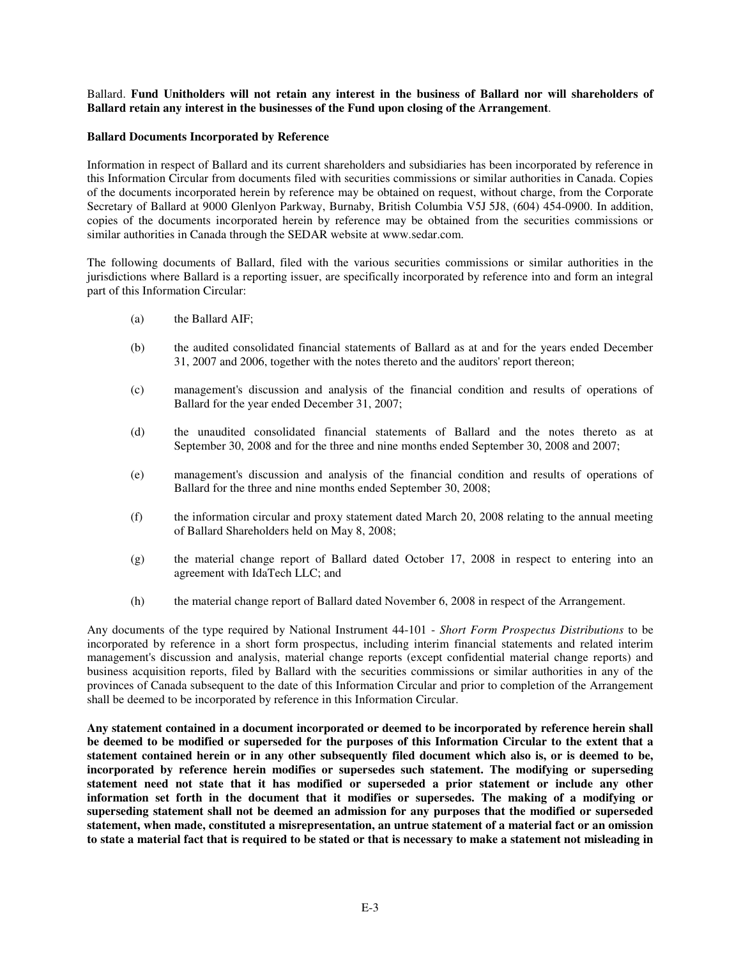Ballard. **Fund Unitholders will not retain any interest in the business of Ballard nor will shareholders of Ballard retain any interest in the businesses of the Fund upon closing of the Arrangement**.

### **Ballard Documents Incorporated by Reference**

Information in respect of Ballard and its current shareholders and subsidiaries has been incorporated by reference in this Information Circular from documents filed with securities commissions or similar authorities in Canada. Copies of the documents incorporated herein by reference may be obtained on request, without charge, from the Corporate Secretary of Ballard at 9000 Glenlyon Parkway, Burnaby, British Columbia V5J 5J8, (604) 454-0900. In addition, copies of the documents incorporated herein by reference may be obtained from the securities commissions or similar authorities in Canada through the SEDAR website at www.sedar.com.

The following documents of Ballard, filed with the various securities commissions or similar authorities in the jurisdictions where Ballard is a reporting issuer, are specifically incorporated by reference into and form an integral part of this Information Circular:

- (a) the Ballard AIF;
- (b) the audited consolidated financial statements of Ballard as at and for the years ended December 31, 2007 and 2006, together with the notes thereto and the auditors' report thereon;
- (c) management's discussion and analysis of the financial condition and results of operations of Ballard for the year ended December 31, 2007;
- (d) the unaudited consolidated financial statements of Ballard and the notes thereto as at September 30, 2008 and for the three and nine months ended September 30, 2008 and 2007;
- (e) management's discussion and analysis of the financial condition and results of operations of Ballard for the three and nine months ended September 30, 2008;
- (f) the information circular and proxy statement dated March 20, 2008 relating to the annual meeting of Ballard Shareholders held on May 8, 2008;
- (g) the material change report of Ballard dated October 17, 2008 in respect to entering into an agreement with IdaTech LLC; and
- (h) the material change report of Ballard dated November 6, 2008 in respect of the Arrangement.

Any documents of the type required by National Instrument 44-101 - *Short Form Prospectus Distributions* to be incorporated by reference in a short form prospectus, including interim financial statements and related interim management's discussion and analysis, material change reports (except confidential material change reports) and business acquisition reports, filed by Ballard with the securities commissions or similar authorities in any of the provinces of Canada subsequent to the date of this Information Circular and prior to completion of the Arrangement shall be deemed to be incorporated by reference in this Information Circular.

**Any statement contained in a document incorporated or deemed to be incorporated by reference herein shall** be deemed to be modified or superseded for the purposes of this Information Circular to the extent that a statement contained herein or in any other subsequently filed document which also is, or is deemed to be, **incorporated by reference herein modifies or supersedes such statement. The modifying or superseding statement need not state that it has modified or superseded a prior statement or include any other information set forth in the document that it modifies or supersedes. The making of a modifying or superseding statement shall not be deemed an admission for any purposes that the modified or superseded statement, when made, constituted a misrepresentation, an untrue statement of a material fact or an omission** to state a material fact that is required to be stated or that is necessary to make a statement not misleading in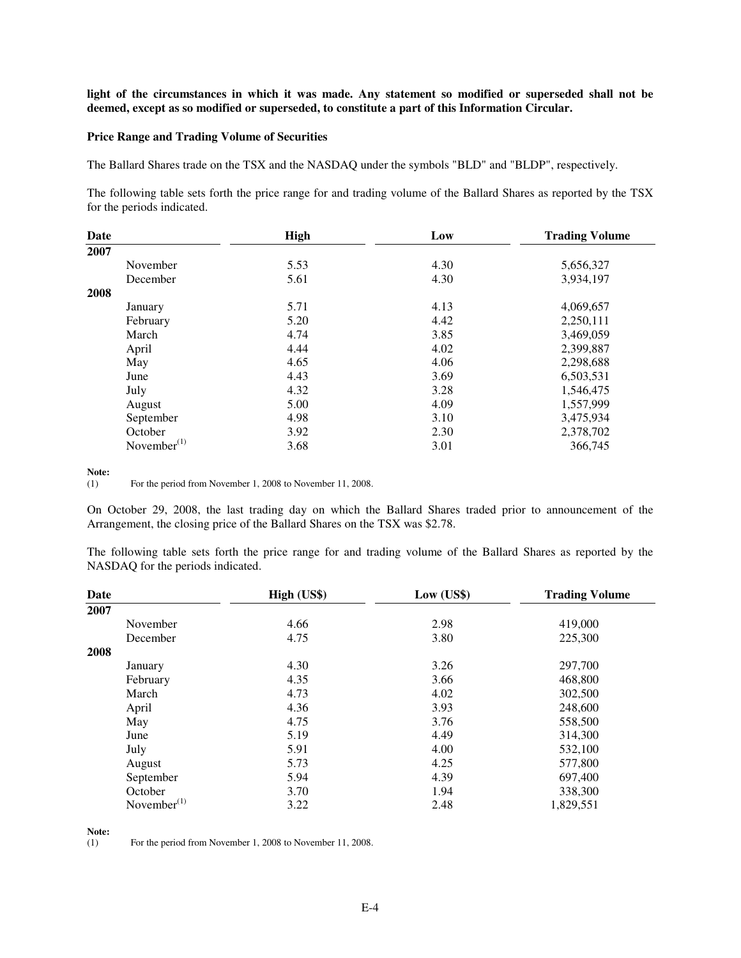light of the circumstances in which it was made. Any statement so modified or superseded shall not be **deemed, except as so modified or superseded, to constitute a part of this Information Circular.**

#### **Price Range and Trading Volume of Securities**

The Ballard Shares trade on the TSX and the NASDAQ under the symbols "BLD" and "BLDP", respectively.

The following table sets forth the price range for and trading volume of the Ballard Shares as reported by the TSX for the periods indicated.

| Date           | High | Low  | <b>Trading Volume</b> |
|----------------|------|------|-----------------------|
| 2007           |      |      |                       |
| November       | 5.53 | 4.30 | 5,656,327             |
| December       | 5.61 | 4.30 | 3,934,197             |
| 2008           |      |      |                       |
| January        | 5.71 | 4.13 | 4,069,657             |
| February       | 5.20 | 4.42 | 2,250,111             |
| March          | 4.74 | 3.85 | 3,469,059             |
| April          | 4.44 | 4.02 | 2,399,887             |
| May            | 4.65 | 4.06 | 2,298,688             |
| June           | 4.43 | 3.69 | 6,503,531             |
| July           | 4.32 | 3.28 | 1,546,475             |
| August         | 5.00 | 4.09 | 1,557,999             |
| September      | 4.98 | 3.10 | 3,475,934             |
| October        | 3.92 | 2.30 | 2,378,702             |
| November $(1)$ | 3.68 | 3.01 | 366,745               |

**Note:**<br>(1)

For the period from November 1, 2008 to November 11, 2008.

On October 29, 2008, the last trading day on which the Ballard Shares traded prior to announcement of the Arrangement, the closing price of the Ballard Shares on the TSX was \$2.78.

The following table sets forth the price range for and trading volume of the Ballard Shares as reported by the NASDAQ for the periods indicated.

| Date           | High (US\$) | Low (US\$) | <b>Trading Volume</b> |
|----------------|-------------|------------|-----------------------|
| 2007           |             |            |                       |
| November       | 4.66        | 2.98       | 419,000               |
| December       | 4.75        | 3.80       | 225,300               |
| 2008           |             |            |                       |
| January        | 4.30        | 3.26       | 297,700               |
| February       | 4.35        | 3.66       | 468,800               |
| March          | 4.73        | 4.02       | 302,500               |
| April          | 4.36        | 3.93       | 248,600               |
| May            | 4.75        | 3.76       | 558,500               |
| June           | 5.19        | 4.49       | 314,300               |
| July           | 5.91        | 4.00       | 532,100               |
| August         | 5.73        | 4.25       | 577,800               |
| September      | 5.94        | 4.39       | 697,400               |
| October        | 3.70        | 1.94       | 338,300               |
| November $(1)$ | 3.22        | 2.48       | 1,829,551             |

**Note:**

(1) For the period from November 1, 2008 to November 11, 2008.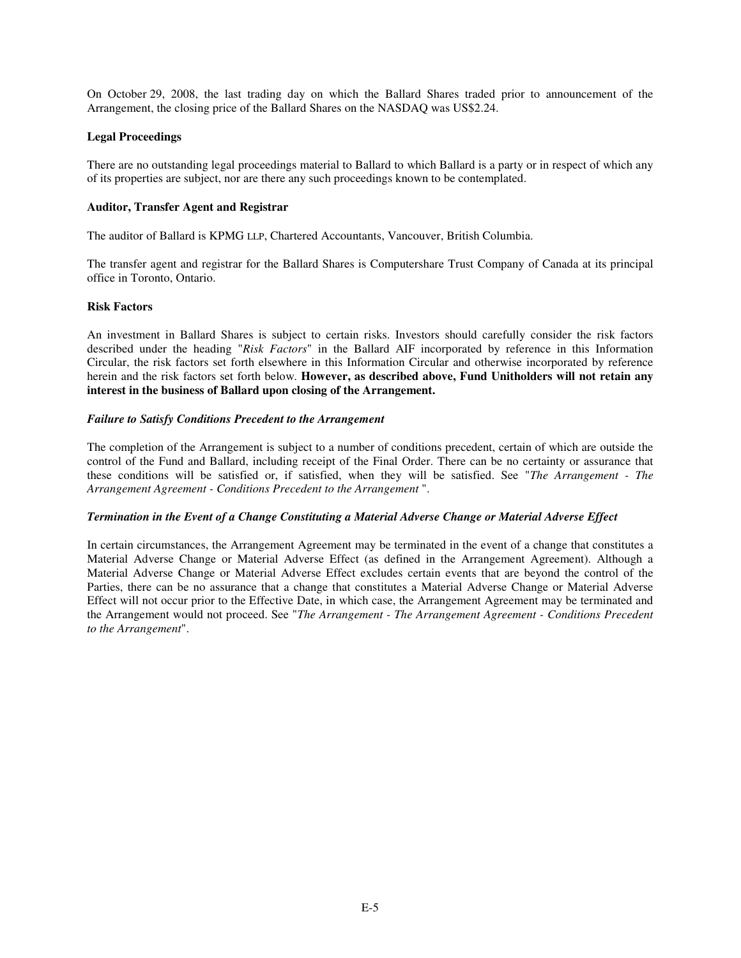On October 29, 2008, the last trading day on which the Ballard Shares traded prior to announcement of the Arrangement, the closing price of the Ballard Shares on the NASDAQ was US\$2.24.

### **Legal Proceedings**

There are no outstanding legal proceedings material to Ballard to which Ballard is a party or in respect of which any of its properties are subject, nor are there any such proceedings known to be contemplated.

#### **Auditor, Transfer Agent and Registrar**

The auditor of Ballard is KPMG LLP, Chartered Accountants, Vancouver, British Columbia.

The transfer agent and registrar for the Ballard Shares is Computershare Trust Company of Canada at its principal office in Toronto, Ontario.

### **Risk Factors**

An investment in Ballard Shares is subject to certain risks. Investors should carefully consider the risk factors described under the heading "*Risk Factors*" in the Ballard AIF incorporated by reference in this Information Circular, the risk factors set forth elsewhere in this Information Circular and otherwise incorporated by reference herein and the risk factors set forth below. **However, as described above, Fund Unitholders will not retain any interest in the business of Ballard upon closing of the Arrangement.**

#### *Failure to Satisfy Conditions Precedent to the Arrangement*

The completion of the Arrangement is subject to a number of conditions precedent, certain of which are outside the control of the Fund and Ballard, including receipt of the Final Order. There can be no certainty or assurance that these conditions will be satisfied or, if satisfied, when they will be satisfied. See "*The Arrangement - The Arrangement Agreement - Conditions Precedent to the Arrangement* ".

#### *Termination in the Event of a Change Constituting a Material Adverse Change or Material Adverse Effect*

In certain circumstances, the Arrangement Agreement may be terminated in the event of a change that constitutes a Material Adverse Change or Material Adverse Effect (as defined in the Arrangement Agreement). Although a Material Adverse Change or Material Adverse Effect excludes certain events that are beyond the control of the Parties, there can be no assurance that a change that constitutes a Material Adverse Change or Material Adverse Effect will not occur prior to the Effective Date, in which case, the Arrangement Agreement may be terminated and the Arrangement would not proceed. See "*The Arrangement - The Arrangement Agreement - Conditions Precedent to the Arrangement*".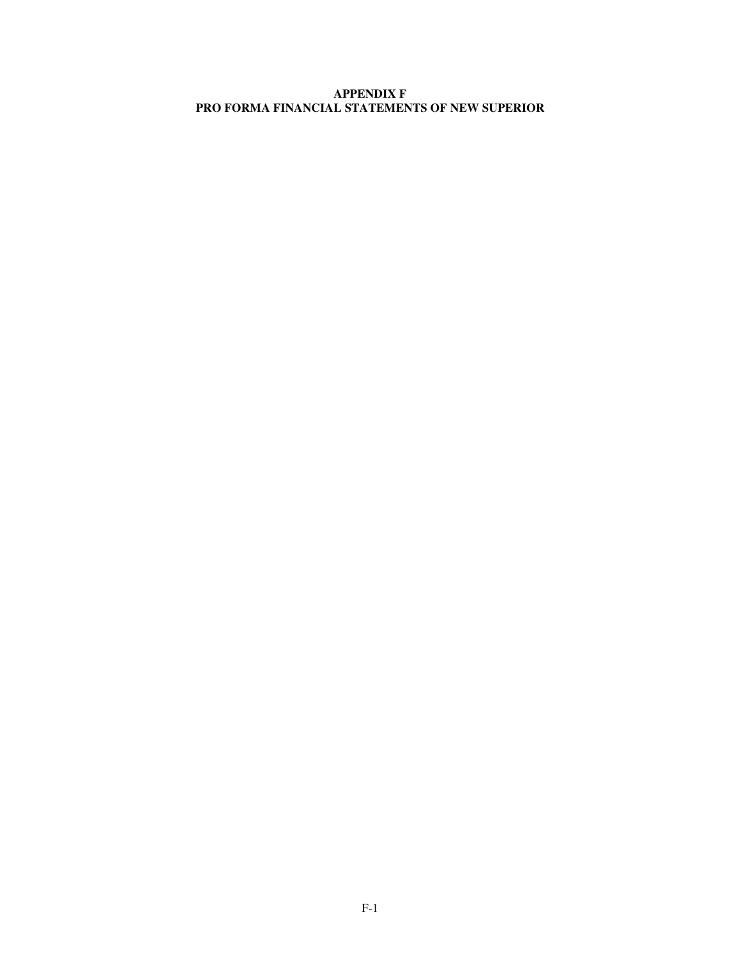# **APPENDIX F PRO FORMA FINANCIAL STATEMENTS OF NEW SUPERIOR**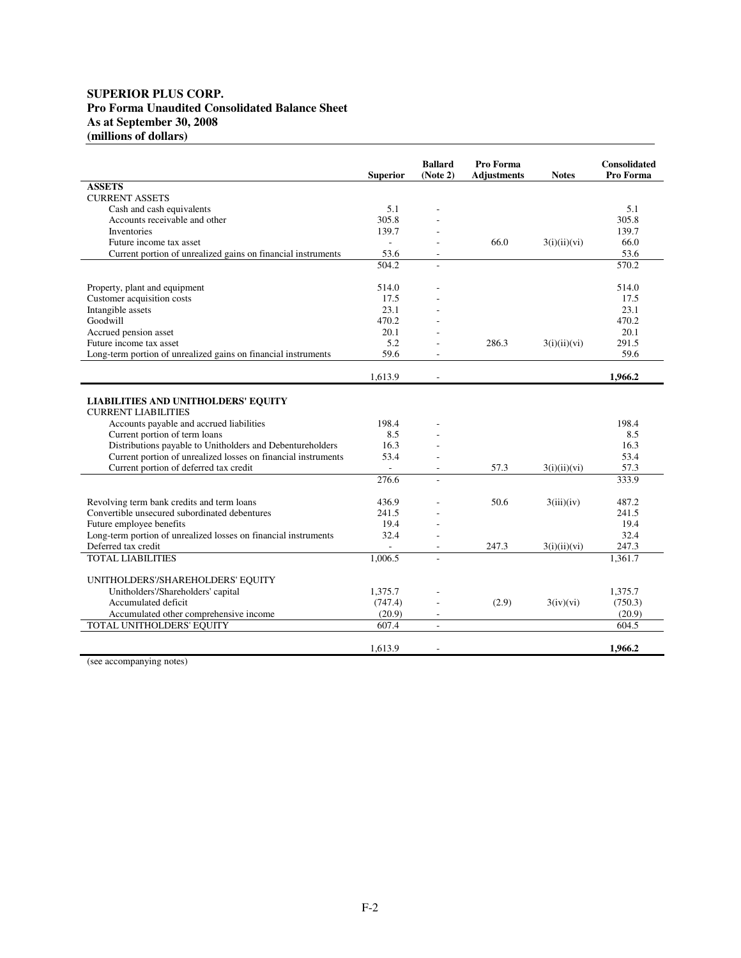# **SUPERIOR PLUS CORP. Pro Forma Unaudited Consolidated Balance Sheet As at September 30, 2008 (millions of dollars)**

|                                                                 | <b>Superior</b>          | <b>Ballard</b><br>(Note 2) | Pro Forma<br><b>Adjustments</b> | <b>Notes</b> | <b>Consolidated</b><br>Pro Forma |
|-----------------------------------------------------------------|--------------------------|----------------------------|---------------------------------|--------------|----------------------------------|
| <b>ASSETS</b>                                                   |                          |                            |                                 |              |                                  |
| <b>CURRENT ASSETS</b>                                           |                          |                            |                                 |              |                                  |
| Cash and cash equivalents                                       | 5.1                      |                            |                                 |              | 5.1                              |
| Accounts receivable and other                                   | 305.8                    |                            |                                 |              | 305.8                            |
| <b>Inventories</b>                                              | 139.7                    |                            |                                 |              | 139.7                            |
| Future income tax asset                                         | $\overline{\phantom{a}}$ |                            | 66.0                            | 3(i)(ii)(vi) | 66.0                             |
| Current portion of unrealized gains on financial instruments    | 53.6                     | $\sim$                     |                                 |              | 53.6                             |
|                                                                 | 504.2                    |                            |                                 |              | 570.2                            |
|                                                                 |                          |                            |                                 |              |                                  |
| Property, plant and equipment                                   | 514.0                    |                            |                                 |              | 514.0                            |
| Customer acquisition costs                                      | 17.5                     |                            |                                 |              | 17.5                             |
| Intangible assets                                               | 23.1                     |                            |                                 |              | 23.1                             |
| Goodwill                                                        | 470.2                    |                            |                                 |              | 470.2                            |
| Accrued pension asset                                           | 20.1                     |                            |                                 |              | 20.1                             |
| Future income tax asset                                         | 5.2                      |                            | 286.3                           |              | 291.5                            |
|                                                                 | 59.6                     |                            |                                 | 3(i)(ii)(vi) | 59.6                             |
| Long-term portion of unrealized gains on financial instruments  |                          |                            |                                 |              |                                  |
|                                                                 | 1,613.9                  | ÷                          |                                 |              | 1,966.2                          |
|                                                                 |                          |                            |                                 |              |                                  |
| <b>LIABILITIES AND UNITHOLDERS' EQUITY</b>                      |                          |                            |                                 |              |                                  |
| <b>CURRENT LIABILITIES</b>                                      |                          |                            |                                 |              |                                  |
| Accounts payable and accrued liabilities                        | 198.4                    |                            |                                 |              | 198.4                            |
| Current portion of term loans                                   | 8.5                      |                            |                                 |              | 8.5                              |
| Distributions payable to Unitholders and Debentureholders       | 16.3                     |                            |                                 |              | 16.3                             |
| Current portion of unrealized losses on financial instruments   | 53.4                     |                            |                                 |              | 53.4                             |
| Current portion of deferred tax credit                          | ÷.                       |                            | 57.3                            | 3(i)(ii)(vi) | 57.3                             |
|                                                                 | 276.6                    |                            |                                 |              | 333.9                            |
|                                                                 |                          |                            |                                 |              |                                  |
| Revolving term bank credits and term loans                      | 436.9                    |                            | 50.6                            | 3(iii)(iv)   | 487.2                            |
| Convertible unsecured subordinated debentures                   | 241.5                    |                            |                                 |              | 241.5                            |
| Future employee benefits                                        | 19.4                     |                            |                                 |              | 19.4                             |
| Long-term portion of unrealized losses on financial instruments | 32.4                     |                            |                                 |              | 32.4                             |
| Deferred tax credit                                             | $\overline{\phantom{a}}$ | $\overline{\phantom{a}}$   | 247.3                           | 3(i)(ii)(vi) | 247.3                            |
| <b>TOTAL LIABILITIES</b>                                        | 1.006.5                  | $\overline{a}$             |                                 |              | 1.361.7                          |
|                                                                 |                          |                            |                                 |              |                                  |
| UNITHOLDERS'/SHAREHOLDERS' EQUITY                               |                          |                            |                                 |              |                                  |
| Unitholders'/Shareholders' capital                              | 1,375.7                  |                            |                                 |              | 1,375.7                          |
| Accumulated deficit                                             | (747.4)                  |                            | (2.9)                           | 3(iv)(vi)    | (750.3)                          |
| Accumulated other comprehensive income                          | (20.9)                   | $\overline{\phantom{a}}$   |                                 |              | (20.9)                           |
| TOTAL UNITHOLDERS' EQUITY                                       | 607.4                    | $\overline{\phantom{a}}$   |                                 |              | 604.5                            |
|                                                                 |                          |                            |                                 |              |                                  |
|                                                                 | 1,613.9                  | $\overline{a}$             |                                 |              | 1.966.2                          |

(see accompanying notes)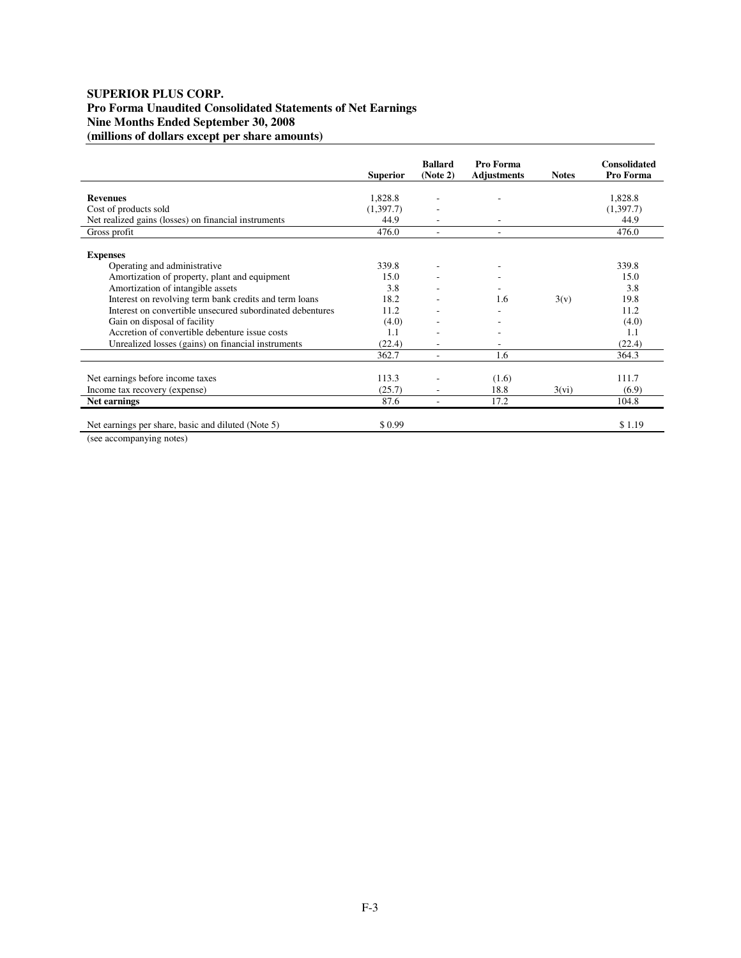# **SUPERIOR PLUS CORP. Pro Forma Unaudited Consolidated Statements of Net Earnings Nine Months Ended September 30, 2008 (millions of dollars except per share amounts)**

|                                                           | <b>Superior</b> | <b>Ballard</b><br>(Note 2) | Pro Forma<br><b>Adjustments</b> | <b>Notes</b> | <b>Consolidated</b><br>Pro Forma |
|-----------------------------------------------------------|-----------------|----------------------------|---------------------------------|--------------|----------------------------------|
|                                                           |                 |                            |                                 |              |                                  |
| <b>Revenues</b>                                           | 1,828.8         |                            |                                 |              | 1,828.8                          |
| Cost of products sold                                     | (1,397.7)       |                            |                                 |              | (1,397.7)                        |
| Net realized gains (losses) on financial instruments      | 44.9            |                            | ٠                               |              | 44.9                             |
| Gross profit                                              | 476.0           |                            | ٠                               |              | 476.0                            |
|                                                           |                 |                            |                                 |              |                                  |
| <b>Expenses</b>                                           |                 |                            |                                 |              |                                  |
| Operating and administrative                              | 339.8           |                            | ٠                               |              | 339.8                            |
| Amortization of property, plant and equipment             | 15.0            |                            |                                 |              | 15.0                             |
| Amortization of intangible assets                         | 3.8             |                            | ٠                               |              | 3.8                              |
| Interest on revolving term bank credits and term loans    | 18.2            |                            | 1.6                             | 3(v)         | 19.8                             |
| Interest on convertible unsecured subordinated debentures | 11.2            |                            |                                 |              | 11.2                             |
| Gain on disposal of facility                              | (4.0)           |                            |                                 |              | (4.0)                            |
| Accretion of convertible debenture issue costs            | 1.1             |                            |                                 |              | 1.1                              |
| Unrealized losses (gains) on financial instruments        | (22.4)          |                            |                                 |              | (22.4)                           |
|                                                           | 362.7           |                            | 1.6                             |              | 364.3                            |
|                                                           |                 |                            |                                 |              |                                  |
| Net earnings before income taxes                          | 113.3           |                            | (1.6)                           |              | 111.7                            |
| Income tax recovery (expense)                             | (25.7)          |                            | 18.8                            | 3(vi)        | (6.9)                            |
| Net earnings                                              | 87.6            | ٠                          | 17.2                            |              | 104.8                            |
|                                                           |                 |                            |                                 |              |                                  |
| Net earnings per share, basic and diluted (Note 5)        | \$0.99          |                            |                                 |              | \$1.19                           |

(see accompanying notes)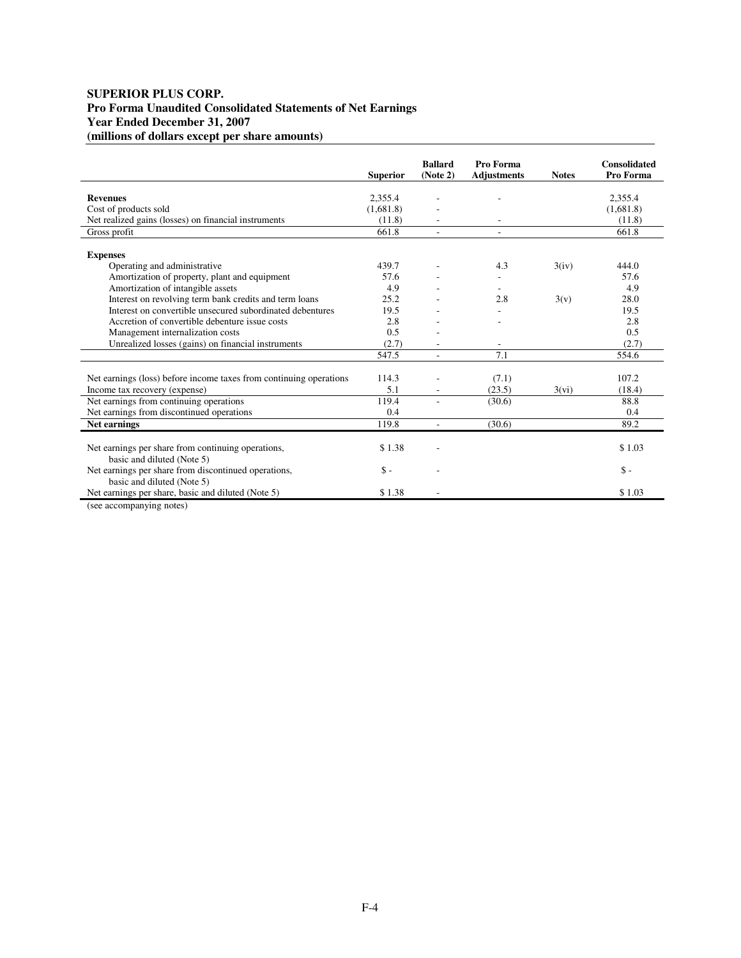# **SUPERIOR PLUS CORP. Pro Forma Unaudited Consolidated Statements of Net Earnings Year Ended December 31, 2007 (millions of dollars except per share amounts)**

|                                                                                                           | <b>Superior</b>     | <b>Ballard</b><br>(Note 2) | Pro Forma<br><b>Adjustments</b> | <b>Notes</b> | <b>Consolidated</b><br>Pro Forma |
|-----------------------------------------------------------------------------------------------------------|---------------------|----------------------------|---------------------------------|--------------|----------------------------------|
|                                                                                                           |                     |                            |                                 |              |                                  |
| <b>Revenues</b>                                                                                           | 2,355.4             |                            |                                 |              | 2,355.4                          |
| Cost of products sold                                                                                     | (1,681.8)<br>(11.8) |                            |                                 |              | (1,681.8)<br>(11.8)              |
| Net realized gains (losses) on financial instruments                                                      | 661.8               |                            |                                 |              | 661.8                            |
| Gross profit                                                                                              |                     |                            |                                 |              |                                  |
| <b>Expenses</b>                                                                                           |                     |                            |                                 |              |                                  |
| Operating and administrative                                                                              | 439.7               |                            | 4.3                             | 3(iv)        | 444.0                            |
| Amortization of property, plant and equipment                                                             | 57.6                |                            |                                 |              | 57.6                             |
| Amortization of intangible assets                                                                         | 4.9                 |                            |                                 |              | 4.9                              |
| Interest on revolving term bank credits and term loans                                                    | 25.2                |                            | 2.8                             | 3(v)         | 28.0                             |
| Interest on convertible unsecured subordinated debentures                                                 | 19.5                |                            |                                 |              | 19.5                             |
| Accretion of convertible debenture issue costs                                                            | 2.8                 |                            |                                 |              | 2.8                              |
| Management internalization costs                                                                          | 0.5                 |                            |                                 |              | 0.5                              |
| Unrealized losses (gains) on financial instruments                                                        | (2.7)               |                            |                                 |              | (2.7)                            |
|                                                                                                           | 547.5               | $\overline{\phantom{a}}$   | 7.1                             |              | 554.6                            |
| Net earnings (loss) before income taxes from continuing operations                                        | 114.3               |                            | (7.1)                           |              | 107.2                            |
| Income tax recovery (expense)                                                                             | 5.1                 |                            | (23.5)                          | 3(vi)        | (18.4)                           |
| Net earnings from continuing operations                                                                   | 119.4               |                            | (30.6)                          |              | 88.8                             |
| Net earnings from discontinued operations                                                                 | 0.4                 |                            |                                 |              | 0.4                              |
| Net earnings                                                                                              | 119.8               | $\overline{\phantom{a}}$   | (30.6)                          |              | 89.2                             |
|                                                                                                           |                     |                            |                                 |              |                                  |
| Net earnings per share from continuing operations,<br>basic and diluted (Note 5)                          | \$1.38              |                            |                                 |              | \$1.03                           |
| Net earnings per share from discontinued operations,<br>basic and diluted (Note 5)                        | $\mathsf{\$}$ -     |                            |                                 |              | $\mathsf{\$}$ -                  |
| Net earnings per share, basic and diluted (Note 5)                                                        | \$1.38              |                            |                                 |              | \$1.03                           |
| $\ell$ - $\ell$ - $\ell$ - $\ell$ - $\ell$ - $\ell$ - $\ell$ - $\ell$ - $\ell$ - $\ell$ - $\ell$ - $\ell$ |                     |                            |                                 |              |                                  |

(see accompanying notes)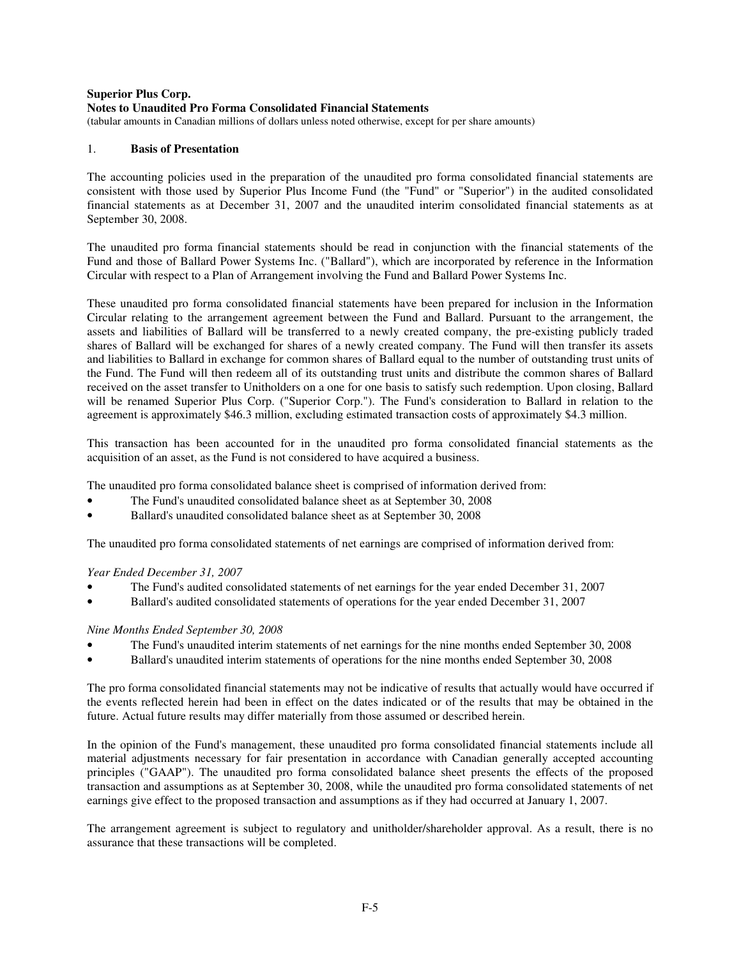### **Superior Plus Corp.**

## **Notes to Unaudited Pro Forma Consolidated Financial Statements**

(tabular amounts in Canadian millions of dollars unless noted otherwise, except for per share amounts)

### 1. **Basis of Presentation**

The accounting policies used in the preparation of the unaudited pro forma consolidated financial statements are consistent with those used by Superior Plus Income Fund (the "Fund" or "Superior") in the audited consolidated financial statements as at December 31, 2007 and the unaudited interim consolidated financial statements as at September 30, 2008.

The unaudited pro forma financial statements should be read in conjunction with the financial statements of the Fund and those of Ballard Power Systems Inc. ("Ballard"), which are incorporated by reference in the Information Circular with respect to a Plan of Arrangement involving the Fund and Ballard Power Systems Inc.

These unaudited pro forma consolidated financial statements have been prepared for inclusion in the Information Circular relating to the arrangement agreement between the Fund and Ballard. Pursuant to the arrangement, the assets and liabilities of Ballard will be transferred to a newly created company, the pre-existing publicly traded shares of Ballard will be exchanged for shares of a newly created company. The Fund will then transfer its assets and liabilities to Ballard in exchange for common shares of Ballard equal to the number of outstanding trust units of the Fund. The Fund will then redeem all of its outstanding trust units and distribute the common shares of Ballard received on the asset transfer to Unitholders on a one for one basis to satisfy such redemption. Upon closing, Ballard will be renamed Superior Plus Corp. ("Superior Corp."). The Fund's consideration to Ballard in relation to the agreement is approximately \$46.3 million, excluding estimated transaction costs of approximately \$4.3 million.

This transaction has been accounted for in the unaudited pro forma consolidated financial statements as the acquisition of an asset, as the Fund is not considered to have acquired a business.

The unaudited pro forma consolidated balance sheet is comprised of information derived from:

- The Fund's unaudited consolidated balance sheet as at September 30, 2008
- Ballard's unaudited consolidated balance sheet as at September 30, 2008

The unaudited pro forma consolidated statements of net earnings are comprised of information derived from:

*Year Ended December 31, 2007*

- The Fund's audited consolidated statements of net earnings for the year ended December 31, 2007
- Ballard's audited consolidated statements of operations for the year ended December 31, 2007

#### *Nine Months Ended September 30, 2008*

- The Fund's unaudited interim statements of net earnings for the nine months ended September 30, 2008
- Ballard's unaudited interim statements of operations for the nine months ended September 30, 2008

The pro forma consolidated financial statements may not be indicative of results that actually would have occurred if the events reflected herein had been in effect on the dates indicated or of the results that may be obtained in the future. Actual future results may differ materially from those assumed or described herein.

In the opinion of the Fund's management, these unaudited pro forma consolidated financial statements include all material adjustments necessary for fair presentation in accordance with Canadian generally accepted accounting principles ("GAAP"). The unaudited pro forma consolidated balance sheet presents the effects of the proposed transaction and assumptions as at September 30, 2008, while the unaudited pro forma consolidated statements of net earnings give effect to the proposed transaction and assumptions as if they had occurred at January 1, 2007.

The arrangement agreement is subject to regulatory and unitholder/shareholder approval. As a result, there is no assurance that these transactions will be completed.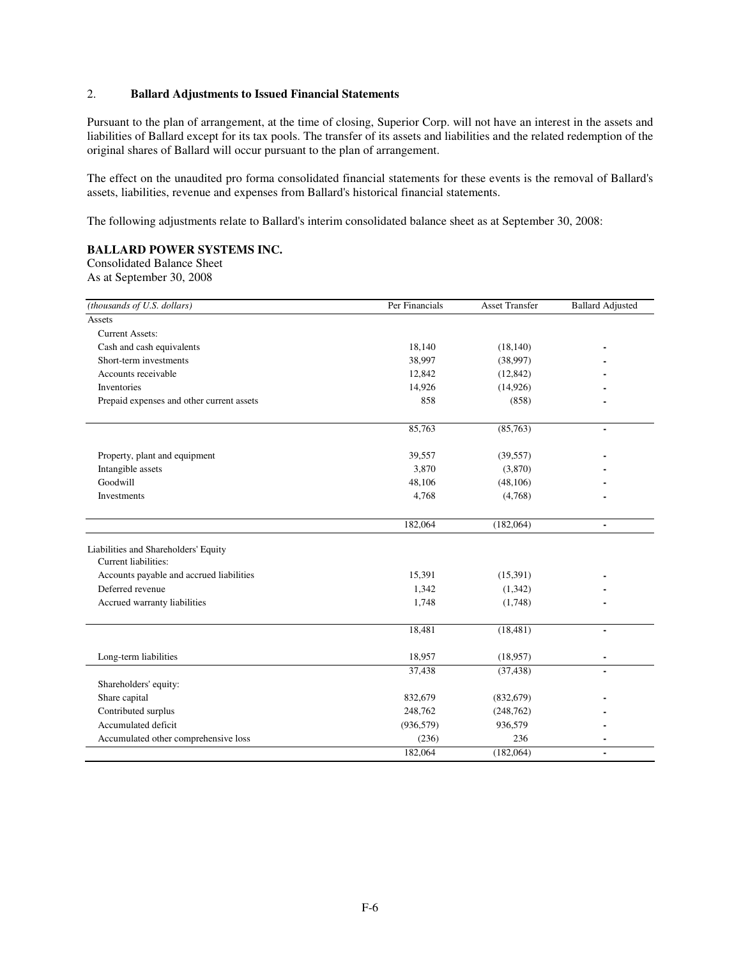# 2. **Ballard Adjustments to Issued Financial Statements**

Pursuant to the plan of arrangement, at the time of closing, Superior Corp. will not have an interest in the assets and liabilities of Ballard except for its tax pools. The transfer of its assets and liabilities and the related redemption of the original shares of Ballard will occur pursuant to the plan of arrangement.

The effect on the unaudited pro forma consolidated financial statements for these events is the removal of Ballard's assets, liabilities, revenue and expenses from Ballard's historical financial statements.

The following adjustments relate to Ballard's interim consolidated balance sheet as at September 30, 2008:

# **BALLARD POWER SYSTEMS INC.**

Consolidated Balance Sheet As at September 30, 2008

| (thousands of U.S. dollars)                                  | Per Financials | <b>Asset Transfer</b> | <b>Ballard Adjusted</b>  |
|--------------------------------------------------------------|----------------|-----------------------|--------------------------|
| Assets                                                       |                |                       |                          |
| <b>Current Assets:</b>                                       |                |                       |                          |
| Cash and cash equivalents                                    | 18,140         | (18, 140)             |                          |
| Short-term investments                                       | 38,997         | (38,997)              |                          |
| Accounts receivable                                          | 12,842         | (12, 842)             |                          |
| Inventories                                                  | 14,926         | (14,926)              |                          |
| Prepaid expenses and other current assets                    | 858            | (858)                 |                          |
|                                                              | 85,763         | (85,763)              | $\overline{\phantom{a}}$ |
| Property, plant and equipment                                | 39,557         | (39, 557)             |                          |
| Intangible assets                                            | 3.870          | (3,870)               |                          |
| Goodwill                                                     | 48,106         | (48, 106)             |                          |
| Investments                                                  | 4,768          | (4,768)               |                          |
|                                                              | 182,064        | (182,064)             | $\blacksquare$           |
| Liabilities and Shareholders' Equity<br>Current liabilities: |                |                       |                          |
| Accounts payable and accrued liabilities                     | 15,391         | (15,391)              |                          |
| Deferred revenue                                             | 1,342          | (1, 342)              |                          |
| Accrued warranty liabilities                                 | 1,748          | (1,748)               |                          |
|                                                              | 18,481         | (18, 481)             | $\blacksquare$           |
| Long-term liabilities                                        | 18,957         | (18,957)              |                          |
|                                                              | 37,438         | (37, 438)             | $\blacksquare$           |
| Shareholders' equity:                                        |                |                       |                          |
| Share capital                                                | 832,679        | (832, 679)            |                          |
| Contributed surplus                                          | 248,762        | (248, 762)            |                          |
| Accumulated deficit                                          | (936, 579)     | 936,579               |                          |
| Accumulated other comprehensive loss                         | (236)          | 236                   |                          |
|                                                              | 182,064        | (182,064)             | $\blacksquare$           |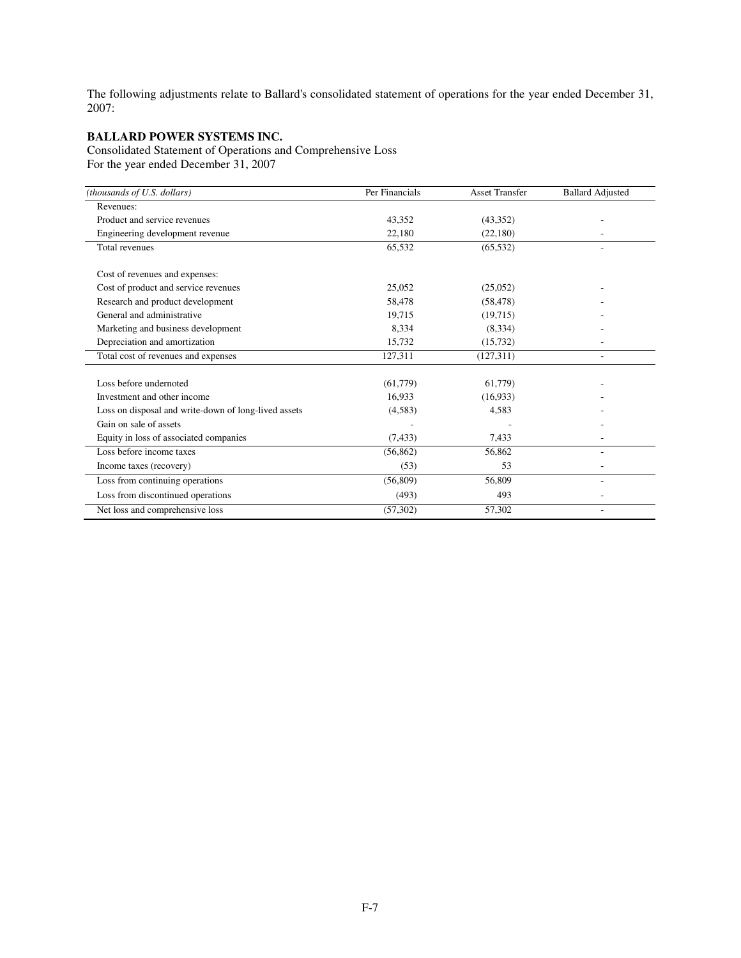The following adjustments relate to Ballard's consolidated statement of operations for the year ended December 31, 2007:

# **BALLARD POWER SYSTEMS INC.**

Consolidated Statement of Operations and Comprehensive Loss For the year ended December 31, 2007

| (thousands of U.S. dollars)                          | Per Financials | <b>Asset Transfer</b> | <b>Ballard Adjusted</b> |
|------------------------------------------------------|----------------|-----------------------|-------------------------|
| Revenues:                                            |                |                       |                         |
| Product and service revenues                         | 43,352         | (43,352)              |                         |
| Engineering development revenue                      | 22,180         | (22,180)              |                         |
| Total revenues                                       | 65,532         | (65, 532)             |                         |
| Cost of revenues and expenses:                       |                |                       |                         |
| Cost of product and service revenues                 | 25,052         | (25,052)              |                         |
| Research and product development                     | 58,478         | (58, 478)             |                         |
| General and administrative                           | 19,715         | (19,715)              |                         |
| Marketing and business development                   | 8,334          | (8,334)               |                         |
| Depreciation and amortization                        | 15,732         | (15,732)              |                         |
| Total cost of revenues and expenses                  | 127,311        | (127,311)             |                         |
| Loss before undernoted                               |                |                       |                         |
|                                                      | (61,779)       | 61,779)               |                         |
| Investment and other income                          | 16.933         | (16,933)              |                         |
| Loss on disposal and write-down of long-lived assets | (4,583)        | 4,583                 |                         |
| Gain on sale of assets                               |                |                       |                         |
| Equity in loss of associated companies               | (7, 433)       | 7,433                 |                         |
| Loss before income taxes                             | (56, 862)      | 56,862                |                         |
| Income taxes (recovery)                              | (53)           | 53                    |                         |
| Loss from continuing operations                      | (56, 809)      | 56,809                | $\sim$                  |
| Loss from discontinued operations                    | (493)          | 493                   |                         |
| Net loss and comprehensive loss                      | (57, 302)      | 57,302                | ٠                       |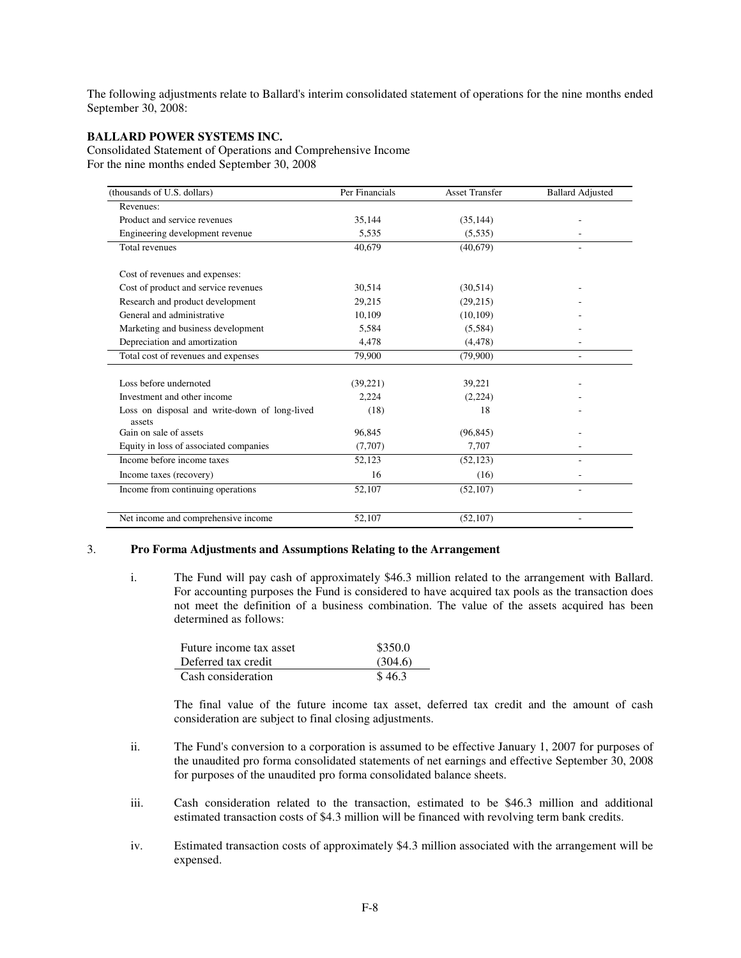The following adjustments relate to Ballard's interim consolidated statement of operations for the nine months ended September 30, 2008:

### **BALLARD POWER SYSTEMS INC.**

 $\overline{a}$ 

Consolidated Statement of Operations and Comprehensive Income For the nine months ended September 30, 2008

| (thousands of U.S. dollars)                   | Per Financials | <b>Asset Transfer</b> | <b>Ballard Adjusted</b> |
|-----------------------------------------------|----------------|-----------------------|-------------------------|
| Revenues:                                     |                |                       |                         |
| Product and service revenues                  | 35,144         | (35, 144)             |                         |
| Engineering development revenue               | 5,535          | (5,535)               |                         |
| Total revenues                                | 40,679         | (40,679)              |                         |
| Cost of revenues and expenses:                |                |                       |                         |
| Cost of product and service revenues          | 30,514         | (30,514)              |                         |
| Research and product development              | 29,215         | (29,215)              |                         |
| General and administrative                    | 10,109         | (10,109)              |                         |
| Marketing and business development            | 5,584          | (5,584)               |                         |
| Depreciation and amortization                 | 4,478          | (4, 478)              |                         |
| Total cost of revenues and expenses           | 79,900         | (79,900)              |                         |
|                                               |                |                       |                         |
| Loss before undernoted                        | (39,221)       | 39,221                |                         |
| Investment and other income                   | 2.224          | (2,224)               |                         |
| Loss on disposal and write-down of long-lived | (18)           | 18                    |                         |
| assets<br>Gain on sale of assets              | 96.845         | (96, 845)             |                         |
| Equity in loss of associated companies        | (7,707)        | 7,707                 |                         |
| Income before income taxes                    | 52,123         | (52, 123)             |                         |
| Income taxes (recovery)                       | 16             | (16)                  |                         |
| Income from continuing operations             | 52,107         | (52, 107)             |                         |
|                                               |                |                       |                         |
| Net income and comprehensive income           | 52,107         | (52, 107)             |                         |

#### 3. **Pro Forma Adjustments and Assumptions Relating to the Arrangement**

i. The Fund will pay cash of approximately \$46.3 million related to the arrangement with Ballard. For accounting purposes the Fund is considered to have acquired tax pools as the transaction does not meet the definition of a business combination. The value of the assets acquired has been determined as follows:

| Future income tax asset | \$350.0 |
|-------------------------|---------|
| Deferred tax credit     | (304.6) |
| Cash consideration      | \$46.3  |

The final value of the future income tax asset, deferred tax credit and the amount of cash consideration are subject to final closing adjustments.

- ii. The Fund's conversion to a corporation is assumed to be effective January 1, 2007 for purposes of the unaudited pro forma consolidated statements of net earnings and effective September 30, 2008 for purposes of the unaudited pro forma consolidated balance sheets.
- iii. Cash consideration related to the transaction, estimated to be \$46.3 million and additional estimated transaction costs of \$4.3 million will be financed with revolving term bank credits.
- iv. Estimated transaction costs of approximately \$4.3 million associated with the arrangement will be expensed.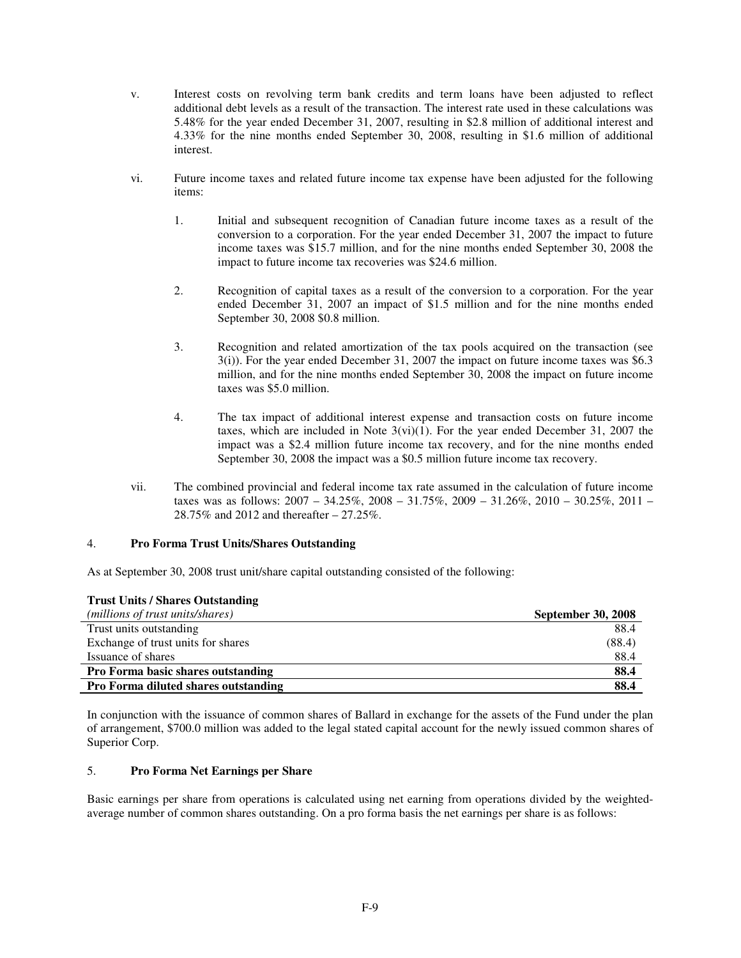- v. Interest costs on revolving term bank credits and term loans have been adjusted to reflect additional debt levels as a result of the transaction. The interest rate used in these calculations was 5.48% for the year ended December 31, 2007, resulting in \$2.8 million of additional interest and 4.33% for the nine months ended September 30, 2008, resulting in \$1.6 million of additional interest.
- vi. Future income taxes and related future income tax expense have been adjusted for the following items:
	- 1. Initial and subsequent recognition of Canadian future income taxes as a result of the conversion to a corporation. For the year ended December 31, 2007 the impact to future income taxes was \$15.7 million, and for the nine months ended September 30, 2008 the impact to future income tax recoveries was \$24.6 million.
	- 2. Recognition of capital taxes as a result of the conversion to a corporation. For the year ended December 31, 2007 an impact of \$1.5 million and for the nine months ended September 30, 2008 \$0.8 million.
	- 3. Recognition and related amortization of the tax pools acquired on the transaction (see 3(i)). For the year ended December 31, 2007 the impact on future income taxes was \$6.3 million, and for the nine months ended September 30, 2008 the impact on future income taxes was \$5.0 million.
	- 4. The tax impact of additional interest expense and transaction costs on future income taxes, which are included in Note  $3(vi)(1)$ . For the year ended December 31, 2007 the impact was a \$2.4 million future income tax recovery, and for the nine months ended September 30, 2008 the impact was a \$0.5 million future income tax recovery.
- vii. The combined provincial and federal income tax rate assumed in the calculation of future income taxes was as follows:  $2007 - 34.25\%$ ,  $2008 - 31.75\%$ ,  $2009 - 31.26\%$ ,  $2010 - 30.25\%$ ,  $2011 -$ 28.75% and 2012 and thereafter – 27.25%.

#### 4. **Pro Forma Trust Units/Shares Outstanding**

**Trust Units / Shares Outstanding**

As at September 30, 2008 trust unit/share capital outstanding consisted of the following:

| <b>Trust Units / Shares Outstanding</b>     |                           |
|---------------------------------------------|---------------------------|
| (millions of trust units/shares)            | <b>September 30, 2008</b> |
| Trust units outstanding                     | 88.4                      |
| Exchange of trust units for shares          | (88.4)                    |
| Issuance of shares                          | 88.4                      |
| <b>Pro Forma basic shares outstanding</b>   | 88.4                      |
| <b>Pro Forma diluted shares outstanding</b> | 88.4                      |

In conjunction with the issuance of common shares of Ballard in exchange for the assets of the Fund under the plan of arrangement, \$700.0 million was added to the legal stated capital account for the newly issued common shares of Superior Corp.

#### 5. **Pro Forma Net Earnings per Share**

Basic earnings per share from operations is calculated using net earning from operations divided by the weightedaverage number of common shares outstanding. On a pro forma basis the net earnings per share is as follows: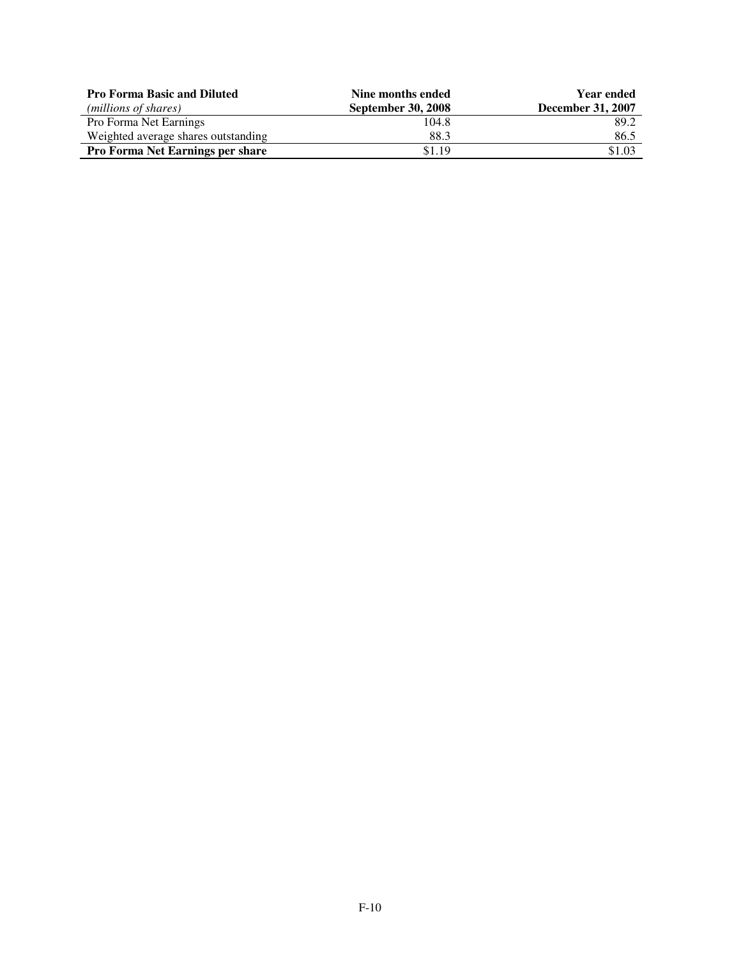| <b>Pro Forma Basic and Diluted</b>      | Nine months ended         | <b>Year ended</b>        |
|-----------------------------------------|---------------------------|--------------------------|
| (millions of shares)                    | <b>September 30, 2008</b> | <b>December 31, 2007</b> |
| Pro Forma Net Earnings                  | 104.8                     | 89.2                     |
| Weighted average shares outstanding     | 88.3                      | 86.5                     |
| <b>Pro Forma Net Earnings per share</b> | \$1.19                    | \$1.03                   |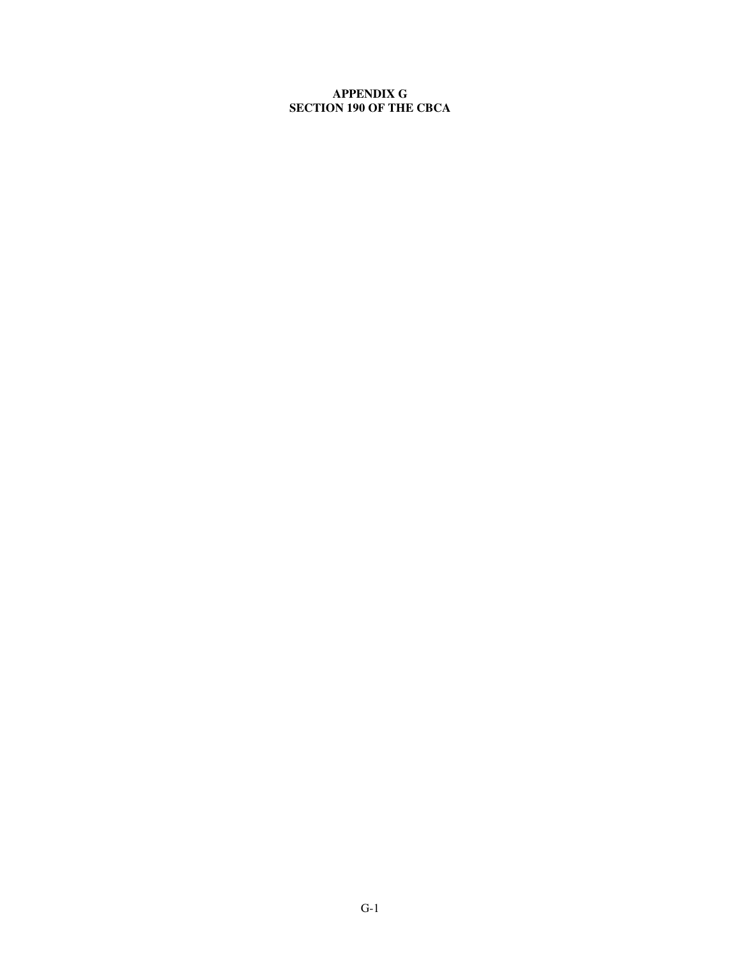## **APPENDIX G SECTION 190 OF THE CBCA**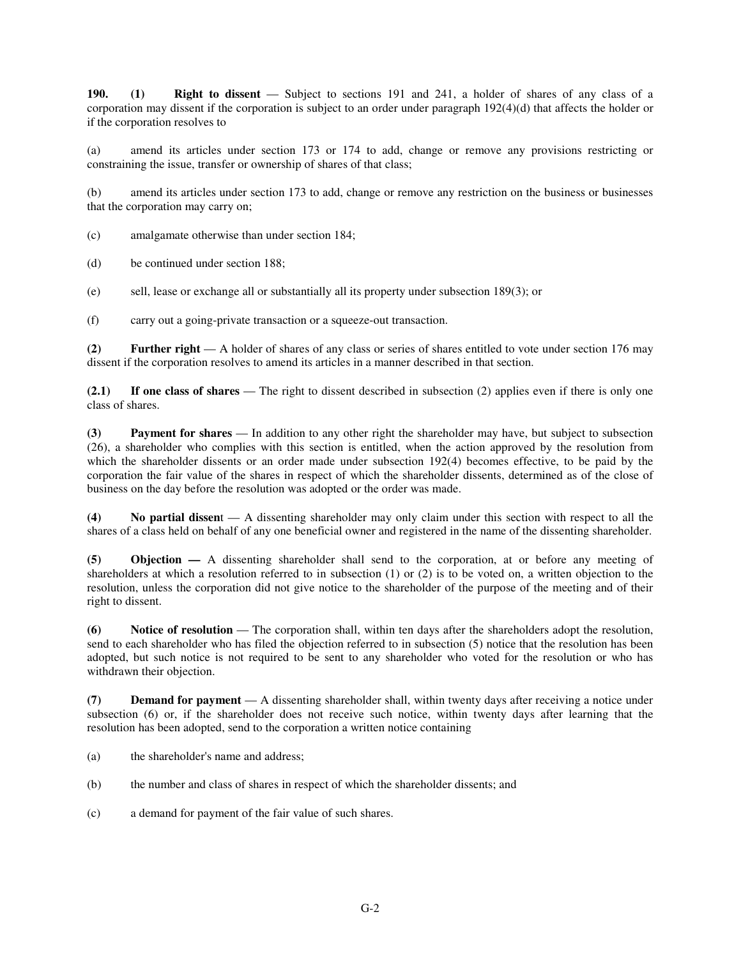**190. (1) Right to dissent** — Subject to sections 191 and 241, a holder of shares of any class of a corporation may dissent if the corporation is subject to an order under paragraph 192(4)(d) that affects the holder or if the corporation resolves to

(a) amend its articles under section 173 or 174 to add, change or remove any provisions restricting or constraining the issue, transfer or ownership of shares of that class;

(b) amend its articles under section 173 to add, change or remove any restriction on the business or businesses that the corporation may carry on;

(c) amalgamate otherwise than under section 184;

(d) be continued under section 188;

(e) sell, lease or exchange all or substantially all its property under subsection 189(3); or

(f) carry out a going-private transaction or a squeeze-out transaction.

**(2) Further right** — A holder of shares of any class or series of shares entitled to vote under section 176 may dissent if the corporation resolves to amend its articles in a manner described in that section.

**(2.1) If one class of shares** — The right to dissent described in subsection (2) applies even if there is only one class of shares.

**(3) Payment for shares** — In addition to any other right the shareholder may have, but subject to subsection (26), a shareholder who complies with this section is entitled, when the action approved by the resolution from which the shareholder dissents or an order made under subsection 192(4) becomes effective, to be paid by the corporation the fair value of the shares in respect of which the shareholder dissents, determined as of the close of business on the day before the resolution was adopted or the order was made.

**(4) No partial dissen**t — A dissenting shareholder may only claim under this section with respect to all the shares of a class held on behalf of any one beneficial owner and registered in the name of the dissenting shareholder.

**(5) Objection —** A dissenting shareholder shall send to the corporation, at or before any meeting of shareholders at which a resolution referred to in subsection (1) or (2) is to be voted on, a written objection to the resolution, unless the corporation did not give notice to the shareholder of the purpose of the meeting and of their right to dissent.

**(6) Notice of resolution** — The corporation shall, within ten days after the shareholders adopt the resolution, send to each shareholder who has filed the objection referred to in subsection (5) notice that the resolution has been adopted, but such notice is not required to be sent to any shareholder who voted for the resolution or who has withdrawn their objection.

**(7) Demand for payment** — A dissenting shareholder shall, within twenty days after receiving a notice under subsection (6) or, if the shareholder does not receive such notice, within twenty days after learning that the resolution has been adopted, send to the corporation a written notice containing

- (a) the shareholder's name and address;
- (b) the number and class of shares in respect of which the shareholder dissents; and
- (c) a demand for payment of the fair value of such shares.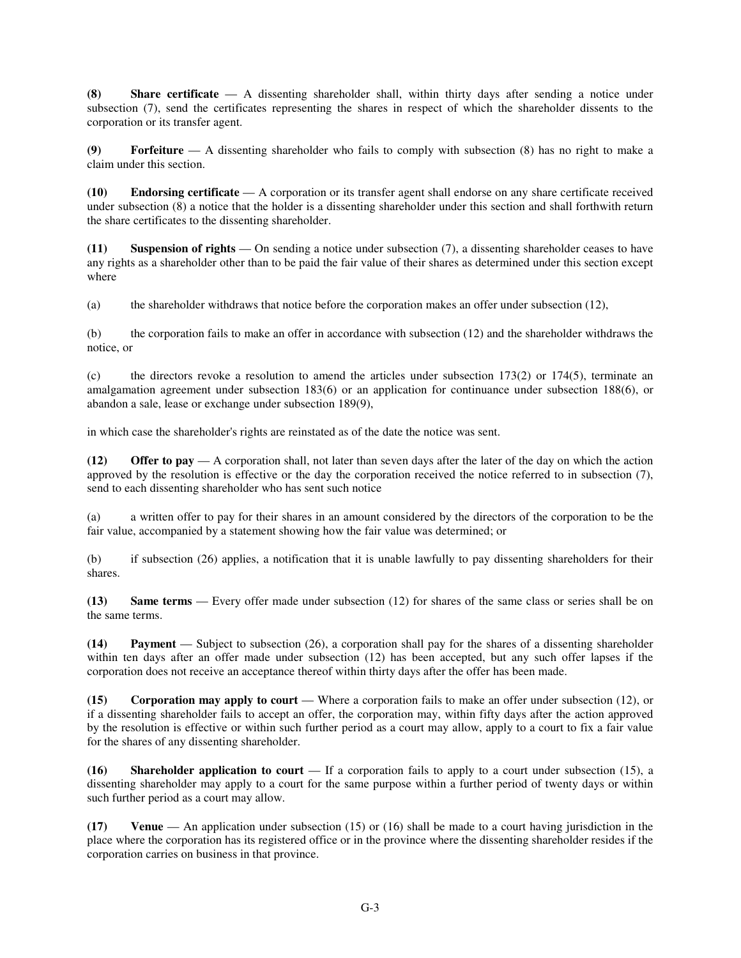**(8) Share certificate** — A dissenting shareholder shall, within thirty days after sending a notice under subsection (7), send the certificates representing the shares in respect of which the shareholder dissents to the corporation or its transfer agent.

**(9) Forfeiture** — A dissenting shareholder who fails to comply with subsection (8) has no right to make a claim under this section.

**(10) Endorsing certificate** — A corporation or its transfer agent shall endorse on any share certificate received under subsection (8) a notice that the holder is a dissenting shareholder under this section and shall forthwith return the share certificates to the dissenting shareholder.

**(11) Suspension of rights** — On sending a notice under subsection (7), a dissenting shareholder ceases to have any rights as a shareholder other than to be paid the fair value of their shares as determined under this section except where

(a) the shareholder withdraws that notice before the corporation makes an offer under subsection (12),

(b) the corporation fails to make an offer in accordance with subsection (12) and the shareholder withdraws the notice, or

(c) the directors revoke a resolution to amend the articles under subsection  $173(2)$  or  $174(5)$ , terminate an amalgamation agreement under subsection 183(6) or an application for continuance under subsection 188(6), or abandon a sale, lease or exchange under subsection 189(9),

in which case the shareholder's rights are reinstated as of the date the notice was sent.

**(12) Offer to pay** — A corporation shall, not later than seven days after the later of the day on which the action approved by the resolution is effective or the day the corporation received the notice referred to in subsection (7), send to each dissenting shareholder who has sent such notice

(a) a written offer to pay for their shares in an amount considered by the directors of the corporation to be the fair value, accompanied by a statement showing how the fair value was determined; or

(b) if subsection (26) applies, a notification that it is unable lawfully to pay dissenting shareholders for their shares.

**(13) Same terms** — Every offer made under subsection (12) for shares of the same class or series shall be on the same terms.

**(14) Payment** — Subject to subsection (26), a corporation shall pay for the shares of a dissenting shareholder within ten days after an offer made under subsection (12) has been accepted, but any such offer lapses if the corporation does not receive an acceptance thereof within thirty days after the offer has been made.

**(15) Corporation may apply to court** — Where a corporation fails to make an offer under subsection (12), or if a dissenting shareholder fails to accept an offer, the corporation may, within fifty days after the action approved by the resolution is effective or within such further period as a court may allow, apply to a court to fix a fair value for the shares of any dissenting shareholder.

**(16) Shareholder application to court** — If a corporation fails to apply to a court under subsection (15), a dissenting shareholder may apply to a court for the same purpose within a further period of twenty days or within such further period as a court may allow.

**(17) Venue** — An application under subsection (15) or (16) shall be made to a court having jurisdiction in the place where the corporation has its registered office or in the province where the dissenting shareholder resides if the corporation carries on business in that province.